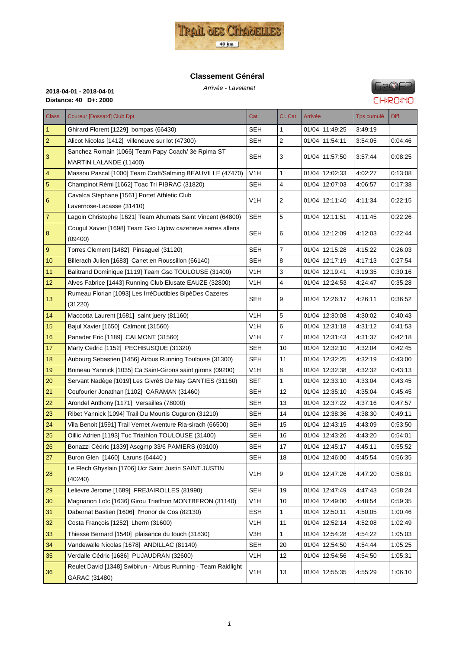

#### **Classement Général**

Arrivée - Lavelanet **2018-04-01 - 2018-04-01 Distance: 40 D+: 2000**

# **GPOFP CHRONO**

| Class.         | <b>Coureur [Dossard] Club Dpt</b>                                               | Cat.             | Cl. Cat.       | Arrivée        | Tps cumulé | Diff.   |
|----------------|---------------------------------------------------------------------------------|------------------|----------------|----------------|------------|---------|
| 1              | Ghirard Florent [1229] bompas (66430)                                           | SEH              | 1              | 01/04 11:49:25 | 3:49:19    |         |
| 2              | Alicot Nicolas [1412] villeneuve sur lot (47300)                                | SEH              | $\overline{2}$ | 01/04 11:54:11 | 3:54:05    | 0.04.46 |
| 3              | Sanchez Romain [1066] Team Papy Coach/ 3è Rpima ST                              | SEH              | 3              | 01/04 11:57:50 | 3:57:44    | 0:08:25 |
|                | MARTIN LALANDE (11400)                                                          |                  |                |                |            |         |
| 4              | Massou Pascal [1000] Team Craft/Salming BEAUVILLE (47470)                       | V1H              | 1              | 01/04 12:02:33 | 4:02:27    | 0.13:08 |
| 5              | Champinot Rémi [1662] Toac Tri PIBRAC (31820)                                   | SEH              | $\overline{4}$ | 01/04 12:07:03 | 4:06:57    | 0.17.38 |
| 6              | Cavalca Stephane [1561] Portet Athletic Club                                    | V1H              | 2              | 01/04 12:11:40 | 4:11:34    | 0:22:15 |
|                | Lavernose-Lacasse (31410)                                                       |                  |                |                |            |         |
| $\overline{7}$ | Lagoin Christophe [1621] Team Ahumats Saint Vincent (64800)                     | SEH              | 5              | 01/04 12:11:51 | 4:11:45    | 0:22:26 |
| 8              | Cougul Xavier [1698] Team Gso Uglow cazenave serres allens<br>(09400)           | <b>SEH</b>       | 6              | 01/04 12:12:09 | 4:12:03    | 0.22:44 |
| 9              | Torres Clement [1482] Pinsaguel (31120)                                         | SEH              | $\overline{7}$ | 01/04 12:15:28 | 4:15:22    | 0.26.03 |
| 10             | Billerach Julien [1683] Canet en Roussillon (66140)                             | SEH              | 8              | 01/04 12:17:19 | 4:17:13    | 0.27:54 |
| 11             | Balitrand Dominique [1119] Team Gso TOULOUSE (31400)                            | V1H              | 3              | 01/04 12:19:41 | 4:19:35    | 0:30:16 |
| 12             | Alves Fabrice [1443] Running Club Elusate EAUZE (32800)                         | V1H              | 4              | 01/04 12:24:53 | 4:24:47    | 0:35:28 |
|                | Rumeau Florian [1093] Les IrréDuctibles BipèDes Cazeres                         |                  |                |                |            |         |
| 13             | (31220)                                                                         | SEH              | 9              | 01/04 12:26:17 | 4:26:11    | 0:36:52 |
| 14             | Maccotta Laurent [1681] saint juery (81160)                                     | V1H              | 5              | 01/04 12:30:08 | 4:30:02    | 0.40.43 |
| 15             | Bajul Xavier [1650] Calmont (31560)                                             | V1H              | 6              | 01/04 12:31:18 | 4:31:12    | 0:41:53 |
| 16             | Panader Eric [1189] CALMONT (31560)                                             | V1H              | $\overline{7}$ | 01/04 12:31:43 | 4:31:37    | 0:42:18 |
| 17             | Marty Cedric [1152] PECHBUSQUE (31320)                                          | SEH              | 10             | 01/04 12:32:10 | 4:32:04    | 0.42.45 |
| 18             | Aubourg Sebastien [1456] Airbus Running Toulouse (31300)                        | <b>SEH</b>       | 11             | 01/04 12:32:25 | 4:32:19    | 0.43.00 |
| 19             | Boineau Yannick [1035] Ca Saint-Girons saint girons (09200)                     | V1H              | 8              | 01/04 12:32:38 | 4:32:32    | 0:43:13 |
| 20             | Servant Nadège [1019] Les GivréS De Nay GANTIES (31160)                         | SEF              | 1              | 01/04 12:33:10 | 4:33:04    | 0.43.45 |
| 21             | Coufourier Jonathan [1102] CARAMAN (31460)                                      | <b>SEH</b>       | 12             | 01/04 12:35:10 | 4:35:04    | 0:45:45 |
| 22             | Arondel Anthony [1171] Versailles (78000)                                       | SEH              | 13             | 01/04 12:37:22 | 4:37:16    | 0.47.57 |
| 23             | Ribet Yannick [1094] Trail Du Mourtis Cuguron (31210)                           | <b>SEH</b>       | 14             | 01/04 12:38:36 | 4:38:30    | 0:49:11 |
| 24             | Vila Benoit [1591] Trail Vernet Aventure Ria-sirach (66500)                     | <b>SEH</b>       | 15             | 01/04 12:43:15 | 4:43:09    | 0.53.50 |
| 25             | Oillic Adrien [1193] Tuc Triathlon TOULOUSE (31400)                             | <b>SEH</b>       | 16             | 01/04 12:43:26 | 4:43:20    | 0:54:01 |
| 26             | Bonazzi Cédric [1339] Ascgmp 33/6 PAMIERS (09100)                               | SEH              | 17             | 01/04 12:45:17 | 4:45:11    | 0:55:52 |
| 27             | Buron Glen [1460] Laruns (64440)                                                | <b>SEH</b>       | 18             | 01/04 12:46:00 | 4:45:54    | 0.56.35 |
| 28             | Le Flech Ghyslain [1706] Ucr Saint Justin SAINT JUSTIN                          | V1H              | 9              | 01/04 12:47:26 | 4:47:20    | 0:58:01 |
| 29             | (40240)<br>Lelievre Jerome [1689] FREJAIROLLES (81990)                          | <b>SEH</b>       | 19             | 01/04 12:47:49 | 4:47:43    | 0:58:24 |
| 30             | Magnanon Loïc [1636] Girou Triatlhon MONTBERON (31140)                          | V <sub>1</sub> H | 10             | 01/04 12:49:00 | 4:48:54    | 0:59:35 |
|                | Dabernat Bastien [1606] l'Honor de Cos (82130)                                  | ESH              | 1              | 01/04 12:50:11 |            | 1:00:46 |
| 31<br>32       |                                                                                 | V <sub>1</sub> H | 11             | 01/04 12:52:14 | 4:50:05    |         |
|                | Costa François [1252] Lherm (31600)                                             |                  |                |                | 4:52:08    | 1:02:49 |
| 33             | Thiesse Bernard [1540] plaisance du touch (31830)                               | V3H              | 1              | 01/04 12:54:28 | 4:54:22    | 1:05:03 |
| 34             | Vandewalle Nicolas [1678] ANDILLAC (81140)                                      | <b>SEH</b>       | 20             | 01/04 12:54:50 | 4.54.44    | 1:05:25 |
| 35             | Verdalle Cédric [1686] PUJAUDRAN (32600)                                        | V <sub>1</sub> H | 12             | 01/04 12:54:56 | 4:54:50    | 1:05:31 |
| 36             | Reulet David [1348] Swibirun - Airbus Running - Team Raidlight<br>GARAC (31480) | V1H              | 13             | 01/04 12:55:35 | 4:55:29    | 1:06:10 |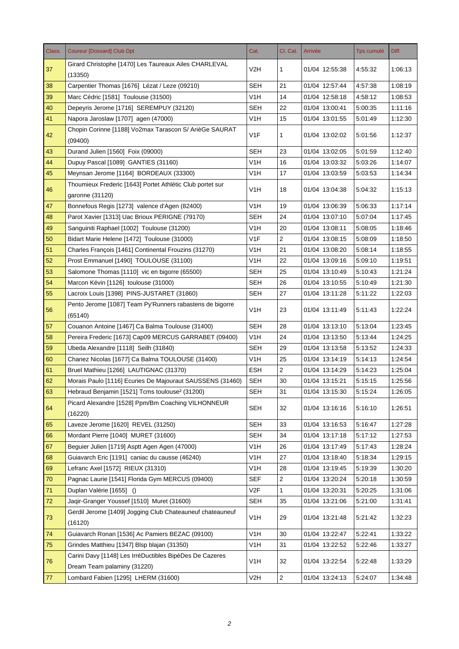| Class. | <b>Coureur [Dossard] Club Dpt</b>                                                      | Cat.             | Cl. Cat.       | Arrivée        | <b>Tps cumulé</b> | Diff.   |
|--------|----------------------------------------------------------------------------------------|------------------|----------------|----------------|-------------------|---------|
| 37     | Girard Christophe [1470] Les Taureaux Ailes CHARLEVAL<br>(13350)                       | V2H              | 1              | 01/04 12:55:38 | 4:55:32           | 1:06:13 |
| 38     | Carpentier Thomas [1676] Lézat / Leze (09210)                                          | SEH              | 21             | 01/04 12:57:44 | 4:57:38           | 1:08:19 |
| 39     | Marc Cédric [1581] Toulouse (31500)                                                    | V <sub>1</sub> H | 14             | 01/04 12:58:18 | 4:58:12           | 1:08:53 |
| 40     | Depeyris Jerome [1716] SEREMPUY (32120)                                                | <b>SEH</b>       | 22             | 01/04 13:00:41 | 5:00:35           | 1:11:16 |
| 41     | Napora Jaroslaw [1707] agen (47000)                                                    | V <sub>1</sub> H | 15             | 01/04 13:01:55 | 5:01:49           | 1:12:30 |
|        | Chopin Corinne [1188] Vo2max Tarascon S/ ArièGe SAURAT                                 |                  |                |                |                   |         |
| 42     | (09400)                                                                                | V <sub>1</sub> F | 1              | 01/04 13:02:02 | 5:01:56           | 1:12:37 |
| 43     | Durand Julien [1560] Foix (09000)                                                      | <b>SEH</b>       | 23             | 01/04 13:02:05 | 5:01:59           | 1:12:40 |
| 44     | Dupuy Pascal [1089] GANTIES (31160)                                                    | V <sub>1</sub> H | 16             | 01/04 13:03:32 | 5:03:26           | 1:14:07 |
| 45     | Meynsan Jerome [1164] BORDEAUX (33300)                                                 | V <sub>1</sub> H | 17             | 01/04 13:03:59 | 5:03:53           | 1:14:34 |
| 46     | Thoumieux Frederic [1643] Portet Athlétic Club portet sur                              | V <sub>1</sub> H | 18             | 01/04 13:04:38 | 5:04:32           | 1:15:13 |
|        | garonne (31120)                                                                        |                  |                |                |                   |         |
| 47     | Bonnefous Regis [1273] valence d'Agen (82400)                                          | V1H              | 19             | 01/04 13:06:39 | 5:06:33           | 1:17:14 |
| 48     | Parot Xavier [1313] Uac Brioux PERIGNE (79170)                                         | <b>SEH</b>       | 24             | 01/04 13:07:10 | 5:07:04           | 1:17:45 |
| 49     | Sanguiniti Raphael [1002] Toulouse (31200)                                             | V1H              | 20             | 01/04 13:08:11 | 5:08:05           | 1:18:46 |
| 50     | Bidart Marie Helene [1472] Toulouse (31000)                                            | V1F              | $\overline{c}$ | 01/04 13:08:15 | 5:08:09           | 1:18:50 |
| 51     | Charles François [1461] Continental Frouzins (31270)                                   | V <sub>1</sub> H | 21             | 01/04 13:08:20 | 5:08:14           | 1:18:55 |
| 52     | Prost Emmanuel [1490] TOULOUSE (31100)                                                 | V1H              | 22             | 01/04 13:09:16 | 5:09:10           | 1:19:51 |
| 53     | Salomone Thomas [1110] vic en bigorre (65500)                                          | <b>SEH</b>       | 25             | 01/04 13:10:49 | 5:10:43           | 1:21:24 |
| 54     | Marcon Kévin [1126] toulouse (31000)                                                   | SEH              | 26             | 01/04 13:10:55 | 5:10:49           | 1:21:30 |
| 55     | Lacroix Louis [1398] PINS-JUSTARET (31860)                                             | <b>SEH</b>       | 27             | 01/04 13:11:28 | 5:11:22           | 1:22:03 |
| 56     | Pento Jerome [1087] Team Py'Runners rabastens de bigorre<br>(65140)                    | V <sub>1</sub> H | 23             | 01/04 13:11:49 | 5:11:43           | 1:22:24 |
| 57     | Couanon Antoine [1467] Ca Balma Toulouse (31400)                                       | <b>SEH</b>       | 28             | 01/04 13:13:10 | 5:13:04           | 1:23:45 |
| 58     | Pereira Frederic [1673] Cap09 MERCUS GARRABET (09400)                                  | V <sub>1</sub> H | 24             | 01/04 13:13:50 | 5:13:44           | 1:24:25 |
| 59     | Ubeda Alexandre [1118] Seilh (31840)                                                   | <b>SEH</b>       | 29             | 01/04 13:13:58 | 5:13:52           | 1:24:33 |
| 60     | Chanez Nicolas [1677] Ca Balma TOULOUSE (31400)                                        | V1H              | 25             | 01/04 13:14:19 | 5:14:13           | 1:24:54 |
| 61     | Bruel Mathieu [1266] LAUTIGNAC (31370)                                                 | <b>ESH</b>       | $\overline{2}$ | 01/04 13:14:29 | 5:14:23           | 1:25:04 |
| 62     | Morais Paulo [1116] Ecuries De Majouraut SAUSSENS (31460)                              | <b>SEH</b>       | 30             | 01/04 13:15:21 | 5:15:15           | 1:25:56 |
| 63     | Hebraud Benjamin [1521] Tcms toulouse <sup>2</sup> (31200)                             | <b>SEH</b>       | 31             | 01/04 13:15:30 | 5:15:24           | 1:26:05 |
| 64     | Picard Alexandre [1528] Ppm/Bm Coaching VILHONNEUR<br>(16220)                          | <b>SEH</b>       | 32             | 01/04 13:16:16 | 5:16:10           | 1:26:51 |
| 65     | Laveze Jerome [1620] REVEL (31250)                                                     | <b>SEH</b>       | 33             | 01/04 13:16:53 | 5:16:47           | 1:27:28 |
| 66     | Mordant Pierre [1040] MURET (31600)                                                    | <b>SEH</b>       | 34             | 01/04 13:17:18 | 5:17:12           | 1:27:53 |
| 67     | Bequier Julien [1719] Asptt Agen Agen (47000)                                          | V <sub>1</sub> H | 26             | 01/04 13:17:49 | 5:17:43           | 1:28:24 |
| 68     | Guiavarch Eric [1191] caniac du causse (46240)                                         | V <sub>1</sub> H | 27             | 01/04 13:18:40 | 5:18:34           | 1:29:15 |
| 69     | Lefranc Axel [1572] RIEUX (31310)                                                      | V <sub>1</sub> H | 28             | 01/04 13:19:45 | 5:19:39           | 1:30:20 |
| 70     | Pagnac Laurie [1541] Florida Gym MERCUS (09400)                                        | <b>SEF</b>       | $\overline{2}$ | 01/04 13:20:24 | 5:20:18           | 1:30:59 |
| 71     | Duplan Valérie [1655] ()                                                               | V2F              | $\mathbf{1}$   | 01/04 13:20:31 | 5:20:25           | 1:31:06 |
| 72     | Jaqir-Granger Youssef [1510] Muret (31600)                                             | <b>SEH</b>       | 35             | 01/04 13:21:06 | 5:21:00           | 1:31:41 |
|        | Gerdil Jerome [1409] Jogging Club Chateauneuf chateauneuf                              |                  |                |                |                   |         |
| 73     | (16120)                                                                                | V <sub>1</sub> H | 29             | 01/04 13:21:48 | 5:21:42           | 1:32:23 |
| 74     | Guiavarch Ronan [1536] Ac Pamiers BEZAC (09100)                                        | V <sub>1</sub> H | 30             | 01/04 13:22:47 | 5:22:41           | 1:33:22 |
| 75     | Grindes Matthieu [1347] Blsp blajan (31350)                                            | V <sub>1</sub> H | 31             | 01/04 13:22:52 | 5:22:46           | 1:33:27 |
| 76     | Carini Davy [1148] Les IrréDuctibles BipèDes De Cazeres<br>Dream Team palaminy (31220) | V <sub>1</sub> H | 32             | 01/04 13:22:54 | 5:22:48           | 1:33:29 |
| 77     | Lombard Fabien [1295] LHERM (31600)                                                    | V2H              | $\overline{2}$ | 01/04 13:24:13 | 5.24.07           | 1:34:48 |
|        |                                                                                        |                  |                |                |                   |         |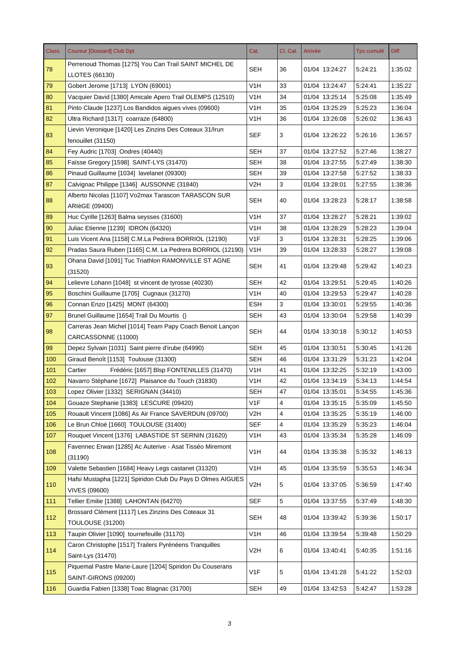| Class. | <b>Coureur [Dossard] Club Dpt</b>                                                  | Cat.             | Cl. Cat.       | Arrivée        | <b>Tps cumulé</b> | Diff.   |
|--------|------------------------------------------------------------------------------------|------------------|----------------|----------------|-------------------|---------|
| 78     | Perrenoud Thomas [1275] You Can Trail SAINT MICHEL DE<br><b>LLOTES (66130)</b>     | <b>SEH</b>       | 36             | 01/04 13:24:27 | 5:24:21           | 1:35:02 |
| 79     | Gobert Jerome [1713] LYON (69001)                                                  | V1H              | 33             | 01/04 13:24:47 | 5:24:41           | 1:35:22 |
| 80     | Vacquier David [1380] Amicale Apero Trail OLEMPS (12510)                           | V <sub>1</sub> H | 34             | 01/04 13:25:14 | 5:25:08           | 1:35:49 |
| 81     | Pinto Claude [1237] Los Bandidos aigues vives (09600)                              | V1H              | 35             | 01/04 13:25:29 | 5:25:23           | 1:36:04 |
| 82     | Ultra Richard [1317] coarraze (64800)                                              | V <sub>1</sub> H | 36             | 01/04 13:26:08 | 5:26:02           | 1:36:43 |
|        | Lievin Veronique [1420] Les Zinzins Des Coteaux 31/Irun                            |                  |                |                |                   |         |
| 83     | fenouillet (31150)                                                                 | <b>SEF</b>       | 3              | 01/04 13:26:22 | 5:26:16           | 1:36:57 |
| 84     | Fey Audric [1703] Ondres (40440)                                                   | SEH              | 37             | 01/04 13:27:52 | 5:27:46           | 1:38:27 |
| 85     | Faïsse Gregory [1598] SAINT-LYS (31470)                                            | <b>SEH</b>       | 38             | 01/04 13:27:55 | 5.27:49           | 1:38:30 |
| 86     | Pinaud Guillaume [1034] lavelanet (09300)                                          | <b>SEH</b>       | 39             | 01/04 13:27:58 | 5:27:52           | 1:38:33 |
| 87     | Calvignac Philippe [1346] AUSSONNE (31840)                                         | V2H              | 3              | 01/04 13:28:01 | 5.27:55           | 1:38:36 |
| 88     | Alberto Nicolas [1107] Vo2max Tarascon TARASCON SUR<br>ARIèGE (09400)              | <b>SEH</b>       | 40             | 01/04 13:28:23 | 5:28:17           | 1:38:58 |
| 89     | Huc Cyrille [1263] Balma seysses (31600)                                           | V <sub>1</sub> H | 37             | 01/04 13:28:27 | 5:28:21           | 1:39:02 |
| 90     | Juliac Etienne [1239] IDRON (64320)                                                | V1H              | 38             | 01/04 13:28:29 | 5:28:23           | 1:39:04 |
| 91     | Luis Vicent Ana [1158] C.M.La Pedrera BORRIOL (12190)                              | V1F              | 3              | 01/04 13:28:31 | 5:28:25           | 1:39:06 |
| 92     | Pradas Saura Ruben [1165] C.M. La Pedrera BORRIOL (12190)                          | V <sub>1</sub> H | 39             | 01/04 13:28:33 | 5:28:27           | 1:39:08 |
| 93     | Ohana David [1091] Tuc Triathlon RAMONVILLE ST AGNE<br>(31520)                     | <b>SEH</b>       | 41             | 01/04 13:29:48 | 5:29:42           | 1:40:23 |
| 94     | Lelievre Lohann [1048] st vincent de tyrosse (40230)                               | <b>SEH</b>       | 42             | 01/04 13:29:51 | 5.29:45           | 1:40:26 |
| 95     | Boschini Guillaume [1705] Cugnaux (31270)                                          | V1H              | 40             | 01/04 13:29:53 | 5:29:47           | 1:40:28 |
| 96     | Connan Enzo [1425] MONT (64300)                                                    | <b>ESH</b>       | 3              | 01/04 13:30:01 | 5.29.55           | 1:40:36 |
| 97     | Brunel Guillaume [1654] Trail Du Mourtis ()                                        | <b>SEH</b>       | 43             | 01/04 13:30:04 | 5:29:58           | 1:40:39 |
| 98     | Carreras Jean Michel [1014] Team Papy Coach Benoit Lançon<br>CARCASSONNE (11000)   | SEH              | 44             | 01/04 13:30:18 | 5:30:12           | 1:40:53 |
| 99     | Depez Sylvain [1031] Saint pierre d'irube (64990)                                  | <b>SEH</b>       | 45             | 01/04 13:30:51 | 5:30:45           | 1:41:26 |
| 100    | Giraud Benoît [1153] Toulouse (31300)                                              | <b>SEH</b>       | 46             | 01/04 13:31:29 | 5:31:23           | 1:42:04 |
| 101    | Cartier<br>Frédéric [1657] Blsp FONTENILLES (31470)                                | V1H              | 41             | 01/04 13:32:25 | 5:32:19           | 1:43:00 |
| 102    | Navarro Stéphane [1672] Plaisance du Touch (31830)                                 | V <sub>1</sub> H | 42             | 01/04 13:34:19 | 5:34:13           | 1.44.54 |
| 103    | Lopez Olivier [1332] SERIGNAN (34410)                                              | <b>SEH</b>       | 47             | 01/04 13:35:01 | 5.34.55           | 1:45:36 |
| 104    | Gouaze Stephanie [1383] LESCURE (09420)                                            | V1F              | $\overline{4}$ | 01/04 13:35:15 | 5.35.09           | 1:45:50 |
| 105    | Rouault Vincent [1086] As Air France SAVERDUN (09700)                              | V <sub>2</sub> H | 4              | 01/04 13:35:25 | 5:35:19           | 1:46:00 |
| 106    | Le Brun Chloé [1660] TOULOUSE (31400)                                              | <b>SEF</b>       | 4              | 01/04 13:35:29 | 5:35:23           | 1:46:04 |
| 107    | Rouquet Vincent [1376] LABASTIDE ST SERNIN (31620)                                 | V <sub>1</sub> H | 43             | 01/04 13:35:34 | 5:35:28           | 1:46:09 |
| 108    | Favennec Erwan [1285] Ac Auterive - Asat Tisséo Miremont<br>(31190)                | V <sub>1</sub> H | 44             | 01/04 13:35:38 | 5:35:32           | 1:46:13 |
| 109    | Valette Sebastien [1684] Heavy Legs castanet (31320)                               | V <sub>1</sub> H | 45             | 01/04 13:35:59 | 5:35:53           | 1:46:34 |
| 110    | Hafsi Mustapha [1221] Spiridon Club Du Pays D Olmes AIGUES<br><b>VIVES (09600)</b> | V <sub>2</sub> H | 5              | 01/04 13:37:05 | 5:36:59           | 1:47:40 |
| 111    | Tellier Emilie [1388] LAHONTAN (64270)                                             | <b>SEF</b>       | 5              | 01/04 13:37:55 | 5:37:49           | 1:48:30 |
| 112    | Brossard Clément [1117] Les Zinzins Des Coteaux 31                                 | <b>SEH</b>       | 48             | 01/04 13:39:42 | 5:39:36           | 1:50:17 |
|        | <b>TOULOUSE (31200)</b>                                                            |                  |                |                |                   |         |
| 113    | Taupin Olivier [1090] tournefeuille (31170)                                        | V <sub>1</sub> H | 46             | 01/04 13:39:54 | 5:39:48           | 1:50:29 |
| 114    | Caron Christophe [1517] Trailers Pyrénéens Tranquilles                             | V2H              | 6              | 01/04 13:40:41 | 5:40:35           | 1.51.16 |
|        | Saint-Lys (31470)                                                                  |                  |                |                |                   |         |
| 115    | Piquemal Pastre Marie-Laure [1204] Spiridon Du Couserans<br>SAINT-GIRONS (09200)   | V1F              | 5              | 01/04 13:41:28 | 5:41:22           | 1:52:03 |
| 116    | Guardia Fabien [1338] Toac Blagnac (31700)                                         | <b>SEH</b>       | 49             | 01/04 13:42:53 | 5:42:47           | 1.53.28 |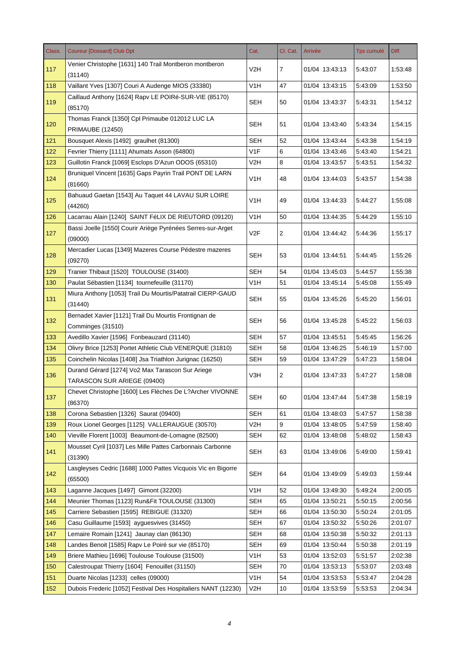| Class. | <b>Coureur [Dossard] Club Dpt</b>                                               | Cat.             | Cl. Cat.       | Arrivée        | Tps cumulé | Diff.   |
|--------|---------------------------------------------------------------------------------|------------------|----------------|----------------|------------|---------|
| 117    | Venier Christophe [1631] 140 Trail Montberon montberon                          | V2H              | $\overline{7}$ | 01/04 13:43:13 | 5:43:07    | 1:53:48 |
|        | (31140)                                                                         |                  |                |                |            |         |
| 118    | Vaillant Yves [1307] Couri A Audenge MIOS (33380)                               | V <sub>1</sub> H | 47             | 01/04 13:43:15 | 5:43:09    | 1:53:50 |
| 119    | Caillaud Anthony [1624] Rapy LE POIRé-SUR-VIE (85170)<br>(85170)                | <b>SEH</b>       | 50             | 01/04 13:43:37 | 5:43:31    | 1:54:12 |
| 120    | Thomas Franck [1350] Cpl Primaube 012012 LUC LA<br><b>PRIMAUBE (12450)</b>      | <b>SEH</b>       | 51             | 01/04 13:43:40 | 5:43:34    | 1:54:15 |
| 121    | Bousquet Alexis [1492] graulhet (81300)                                         | <b>SEH</b>       | 52             | 01/04 13:43:44 | 5:43:38    | 1.54.19 |
| 122    | Fevrier Thierry [1111] Ahumats Asson (64800)                                    | V1F              | 6              | 01/04 13:43:46 | 5:43:40    | 1:54:21 |
| 123    | Guillotin Franck [1069] Esclops D'Azun ODOS (65310)                             | V <sub>2</sub> H | 8              | 01/04 13:43:57 | 5:43:51    | 1.54.32 |
| 124    | Bruniquel Vincent [1635] Gaps Payrin Trail PONT DE LARN<br>(81660)              | V <sub>1</sub> H | 48             | 01/04 13:44:03 | 5:43:57    | 1:54:38 |
| 125    | Bahuaud Gaetan [1543] Au Taquet 44 LAVAU SUR LOIRE<br>(44260)                   | V <sub>1</sub> H | 49             | 01/04 13:44:33 | 5:44:27    | 1:55:08 |
| 126    | Lacarrau Alain [1240] SAINT FéLIX DE RIEUTORD (09120)                           | V <sub>1</sub> H | 50             | 01/04 13:44:35 | 5:44:29    | 1:55:10 |
| 127    | Bassi Joelle [1550] Courir Ariège Pyrénées Serres-sur-Arget<br>(09000)          | V2F              | 2              | 01/04 13:44:42 | 5:44:36    | 1:55:17 |
| 128    | Mercadier Lucas [1349] Mazeres Course Pédestre mazeres<br>(09270)               | <b>SEH</b>       | 53             | 01/04 13:44:51 | 5:44:45    | 1:55:26 |
| 129    | Tranier Thibaut [1520] TOULOUSE (31400)                                         | <b>SEH</b>       | 54             | 01/04 13:45:03 | 5:44:57    | 1:55:38 |
| 130    | Paulat Sébastien [1134] tournefeuille (31170)                                   | V <sub>1</sub> H | 51             | 01/04 13:45:14 | 5:45:08    | 1:55:49 |
| 131    | Miura Anthony [1053] Trail Du Mourtis/Patatrail CIERP-GAUD<br>(31440)           | <b>SEH</b>       | 55             | 01/04 13:45:26 | 5:45:20    | 1:56:01 |
| 132    | Bernadet Xavier [1121] Trail Du Mourtis Frontignan de<br>Comminges (31510)      | <b>SEH</b>       | 56             | 01/04 13:45:28 | 5:45:22    | 1:56:03 |
| 133    | Avedillo Xavier [1596] Fonbeauzard (31140)                                      | <b>SEH</b>       | 57             | 01/04 13:45:51 | 5:45:45    | 1:56:26 |
| 134    | Olivry Brice [1253] Portet Athletic Club VENERQUE (31810)                       | <b>SEH</b>       | 58             | 01/04 13:46:25 | 5:46:19    | 1:57:00 |
| 135    | Coinchelin Nicolas [1408] Jsa Triathlon Jurignac (16250)                        | <b>SEH</b>       | 59             | 01/04 13:47:29 | 5:47:23    | 1:58:04 |
| 136    | Durand Gérard [1274] Vo2 Max Tarascon Sur Ariege<br>TARASCON SUR ARIEGE (09400) | V3H              | 2              | 01/04 13:47:33 | 5:47:27    | 1:58:08 |
| 137    | Chevet Christophe [1600] Les Flèches De L?Archer VIVONNE<br>(86370)             | <b>SEH</b>       | 60             | 01/04 13:47:44 | 5:47:38    | 1:58:19 |
| 138    | Corona Sebastien [1326] Saurat (09400)                                          | <b>SEH</b>       | 61             | 01/04 13:48:03 | 5:47:57    | 1:58:38 |
| 139    | Roux Lionel Georges [1125] VALLERAUGUE (30570)                                  | V <sub>2</sub> H | 9              | 01/04 13:48:05 | 5:47:59    | 1:58:40 |
| 140    | Vieville Florent [1003] Beaumont-de-Lomagne (82500)                             | SEH              | 62             | 01/04 13:48:08 | 5:48:02    | 1:58:43 |
| 141    | Mousset Cyril [1037] Les Mille Pattes Carbonnais Carbonne<br>(31390)            | <b>SEH</b>       | 63             | 01/04 13:49:06 | 5:49:00    | 1:59:41 |
| 142    | Lasgleyses Cedric [1688] 1000 Pattes Vicquois Vic en Bigorre<br>(65500)         | <b>SEH</b>       | 64             | 01/04 13:49:09 | 5:49:03    | 1:59:44 |
| 143    | Laganne Jacques [1497] Gimont (32200)                                           | V <sub>1</sub> H | 52             | 01/04 13:49:30 | 5:49:24    | 2:00:05 |
| 144    | Meunier Thomas [1123] Run&Fit TOULOUSE (31300)                                  | <b>SEH</b>       | 65             | 01/04 13:50:21 | 5:50:15    | 2:00:56 |
| 145    | Carriere Sebastien [1595] REBIGUE (31320)                                       | <b>SEH</b>       | 66             | 01/04 13:50:30 | 5:50:24    | 2:01:05 |
| 146    | Casu Guillaume [1593] ayguesvives (31450)                                       | <b>SEH</b>       | 67             | 01/04 13:50:32 | 5:50:26    | 2:01:07 |
| 147    | Lemaire Romain [1241] Jaunay clan (86130)                                       | <b>SEH</b>       | 68             | 01/04 13:50:38 | 5:50:32    | 2:01:13 |
| 148    | Landes Benoit [1585] Rapv Le Poiré sur vie (85170)                              | <b>SEH</b>       | 69             | 01/04 13:50:44 | 5:50:38    | 2:01:19 |
| 149    | Briere Mathieu [1696] Toulouse Toulouse (31500)                                 | V <sub>1</sub> H | 53             | 01/04 13:52:03 | 5:51:57    | 2:02:38 |
| 150    | Calestroupat Thierry [1604] Fenouillet (31150)                                  | <b>SEH</b>       | 70             | 01/04 13:53:13 | 5:53:07    | 2:03:48 |
| 151    | Duarte Nicolas [1233] celles (09000)                                            | V1H              | 54             | 01/04 13:53:53 | 5:53:47    | 2:04:28 |
| 152    | Dubois Frederic [1052] Festival Des Hospitaliers NANT (12230)                   | V <sub>2</sub> H | 10             | 01/04 13:53:59 | 5:53:53    | 2:04:34 |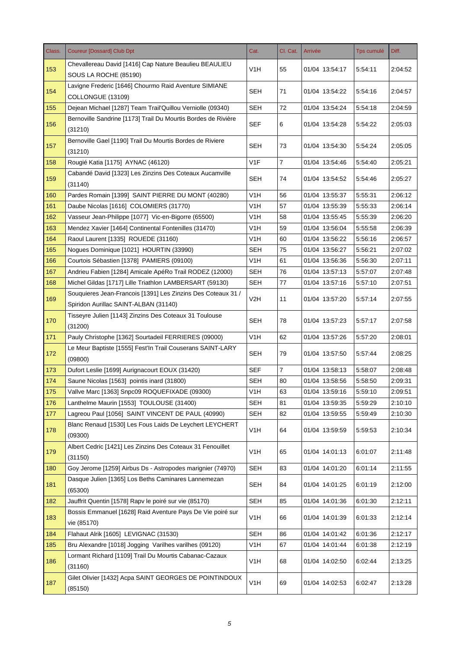| Class. | <b>Coureur [Dossard] Club Dpt</b>                                         | Cat.             | Cl. Cat.       | Arrivée        | <b>Tps cumulé</b> | Diff.   |
|--------|---------------------------------------------------------------------------|------------------|----------------|----------------|-------------------|---------|
| 153    | Chevallereau David [1416] Cap Nature Beaulieu BEAULIEU                    | V <sub>1</sub> H | 55             | 01/04 13:54:17 | 5:54:11           | 2:04:52 |
|        | SOUS LA ROCHE (85190)                                                     |                  |                |                |                   |         |
| 154    | Lavigne Frederic [1646] Chourmo Raid Aventure SIMIANE                     | SEH              | 71             | 01/04 13:54:22 | 5:54:16           | 2:04:57 |
|        | COLLONGUE (13109)                                                         |                  |                |                |                   |         |
| 155    | Dejean Michael [1287] Team Trail'Quillou Verniolle (09340)                | <b>SEH</b>       | 72             | 01/04 13:54:24 | 5:54:18           | 2:04:59 |
| 156    | Bernoville Sandrine [1173] Trail Du Mourtis Bordes de Rivière<br>(31210)  | <b>SEF</b>       | 6              | 01/04 13:54:28 | 5:54:22           | 2:05:03 |
| 157    | Bernoville Gael [1190] Trail Du Mourtis Bordes de Riviere                 | <b>SEH</b>       | 73             | 01/04 13:54:30 | 5:54:24           | 2:05:05 |
|        | (31210)                                                                   |                  |                |                |                   |         |
| 158    | Rougié Katia [1175] AYNAC (46120)                                         | V <sub>1</sub> F | $\overline{7}$ | 01/04 13:54:46 | 5:54:40           | 2:05:21 |
| 159    | Cabandé David [1323] Les Zinzins Des Coteaux Aucamville<br>(31140)        | <b>SEH</b>       | 74             | 01/04 13:54:52 | 5:54:46           | 2:05:27 |
| 160    | Pardes Romain [1399] SAINT PIERRE DU MONT (40280)                         | V1H              | 56             | 01/04 13:55:37 | 5:55:31           | 2:06:12 |
| 161    | Daube Nicolas [1616] COLOMIERS (31770)                                    | V1H              | 57             | 01/04 13:55:39 | 5:55:33           | 2:06:14 |
| 162    | Vasseur Jean-Philippe [1077] Vic-en-Bigorre (65500)                       | V <sub>1</sub> H | 58             | 01/04 13:55:45 | 5:55:39           | 2:06:20 |
| 163    | Mendez Xavier [1464] Continental Fontenilles (31470)                      | V1H              | 59             | 01/04 13:56:04 | 5:55:58           | 2:06:39 |
| 164    | Raoul Laurent [1335] ROUEDE (31160)                                       | V <sub>1</sub> H | 60             | 01/04 13:56:22 | 5:56:16           | 2:06:57 |
| 165    | Nogues Dominique [1021] HOURTIN (33990)                                   | <b>SEH</b>       | 75             | 01/04 13:56:27 | 5:56:21           | 2:07:02 |
| 166    | Courtois Sébastien [1378] PAMIERS (09100)                                 | V <sub>1</sub> H | 61             | 01/04 13:56:36 | 5:56:30           | 2:07:11 |
| 167    | Andrieu Fabien [1284] Amicale ApéRo Trail RODEZ (12000)                   | <b>SEH</b>       | 76             | 01/04 13:57:13 | 5:57:07           | 2:07:48 |
| 168    | Michel Gildas [1717] Lille Triathlon LAMBERSART (59130)                   | <b>SEH</b>       | 77             | 01/04 13:57:16 | 5:57:10           | 2:07:51 |
|        | Souquieres Jean-Francois [1391] Les Zinzins Des Coteaux 31 /              |                  |                |                |                   |         |
| 169    | Spiridon Aurillac SAINT-ALBAN (31140)                                     | V2H              | 11             | 01/04 13:57:20 | 5:57:14           | 2:07:55 |
|        | Tisseyre Julien [1143] Zinzins Des Coteaux 31 Toulouse                    |                  |                |                |                   |         |
| 170    | (31200)                                                                   | <b>SEH</b>       | 78             | 01/04 13:57:23 | 5:57:17           | 2:07:58 |
| 171    | Pauly Christophe [1362] Sourtadeil FERRIERES (09000)                      | V <sub>1</sub> H | 62             | 01/04 13:57:26 | 5:57:20           | 2:08:01 |
| 172    | Le Meur Baptiste [1555] Fest'In Trail Couserans SAINT-LARY                | <b>SEH</b>       | 79             | 01/04 13:57:50 | 5:57:44           | 2:08:25 |
|        | (09800)                                                                   |                  |                |                |                   |         |
| 173    | Dufort Leslie [1699] Aurignacourt EOUX (31420)                            | <b>SEF</b>       | $\overline{7}$ | 01/04 13:58:13 | 5:58:07           | 2:08:48 |
| 174    | Saune Nicolas [1563] pointis inard (31800)                                | <b>SEH</b>       | 80             | 01/04 13:58:56 | 5:58:50           | 2:09:31 |
| 175    | Vallve Marc [1363] Snpc09 ROQUEFIXADE (09300)                             | V <sub>1</sub> H | 63             | 01/04 13:59:16 | 5:59:10           | 2:09:51 |
| 176    | Lanthelme Maurin [1553] TOULOUSE (31400)                                  | <b>SEH</b>       | 81             | 01/04 13:59:35 | 5:59:29           | 2:10:10 |
| 177    | Lagreou Paul [1056] SAINT VINCENT DE PAUL (40990)                         | <b>SEH</b>       | 82             | 01/04 13:59:55 | 5:59:49           | 2:10:30 |
| 178    | Blanc Renaud [1530] Les Fous Laids De Leychert LEYCHERT<br>(09300)        | V1H              | 64             | 01/04 13:59:59 | 5:59:53           | 2:10:34 |
| 179    | Albert Cedric [1421] Les Zinzins Des Coteaux 31 Fenouillet<br>(31150)     | V <sub>1</sub> H | 65             | 01/04 14:01:13 | 6:01:07           | 2:11:48 |
| 180    | Goy Jerome [1259] Airbus Ds - Astropodes marignier (74970)                | <b>SEH</b>       | 83             | 01/04 14:01:20 | 6:01:14           | 2:11:55 |
|        | Dasque Julien [1365] Los Beths Caminares Lannemezan                       |                  |                |                |                   |         |
| 181    | (65300)                                                                   | <b>SEH</b>       | 84             | 01/04 14:01:25 | 6:01:19           | 2:12:00 |
| 182    | Jauffrit Quentin [1578] Rapv le poiré sur vie (85170)                     | <b>SEH</b>       | 85             | 01/04 14:01:36 | 6.01.30           | 2:12:11 |
| 183    | Bossis Emmanuel [1628] Raid Aventure Pays De Vie poiré sur<br>vie (85170) | V <sub>1</sub> H | 66             | 01/04 14:01:39 | 6:01:33           | 2:12:14 |
| 184    | Flahaut Alrik [1605] LEVIGNAC (31530)                                     | <b>SEH</b>       | 86             | 01/04 14:01:42 | 6:01:36           | 2:12:17 |
| 185    | Bru Alexandre [1018] Jogging Varilhes varilhes (09120)                    | V <sub>1</sub> H | 67             | 01/04 14:01:44 | 6:01:38           | 2:12:19 |
| 186    | Lormant Richard [1109] Trail Du Mourtis Cabanac-Cazaux<br>(31160)         | V <sub>1</sub> H | 68             | 01/04 14:02:50 | 6:02:44           | 2:13:25 |
| 187    | Gilet Olivier [1432] Acpa SAINT GEORGES DE POINTINDOUX<br>(85150)         | V <sub>1</sub> H | 69             | 01/04 14:02:53 | 6:02:47           | 2:13:28 |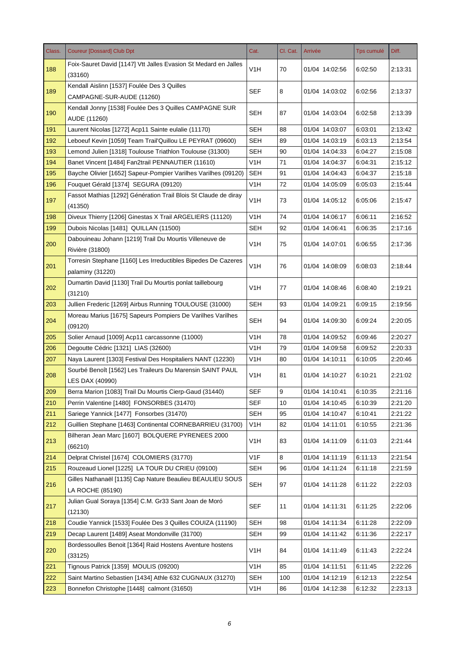| Class. | <b>Coureur [Dossard] Club Dpt</b>                                                 | Cat.             | Cl. Cat. | Arrivée        | Tps cumulé | Diff.   |
|--------|-----------------------------------------------------------------------------------|------------------|----------|----------------|------------|---------|
| 188    | Foix-Sauret David [1147] Vtt Jalles Evasion St Medard en Jalles<br>(33160)        | V <sub>1</sub> H | 70       | 01/04 14:02:56 | 6:02:50    | 2:13:31 |
| 189    | Kendall Aislinn [1537] Foulée Des 3 Quilles<br>CAMPAGNE-SUR-AUDE (11260)          | <b>SEF</b>       | 8        | 01/04 14:03:02 | 6:02:56    | 2:13:37 |
| 190    | Kendall Jonny [1538] Foulée Des 3 Quilles CAMPAGNE SUR<br>AUDE (11260)            | <b>SEH</b>       | 87       | 01/04 14:03:04 | 6:02:58    | 2:13:39 |
| 191    | Laurent Nicolas [1272] Acp11 Sainte eulalie (11170)                               | <b>SEH</b>       | 88       | 01/04 14:03:07 | 6:03:01    | 2:13:42 |
| 192    | Leboeuf Kevin [1059] Team Trail'Quillou LE PEYRAT (09600)                         | <b>SEH</b>       | 89       | 01/04 14:03:19 | 6:03:13    | 2:13:54 |
| 193    | Lemond Julien [1318] Toulouse Triathlon Toulouse (31300)                          | <b>SEH</b>       | 90       | 01/04 14:04:33 | 6:04:27    | 2:15:08 |
| 194    | Banet Vincent [1484] Fan2trail PENNAUTIER (11610)                                 | V1H              | 71       | 01/04 14:04:37 | 6:04:31    | 2:15:12 |
| 195    | Bayche Olivier [1652] Sapeur-Pompier Varilhes Varilhes (09120)                    | <b>SEH</b>       | 91       | 01/04 14:04:43 | 6:04:37    | 2:15:18 |
| 196    | Fouquet Gérald [1374] SEGURA (09120)                                              | V <sub>1</sub> H | 72       | 01/04 14:05:09 | 6:05:03    | 2:15:44 |
| 197    | Fassot Mathias [1292] Génération Trail Blois St Claude de diray<br>(41350)        | V <sub>1</sub> H | 73       | 01/04 14:05:12 | 6:05:06    | 2:15:47 |
| 198    | Diveux Thierry [1206] Ginestas X Trail ARGELIERS (11120)                          | V <sub>1</sub> H | 74       | 01/04 14:06:17 | 6:06:11    | 2:16:52 |
| 199    | Dubois Nicolas [1481] QUILLAN (11500)                                             | <b>SEH</b>       | 92       | 01/04 14:06:41 | 6:06:35    | 2:17:16 |
| 200    | Dabouineau Johann [1219] Trail Du Mourtis Villeneuve de<br>Rivière (31800)        | V <sub>1</sub> H | 75       | 01/04 14:07:01 | 6:06:55    | 2:17:36 |
| 201    | Torresin Stephane [1160] Les Irreductibles Bipedes De Cazeres<br>palaminy (31220) | V <sub>1</sub> H | 76       | 01/04 14:08:09 | 6:08:03    | 2:18:44 |
| 202    | Dumartin David [1130] Trail Du Mourtis ponlat taillebourg<br>(31210)              | V1H              | 77       | 01/04 14:08:46 | 6:08:40    | 2:19:21 |
| 203    | Jullien Frederic [1269] Airbus Running TOULOUSE (31000)                           | <b>SEH</b>       | 93       | 01/04 14:09:21 | 6:09:15    | 2:19:56 |
| 204    | Moreau Marius [1675] Sapeurs Pompiers De Varilhes Varilhes<br>(09120)             | SEH              | 94       | 01/04 14:09:30 | 6:09:24    | 2:20:05 |
| 205    | Solier Arnaud [1009] Acp11 carcassonne (11000)                                    | V <sub>1</sub> H | 78       | 01/04 14:09:52 | 6:09:46    | 2:20:27 |
| 206    | Degoutte Cédric [1321] LIAS (32600)                                               | V <sub>1</sub> H | 79       | 01/04 14:09:58 | 6:09:52    | 2:20:33 |
| 207    | Naya Laurent [1303] Festival Des Hospitaliers NANT (12230)                        | V1H              | 80       | 01/04 14:10:11 | 6:10:05    | 2:20:46 |
| 208    | Sourbé Benoît [1562] Les Traileurs Du Marensin SAINT PAUL<br>LES DAX (40990)      | V <sub>1</sub> H | 81       | 01/04 14:10:27 | 6:10:21    | 2:21:02 |
| 209    | Berra Marion [1083] Trail Du Mourtis Cierp-Gaud (31440)                           | <b>SEF</b>       | 9        | 01/04 14:10:41 | 6:10:35    | 2:21:16 |
| 210    | Perrin Valentine [1480] FONSORBES (31470)                                         | <b>SEF</b>       | 10       | 01/04 14:10:45 | 6:10:39    | 2:21:20 |
| 211    | Sariege Yannick [1477] Fonsorbes (31470)                                          | <b>SEH</b>       | 95       | 01/04 14:10:47 | 6:10:41    | 2:21:22 |
| 212    | Guillien Stephane [1463] Continental CORNEBARRIEU (31700)                         | V <sub>1</sub> H | 82       | 01/04 14:11:01 | 6:10:55    | 2:21:36 |
| 213    | Bilheran Jean Marc [1607] BOLQUERE PYRENEES 2000<br>(66210)                       | V <sub>1</sub> H | 83       | 01/04 14:11:09 | 6:11:03    | 2:21:44 |
| 214    | Delprat Christel [1674] COLOMIERS (31770)                                         | V1F              | 8        | 01/04 14:11:19 | 6:11:13    | 2:21:54 |
| 215    | Rouzeaud Lionel [1225] LA TOUR DU CRIEU (09100)                                   | <b>SEH</b>       | 96       | 01/04 14:11:24 | 6:11:18    | 2:21:59 |
| 216    | Gilles Nathanaël [1135] Cap Nature Beaulieu BEAULIEU SOUS<br>LA ROCHE (85190)     | <b>SEH</b>       | 97       | 01/04 14:11:28 | 6:11:22    | 2:22:03 |
| 217    | Julian Gual Soraya [1354] C.M. Gr33 Sant Joan de Moró<br>(12130)                  | <b>SEF</b>       | 11       | 01/04 14:11:31 | 6:11:25    | 2:22:06 |
| 218    | Coudie Yannick [1533] Foulée Des 3 Quilles COUIZA (11190)                         | <b>SEH</b>       | 98       | 01/04 14:11:34 | 6:11:28    | 2:22:09 |
| 219    | Decap Laurent [1489] Aseat Mondonville (31700)                                    | <b>SEH</b>       | 99       | 01/04 14:11:42 | 6:11:36    | 2:22:17 |
| 220    | Bordessoulles Benoit [1364] Raid Hostens Aventure hostens<br>(33125)              | V <sub>1</sub> H | 84       | 01/04 14:11:49 | 6:11:43    | 2:22:24 |
| 221    | Tignous Patrick [1359] MOULIS (09200)                                             | V <sub>1</sub> H | 85       | 01/04 14:11:51 | 6:11:45    | 2:22:26 |
| 222    | Saint Martino Sebastien [1434] Athle 632 CUGNAUX (31270)                          | <b>SEH</b>       | 100      | 01/04 14:12:19 | 6:12:13    | 2:22:54 |
| 223    | Bonnefon Christophe [1448] calmont (31650)                                        | V <sub>1</sub> H | 86       | 01/04 14:12:38 | 6:12:32    | 2:23:13 |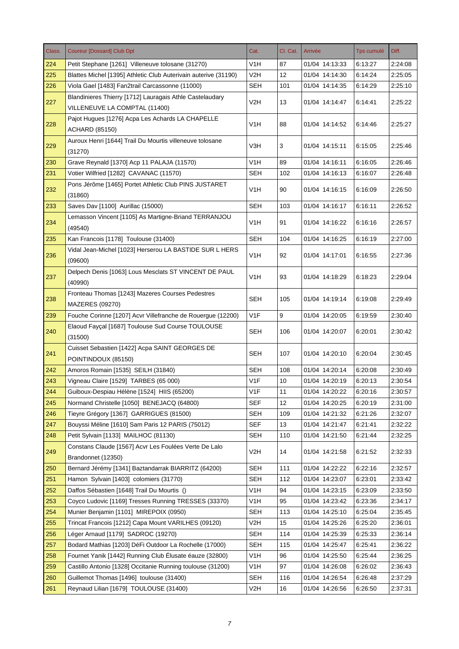| Class. | <b>Coureur [Dossard] Club Dpt</b>                                                         | Cat.             | Cl. Cat. | Arrivée        | Tps cumulé | Diff.   |
|--------|-------------------------------------------------------------------------------------------|------------------|----------|----------------|------------|---------|
| 224    | Petit Stephane [1261] Villeneuve tolosane (31270)                                         | V1H              | 87       | 01/04 14:13:33 | 6:13:27    | 2:24:08 |
| 225    | Blattes Michel [1395] Athletic Club Auterivain auterive (31190)                           | V2H              | 12       | 01/04 14:14:30 | 6:14:24    | 2:25:05 |
| 226    | Viola Gael [1483] Fan2trail Carcassonne (11000)                                           | <b>SEH</b>       | 101      | 01/04 14:14:35 | 6:14:29    | 2:25:10 |
| 227    | Blandinieres Thierry [1712] Lauragais Athle Castelaudary<br>VILLENEUVE LA COMPTAL (11400) | V2H              | 13       | 01/04 14:14:47 | 6:14:41    | 2:25:22 |
| 228    | Pajot Hugues [1276] Acpa Les Achards LA CHAPELLE<br><b>ACHARD (85150)</b>                 | V <sub>1</sub> H | 88       | 01/04 14:14:52 | 6:14:46    | 2:25:27 |
| 229    | Auroux Henri [1644] Trail Du Mourtis villeneuve tolosane<br>(31270)                       | V3H              | 3        | 01/04 14:15:11 | 6:15:05    | 2:25:46 |
| 230    | Grave Reynald [1370] Acp 11 PALAJA (11570)                                                | V <sub>1</sub> H | 89       | 01/04 14:16:11 | 6:16:05    | 2:26:46 |
| 231    | Votier Wilfried [1282] CAVANAC (11570)                                                    | SEH              | 102      | 01/04 14:16:13 | 6:16:07    | 2:26:48 |
| 232    | Pons Jérôme [1465] Portet Athletic Club PINS JUSTARET<br>(31860)                          | V <sub>1</sub> H | 90       | 01/04 14:16:15 | 6:16:09    | 2:26:50 |
| 233    | Saves Dav [1100] Aurillac (15000)                                                         | <b>SEH</b>       | 103      | 01/04 14:16:17 | 6:16:11    | 2:26:52 |
| 234    | Lemasson Vincent [1105] As Martigne-Briand TERRANJOU<br>(49540)                           | V1H              | 91       | 01/04 14:16:22 | 6:16:16    | 2:26:57 |
| 235    | Kan Francois [1178] Toulouse (31400)                                                      | <b>SEH</b>       | 104      | 01/04 14:16:25 | 6:16:19    | 2:27:00 |
| 236    | Vidal Jean-Michel [1023] Herserou LA BASTIDE SUR L HERS<br>(09600)                        | V <sub>1</sub> H | 92       | 01/04 14:17:01 | 6:16:55    | 2:27:36 |
| 237    | Delpech Denis [1063] Lous Mesclats ST VINCENT DE PAUL<br>(40990)                          | V <sub>1</sub> H | 93       | 01/04 14:18:29 | 6:18:23    | 2:29:04 |
| 238    | Fronteau Thomas [1243] Mazeres Courses Pedestres<br><b>MAZERES (09270)</b>                | <b>SEH</b>       | 105      | 01/04 14:19:14 | 6:19:08    | 2:29:49 |
| 239    | Fouche Corinne [1207] Acvr Villefranche de Rouergue (12200)                               | V <sub>1F</sub>  | 9        | 01/04 14:20:05 | 6:19:59    | 2:30:40 |
| 240    | Elaoud Fayçal [1687] Toulouse Sud Course TOULOUSE<br>(31500)                              | SEH              | 106      | 01/04 14:20:07 | 6:20:01    | 2:30:42 |
| 241    | Cuisset Sebastien [1422] Acpa SAINT GEORGES DE<br>POINTINDOUX (85150)                     | <b>SEH</b>       | 107      | 01/04 14:20:10 | 6:20:04    | 2:30:45 |
| 242    | Amoros Romain [1535] SEILH (31840)                                                        | <b>SEH</b>       | 108      | 01/04 14:20:14 | 6:20:08    | 2:30:49 |
| 243    | Vigneau Claire [1529] TARBES (65 000)                                                     | V <sub>1</sub> F | 10       | 01/04 14:20:19 | 6:20:13    | 2:30:54 |
| 244    | Guiboux-Despiau Hélène [1524] HIIS (65200)                                                | V <sub>1</sub> F | 11       | 01/04 14:20:22 | 6:20:16    | 2:30:57 |
| 245    | Normand Christelle [1050] BENEJACQ (64800)                                                | <b>SEF</b>       | 12       | 01/04 14:20:25 | 6:20:19    | 2:31:00 |
| 246    | Tieyre Grégory [1367] GARRIGUES (81500)                                                   | <b>SEH</b>       | 109      | 01/04 14:21:32 | 6:21:26    | 2:32:07 |
| 247    | Bouyssi Méline [1610] Sam Paris 12 PARIS (75012)                                          | <b>SEF</b>       | 13       | 01/04 14:21:47 | 6:21:41    | 2:32:22 |
| 248    | Petit Sylvain [1133] MAILHOC (81130)                                                      | <b>SEH</b>       | 110      | 01/04 14:21:50 | 6:21:44    | 2:32:25 |
| 249    | Constans Claude [1567] Acvr Les Foulées Verte De Lalo<br>Brandonnet (12350)               | V <sub>2</sub> H | 14       | 01/04 14:21:58 | 6:21:52    | 2:32:33 |
| 250    | Bernard Jérémy [1341] Baztandarrak BIARRITZ (64200)                                       | <b>SEH</b>       | 111      | 01/04 14:22:22 | 6:22:16    | 2:32:57 |
| 251    | Hamon Sylvain [1403] colomiers (31770)                                                    | <b>SEH</b>       | 112      | 01/04 14:23:07 | 6:23:01    | 2:33:42 |
| 252    | Daffos Sébastien [1648] Trail Du Mourtis ()                                               | V1H              | 94       | 01/04 14:23:15 | 6:23:09    | 2:33:50 |
| 253    | Coyco Ludovic [1169] Tresses Running TRESSES (33370)                                      | V <sub>1</sub> H | 95       | 01/04 14:23:42 | 6:23:36    | 2:34:17 |
| 254    | Munier Benjamin [1101] MIREPOIX (0950)                                                    | <b>SEH</b>       | 113      | 01/04 14:25:10 | 6:25:04    | 2:35:45 |
| 255    | Trincat Francois [1212] Capa Mount VARILHES (09120)                                       | V <sub>2</sub> H | 15       | 01/04 14:25:26 | 6:25:20    | 2:36:01 |
| 256    | Léger Arnaud [1179] SADROC (19270)                                                        | <b>SEH</b>       | 114      | 01/04 14:25:39 | 6:25:33    | 2:36:14 |
| 257    | Bodard Mathias [1203] DéFi Outdoor La Rochelle (17000)                                    | <b>SEH</b>       | 115      | 01/04 14:25:47 | 6:25:41    | 2:36:22 |
| 258    | Fournet Yanik [1442] Running Club Élusate éauze (32800)                                   | V <sub>1</sub> H | 96       | 01/04 14:25:50 | 6:25:44    | 2:36:25 |
| 259    | Castillo Antonio [1328] Occitanie Running toulouse (31200)                                | V <sub>1</sub> H | 97       | 01/04 14:26:08 | 6:26:02    | 2:36:43 |
| 260    | Guillemot Thomas [1496] toulouse (31400)                                                  | <b>SEH</b>       | 116      | 01/04 14:26:54 | 6:26:48    | 2:37:29 |
| 261    | Reynaud Lilian [1679] TOULOUSE (31400)                                                    | V <sub>2</sub> H | 16       | 01/04 14:26:56 | 6:26:50    | 2:37:31 |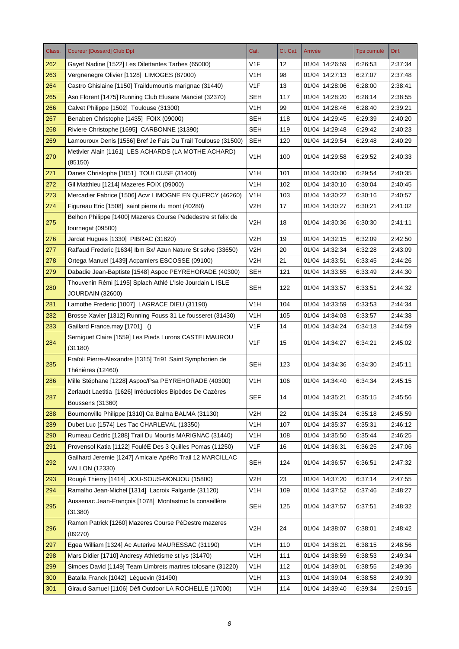| Class. | <b>Coureur [Dossard] Club Dpt</b>                                                 | Cat.             | Cl. Cat. | Arrivée        | <b>Tps cumulé</b> | Diff.   |
|--------|-----------------------------------------------------------------------------------|------------------|----------|----------------|-------------------|---------|
| 262    | Gayet Nadine [1522] Les Dilettantes Tarbes (65000)                                | V <sub>1</sub> F | 12       | 01/04 14:26:59 | 6:26:53           | 2:37:34 |
| 263    | Vergnenegre Olivier [1128] LIMOGES (87000)                                        | V <sub>1</sub> H | 98       | 01/04 14:27:13 | 6:27:07           | 2:37:48 |
| 264    | Castro Ghislaine [1150] Traildumourtis marignac (31440)                           | V1F              | 13       | 01/04 14:28:06 | 6:28:00           | 2:38:41 |
| 265    | Aso Florent [1475] Running Club Elusate Manciet (32370)                           | <b>SEH</b>       | 117      | 01/04 14:28:20 | 6:28:14           | 2:38:55 |
| 266    | Calvet Philippe [1502] Toulouse (31300)                                           | V1H              | 99       | 01/04 14:28:46 | 6:28:40           | 2:39:21 |
| 267    | Benaben Christophe [1435] FOIX (09000)                                            | <b>SEH</b>       | 118      | 01/04 14:29:45 | 6:29:39           | 2:40:20 |
| 268    | Riviere Christophe [1695] CARBONNE (31390)                                        | <b>SEH</b>       | 119      | 01/04 14:29:48 | 6:29:42           | 2:40:23 |
| 269    | Lamouroux Denis [1556] Bref Je Fais Du Trail Toulouse (31500)                     | <b>SEH</b>       | 120      | 01/04 14:29:54 | 6:29:48           | 2:40:29 |
| 270    | Metivier Alain [1161] LES ACHARDS (LA MOTHE ACHARD)<br>(85150)                    | V <sub>1</sub> H | 100      | 01/04 14:29:58 | 6:29:52           | 2:40:33 |
| 271    | Danes Christophe [1051] TOULOUSE (31400)                                          | V1H              | 101      | 01/04 14:30:00 | 6:29:54           | 2:40:35 |
| 272    | Gil Matthieu [1214] Mazeres FOIX (09000)                                          | V1H              | 102      | 01/04 14:30:10 | 6:30:04           | 2:40:45 |
| 273    | Mercadier Fabrice [1506] Acvr LIMOGNE EN QUERCY (46260)                           | V <sub>1</sub> H | 103      | 01/04 14:30:22 | 6:30:16           | 2:40:57 |
| 274    | Figureau Eric [1508] saint pierre du mont (40280)                                 | V <sub>2</sub> H | 17       | 01/04 14:30:27 | 6:30:21           | 2:41:02 |
|        | Belhon Philippe [1400] Mazeres Course Pededestre st felix de                      |                  |          |                |                   |         |
| 275    | tournegat (09500)                                                                 | V2H              | 18       | 01/04 14:30:36 | 6:30:30           | 2:41:11 |
| 276    | Jardat Hugues [1330] PIBRAC (31820)                                               | V <sub>2</sub> H | 19       | 01/04 14:32:15 | 6:32:09           | 2:42:50 |
| 277    | Raffaud Frederic [1634] Ibm Bx/ Azun Nature St selve (33650)                      | V2H              | 20       | 01/04 14:32:34 | 6:32:28           | 2:43:09 |
| 278    | Ortega Manuel [1439] Acpamiers ESCOSSE (09100)                                    | V <sub>2</sub> H | 21       | 01/04 14:33:51 | 6:33:45           | 2:44:26 |
| 279    | Dabadie Jean-Baptiste [1548] Aspoc PEYREHORADE (40300)                            | <b>SEH</b>       | 121      | 01/04 14:33:55 | 6:33:49           | 2:44:30 |
| 280    | Thouvenin Rémi [1195] Splach Athlé L'Isle Jourdain L ISLE<br>JOURDAIN (32600)     | <b>SEH</b>       | 122      | 01/04 14:33:57 | 6:33:51           | 2:44:32 |
| 281    | Lamothe Frederic [1007] LAGRACE DIEU (31190)                                      | V <sub>1</sub> H | 104      | 01/04 14:33:59 | 6:33:53           | 2:44:34 |
| 282    | Brosse Xavier [1312] Running Fouss 31 Le fousseret (31430)                        | V <sub>1</sub> H | 105      | 01/04 14:34:03 | 6:33:57           | 2:44:38 |
| 283    | Gaillard France.may [1701] ()                                                     | V1F              | 14       | 01/04 14:34:24 | 6:34:18           | 2:44:59 |
| 284    | Serniguet Claire [1559] Les Pieds Lurons CASTELMAUROU<br>(31180)                  | V <sub>1F</sub>  | 15       | 01/04 14:34:27 | 6:34:21           | 2:45:02 |
| 285    | Fraïoli Pierre-Alexandre [1315] Tri91 Saint Symphorien de                         | <b>SEH</b>       | 123      | 01/04 14:34:36 | 6:34:30           | 2:45:11 |
|        | Thénières (12460)                                                                 |                  |          |                |                   |         |
| 286    | Mille Stéphane [1228] Aspoc/Psa PEYREHORADE (40300)                               | V <sub>1</sub> H | 106      | 01/04 14:34:40 | 6:34:34           | 2:45:15 |
| 287    | Zerlaudt Laetitia [1626] Irréductibles Bipèdes De Cazères<br>Boussens (31360)     | <b>SEF</b>       | 14       | 01/04 14:35:21 | 6.35.15           | 2:45:56 |
| 288    | Bournonville Philippe [1310] Ca Balma BALMA (31130)                               | V <sub>2</sub> H | 22       | 01/04 14:35:24 | 6:35:18           | 2:45.59 |
| 289    | Dubet Luc [1574] Les Tac CHARLEVAL (13350)                                        | V <sub>1</sub> H | 107      | 01/04 14:35:37 | 6:35:31           | 2:46:12 |
| 290    | Rumeau Cedric [1288] Trail Du Mourtis MARIGNAC (31440)                            | V <sub>1</sub> H | 108      | 01/04 14:35:50 | 6:35:44           | 2:46:25 |
| 291    | Provensol Katia [1122] FouléE Des 3 Quilles Pomas (11250)                         | V <sub>1</sub> F | 16       | 01/04 14:36:31 | 6:36:25           | 2:47:06 |
| 292    | Gailhard Jeremie [1247] Amicale ApéRo Trail 12 MARCILLAC<br><b>VALLON (12330)</b> | SEH              | 124      | 01/04 14:36:57 | 6:36:51           | 2:47:32 |
| 293    | Rougé Thierry [1414] JOU-SOUS-MONJOU (15800)                                      | V <sub>2</sub> H | 23       | 01/04 14:37:20 | 6:37:14           | 2:47:55 |
| 294    | Ramalho Jean-Michel [1314] Lacroix Falgarde (31120)                               | V <sub>1</sub> H | 109      | 01/04 14:37:52 | 6:37:46           | 2:48:27 |
| 295    | Aussenac Jean-François [1078] Montastruc la conseillère<br>(31380)                | <b>SEH</b>       | 125      | 01/04 14:37:57 | 6:37:51           | 2:48:32 |
| 296    | Ramon Patrick [1260] Mazeres Course PéDestre mazeres<br>(09270)                   | V <sub>2</sub> H | 24       | 01/04 14:38:07 | 6:38:01           | 2:48:42 |
| 297    | Egea William [1324] Ac Auterive MAURESSAC (31190)                                 | V <sub>1</sub> H | 110      | 01/04 14:38:21 | 6:38:15           | 2:48:56 |
| 298    | Mars Didier [1710] Andresy Athletisme st lys (31470)                              | V <sub>1</sub> H | 111      | 01/04 14:38:59 | 6:38:53           | 2:49:34 |
| 299    | Simoes David [1149] Team Limbrets martres tolosane (31220)                        | V <sub>1</sub> H | 112      | 01/04 14:39:01 | 6:38:55           | 2:49:36 |
| 300    | Batalla Franck [1042] Léguevin (31490)                                            | V <sub>1</sub> H | 113      | 01/04 14:39:04 | 6:38:58           | 2:49:39 |
| 301    | Giraud Samuel [1106] Défi Outdoor LA ROCHELLE (17000)                             | V <sub>1</sub> H | 114      | 01/04 14:39:40 | 6:39:34           | 2:50:15 |
|        |                                                                                   |                  |          |                |                   |         |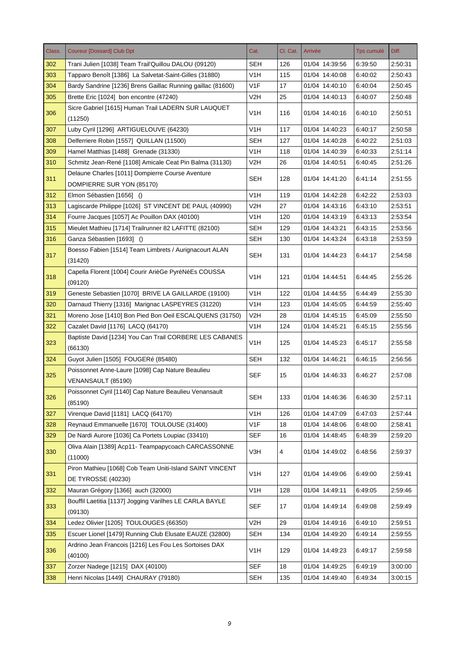| Class. | <b>Coureur [Dossard] Club Dpt</b>                                              | Cat.             | Cl. Cat. | Arrivée        | Tps cumulé | Diff.   |
|--------|--------------------------------------------------------------------------------|------------------|----------|----------------|------------|---------|
| 302    | Trani Julien [1038] Team Trail'Quillou DALOU (09120)                           | <b>SEH</b>       | 126      | 01/04 14:39:56 | 6:39:50    | 2:50:31 |
| 303    | Tapparo Benoît [1386] La Salvetat-Saint-Gilles (31880)                         | V <sub>1</sub> H | 115      | 01/04 14:40:08 | 6:40:02    | 2:50:43 |
| 304    | Bardy Sandrine [1236] Brens Gaillac Running gaillac (81600)                    | V1F              | 17       | 01/04 14:40:10 | 6:40:04    | 2:50:45 |
| 305    | Brette Eric [1024] bon encontre (47240)                                        | V2H              | 25       | 01/04 14:40:13 | 6:40:07    | 2:50:48 |
| 306    | Sicre Gabriel [1615] Human Trail LADERN SUR LAUQUET<br>(11250)                 | V <sub>1</sub> H | 116      | 01/04 14:40:16 | 6:40:10    | 2:50:51 |
| 307    | Luby Cyril [1296] ARTIGUELOUVE (64230)                                         | V <sub>1</sub> H | 117      | 01/04 14:40:23 | 6:40:17    | 2:50:58 |
| 308    | Delferriere Robin [1557] QUILLAN (11500)                                       | <b>SEH</b>       | 127      | 01/04 14:40:28 | 6:40:22    | 2.51.03 |
| 309    | Hamel Matthias [1488] Grenade (31330)                                          | V <sub>1</sub> H | 118      | 01/04 14:40:39 | 6:40:33    | 2:51:14 |
| 310    | Schmitz Jean-René [1108] Amicale Ceat Pin Balma (31130)                        | V2H              | 26       | 01/04 14:40:51 | 6:40:45    | 2:51:26 |
|        | Delaune Charles [1011] Dompierre Course Aventure                               |                  |          |                |            |         |
| 311    | DOMPIERRE SUR YON (85170)                                                      | <b>SEH</b>       | 128      | 01/04 14:41:20 | 6:41:14    | 2:51:55 |
| 312    | Elmon Sébastien [1656] ()                                                      | V1H              | 119      | 01/04 14:42:28 | 6:42:22    | 2:53:03 |
| 313    | Lagiscarde Philippe [1026] ST VINCENT DE PAUL (40990)                          | V <sub>2</sub> H | 27       | 01/04 14:43:16 | 6:43:10    | 2:53:51 |
| 314    | Fourre Jacques [1057] Ac Pouillon DAX (40100)                                  | V1H              | 120      | 01/04 14:43:19 | 6:43:13    | 2:53:54 |
| 315    | Mieulet Mathieu [1714] Trailrunner 82 LAFITTE (82100)                          | <b>SEH</b>       | 129      | 01/04 14:43:21 | 6:43:15    | 2.53.56 |
| 316    | Ganza Sébastien [1693] ()                                                      | <b>SEH</b>       | 130      | 01/04 14:43:24 | 6:43:18    | 2:53:59 |
| 317    | Boesso Fabien [1514] Team Limbrets / Aurignacourt ALAN<br>(31420)              | <b>SEH</b>       | 131      | 01/04 14:44:23 | 6:44:17    | 2:54:58 |
| 318    | Capella Florent [1004] Courir ArièGe PyréNéEs COUSSA<br>(09120)                | V1H              | 121      | 01/04 14:44:51 | 6:44:45    | 2:55:26 |
| 319    | Geneste Sebastien [1070] BRIVE LA GAILLARDE (19100)                            | V1H              | 122      | 01/04 14:44:55 | 6:44:49    | 2:55:30 |
| 320    | Darnaud Thierry [1316] Marignac LASPEYRES (31220)                              | V1H              | 123      | 01/04 14:45:05 | 6:44:59    | 2:55:40 |
| 321    | Moreno Jose [1410] Bon Pied Bon Oeil ESCALQUENS (31750)                        | V2H              | 28       | 01/04 14:45:15 | 6:45:09    | 2:55:50 |
| 322    | Cazalet David [1176] LACQ (64170)                                              | V <sub>1</sub> H | 124      | 01/04 14:45:21 | 6:45:15    | 2:55:56 |
| 323    | Baptiste David [1234] You Can Trail CORBERE LES CABANES<br>(66130)             | V <sub>1</sub> H | 125      | 01/04 14:45:23 | 6:45:17    | 2:55:58 |
| 324    | Guyot Julien [1505] FOUGERé (85480)                                            | <b>SEH</b>       | 132      | 01/04 14:46:21 | 6:46:15    | 2:56:56 |
| 325    | Poissonnet Anne-Laure [1098] Cap Nature Beaulieu<br>VENANSAULT (85190)         | <b>SEF</b>       | 15       | 01/04 14:46:33 | 6:46:27    | 2:57:08 |
| 326    | Poissonnet Cyril [1140] Cap Nature Beaulieu Venansault<br>(85190)              | <b>SEH</b>       | 133      | 01/04 14:46:36 | 6:46:30    | 2:57:11 |
| 327    | Virenque David [1181] LACQ (64170)                                             | V <sub>1</sub> H | 126      | 01/04 14:47:09 | 6:47:03    | 2.57.44 |
| 328    | Reynaud Emmanuelle [1670] TOULOUSE (31400)                                     | V <sub>1F</sub>  | 18       | 01/04 14:48:06 | 6:48:00    | 2:58:41 |
| 329    | De Nardi Aurore [1036] Ca Portets Loupiac (33410)                              | <b>SEF</b>       | 16       | 01/04 14:48:45 | 6:48:39    | 2:59:20 |
| 330    | Oliva Alain [1389] Acp11- Teampapycoach CARCASSONNE<br>(11000)                 | V3H              | 4        | 01/04 14:49:02 | 6:48:56    | 2:59:37 |
| 331    | Piron Mathieu [1068] Cob Team Uniti-Island SAINT VINCENT<br>DE TYROSSE (40230) | V <sub>1</sub> H | 127      | 01/04 14:49:06 | 6:49:00    | 2:59:41 |
| 332    | Mauran Grégory [1366] auch (32000)                                             | V <sub>1</sub> H | 128      | 01/04 14:49:11 | 6:49:05    | 2:59:46 |
| 333    | Bouffil Laetitia [1137] Jogging Varilhes LE CARLA BAYLE<br>(09130)             | <b>SEF</b>       | 17       | 01/04 14:49:14 | 6:49:08    | 2:59:49 |
| 334    | Ledez Olivier [1205] TOULOUGES (66350)                                         | V2H              | 29       | 01/04 14:49:16 | 6:49:10    | 2:59:51 |
| 335    | Escuer Lionel [1479] Running Club Elusate EAUZE (32800)                        | <b>SEH</b>       | 134      | 01/04 14:49:20 | 6:49:14    | 2:59:55 |
| 336    | Ardrino Jean Francois [1216] Les Fou Les Sortoises DAX<br>(40100)              | V1H              | 129      | 01/04 14:49:23 | 6:49:17    | 2:59:58 |
| 337    | Zorzer Nadege [1215] DAX (40100)                                               | <b>SEF</b>       | 18       | 01/04 14:49:25 | 6:49:19    | 3:00:00 |
| 338    | Henri Nicolas [1449] CHAURAY (79180)                                           | <b>SEH</b>       | 135      | 01/04 14:49:40 | 6:49:34    | 3:00:15 |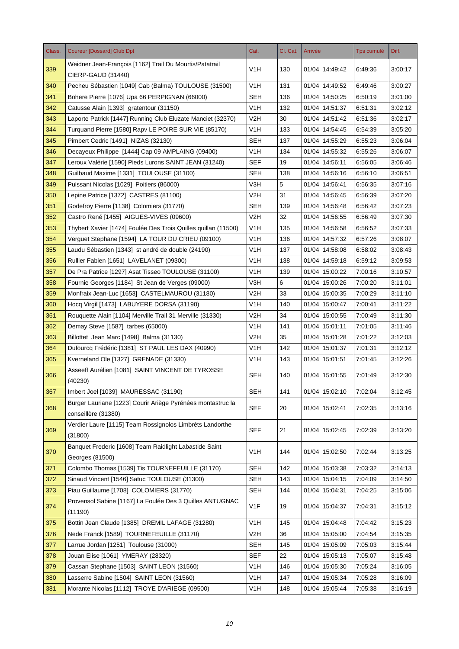| Class. | <b>Coureur [Dossard] Club Dpt</b>                                             | Cat.             | Cl. Cat. | Arrivée        | <b>Tps cumulé</b> | Diff.   |
|--------|-------------------------------------------------------------------------------|------------------|----------|----------------|-------------------|---------|
| 339    | Weidner Jean-François [1162] Trail Du Mourtis/Patatrail<br>CIERP-GAUD (31440) | V1H              | 130      | 01/04 14:49:42 | 6:49:36           | 3:00:17 |
| 340    | Pecheu Sébastien [1049] Cab (Balma) TOULOUSE (31500)                          | V1H              | 131      | 01/04 14:49:52 | 6:49:46           | 3:00:27 |
| 341    | Bohere Pierre [1076] Upa 66 PERPIGNAN (66000)                                 | <b>SEH</b>       | 136      | 01/04 14:50:25 | 6:50:19           | 3:01:00 |
| 342    | Catusse Alain [1393] gratentour (31150)                                       | V1H              | 132      | 01/04 14:51:37 | 6:51:31           | 3:02:12 |
| 343    | Laporte Patrick [1447] Running Club Eluzate Manciet (32370)                   | V2H              | 30       | 01/04 14:51:42 | 6:51:36           | 3:02:17 |
| 344    | Turquand Pierre [1580] Rapy LE POIRE SUR VIE (85170)                          | V1H              | 133      | 01/04 14:54:45 | 6:54:39           | 3:05:20 |
| 345    | Pimbert Cedric [1491] NIZAS (32130)                                           | <b>SEH</b>       | 137      | 01/04 14:55:29 | 6:55:23           | 3:06:04 |
| 346    | Decayeux Philippe [1444] Cap 09 AMPLAING (09400)                              | V1H              | 134      | 01/04 14:55:32 | 6:55:26           | 3:06:07 |
| 347    | Leroux Valérie [1590] Pieds Lurons SAINT JEAN (31240)                         | <b>SEF</b>       | 19       | 01/04 14:56:11 | 6:56:05           | 3:06:46 |
| 348    | Guilbaud Maxime [1331] TOULOUSE (31100)                                       | SEH              | 138      | 01/04 14:56:16 | 6:56:10           | 3:06:51 |
| 349    | Puissant Nicolas [1029] Poitiers (86000)                                      | V3H              | 5        | 01/04 14:56:41 | 6:56:35           | 3:07:16 |
| 350    | Lepine Patrice [1372] CASTRES (81100)                                         | V2H              | 31       | 01/04 14:56:45 | 6:56:39           | 3:07:20 |
| 351    | Godefroy Pierre [1138] Colomiers (31770)                                      | <b>SEH</b>       | 139      | 01/04 14:56:48 | 6:56:42           | 3:07:23 |
| 352    | Castro René [1455] AIGUES-VIVES (09600)                                       | V2H              | 32       | 01/04 14:56:55 | 6:56:49           | 3:07:30 |
| 353    | Thybert Xavier [1474] Foulée Des Trois Quilles quillan (11500)                | V1H              | 135      | 01/04 14:56:58 | 6:56:52           | 3:07:33 |
| 354    | Verquet Stephane [1594] LA TOUR DU CRIEU (09100)                              | V <sub>1</sub> H | 136      | 01/04 14:57:32 | 6:57:26           | 3:08:07 |
| 355    | Laudu Sébastien [1343] st andré de double (24190)                             | V1H              | 137      | 01/04 14:58:08 | 6:58:02           | 3:08:43 |
| 356    | Rullier Fabien [1651] LAVELANET (09300)                                       | V1H              | 138      | 01/04 14:59:18 | 6:59:12           | 3:09:53 |
| 357    | De Pra Patrice [1297] Asat Tisseo TOULOUSE (31100)                            | V1H              | 139      | 01/04 15:00:22 | 7:00:16           | 3:10:57 |
| 358    | Fournie Georges [1184] St Jean de Verges (09000)                              | V3H              | 6        | 01/04 15:00:26 | 7:00:20           | 3:11:01 |
| 359    | Monfraix Jean-Luc [1653] CASTELMAUROU (31180)                                 | V2H              | 33       | 01/04 15:00:35 | 7:00:29           | 3:11:10 |
| 360    | Hocq Virgil [1473] LABUYERE DORSA (31190)                                     | V1H              | 140      | 01/04 15:00:47 | 7:00:41           | 3:11:22 |
| 361    | Rouquette Alain [1104] Merville Trail 31 Merville (31330)                     | V <sub>2</sub> H | 34       | 01/04 15:00:55 | 7:00:49           | 3:11:30 |
| 362    | Demay Steve [1587] tarbes (65000)                                             | V1H              | 141      | 01/04 15:01:11 | 7:01:05           | 3:11:46 |
| 363    | Billottet Jean Marc [1498] Balma (31130)                                      | V2H              | 35       | 01/04 15:01:28 | 7:01:22           | 3:12:03 |
| 364    | Dufourcq Frédéric [1381] ST PAUL LES DAX (40990)                              | V1H              | 142      | 01/04 15:01:37 | 7:01:31           | 3:12:12 |
| 365    | Kverneland Ole [1327] GRENADE (31330)                                         | V <sub>1</sub> H | 143      | 01/04 15:01:51 | 7:01:45           | 3:12:26 |
| 366    | Asseeff Aurélien [1081] SAINT VINCENT DE TYROSSE<br>(40230)                   | <b>SEH</b>       | 140      | 01/04 15:01:55 | 7:01:49           | 3:12:30 |
| 367    | Imbert Joel [1039] MAURESSAC (31190)                                          | <b>SEH</b>       | 141      | 01/04 15:02:10 | 7:02:04           | 3:12:45 |
|        | Burger Lauriane [1223] Courir Ariège Pyrénées montastruc la                   |                  |          |                |                   |         |
| 368    | conseillère (31380)                                                           | <b>SEF</b>       | 20       | 01/04 15:02:41 | 7:02:35           | 3:13:16 |
| 369    | Verdier Laure [1115] Team Rossignolos Limbréts Landorthe<br>(31800)           | <b>SEF</b>       | 21       | 01/04 15:02:45 | 7:02:39           | 3:13:20 |
| 370    | Banquet Frederic [1608] Team Raidlight Labastide Saint<br>Georges (81500)     | V <sub>1</sub> H | 144      | 01/04 15:02:50 | 7:02:44           | 3:13:25 |
| 371    | Colombo Thomas [1539] Tis TOURNEFEUILLE (31170)                               | <b>SEH</b>       | 142      | 01/04 15:03:38 | 7:03:32           | 3:14:13 |
| 372    | Sinaud Vincent [1546] Satuc TOULOUSE (31300)                                  | <b>SEH</b>       | 143      | 01/04 15:04:15 | 7:04:09           | 3:14:50 |
| 373    | Piau Guillaume [1708] COLOMIERS (31770)                                       | <b>SEH</b>       | 144      | 01/04 15:04:31 | 7:04:25           | 3:15:06 |
| 374    | Provensol Sabine [1167] La Foulée Des 3 Quilles ANTUGNAC<br>(11190)           | V1F              | 19       | 01/04 15:04:37 | 7:04:31           | 3:15:12 |
| 375    | Bottin Jean Claude [1385] DREMIL LAFAGE (31280)                               | V <sub>1</sub> H | 145      | 01/04 15:04:48 | 7:04:42           | 3:15:23 |
| 376    | Nede Franck [1589] TOURNEFEUILLE (31170)                                      | V <sub>2</sub> H | 36       | 01/04 15:05:00 | 7:04:54           | 3:15:35 |
| 377    | Larrue Jordan [1251] Toulouse (31000)                                         | <b>SEH</b>       | 145      | 01/04 15:05:09 | 7:05:03           | 3:15:44 |
| 378    | Jouan Elise [1061] YMERAY (28320)                                             | <b>SEF</b>       | 22       | 01/04 15:05:13 | 7:05:07           | 3:15:48 |
| 379    | Cassan Stephane [1503] SAINT LEON (31560)                                     | V <sub>1</sub> H | 146      | 01/04 15:05:30 | 7:05:24           | 3:16:05 |
| 380    | Lasserre Sabine [1504] SAINT LEON (31560)                                     | V <sub>1</sub> H | 147      | 01/04 15:05:34 | 7:05:28           | 3:16:09 |
| 381    | Morante Nicolas [1112] TROYE D'ARIEGE (09500)                                 | V <sub>1</sub> H | 148      | 01/04 15:05:44 | 7:05:38           | 3:16:19 |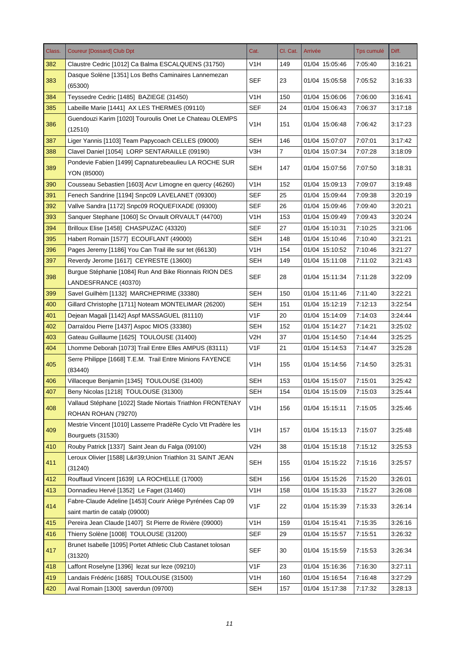| Class. | <b>Coureur [Dossard] Club Dpt</b>                                                  | Cat.             | Cl. Cat.       | Arrivée        | <b>Tps cumulé</b> | Diff.   |
|--------|------------------------------------------------------------------------------------|------------------|----------------|----------------|-------------------|---------|
| 382    | Claustre Cedric [1012] Ca Balma ESCALQUENS (31750)                                 | V1H              | 149            | 01/04 15:05:46 | 7:05:40           | 3:16:21 |
| 383    | Dasque Solène [1351] Los Beths Caminaires Lannemezan<br>(65300)                    | <b>SEF</b>       | 23             | 01/04 15:05:58 | 7:05:52           | 3:16:33 |
| 384    | Teyssedre Cedric [1485] BAZIEGE (31450)                                            | V <sub>1</sub> H | 150            | 01/04 15:06:06 | 7:06:00           | 3:16:41 |
| 385    | Labeille Marie [1441] AX LES THERMES (09110)                                       | <b>SEF</b>       | 24             | 01/04 15:06:43 | 7:06:37           | 3:17:18 |
| 386    | Guendouzi Karim [1020] Touroulis Onet Le Chateau OLEMPS<br>(12510)                 | V <sub>1</sub> H | 151            | 01/04 15:06:48 | 7:06:42           | 3:17:23 |
| 387    | Liger Yannis [1103] Team Papycoach CELLES (09000)                                  | <b>SEH</b>       | 146            | 01/04 15:07:07 | 7:07:01           | 3:17:42 |
| 388    | Clavel Daniel [1054] LORP SENTARAILLE (09190)                                      | V3H              | $\overline{7}$ | 01/04 15:07:34 | 7:07:28           | 3:18:09 |
| 389    | Pondevie Fabien [1499] Capnaturebeaulieu LA ROCHE SUR<br>YON (85000)               | SEH              | 147            | 01/04 15:07:56 | 7:07:50           | 3:18:31 |
| 390    | Cousseau Sebastien [1603] Acvr Limogne en quercy (46260)                           | V <sub>1</sub> H | 152            | 01/04 15:09:13 | 7:09:07           | 3:19:48 |
| 391    | Fenech Sandrine [1194] Snpc09 LAVELANET (09300)                                    | <b>SEF</b>       | 25             | 01/04 15:09:44 | 7:09:38           | 3:20:19 |
| 392    | Vallve Sandra [1172] Snpc09 ROQUEFIXADE (09300)                                    | SEF              | 26             | 01/04 15:09:46 | 7:09:40           | 3:20:21 |
| 393    | Sanguer Stephane [1060] Sc Orvault ORVAULT (44700)                                 | V <sub>1</sub> H | 153            | 01/04 15:09:49 | 7:09:43           | 3:20:24 |
| 394    | Brilloux Elise [1458] CHASPUZAC (43320)                                            | SEF              | 27             | 01/04 15:10:31 | 7:10:25           | 3:21:06 |
| 395    | Habert Romain [1577] ECOUFLANT (49000)                                             | <b>SEH</b>       | 148            | 01/04 15:10:46 | 7:10:40           | 3:21:21 |
| 396    | Pages Jeremy [1186] You Can Trail ille sur tet (66130)                             | V1H              | 154            | 01/04 15:10:52 | 7:10:46           | 3:21:27 |
| 397    | Reverdy Jerome [1617] CEYRESTE (13600)                                             | <b>SEH</b>       | 149            | 01/04 15:11:08 | 7:11:02           | 3:21:43 |
|        | Burgue Stéphanie [1084] Run And Bike Rionnais RION DES                             |                  |                |                |                   |         |
| 398    | LANDESFRANCE (40370)                                                               | <b>SEF</b>       | 28             | 01/04 15:11:34 | 7:11:28           | 3:22:09 |
| 399    | Savel Guilhèm [1132] MARCHEPRIME (33380)                                           | <b>SEH</b>       | 150            | 01/04 15:11:46 | 7:11:40           | 3:22:21 |
| 400    | Gillard Christophe [1711] Noteam MONTELIMAR (26200)                                | <b>SEH</b>       | 151            | 01/04 15:12:19 | 7:12:13           | 3:22:54 |
| 401    | Dejean Magali [1142] Aspf MASSAGUEL (81110)                                        | V1F              | 20             | 01/04 15:14:09 | 7:14:03           | 3:24:44 |
| 402    | Darraïdou Pierre [1437] Aspoc MIOS (33380)                                         | <b>SEH</b>       | 152            | 01/04 15:14:27 | 7:14:21           | 3:25:02 |
| 403    | Gateau Guillaume [1625] TOULOUSE (31400)                                           | V2H              | 37             | 01/04 15:14:50 | 7:14:44           | 3:25:25 |
| 404    | Lhomme Deborah [1073] Trail Entre Elles AMPUS (83111)                              | V <sub>1</sub> F | 21             | 01/04 15:14:53 | 7:14:47           | 3:25:28 |
| 405    | Serre Philippe [1668] T.E.M. Trail Entre Minions FAYENCE                           | V <sub>1</sub> H | 155            | 01/04 15:14:56 | 7:14:50           | 3:25:31 |
|        | (83440)                                                                            |                  |                |                |                   |         |
| 406    | Villaceque Benjamin [1345] TOULOUSE (31400)                                        | <b>SEH</b>       | 153            | 01/04 15:15:07 | 7:15:01           | 3:25:42 |
| 407    | Beny Nicolas [1218] TOULOUSE (31300)                                               | <b>SEH</b>       | 154            | 01/04 15:15:09 | 7:15:03           | 3:25:44 |
| 408    | Vallaud Stéphane [1022] Stade Niortais Triathlon FRONTENAY<br>ROHAN ROHAN (79270)  | V <sub>1</sub> H | 156            | 01/04 15:15:11 | 7:15:05           | 3:25:46 |
| 409    | Mestrie Vincent [1010] Lasserre PradèRe Cyclo Vtt Pradère les<br>Bourguets (31530) | V <sub>1</sub> H | 157            | 01/04 15:15:13 | 7:15:07           | 3:25:48 |
| 410    | Rouby Patrick [1337] Saint Jean du Falga (09100)                                   | V <sub>2</sub> H | 38             | 01/04 15:15:18 | 7:15:12           | 3:25:53 |
| 411    | Leroux Olivier [1588] L' Union Triathlon 31 SAINT JEAN<br>(31240)                  | <b>SEH</b>       | 155            | 01/04 15:15:22 | 7:15:16           | 3:25:57 |
| 412    | Rouffaud Vincent [1639] LA ROCHELLE (17000)                                        | <b>SEH</b>       | 156            | 01/04 15:15:26 | 7:15:20           | 3:26:01 |
| 413    | Donnadieu Hervé [1352] Le Faget (31460)                                            | V <sub>1</sub> H | 158            | 01/04 15:15:33 | 7:15:27           | 3:26:08 |
| 414    | Fabre-Claude Adeline [1453] Courir Ariège Pyrénées Cap 09                          | V1F              | 22             | 01/04 15:15:39 | 7:15:33           | 3:26:14 |
|        | saint martin de catalp (09000)                                                     |                  |                |                |                   |         |
| 415    | Pereira Jean Claude [1407] St Pierre de Rivière (09000)                            | V <sub>1</sub> H | 159            | 01/04 15:15:41 | 7:15:35           | 3:26:16 |
| 416    | Thierry Solène [1008] TOULOUSE (31200)                                             | <b>SEF</b>       | 29             | 01/04 15:15:57 | 7:15:51           | 3:26:32 |
| 417    | Brunet Isabelle [1095] Portet Athletic Club Castanet tolosan<br>(31320)            | SEF              | 30             | 01/04 15:15:59 | 7:15:53           | 3:26:34 |
| 418    | Laffont Roselyne [1396] lezat sur leze (09210)                                     | V1F              | 23             | 01/04 15:16:36 | 7:16:30           | 3:27:11 |
| 419    | Landais Frédéric [1685] TOULOUSE (31500)                                           | V <sub>1</sub> H | 160            | 01/04 15:16:54 | 7:16:48           | 3:27:29 |
| 420    | Aval Romain [1300] saverdun (09700)                                                | <b>SEH</b>       | 157            | 01/04 15:17:38 | 7:17:32           | 3:28:13 |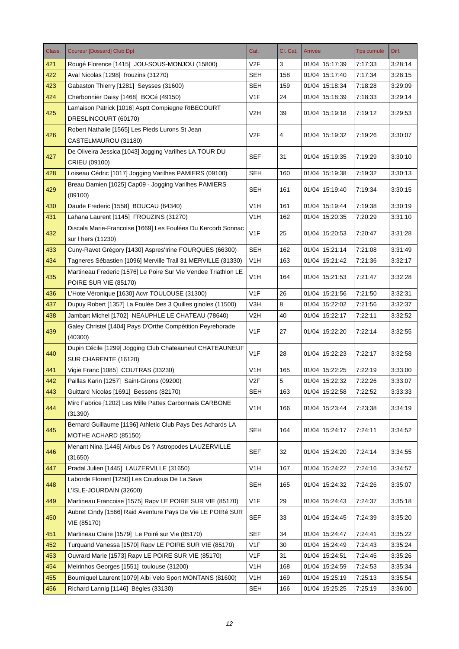| Class. | <b>Coureur [Dossard] Club Dpt</b>                              | Cat.             | Cl. Cat. | Arrivée        | <b>Tps cumulé</b> | Diff.   |
|--------|----------------------------------------------------------------|------------------|----------|----------------|-------------------|---------|
| 421    | Rougé Florence [1415] JOU-SOUS-MONJOU (15800)                  | V2F              | 3        | 01/04 15:17:39 | 7:17:33           | 3:28:14 |
| 422    | Aval Nicolas [1298] frouzins (31270)                           | <b>SEH</b>       | 158      | 01/04 15:17:40 | 7:17:34           | 3:28:15 |
| 423    | Gabaston Thierry [1281] Seysses (31600)                        | <b>SEH</b>       | 159      | 01/04 15:18:34 | 7:18:28           | 3:29:09 |
| 424    | Cherbonnier Daisy [1468] BOCé (49150)                          | V1F              | 24       | 01/04 15:18:39 | 7:18:33           | 3:29:14 |
|        | Lamaison Patrick [1016] Asptt Compiegne RIBECOURT              |                  |          |                |                   |         |
| 425    | DRESLINCOURT (60170)                                           | V2H              | 39       | 01/04 15:19:18 | 7:19:12           | 3:29:53 |
|        | Robert Nathalie [1565] Les Pieds Lurons St Jean                |                  |          |                |                   |         |
| 426    | CASTELMAUROU (31180)                                           | V2F              | 4        | 01/04 15:19:32 | 7:19:26           | 3:30:07 |
|        | De Oliveira Jessica [1043] Jogging Varilhes LA TOUR DU         |                  |          |                |                   |         |
| 427    | CRIEU (09100)                                                  | <b>SEF</b>       | 31       | 01/04 15:19:35 | 7:19:29           | 3:30:10 |
| 428    | Loiseau Cédric [1017] Jogging Varilhes PAMIERS (09100)         | <b>SEH</b>       | 160      | 01/04 15:19:38 | 7:19:32           | 3:30:13 |
|        | Breau Damien [1025] Cap09 - Jogging Varilhes PAMIERS           |                  |          |                |                   |         |
| 429    | (09100)                                                        | <b>SEH</b>       | 161      | 01/04 15:19:40 | 7:19:34           | 3:30:15 |
| 430    | Daude Frederic [1558] BOUCAU (64340)                           | V1H              | 161      | 01/04 15:19:44 | 7:19:38           | 3:30:19 |
| 431    | Lahana Laurent [1145] FROUZINS (31270)                         | V <sub>1</sub> H | 162      | 01/04 15:20:35 | 7:20:29           | 3:31:10 |
|        | Discala Marie-Francoise [1669] Les Foulées Du Kercorb Sonnac   |                  |          |                |                   |         |
| 432    | sur I hers (11230)                                             | V <sub>1</sub> F | 25       | 01/04 15:20:53 | 7:20:47           | 3:31:28 |
| 433    | Cuny-Ravet Grégory [1430] Aspres'Irine FOURQUES (66300)        | <b>SEH</b>       | 162      | 01/04 15:21:14 | 7:21:08           | 3:31:49 |
| 434    | Tagneres Sébastien [1096] Merville Trail 31 MERVILLE (31330)   | V <sub>1</sub> H | 163      | 01/04 15:21:42 | 7:21:36           | 3:32:17 |
|        | Martineau Frederic [1576] Le Poire Sur Vie Vendee Triathlon LE |                  |          |                |                   |         |
| 435    | POIRE SUR VIE (85170)                                          | V <sub>1</sub> H | 164      | 01/04 15:21:53 | 7:21:47           | 3:32:28 |
| 436    | L'Hote Véronique [1630] Acvr TOULOUSE (31300)                  | V <sub>1F</sub>  | 26       | 01/04 15:21:56 | 7:21:50           | 3:32:31 |
| 437    | Dupuy Robert [1357] La Foulée Des 3 Quilles ginoles (11500)    | V3H              | 8        | 01/04 15:22:02 | 7:21:56           | 3:32:37 |
| 438    | Jambart Michel [1702] NEAUPHLE LE CHATEAU (78640)              | V <sub>2</sub> H | 40       | 01/04 15:22:17 | 7:22:11           | 3:32:52 |
|        | Galey Christel [1404] Pays D'Orthe Compétition Peyrehorade     |                  |          |                |                   |         |
| 439    | (40300)                                                        | V1F              | 27       | 01/04 15:22:20 | 7:22:14           | 3:32:55 |
| 440    | Dupin Cécile [1299] Jogging Club Chateauneuf CHATEAUNEUF       | V <sub>1</sub> F | 28       | 01/04 15:22:23 | 7:22:17           | 3:32:58 |
|        | SUR CHARENTE (16120)                                           |                  |          |                |                   |         |
| 441    | Vigie Franc [1085] COUTRAS (33230)                             | V <sub>1</sub> H | 165      | 01/04 15:22:25 | 7:22:19           | 3:33:00 |
| 442    | Paillas Karin [1257] Saint-Girons (09200)                      | V2F              | 5        | 01/04 15:22:32 | 7:22:26           | 3:33:07 |
| 443    | Guittard Nicolas [1691] Bessens (82170)                        | <b>SEH</b>       | 163      | 01/04 15:22:58 | 7:22:52           | 3:33:33 |
| 444    | Mirc Fabrice [1202] Les Mille Pattes Carbonnais CARBONE        | V <sub>1</sub> H | 166      | 01/04 15:23:44 | 7:23:38           | 3:34:19 |
|        | (31390)                                                        |                  |          |                |                   |         |
| 445    | Bernard Guillaume [1196] Athletic Club Pays Des Achards LA     | <b>SEH</b>       | 164      | 01/04 15:24:17 | 7:24:11           | 3:34:52 |
|        | MOTHE ACHARD (85150)                                           |                  |          |                |                   |         |
| 446    | Menant Nina [1446] Airbus Ds ? Astropodes LAUZERVILLE          | <b>SEF</b>       | 32       | 01/04 15:24:20 | 7:24:14           | 3:34:55 |
|        | (31650)                                                        |                  |          |                |                   |         |
| 447    | Pradal Julien [1445] LAUZERVILLE (31650)                       | V <sub>1</sub> H | 167      | 01/04 15:24:22 | 7:24:16           | 3:34:57 |
| 448    | Laborde Florent [1250] Les Coudous De La Save                  | <b>SEH</b>       | 165      | 01/04 15:24:32 | 7:24:26           | 3:35:07 |
|        | L'ISLE-JOURDAIN (32600)                                        |                  |          |                |                   |         |
| 449    | Martineau Francoise [1575] Rapv LE POIRE SUR VIE (85170)       | V <sub>1</sub> F | 29       | 01/04 15:24:43 | 7:24:37           | 3:35:18 |
|        | Aubret Cindy [1566] Raid Aventure Pays De Vie LE POIRé SUR     |                  |          |                |                   |         |
| 450    | VIE (85170)                                                    | <b>SEF</b>       | 33       | 01/04 15:24:45 | 7:24:39           | 3:35:20 |
| 451    | Martineau Claire [1579] Le Poiré sur Vie (85170)               | <b>SEF</b>       | 34       | 01/04 15:24:47 | 7:24:41           | 3:35:22 |
| 452    | Turquand Vanessa [1570] Rapv LE POIRE SUR VIE (85170)          | V <sub>1</sub> F | 30       | 01/04 15:24:49 | 7:24:43           | 3:35:24 |
| 453    | Ouvrard Marie [1573] Rapv LE POIRE SUR VIE (85170)             | V <sub>1</sub> F | 31       | 01/04 15:24:51 | 7:24:45           | 3:35:26 |
| 454    | Meirinhos Georges [1551] toulouse (31200)                      | V1H              | 168      | 01/04 15:24:59 | 7:24:53           | 3:35:34 |
| 455    | Bourniquel Laurent [1079] Albi Velo Sport MONTANS (81600)      | V <sub>1</sub> H | 169      | 01/04 15:25:19 | 7:25:13           | 3:35:54 |
| 456    | Richard Lannig [1146] Bègles (33130)                           | <b>SEH</b>       | 166      | 01/04 15:25:25 | 7:25:19           | 3:36:00 |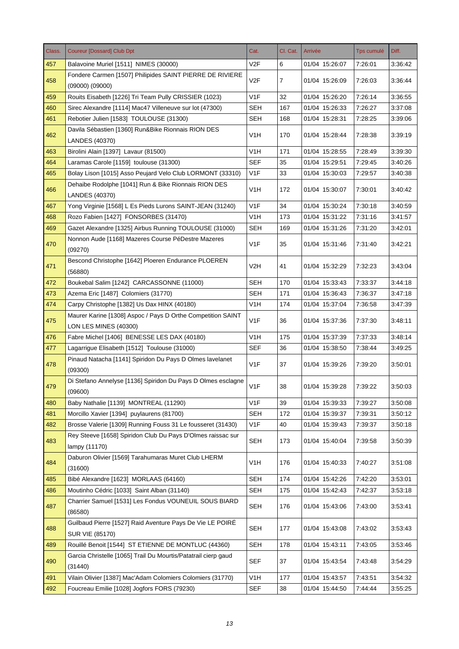| Class. | <b>Coureur [Dossard] Club Dpt</b>                                                    | Cat.             | Cl. Cat.       | Arrivée        | <b>Tps cumulé</b> | Diff.   |
|--------|--------------------------------------------------------------------------------------|------------------|----------------|----------------|-------------------|---------|
| 457    | Balavoine Muriel [1511] NIMES (30000)                                                | V <sub>2</sub> F | 6              | 01/04 15:26:07 | 7:26:01           | 3:36:42 |
| 458    | Fondere Carmen [1507] Philipides SAINT PIERRE DE RIVIERE<br>$(09000)$ $(09000)$      | V2F              | $\overline{7}$ | 01/04 15:26:09 | 7:26:03           | 3:36:44 |
| 459    | Rouits Eisabeth [1226] Tri Team Pully CRISSIER (1023)                                | V <sub>1F</sub>  | 32             | 01/04 15:26:20 | 7:26:14           | 3:36:55 |
| 460    | Sirec Alexandre [1114] Mac47 Villeneuve sur lot (47300)                              | <b>SEH</b>       | 167            | 01/04 15:26:33 | 7:26:27           | 3:37:08 |
| 461    | Rebotier Julien [1583] TOULOUSE (31300)                                              | <b>SEH</b>       | 168            | 01/04 15:28:31 | 7:28:25           | 3:39:06 |
|        | Davila Sébastien [1360] Run&Bike Rionnais RION DES                                   |                  |                |                |                   |         |
| 462    | LANDES (40370)                                                                       | V1H              | 170            | 01/04 15:28:44 | 7:28:38           | 3:39:19 |
| 463    | Birolini Alain [1397] Lavaur (81500)                                                 | V1H              | 171            | 01/04 15:28:55 | 7:28:49           | 3:39:30 |
| 464    | Laramas Carole [1159] toulouse (31300)                                               | <b>SEF</b>       | 35             | 01/04 15:29:51 | 7:29:45           | 3:40:26 |
| 465    | Bolay Lison [1015] Asso Peujard Velo Club LORMONT (33310)                            | V1F              | 33             | 01/04 15:30:03 | 7:29:57           | 3:40:38 |
| 466    | Dehaibe Rodolphe [1041] Run & Bike Rionnais RION DES<br>LANDES (40370)               | V <sub>1</sub> H | 172            | 01/04 15:30:07 | 7:30:01           | 3:40:42 |
| 467    | Yong Virginie [1568] L Es Pieds Lurons SAINT-JEAN (31240)                            | V1F              | 34             | 01/04 15:30:24 | 7:30:18           | 3:40:59 |
| 468    | Rozo Fabien [1427] FONSORBES (31470)                                                 | V1H              | 173            | 01/04 15:31:22 | 7:31:16           | 3:41:57 |
| 469    | Gazet Alexandre [1325] Airbus Running TOULOUSE (31000)                               | SEH              | 169            | 01/04 15:31:26 | 7:31:20           | 3:42:01 |
| 470    | Nonnon Aude [1168] Mazeres Course PéDestre Mazeres<br>(09270)                        | V1F              | 35             | 01/04 15:31:46 | 7:31:40           | 3:42:21 |
| 471    | Bescond Christophe [1642] Ploeren Endurance PLOEREN<br>(56880)                       | V2H              | 41             | 01/04 15:32:29 | 7:32:23           | 3:43:04 |
| 472    | Boukebal Salim [1242] CARCASSONNE (11000)                                            | <b>SEH</b>       | 170            | 01/04 15:33:43 | 7:33:37           | 3:44:18 |
| 473    | Azema Eric [1487] Colomiers (31770)                                                  | <b>SEH</b>       | 171            | 01/04 15:36:43 | 7:36:37           | 3:47:18 |
| 474    | Carpy Christophe [1382] Us Dax HINX (40180)                                          | V1H              | 174            | 01/04 15:37:04 | 7:36:58           | 3:47:39 |
| 475    | Maurer Karine [1308] Aspoc / Pays D Orthe Competition SAINT<br>LON LES MINES (40300) | V1F              | 36             | 01/04 15:37:36 | 7:37:30           | 3:48:11 |
| 476    | Fabre Michel [1406] BENESSE LES DAX (40180)                                          | V <sub>1</sub> H | 175            | 01/04 15:37:39 | 7:37:33           | 3:48:14 |
| 477    | Lagarrigue Elisabeth [1512] Toulouse (31000)                                         | SEF              | 36             | 01/04 15:38:50 | 7:38:44           | 3:49:25 |
| 478    | Pinaud Natacha [1141] Spiridon Du Pays D Olmes lavelanet<br>(09300)                  | V <sub>1F</sub>  | 37             | 01/04 15:39:26 | 7:39:20           | 3:50:01 |
| 479    | Di Stefano Annelyse [1136] Spiridon Du Pays D Olmes esclagne<br>(09600)              | V1F              | 38             | 01/04 15:39:28 | 7:39:22           | 3:50:03 |
| 480    | Baby Nathalie [1139] MONTREAL (11290)                                                | V1F              | 39             | 01/04 15:39:33 | 7:39:27           | 3:50:08 |
| 481    | Morcillo Xavier [1394] puylaurens (81700)                                            | <b>SEH</b>       | 172            | 01/04 15:39:37 | 7:39:31           | 3:50:12 |
| 482    | Brosse Valerie [1309] Running Fouss 31 Le fousseret (31430)                          | V <sub>1</sub> F | 40             | 01/04 15:39:43 | 7:39:37           | 3:50:18 |
| 483    | Rey Steeve [1658] Spiridon Club Du Pays D'Olmes raissac sur<br>lampy (11170)         | <b>SEH</b>       | 173            | 01/04 15:40:04 | 7:39:58           | 3:50:39 |
| 484    | Daburon Olivier [1569] Tarahumaras Muret Club LHERM<br>(31600)                       | V <sub>1</sub> H | 176            | 01/04 15:40:33 | 7:40:27           | 3:51:08 |
| 485    | Bibé Alexandre [1623] MORLAAS (64160)                                                | <b>SEH</b>       | 174            | 01/04 15:42:26 | 7:42:20           | 3:53:01 |
| 486    | Moutinho Cédric [1033] Saint Alban (31140)                                           | <b>SEH</b>       | 175            | 01/04 15:42:43 | 7:42:37           | 3:53:18 |
| 487    | Charrier Samuel [1531] Les Fondus VOUNEUIL SOUS BIARD<br>(86580)                     | <b>SEH</b>       | 176            | 01/04 15:43:06 | 7:43:00           | 3:53:41 |
| 488    | Guilbaud Pierre [1527] Raid Aventure Pays De Vie LE POIRE<br>SUR VIE (85170)         | <b>SEH</b>       | 177            | 01/04 15:43:08 | 7:43:02           | 3:53:43 |
| 489    | Rouillé Benoit [1544] ST ETIENNE DE MONTLUC (44360)                                  | <b>SEH</b>       | 178            | 01/04 15:43:11 | 7:43:05           | 3:53:46 |
| 490    | Garcia Christelle [1065] Trail Du Mourtis/Patatrail cierp gaud<br>(31440)            | <b>SEF</b>       | 37             | 01/04 15:43:54 | 7:43:48           | 3:54:29 |
| 491    | Vilain Olivier [1387] Mac'Adam Colomiers Colomiers (31770)                           | V <sub>1</sub> H | 177            | 01/04 15:43:57 | 7:43:51           | 3:54:32 |
| 492    | Foucreau Emilie [1028] Jogfors FORS (79230)                                          | <b>SEF</b>       | 38             | 01/04 15:44:50 | 7:44:44           | 3:55:25 |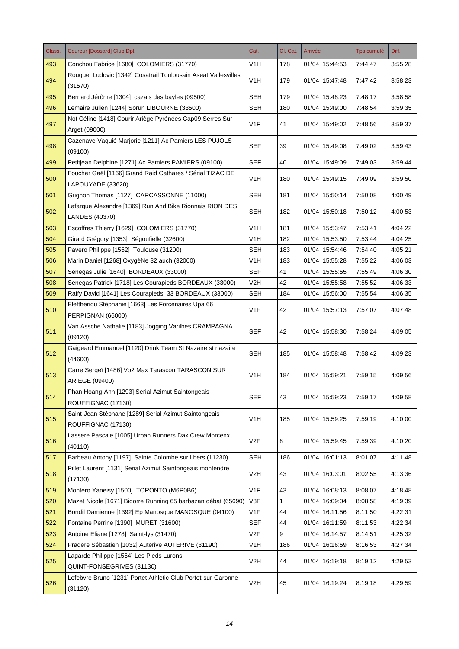| Class. | <b>Coureur [Dossard] Club Dpt</b>                                              | Cat.             | Cl. Cat. | Arrivée        | <b>Tps cumulé</b> | Diff.   |
|--------|--------------------------------------------------------------------------------|------------------|----------|----------------|-------------------|---------|
| 493    | Conchou Fabrice [1680] COLOMIERS (31770)                                       | V1H              | 178      | 01/04 15:44:53 | 7:44:47           | 3:55:28 |
| 494    | Rouquet Ludovic [1342] Cosatrail Toulousain Aseat Vallesvilles<br>(31570)      | V <sub>1</sub> H | 179      | 01/04 15:47:48 | 7:47:42           | 3:58:23 |
| 495    | Bernard Jérôme [1304] cazals des bayles (09500)                                | <b>SEH</b>       | 179      | 01/04 15:48:23 | 7:48:17           | 3:58:58 |
| 496    | Lemaire Julien [1244] Sorun LIBOURNE (33500)                                   | <b>SEH</b>       | 180      | 01/04 15:49:00 | 7:48:54           | 3:59:35 |
| 497    | Not Céline [1418] Courir Ariège Pyrénées Cap09 Serres Sur<br>Arget (09000)     | V1F              | 41       | 01/04 15:49:02 | 7:48:56           | 3:59:37 |
| 498    | Cazenave-Vaquié Marjorie [1211] Ac Pamiers LES PUJOLS<br>(09100)               | <b>SEF</b>       | 39       | 01/04 15:49:08 | 7:49:02           | 3:59:43 |
| 499    | Petitjean Delphine [1271] Ac Pamiers PAMIERS (09100)                           | <b>SEF</b>       | 40       | 01/04 15:49:09 | 7:49:03           | 3:59:44 |
| 500    | Foucher Gaël [1166] Grand Raid Cathares / Sérial TIZAC DE<br>LAPOUYADE (33620) | V1H              | 180      | 01/04 15:49:15 | 7:49:09           | 3:59:50 |
| 501    | Grignon Thomas [1127] CARCASSONNE (11000)                                      | <b>SEH</b>       | 181      | 01/04 15:50:14 | 7:50:08           | 4:00:49 |
| 502    | Lafargue Alexandre [1369] Run And Bike Rionnais RION DES<br>LANDES (40370)     | SEH              | 182      | 01/04 15:50:18 | 7:50:12           | 4:00:53 |
| 503    | Escoffres Thierry [1629] COLOMIERS (31770)                                     | V1H              | 181      | 01/04 15:53:47 | 7:53:41           | 4:04:22 |
| 504    | Girard Grégory [1353] Ségoufielle (32600)                                      | V1H              | 182      | 01/04 15:53:50 | 7:53:44           | 4:04:25 |
| 505    | Pavero Philippe [1552] Toulouse (31200)                                        | <b>SEH</b>       | 183      | 01/04 15:54:46 | 7:54:40           | 4:05:21 |
| 506    | Marin Daniel [1268] OxygèNe 32 auch (32000)                                    | V1H              | 183      | 01/04 15:55:28 | 7:55:22           | 4:06:03 |
| 507    | Senegas Julie [1640] BORDEAUX (33000)                                          | <b>SEF</b>       | 41       | 01/04 15:55:55 | 7:55:49           | 4:06:30 |
| 508    | Senegas Patrick [1718] Les Courapieds BORDEAUX (33000)                         | V2H              | 42       | 01/04 15:55:58 | 7:55:52           | 4:06:33 |
| 509    | Raffy David [1641] Les Courapieds 33 BORDEAUX (33000)                          | <b>SEH</b>       | 184      | 01/04 15:56:00 | 7:55:54           | 4:06:35 |
| 510    | Eleftheriou Stéphanie [1663] Les Forcenaires Upa 66<br>PERPIGNAN (66000)       | V <sub>1</sub> F | 42       | 01/04 15:57:13 | 7:57:07           | 4:07:48 |
| 511    | Van Assche Nathalie [1183] Jogging Varilhes CRAMPAGNA<br>(09120)               | <b>SEF</b>       | 42       | 01/04 15:58:30 | 7:58:24           | 4:09:05 |
| 512    | Gaigeard Emmanuel [1120] Drink Team St Nazaire st nazaire<br>(44600)           | <b>SEH</b>       | 185      | 01/04 15:58:48 | 7:58:42           | 4:09:23 |
| 513    | Carre Sergeï [1486] Vo2 Max Tarascon TARASCON SUR<br>ARIEGE (09400)            | V1H              | 184      | 01/04 15:59:21 | 7:59:15           | 4:09:56 |
| 514    | Phan Hoang-Anh [1293] Serial Azimut Saintongeais<br>ROUFFIGNAC (17130)         | <b>SEF</b>       | 43       | 01/04 15:59:23 | 7:59:17           | 4:09:58 |
| 515    | Saint-Jean Stéphane [1289] Serial Azimut Saintongeais<br>ROUFFIGNAC (17130)    | V1H              | 185      | 01/04 15:59:25 | 7:59:19           | 4:10:00 |
| 516    | Lassere Pascale [1005] Urban Runners Dax Crew Morcenx<br>(40110)               | V2F              | 8        | 01/04 15:59:45 | 7:59:39           | 4:10:20 |
| 517    | Barbeau Antony [1197] Sainte Colombe sur I hers (11230)                        | SEH              | 186      | 01/04 16:01:13 | 8:01:07           | 4:11:48 |
| 518    | Pillet Laurent [1131] Serial Azimut Saintongeais montendre<br>(17130)          | V <sub>2</sub> H | 43       | 01/04 16:03:01 | 8:02:55           | 4:13:36 |
| 519    | Montero Yaneisy [1500] TORONTO (M6P0B6)                                        | V1F              | 43       | 01/04 16:08:13 | 8:08:07           | 4:18:48 |
| 520    | Mazet Nicole [1671] Bigorre Running 65 barbazan débat (65690)                  | V3F              | 1        | 01/04 16:09:04 | 8:08:58           | 4:19:39 |
| 521    | Bondil Damienne [1392] Ep Manosque MANOSQUE (04100)                            | V1F              | 44       | 01/04 16:11:56 | 8:11:50           | 4:22:31 |
| 522    | Fontaine Perrine [1390] MURET (31600)                                          | <b>SEF</b>       | 44       | 01/04 16:11:59 | 8:11:53           | 4:22:34 |
| 523    | Antoine Eliane [1278] Saint-lys (31470)                                        | V <sub>2</sub> F | 9        | 01/04 16:14:57 | 8:14:51           | 4:25:32 |
| 524    | Pradere Sébastien [1032] Auterive AUTERIVE (31190)                             | V <sub>1</sub> H | 186      | 01/04 16:16:59 | 8:16:53           | 4:27:34 |
| 525    | Lagarde Philippe [1564] Les Pieds Lurons<br>QUINT-FONSEGRIVES (31130)          | V <sub>2</sub> H | 44       | 01/04 16:19:18 | 8:19:12           | 4:29:53 |
| 526    | Lefebvre Bruno [1231] Portet Athletic Club Portet-sur-Garonne<br>(31120)       | V <sub>2</sub> H | 45       | 01/04 16:19:24 | 8:19:18           | 4:29:59 |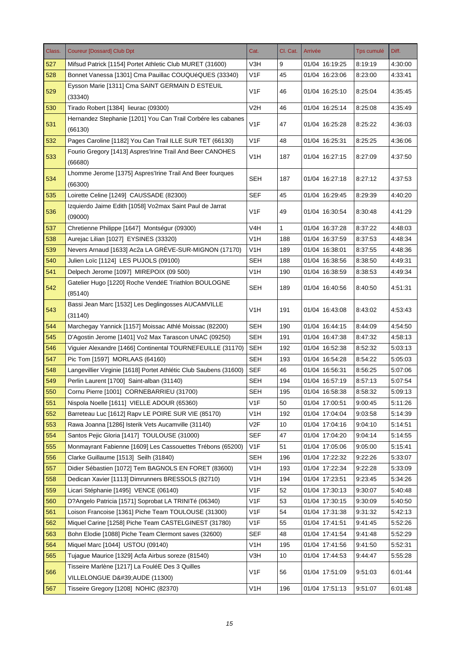| Class. | <b>Coureur [Dossard] Club Dpt</b>                                             | Cat.             | Cl. Cat. | Arrivée        | <b>Tps cumulé</b> | Diff.   |
|--------|-------------------------------------------------------------------------------|------------------|----------|----------------|-------------------|---------|
| 527    | Mifsud Patrick [1154] Portet Athletic Club MURET (31600)                      | V3H              | 9        | 01/04 16:19:25 | 8:19:19           | 4:30:00 |
| 528    | Bonnet Vanessa [1301] Cma Pauillac COUQUéQUES (33340)                         | V <sub>1</sub> F | 45       | 01/04 16:23:06 | 8:23:00           | 4:33:41 |
| 529    | Eysson Marie [1311] Cma SAINT GERMAIN D ESTEUIL<br>(33340)                    | V <sub>1</sub> F | 46       | 01/04 16:25:10 | 8:25:04           | 4:35:45 |
| 530    | Tirado Robert [1384] lieurac (09300)                                          | V <sub>2</sub> H | 46       | 01/04 16:25:14 | 8:25:08           | 4:35:49 |
| 531    | Hernandez Stephanie [1201] You Can Trail Corbére les cabanes<br>(66130)       | V <sub>1F</sub>  | 47       | 01/04 16:25:28 | 8:25:22           | 4:36:03 |
| 532    | Pages Caroline [1182] You Can Trail ILLE SUR TET (66130)                      | V <sub>1F</sub>  | 48       | 01/04 16:25:31 | 8:25:25           | 4:36:06 |
|        | Fourio Gregory [1413] Aspres'Irine Trail And Beer CANOHES                     |                  |          |                |                   |         |
| 533    | (66680)                                                                       | V <sub>1</sub> H | 187      | 01/04 16:27:15 | 8:27:09           | 4:37:50 |
|        | Lhomme Jerome [1375] Aspres'Irine Trail And Beer fourques                     |                  |          |                |                   |         |
| 534    | (66300)                                                                       | <b>SEH</b>       | 187      | 01/04 16:27:18 | 8:27:12           | 4:37:53 |
| 535    | Loirette Celine [1249] CAUSSADE (82300)                                       | <b>SEF</b>       | 45       | 01/04 16:29:45 | 8:29:39           | 4:40:20 |
| 536    | Izquierdo Jaime Edith [1058] Vo2max Saint Paul de Jarrat<br>(09000)           | V <sub>1</sub> F | 49       | 01/04 16:30:54 | 8:30:48           | 4:41:29 |
| 537    | Chretienne Philippe [1647] Montségur (09300)                                  | V <sub>4H</sub>  | 1        | 01/04 16:37:28 | 8:37:22           | 4:48:03 |
| 538    | Aurejac Lilian [1027] EYSINES (33320)                                         | V1H              | 188      | 01/04 16:37:59 | 8:37:53           | 4:48:34 |
| 539    | Nevers Arnaud [1633] Ac2a LA GRÈVE-SUR-MIGNON (17170)                         | V <sub>1</sub> H | 189      | 01/04 16:38:01 | 8:37:55           | 4:48:36 |
| 540    | Julien Loïc [1124] LES PUJOLS (09100)                                         | SEH              | 188      | 01/04 16:38:56 | 8:38:50           | 4:49:31 |
| 541    | Delpech Jerome [1097] MIREPOIX (09 500)                                       | V <sub>1</sub> H | 190      | 01/04 16:38:59 | 8:38:53           | 4:49:34 |
| 542    | Gatelier Hugo [1220] Roche VendéE Triathlon BOULOGNE<br>(85140)               | SEH              | 189      | 01/04 16:40:56 | 8:40:50           | 4:51:31 |
| 543    | Bassi Jean Marc [1532] Les Deglingosses AUCAMVILLE<br>(31140)                 | V <sub>1</sub> H | 191      | 01/04 16:43:08 | 8:43:02           | 4:53:43 |
| 544    | Marchegay Yannick [1157] Moissac Athlé Moissac (82200)                        | <b>SEH</b>       | 190      | 01/04 16:44:15 | 8:44:09           | 4.54.50 |
| 545    | D'Agostin Jerome [1401] Vo2 Max Tarascon UNAC (09250)                         | <b>SEH</b>       | 191      | 01/04 16:47:38 | 8:47:32           | 4:58:13 |
| 546    | Viguier Alexandre [1466] Continental TOURNEFEUILLE (31170)                    | <b>SEH</b>       | 192      | 01/04 16:52:38 | 8:52:32           | 5:03:13 |
| 547    | Pic Tom [1597] MORLAAS (64160)                                                | <b>SEH</b>       | 193      | 01/04 16:54:28 | 8:54:22           | 5:05:03 |
| 548    | Langevillier Virginie [1618] Portet Athlétic Club Saubens (31600)             | <b>SEF</b>       | 46       | 01/04 16:56:31 | 8:56:25           | 5:07:06 |
| 549    | Perlin Laurent [1700] Saint-alban (31140)                                     | <b>SEH</b>       | 194      | 01/04 16:57:19 | 8:57:13           | 5:07:54 |
| 550    | Cornu Pierre [1001] CORNEBARRIEU (31700)                                      | <b>SEH</b>       | 195      | 01/04 16:58:38 | 8:58:32           | 5:09:13 |
| 551    | Nispola Noelle [1611] VIELLE ADOUR (65360)                                    | V1F              | 50       | 01/04 17:00:51 | 9:00:45           | 5:11:26 |
| 552    | Barreteau Luc [1612] Rapv LE POIRE SUR VIE (85170)                            | V <sub>1</sub> H | 192      | 01/04 17:04:04 | 9:03:58           | 5:14:39 |
| 553    | Rawa Joanna [1286] Isterik Vets Aucamville (31140)                            | V <sub>2</sub> F | 10       | 01/04 17:04:16 | 9:04:10           | 5:14:51 |
| 554    | Santos Pejic Gloria [1417] TOULOUSE (31000)                                   | <b>SEF</b>       | 47       | 01/04 17:04:20 | 9:04:14           | 5:14:55 |
| 555    | Monmayrant Fabienne [1609] Les Cassouettes Trébons (65200)                    | V <sub>1</sub> F | 51       | 01/04 17:05:06 | 9:05:00           | 5:15:41 |
| 556    | Clarke Guillaume [1513] Seilh (31840)                                         | <b>SEH</b>       | 196      | 01/04 17:22:32 | 9:22:26           | 5:33:07 |
| 557    | Didier Sébastien [1072] Tem BAGNOLS EN FORET (83600)                          | V <sub>1</sub> H | 193      | 01/04 17:22:34 | 9:22:28           | 5:33:09 |
| 558    | Dedican Xavier [1113] Dimrunners BRESSOLS (82710)                             | V <sub>1</sub> H | 194      | 01/04 17:23:51 | 9:23:45           | 5:34:26 |
| 559    | Licari Stéphanie [1495] VENCE (06140)                                         | V <sub>1</sub> F | 52       | 01/04 17:30:13 | 9:30:07           | 5:40:48 |
| 560    | D?Angelo Patricia [1571] Soprobat LA TRINITé (06340)                          | V <sub>1</sub> F | 53       | 01/04 17:30:15 | 9:30:09           | 5:40:50 |
| 561    | Loison Francoise [1361] Piche Team TOULOUSE (31300)                           | V1F              | 54       | 01/04 17:31:38 | 9:31:32           | 5:42:13 |
| 562    | Miquel Carine [1258] Piche Team CASTELGINEST (31780)                          | V1F              | 55       | 01/04 17:41:51 | 9:41:45           | 5:52:26 |
| 563    | Bohn Elodie [1088] Piche Team Clermont saves (32600)                          | <b>SEF</b>       | 48       | 01/04 17:41:54 | 9:41:48           | 5:52:29 |
| 564    | Miquel Marc [1044] USTOU (09140)                                              | V <sub>1</sub> H | 195      | 01/04 17:41:56 | 9:41:50           | 5:52:31 |
| 565    | Tujague Maurice [1329] Acfa Airbus soreze (81540)                             | V3H              | 10       | 01/04 17:44:53 | 9:44:47           | 5:55:28 |
| 566    | Tisseire Marlène [1217] La FouléE Des 3 Quilles<br>VILLELONGUE D'AUDE (11300) | V1F              | 56       | 01/04 17:51:09 | 9:51:03           | 6:01:44 |
| 567    | Tisseire Gregory [1208] NOHIC (82370)                                         | V <sub>1</sub> H | 196      | 01/04 17:51:13 | 9:51:07           | 6:01:48 |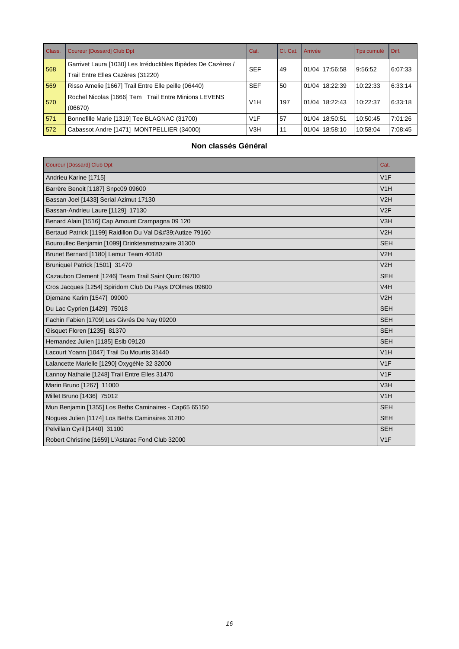| Class. | <b>Coureur [Dossard] Club Dpt</b>                            | Cat.             | Cl. Cat. | Arrivée        | Tps cumulé | Diff.   |
|--------|--------------------------------------------------------------|------------------|----------|----------------|------------|---------|
| 568    | Garrivet Laura [1030] Les Irréductibles Bipèdes De Cazères / | <b>SEF</b>       | 49       | 01/04 17:56:58 | 9:56:52    |         |
|        | Trail Entre Elles Cazères (31220)                            |                  |          |                |            | 6:07:33 |
| 569    | Risso Amelie [1667] Trail Entre Elle peille (06440)          | <b>SEF</b>       | 50       | 01/04 18:22:39 | 10:22:33   | 6:33:14 |
| 570    | Rochel Nicolas [1666] Tem Trail Entre Minions LEVENS         | V1H              |          | 01/04 18:22:43 | 10:22:37   | 6:33:18 |
|        | (06670)                                                      |                  | 197      |                |            |         |
| 571    | Bonnefille Marie [1319] Tee BLAGNAC (31700)                  | V1F              | 57       | 01/04 18:50:51 | 10:50:45   | 7:01:26 |
| 572    | Cabassot Andre [1471] MONTPELLIER (34000)                    | V <sub>3</sub> H | 11       | 01/04 18:58:10 | 10:58:04   | 7:08:45 |

### **Non classés Général**

| <b>Coureur [Dossard] Club Dpt</b>                       | Cat.       |
|---------------------------------------------------------|------------|
| Andrieu Karine [1715]                                   | V1F        |
| Barrère Benoit [1187] Snpc09 09600                      | V1H        |
| Bassan Joel [1433] Serial Azimut 17130                  | V2H        |
| Bassan-Andrieu Laure [1129] 17130                       | V2F        |
| Benard Alain [1516] Cap Amount Crampagna 09 120         | V3H        |
| Bertaud Patrick [1199] Raidillon Du Val D' Autize 79160 | V2H        |
| Bouroullec Benjamin [1099] Drinkteamstnazaire 31300     | <b>SEH</b> |
| Brunet Bernard [1180] Lemur Team 40180                  | V2H        |
| Bruniquel Patrick [1501] 31470                          | V2H        |
| Cazaubon Clement [1246] Team Trail Saint Quirc 09700    | <b>SEH</b> |
| Cros Jacques [1254] Spiridom Club Du Pays D'Olmes 09600 | V4H        |
| Djemane Karim [1547] 09000                              | V2H        |
| Du Lac Cyprien [1429] 75018                             | <b>SEH</b> |
| Fachin Fabien [1709] Les Givrés De Nay 09200            | <b>SEH</b> |
| Gisquet Floren [1235] 81370                             | <b>SEH</b> |
| Hernandez Julien [1185] Eslb 09120                      | <b>SEH</b> |
| Lacourt Yoann [1047] Trail Du Mourtis 31440             | V1H        |
| Lalancette Marielle [1290] OxygèNe 32 32000             | V1F        |
| Lannoy Nathalie [1248] Trail Entre Elles 31470          | V1F        |
| Marin Bruno [1267] 11000                                | V3H        |
| Millet Bruno [1436] 75012                               | V1H        |
| Mun Benjamin [1355] Los Beths Caminaires - Cap65 65150  | <b>SEH</b> |
| Noques Julien [1174] Los Beths Caminaires 31200         | <b>SEH</b> |
| Pelvillain Cyril [1440] 31100                           | <b>SEH</b> |
| Robert Christine [1659] L'Astarac Fond Club 32000       | V1F        |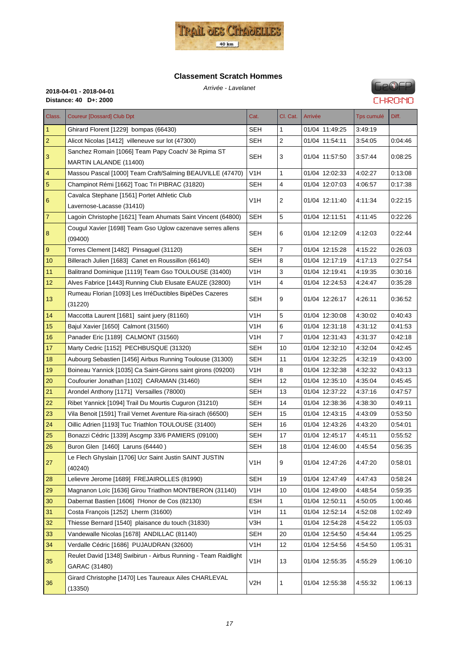

# **Classement Scratch Hommes**



| Class.         | <b>Coureur [Dossard] Club Dpt</b>                                               | Cat.             | Cl. Cat.                | Arrivée        | <b>Tps cumulé</b> | Diff.   |
|----------------|---------------------------------------------------------------------------------|------------------|-------------------------|----------------|-------------------|---------|
| 1              | Ghirard Florent [1229] bompas (66430)                                           | SEH              | 1                       | 01/04 11:49:25 | 3:49:19           |         |
| $\overline{c}$ | Alicot Nicolas [1412] villeneuve sur lot (47300)                                | <b>SEH</b>       | $\overline{c}$          | 01/04 11:54:11 | 3:54:05           | 0.04.46 |
| 3              | Sanchez Romain [1066] Team Papy Coach/ 3è Rpima ST<br>MARTIN LALANDE (11400)    | SEH              | 3                       | 01/04 11:57:50 | 3.57.44           | 0:08:25 |
| $\overline{4}$ | Massou Pascal [1000] Team Craft/Salming BEAUVILLE (47470)                       | V <sub>1</sub> H | 1                       | 01/04 12:02:33 | 4.02.27           | 0.13:08 |
| 5              | Champinot Rémi [1662] Toac Tri PIBRAC (31820)                                   | <b>SEH</b>       | 4                       | 01/04 12:07:03 | 4:06:57           | 0.17.38 |
| 6              | Cavalca Stephane [1561] Portet Athletic Club<br>Lavernose-Lacasse (31410)       | V <sub>1</sub> H | 2                       | 01/04 12:11:40 | 4:11:34           | 0:22:15 |
| $\overline{7}$ | Lagoin Christophe [1621] Team Ahumats Saint Vincent (64800)                     | <b>SEH</b>       | 5                       | 01/04 12:11:51 | 4:11:45           | 0.22.26 |
| 8              | Cougul Xavier [1698] Team Gso Uglow cazenave serres allens<br>(09400)           | <b>SEH</b>       | 6                       | 01/04 12:12:09 | 4:12:03           | 0:22:44 |
| 9              | Torres Clement [1482] Pinsaguel (31120)                                         | <b>SEH</b>       | 7                       | 01/04 12:15:28 | 4:15:22           | 0.26:03 |
| 10             | Billerach Julien [1683] Canet en Roussillon (66140)                             | <b>SEH</b>       | 8                       | 01/04 12:17:19 | 4:17:13           | 0.27:54 |
| 11             | Balitrand Dominique [1119] Team Gso TOULOUSE (31400)                            | V <sub>1</sub> H | 3                       | 01/04 12:19:41 | 4:19:35           | 0:30:16 |
| 12             | Alves Fabrice [1443] Running Club Elusate EAUZE (32800)                         | V1H              | $\overline{\mathbf{4}}$ | 01/04 12:24:53 | 4:24:47           | 0:35:28 |
| 13             | Rumeau Florian [1093] Les IrréDuctibles BipèDes Cazeres<br>(31220)              | <b>SEH</b>       | 9                       | 01/04 12:26:17 | 4:26:11           | 0:36:52 |
| 14             | Maccotta Laurent [1681] saint juery (81160)                                     | V <sub>1</sub> H | 5                       | 01/04 12:30:08 | 4:30:02           | 0.40.43 |
| 15             | Bajul Xavier [1650] Calmont (31560)                                             | V <sub>1</sub> H | 6                       | 01/04 12:31:18 | 4:31:12           | 0:41:53 |
| 16             | Panader Eric [1189] CALMONT (31560)                                             | V <sub>1</sub> H | 7                       | 01/04 12:31:43 | 4.31.37           | 0:42:18 |
| 17             | Marty Cedric [1152] PECHBUSQUE (31320)                                          | SEH              | 10                      | 01/04 12:32:10 | 4.32.04           | 0:42:45 |
| 18             | Aubourg Sebastien [1456] Airbus Running Toulouse (31300)                        | <b>SEH</b>       | 11                      | 01/04 12:32:25 | 4:32:19           | 0:43:00 |
| 19             | Boineau Yannick [1035] Ca Saint-Girons saint girons (09200)                     | V <sub>1</sub> H | 8                       | 01/04 12:32:38 | 4:32:32           | 0.43:13 |
| 20             | Coufourier Jonathan [1102] CARAMAN (31460)                                      | <b>SEH</b>       | 12                      | 01/04 12:35:10 | 4.35.04           | 0.45.45 |
| 21             | Arondel Anthony [1171] Versailles (78000)                                       | <b>SEH</b>       | 13                      | 01/04 12:37:22 | 4:37:16           | 0.47:57 |
| 22             | Ribet Yannick [1094] Trail Du Mourtis Cuguron (31210)                           | <b>SEH</b>       | 14                      | 01/04 12:38:36 | 4.38.30           | 0.49.11 |
| 23             | Vila Benoit [1591] Trail Vernet Aventure Ria-sirach (66500)                     | <b>SEH</b>       | 15                      | 01/04 12:43:15 | 4:43:09           | 0:53:50 |
| 24             | Oillic Adrien [1193] Tuc Triathlon TOULOUSE (31400)                             | <b>SEH</b>       | 16                      | 01/04 12:43:26 | 4:43:20           | 0:54:01 |
| 25             | Bonazzi Cédric [1339] Ascgmp 33/6 PAMIERS (09100)                               | <b>SEH</b>       | 17                      | 01/04 12:45:17 | 4:45:11           | 0.55.52 |
| 26             | Buron Glen [1460] Laruns (64440)                                                | <b>SEH</b>       | 18                      | 01/04 12:46:00 | 4.45.54           | 0:56:35 |
| 27             | Le Flech Ghyslain [1706] Ucr Saint Justin SAINT JUSTIN<br>(40240)               | V1H              | 9                       | 01/04 12:47:26 | 4.47.20           | 0:58:01 |
| 28             | Lelievre Jerome [1689] FREJAIROLLES (81990)                                     | <b>SEH</b>       | 19                      | 01/04 12:47:49 | 4.47.43           | 0.58.24 |
| 29             | Magnanon Loïc [1636] Girou Triatlhon MONTBERON (31140)                          | V <sub>1</sub> H | 10                      | 01/04 12:49:00 | 4:48:54           | 0:59:35 |
| 30             | Dabernat Bastien [1606] l'Honor de Cos (82130)                                  | ESH              | 1                       | 01/04 12:50:11 | 4:50:05           | 1:00:46 |
| 31             | Costa François [1252] Lherm (31600)                                             | V <sub>1</sub> H | 11                      | 01/04 12:52:14 | 4:52:08           | 1:02:49 |
| 32             | Thiesse Bernard [1540] plaisance du touch (31830)                               | V3H              | 1                       | 01/04 12:54:28 | 4.54.22           | 1:05:03 |
| 33             | Vandewalle Nicolas [1678] ANDILLAC (81140)                                      | <b>SEH</b>       | 20                      | 01/04 12:54:50 | 4:54:44           | 1:05:25 |
| 34             | Verdalle Cédric [1686] PUJAUDRAN (32600)                                        | V1H              | 12                      | 01/04 12:54:56 | 4:54:50           | 1:05:31 |
| 35             | Reulet David [1348] Swibirun - Airbus Running - Team Raidlight<br>GARAC (31480) | V <sub>1</sub> H | 13                      | 01/04 12:55:35 | 4:55:29           | 1:06:10 |
| 36             | Girard Christophe [1470] Les Taureaux Ailes CHARLEVAL<br>(13350)                | V <sub>2</sub> H | 1                       | 01/04 12:55:38 | 4:55:32           | 1:06:13 |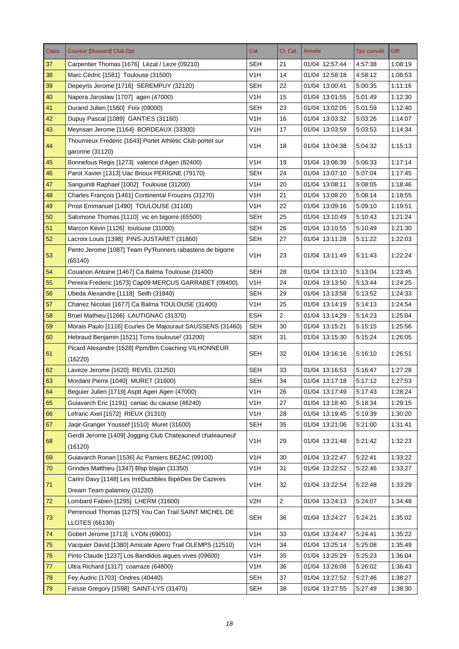| Class.   | <b>Coureur [Dossard] Club Dpt</b>                                              | Cat.             | Cl. Cat.       | Arrivée        | Tps cumulé | Diff.   |
|----------|--------------------------------------------------------------------------------|------------------|----------------|----------------|------------|---------|
| 37       | Carpentier Thomas [1676] Lézat / Leze (09210)                                  | SEH              | 21             | 01/04 12:57:44 | 4:57:38    | 1:08:19 |
| 38       | Marc Cédric [1581] Toulouse (31500)                                            | V <sub>1</sub> H | 14             | 01/04 12:58:18 | 4:58:12    | 1:08:53 |
| 39       | Depeyris Jerome [1716] SEREMPUY (32120)                                        | <b>SEH</b>       | 22             | 01/04 13:00:41 | 5:00:35    | 1:11:16 |
| 40       | Napora Jaroslaw [1707] agen (47000)                                            | V <sub>1</sub> H | 15             | 01/04 13:01:55 | 5:01:49    | 1:12:30 |
| 41       | Durand Julien [1560] Foix (09000)                                              | <b>SEH</b>       | 23             | 01/04 13:02:05 | 5:01:59    | 1:12:40 |
| 42       | Dupuy Pascal [1089] GANTIES (31160)                                            | V <sub>1</sub> H | 16             | 01/04 13:03:32 | 5:03:26    | 1:14:07 |
| 43       | Meynsan Jerome [1164] BORDEAUX (33300)                                         | V <sub>1</sub> H | 17             | 01/04 13:03:59 | 5:03:53    | 1:14:34 |
| 44       | Thoumieux Frederic [1643] Portet Athlétic Club portet sur<br>garonne (31120)   | V1H              | 18             | 01/04 13:04:38 | 5:04:32    | 1:15:13 |
| 45       | Bonnefous Regis [1273] valence d'Agen (82400)                                  | V1H              | 19             | 01/04 13:06:39 | 5:06:33    | 1:17:14 |
| 46       | Parot Xavier [1313] Uac Brioux PERIGNE (79170)                                 | <b>SEH</b>       | 24             | 01/04 13:07:10 | 5:07:04    | 1:17:45 |
| 47       | Sanguiniti Raphael [1002] Toulouse (31200)                                     | V1H              | 20             | 01/04 13:08:11 | 5:08:05    | 1:18:46 |
| 48       | Charles François [1461] Continental Frouzins (31270)                           | V <sub>1</sub> H | 21             | 01/04 13:08:20 | 5:08:14    | 1:18:55 |
| 49       | Prost Emmanuel [1490] TOULOUSE (31100)                                         | V <sub>1</sub> H | 22             | 01/04 13:09:16 | 5:09:10    | 1:19:51 |
| 50       | Salomone Thomas [1110] vic en bigorre (65500)                                  | <b>SEH</b>       | 25             | 01/04 13:10:49 | 5:10:43    | 1:21:24 |
| 51       | Marcon Kévin [1126] toulouse (31000)                                           | <b>SEH</b>       | 26             | 01/04 13:10:55 | 5:10:49    | 1:21:30 |
| 52       | Lacroix Louis [1398] PINS-JUSTARET (31860)                                     | <b>SEH</b>       | 27             | 01/04 13:11:28 | 5:11:22    | 1:22:03 |
|          | Pento Jerome [1087] Team Py'Runners rabastens de bigorre                       |                  |                |                |            |         |
| 53       | (65140)                                                                        | V <sub>1</sub> H | 23             | 01/04 13:11:49 | 5.11.43    | 1:22:24 |
| 54       | Couanon Antoine [1467] Ca Balma Toulouse (31400)                               | <b>SEH</b>       | 28             | 01/04 13:13:10 | 5:13:04    | 1:23:45 |
| 55       | Pereira Frederic [1673] Cap09 MERCUS GARRABET (09400)                          | V1H              | 24             | 01/04 13:13:50 | 5:13:44    | 1:24:25 |
| 56       | Ubeda Alexandre [1118] Seilh (31840)                                           | <b>SEH</b>       | 29             | 01/04 13:13:58 | 5:13:52    | 1:24:33 |
| 57       | Chanez Nicolas [1677] Ca Balma TOULOUSE (31400)                                | V1H              | 25             | 01/04 13:14:19 | 5:14:13    | 1:24:54 |
| 58       | Bruel Mathieu [1266] LAUTIGNAC (31370)                                         | <b>ESH</b>       | $\overline{2}$ | 01/04 13:14:29 | 5:14:23    | 1:25:04 |
| 59       | Morais Paulo [1116] Ecuries De Majouraut SAUSSENS (31460)                      | <b>SEH</b>       | 30             | 01/04 13:15:21 | 5:15:15    | 1:25:56 |
| 60       | Hebraud Benjamin [1521] Tcms toulouse <sup>2</sup> (31200)                     | <b>SEH</b>       | 31             | 01/04 13:15:30 | 5:15:24    | 1:26:05 |
| 61       | Picard Alexandre [1528] Ppm/Bm Coaching VILHONNEUR<br>(16220)                  | <b>SEH</b>       | 32             | 01/04 13:16:16 | 5:16:10    | 1:26:51 |
| 62       | Laveze Jerome [1620] REVEL (31250)                                             | <b>SEH</b>       | 33             | 01/04 13:16:53 | 5:16:47    | 1:27:28 |
| 63       | Mordant Pierre [1040] MURET (31600)                                            | <b>SEH</b>       | 34             | 01/04 13:17:18 | 5:17:12    | 1:27:53 |
| 64       | Beguier Julien [1719] Asptt Agen Agen (47000)                                  | V <sub>1</sub> H | 26             | 01/04 13:17:49 | 5:17:43    | 1:28:24 |
| 65       | Guiavarch Eric [1191] caniac du causse (46240)                                 | V <sub>1</sub> H | 27             | 01/04 13:18:40 | 5:18:34    | 1:29:15 |
| 66       | Lefranc Axel [1572] RIEUX (31310)                                              | V <sub>1</sub> H | 28             | 01/04 13:19:45 | 5:19:39    | 1:30:20 |
| 67       | Jaqir-Granger Youssef [1510] Muret (31600)                                     | <b>SEH</b>       | 35             | 01/04 13:21:06 | 5:21:00    | 1:31:41 |
| 68       | Gerdil Jerome [1409] Jogging Club Chateauneuf chateauneuf<br>(16120)           | V <sub>1</sub> H | 29             | 01/04 13:21:48 | 5:21:42    | 1:32:23 |
| 69       | Guiavarch Ronan [1536] Ac Pamiers BEZAC (09100)                                | V <sub>1</sub> H | 30             | 01/04 13:22:47 | 5:22:41    | 1:33:22 |
| 70       | Grindes Matthieu [1347] Blsp blajan (31350)                                    | V <sub>1</sub> H | 31             | 01/04 13:22:52 | 5:22:46    | 1:33:27 |
|          | Carini Davy [1148] Les IrréDuctibles BipèDes De Cazeres                        |                  |                |                |            |         |
| 71       | Dream Team palaminy (31220)                                                    | V <sub>1</sub> H | 32             | 01/04 13:22:54 | 5:22:48    | 1:33:29 |
| 72       | Lombard Fabien [1295] LHERM (31600)                                            | V <sub>2</sub> H | $\overline{a}$ | 01/04 13:24:13 | 5:24:07    | 1:34:48 |
| 73       | Perrenoud Thomas [1275] You Can Trail SAINT MICHEL DE<br><b>LLOTES (66130)</b> | <b>SEH</b>       | 36             | 01/04 13:24:27 | 5:24:21    | 1:35:02 |
| 74       | Gobert Jerome [1713] LYON (69001)                                              | V <sub>1</sub> H | 33             | 01/04 13:24:47 | 5:24:41    | 1:35:22 |
| 75       | Vacquier David [1380] Amicale Apero Trail OLEMPS (12510)                       | V <sub>1</sub> H | 34             | 01/04 13:25:14 | 5:25:08    | 1:35:49 |
| 76       | Pinto Claude [1237] Los Bandidos aigues vives (09600)                          | V <sub>1</sub> H | 35             | 01/04 13:25:29 | 5:25:23    | 1:36:04 |
| 77       | Ultra Richard [1317] coarraze (64800)                                          | V <sub>1</sub> H | 36             | 01/04 13:26:08 | 5:26:02    | 1:36:43 |
| 78       | Fey Audric [1703] Ondres (40440)                                               | <b>SEH</b>       | 37             | 01/04 13:27:52 | 5.27.46    | 1:38:27 |
| $\bf 79$ | Faïsse Gregory [1598] SAINT-LYS (31470)                                        | <b>SEH</b>       | 38             | 01/04 13:27:55 | 5:27:49    | 1:38:30 |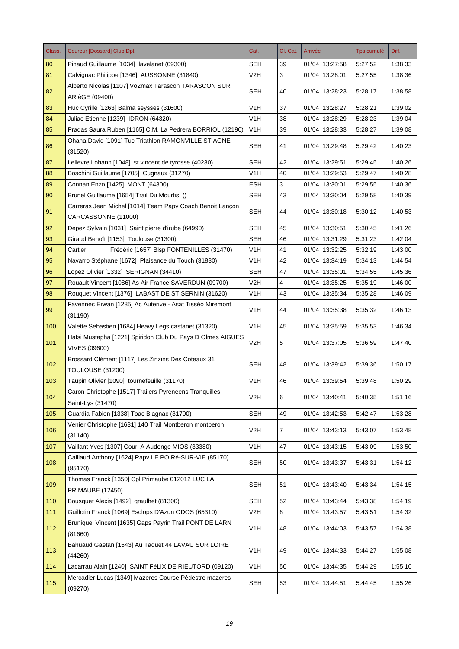| Class. | <b>Coureur [Dossard] Club Dpt</b>                                             | Cat.             | Cl. Cat. | Arrivée        | Tps cumulé | Diff.   |
|--------|-------------------------------------------------------------------------------|------------------|----------|----------------|------------|---------|
| 80     | Pinaud Guillaume [1034] lavelanet (09300)                                     | SEH              | 39       | 01/04 13:27:58 | 5:27:52    | 1:38:33 |
| 81     | Calvignac Philippe [1346] AUSSONNE (31840)                                    | V2H              | 3        | 01/04 13:28:01 | 5:27:55    | 1:38:36 |
| 82     | Alberto Nicolas [1107] Vo2max Tarascon TARASCON SUR<br>ARIèGE (09400)         | SEH              | 40       | 01/04 13:28:23 | 5:28:17    | 1:38:58 |
| 83     | Huc Cyrille [1263] Balma seysses (31600)                                      | V <sub>1</sub> H | 37       | 01/04 13:28:27 | 5:28:21    | 1:39:02 |
| 84     | Juliac Etienne [1239] IDRON (64320)                                           | V1H              | 38       | 01/04 13:28:29 | 5:28:23    | 1:39:04 |
| 85     | Pradas Saura Ruben [1165] C.M. La Pedrera BORRIOL (12190)                     | V <sub>1</sub> H | 39       | 01/04 13:28:33 | 5:28:27    | 1:39:08 |
| 86     | Ohana David [1091] Tuc Triathlon RAMONVILLE ST AGNE<br>(31520)                | <b>SEH</b>       | 41       | 01/04 13:29:48 | 5:29:42    | 1:40:23 |
| 87     | Lelievre Lohann [1048] st vincent de tyrosse (40230)                          | <b>SEH</b>       | 42       | 01/04 13:29:51 | 5:29:45    | 1:40:26 |
| 88     | Boschini Guillaume [1705] Cugnaux (31270)                                     | V <sub>1</sub> H | 40       | 01/04 13:29:53 | 5.29:47    | 1:40:28 |
| 89     | Connan Enzo [1425] MONT (64300)                                               | <b>ESH</b>       | 3        | 01/04 13:30:01 | 5:29:55    | 1:40:36 |
| 90     | Brunel Guillaume [1654] Trail Du Mourtis ()                                   | <b>SEH</b>       | 43       | 01/04 13:30:04 | 5:29:58    | 1:40:39 |
|        | Carreras Jean Michel [1014] Team Papy Coach Benoit Lançon                     |                  |          |                |            |         |
| 91     | CARCASSONNE (11000)                                                           | <b>SEH</b>       | 44       | 01/04 13:30:18 | 5:30:12    | 1:40:53 |
| 92     | Depez Sylvain [1031] Saint pierre d'irube (64990)                             | <b>SEH</b>       | 45       | 01/04 13:30:51 | 5:30:45    | 1:41:26 |
| 93     | Giraud Benoît [1153] Toulouse (31300)                                         | SEH              | 46       | 01/04 13:31:29 | 5:31:23    | 1:42:04 |
| 94     | Cartier<br>Frédéric [1657] Blsp FONTENILLES (31470)                           | V <sub>1</sub> H | 41       | 01/04 13:32:25 | 5:32:19    | 1:43:00 |
| 95     | Navarro Stéphane [1672] Plaisance du Touch (31830)                            | V1H              | 42       | 01/04 13:34:19 | 5:34:13    | 1:44:54 |
| 96     | Lopez Olivier [1332] SERIGNAN (34410)                                         | <b>SEH</b>       | 47       | 01/04 13:35:01 | 5:34:55    | 1:45:36 |
| 97     | Rouault Vincent [1086] As Air France SAVERDUN (09700)                         | V2H              | 4        | 01/04 13:35:25 | 5.35.19    | 1:46:00 |
| 98     | Rouquet Vincent [1376] LABASTIDE ST SERNIN (31620)                            | V <sub>1</sub> H | 43       | 01/04 13:35:34 | 5:35:28    | 1:46:09 |
|        | Favennec Erwan [1285] Ac Auterive - Asat Tisséo Miremont                      |                  |          |                |            |         |
| 99     | (31190)                                                                       | V <sub>1</sub> H | 44       | 01/04 13:35:38 | 5:35:32    | 1:46:13 |
| 100    | Valette Sebastien [1684] Heavy Legs castanet (31320)                          | V <sub>1</sub> H | 45       | 01/04 13:35:59 | 5.35.53    | 1:46:34 |
| 101    | Hafsi Mustapha [1221] Spiridon Club Du Pays D Olmes AIGUES<br>VIVES (09600)   | V2H              | 5        | 01/04 13:37:05 | 5:36:59    | 1:47:40 |
| 102    | Brossard Clément [1117] Les Zinzins Des Coteaux 31<br><b>TOULOUSE (31200)</b> | <b>SEH</b>       | 48       | 01/04 13:39:42 | 5:39:36    | 1:50:17 |
| 103    | Taupin Olivier [1090] tournefeuille (31170)                                   | V <sub>1</sub> H | 46       | 01/04 13:39:54 | 5:39:48    | 1:50:29 |
| 104    | Caron Christophe [1517] Trailers Pyrénéens Tranquilles<br>Saint-Lys (31470)   | V <sub>2</sub> H | 6        | 01/04 13:40:41 | 5:40:35    | 1:51:16 |
| 105    | Guardia Fabien [1338] Toac Blagnac (31700)                                    | <b>SEH</b>       | 49       | 01/04 13:42:53 | 5:42:47    | 1.53.28 |
| 106    | Venier Christophe [1631] 140 Trail Montberon montberon<br>(31140)             | V <sub>2</sub> H | 7        | 01/04 13:43:13 | 5:43:07    | 1:53:48 |
| 107    | Vaillant Yves [1307] Couri A Audenge MIOS (33380)                             | V <sub>1</sub> H | 47       | 01/04 13:43:15 | 5:43:09    | 1:53:50 |
| 108    | Caillaud Anthony [1624] Rapv LE POIRé-SUR-VIE (85170)<br>(85170)              | <b>SEH</b>       | 50       | 01/04 13:43:37 | 5:43:31    | 1:54:12 |
| 109    | Thomas Franck [1350] Cpl Primaube 012012 LUC LA<br><b>PRIMAUBE (12450)</b>    | <b>SEH</b>       | 51       | 01/04 13:43:40 | 5:43:34    | 1:54:15 |
| 110    | Bousquet Alexis [1492] graulhet (81300)                                       | <b>SEH</b>       | 52       | 01/04 13:43:44 | 5:43:38    | 1:54:19 |
| 111    | Guillotin Franck [1069] Esclops D'Azun ODOS (65310)                           | V2H              | 8        | 01/04 13:43:57 | 5:43:51    | 1.54.32 |
|        | Bruniquel Vincent [1635] Gaps Payrin Trail PONT DE LARN                       |                  |          |                |            |         |
| 112    | (81660)                                                                       | V <sub>1</sub> H | 48       | 01/04 13:44:03 | 5.43.57    | 1:54:38 |
| 113    | Bahuaud Gaetan [1543] Au Taquet 44 LAVAU SUR LOIRE<br>(44260)                 | V <sub>1</sub> H | 49       | 01/04 13:44:33 | 5:44:27    | 1:55:08 |
| 114    | Lacarrau Alain [1240] SAINT FéLIX DE RIEUTORD (09120)                         | V <sub>1</sub> H | 50       | 01/04 13:44:35 | 5:44:29    | 1:55:10 |
| 115    | Mercadier Lucas [1349] Mazeres Course Pédestre mazeres<br>(09270)             | <b>SEH</b>       | 53       | 01/04 13:44:51 | 5:44:45    | 1:55:26 |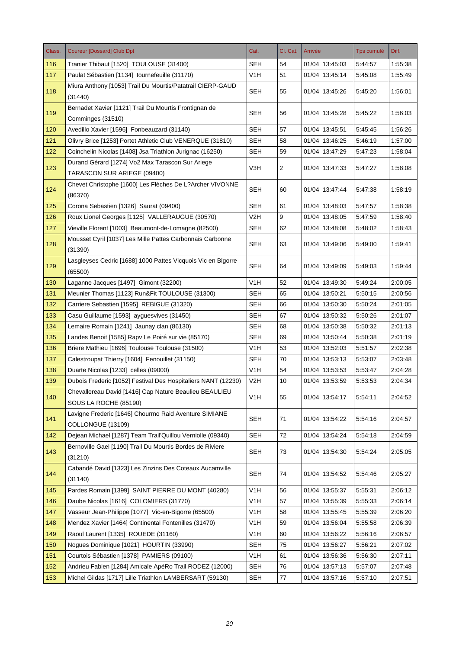| Class. | <b>Coureur [Dossard] Club Dpt</b>                                               | Cat.             | Cl. Cat. | Arrivée        | Tps cumulé | Diff.   |
|--------|---------------------------------------------------------------------------------|------------------|----------|----------------|------------|---------|
| 116    | Tranier Thibaut [1520] TOULOUSE (31400)                                         | SEH              | 54       | 01/04 13:45:03 | 5:44:57    | 1:55:38 |
| 117    | Paulat Sébastien [1134] tournefeuille (31170)                                   | V <sub>1</sub> H | 51       | 01/04 13:45:14 | 5:45:08    | 1:55:49 |
| 118    | Miura Anthony [1053] Trail Du Mourtis/Patatrail CIERP-GAUD<br>(31440)           | <b>SEH</b>       | 55       | 01/04 13:45:26 | 5:45:20    | 1:56:01 |
| 119    | Bernadet Xavier [1121] Trail Du Mourtis Frontignan de<br>Comminges (31510)      | <b>SEH</b>       | 56       | 01/04 13:45:28 | 5:45:22    | 1:56:03 |
| 120    | Avedillo Xavier [1596] Fonbeauzard (31140)                                      | <b>SEH</b>       | 57       | 01/04 13:45:51 | 5:45:45    | 1:56:26 |
| 121    | Olivry Brice [1253] Portet Athletic Club VENERQUE (31810)                       | <b>SEH</b>       | 58       | 01/04 13:46:25 | 5:46:19    | 1:57:00 |
| 122    | Coinchelin Nicolas [1408] Jsa Triathlon Jurignac (16250)                        | <b>SEH</b>       | 59       | 01/04 13:47:29 | 5:47:23    | 1:58:04 |
| 123    | Durand Gérard [1274] Vo2 Max Tarascon Sur Ariege<br>TARASCON SUR ARIEGE (09400) | V3H              | 2        | 01/04 13:47:33 | 5:47:27    | 1:58:08 |
| 124    | Chevet Christophe [1600] Les Flèches De L?Archer VIVONNE<br>(86370)             | <b>SEH</b>       | 60       | 01/04 13:47:44 | 5:47:38    | 1:58:19 |
| 125    | Corona Sebastien [1326] Saurat (09400)                                          | <b>SEH</b>       | 61       | 01/04 13:48:03 | 5:47:57    | 1:58:38 |
| 126    | Roux Lionel Georges [1125] VALLERAUGUE (30570)                                  | V2H              | 9        | 01/04 13:48:05 | 5:47:59    | 1:58:40 |
| 127    | Vieville Florent [1003] Beaumont-de-Lomagne (82500)                             | <b>SEH</b>       | 62       | 01/04 13:48:08 | 5:48:02    | 1:58:43 |
|        | Mousset Cyril [1037] Les Mille Pattes Carbonnais Carbonne                       |                  |          |                |            |         |
| 128    | (31390)                                                                         | <b>SEH</b>       | 63       | 01/04 13:49:06 | 5:49:00    | 1:59:41 |
| 129    | Lasgleyses Cedric [1688] 1000 Pattes Vicquois Vic en Bigorre<br>(65500)         | <b>SEH</b>       | 64       | 01/04 13:49:09 | 5:49:03    | 1:59:44 |
| 130    | Laganne Jacques [1497] Gimont (32200)                                           | V <sub>1</sub> H | 52       | 01/04 13:49:30 | 5:49:24    | 2:00:05 |
| 131    | Meunier Thomas [1123] Run&Fit TOULOUSE (31300)                                  | <b>SEH</b>       | 65       | 01/04 13:50:21 | 5:50:15    | 2:00:56 |
| 132    | Carriere Sebastien [1595] REBIGUE (31320)                                       | SEH              | 66       | 01/04 13:50:30 | 5:50:24    | 2:01:05 |
| 133    | Casu Guillaume [1593] ayguesvives (31450)                                       | <b>SEH</b>       | 67       | 01/04 13:50:32 | 5:50:26    | 2:01:07 |
| 134    | Lemaire Romain [1241] Jaunay clan (86130)                                       | SEH              | 68       | 01/04 13:50:38 | 5:50:32    | 2:01:13 |
| 135    | Landes Benoit [1585] Rapv Le Poiré sur vie (85170)                              | <b>SEH</b>       | 69       | 01/04 13:50:44 | 5:50:38    | 2:01:19 |
| 136    | Briere Mathieu [1696] Toulouse Toulouse (31500)                                 | V1H              | 53       | 01/04 13:52:03 | 5:51:57    | 2:02:38 |
| 137    | Calestroupat Thierry [1604] Fenouillet (31150)                                  | <b>SEH</b>       | 70       | 01/04 13:53:13 | 5:53:07    | 2:03:48 |
| 138    | Duarte Nicolas [1233] celles (09000)                                            | V1H              | 54       | 01/04 13:53:53 | 5:53:47    | 2:04:28 |
| 139    | Dubois Frederic [1052] Festival Des Hospitaliers NANT (12230)                   | V <sub>2</sub> H | 10       | 01/04 13:53:59 | 5:53:53    | 2:04:34 |
| 140    | Chevallereau David [1416] Cap Nature Beaulieu BEAULIEU<br>SOUS LA ROCHE (85190) | V <sub>1</sub> H | 55       | 01/04 13:54:17 | 5:54:11    | 2:04:52 |
| 141    | Lavigne Frederic [1646] Chourmo Raid Aventure SIMIANE<br>COLLONGUE (13109)      | <b>SEH</b>       | 71       | 01/04 13:54:22 | 5:54:16    | 2:04:57 |
| 142    | Dejean Michael [1287] Team Trail'Quillou Verniolle (09340)                      | <b>SEH</b>       | 72       | 01/04 13:54:24 | 5:54:18    | 2:04:59 |
|        | Bernoville Gael [1190] Trail Du Mourtis Bordes de Riviere                       |                  |          |                |            |         |
| 143    | (31210)                                                                         | <b>SEH</b>       | 73       | 01/04 13:54:30 | 5:54:24    | 2:05:05 |
|        | Cabandé David [1323] Les Zinzins Des Coteaux Aucamville                         |                  |          |                |            |         |
| 144    | (31140)                                                                         | <b>SEH</b>       | 74       | 01/04 13:54:52 | 5:54:46    | 2:05:27 |
| 145    | Pardes Romain [1399] SAINT PIERRE DU MONT (40280)                               | V <sub>1</sub> H | 56       | 01/04 13:55:37 | 5:55:31    | 2:06:12 |
| 146    | Daube Nicolas [1616] COLOMIERS (31770)                                          | V <sub>1</sub> H | 57       | 01/04 13:55:39 | 5:55:33    | 2:06:14 |
| 147    | Vasseur Jean-Philippe [1077] Vic-en-Bigorre (65500)                             | V <sub>1</sub> H | 58       | 01/04 13:55:45 | 5:55:39    | 2:06:20 |
| 148    | Mendez Xavier [1464] Continental Fontenilles (31470)                            | V1H              | 59       | 01/04 13:56:04 | 5:55:58    | 2:06:39 |
| 149    | Raoul Laurent [1335] ROUEDE (31160)                                             | V <sub>1</sub> H | 60       | 01/04 13:56:22 | 5:56:16    | 2:06:57 |
| 150    | Nogues Dominique [1021] HOURTIN (33990)                                         | <b>SEH</b>       | 75       | 01/04 13:56:27 | 5:56:21    | 2:07:02 |
| 151    | Courtois Sébastien [1378] PAMIERS (09100)                                       | V <sub>1</sub> H | 61       | 01/04 13:56:36 | 5:56:30    | 2:07:11 |
| 152    | Andrieu Fabien [1284] Amicale ApéRo Trail RODEZ (12000)                         | <b>SEH</b>       | 76       | 01/04 13:57:13 | 5:57:07    | 2:07:48 |
| 153    | Michel Gildas [1717] Lille Triathlon LAMBERSART (59130)                         | <b>SEH</b>       | 77       | 01/04 13:57:16 | 5:57:10    | 2:07:51 |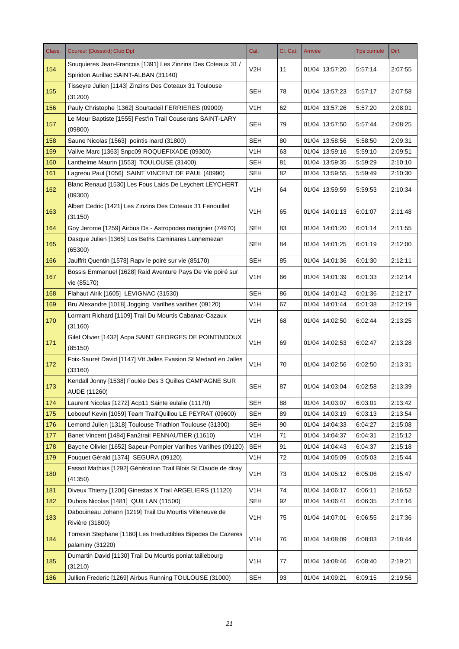| Class. | <b>Coureur [Dossard] Club Dpt</b>                                                 | Cat.             | Cl. Cat. | Arrivée        | Tps cumulé | Diff.   |
|--------|-----------------------------------------------------------------------------------|------------------|----------|----------------|------------|---------|
| 154    | Souquieres Jean-Francois [1391] Les Zinzins Des Coteaux 31 /                      | V2H              | 11       | 01/04 13:57:20 | 5:57:14    | 2:07:55 |
|        | Spiridon Aurillac SAINT-ALBAN (31140)                                             |                  |          |                |            |         |
| 155    | Tisseyre Julien [1143] Zinzins Des Coteaux 31 Toulouse<br>(31200)                 | SEH              | 78       | 01/04 13:57:23 | 5:57:17    | 2:07:58 |
| 156    | Pauly Christophe [1362] Sourtadeil FERRIERES (09000)                              | V <sub>1</sub> H | 62       | 01/04 13:57:26 | 5:57:20    | 2:08:01 |
| 157    | Le Meur Baptiste [1555] Fest'In Trail Couserans SAINT-LARY<br>(09800)             | <b>SEH</b>       | 79       | 01/04 13:57:50 | 5:57:44    | 2:08:25 |
| 158    | Saune Nicolas [1563] pointis inard (31800)                                        | <b>SEH</b>       | 80       | 01/04 13:58:56 | 5:58:50    | 2:09:31 |
| 159    | Vallve Marc [1363] Snpc09 ROQUEFIXADE (09300)                                     | V1H              | 63       | 01/04 13:59:16 | 5:59:10    | 2:09:51 |
| 160    | Lanthelme Maurin [1553] TOULOUSE (31400)                                          | <b>SEH</b>       | 81       | 01/04 13:59:35 | 5:59:29    | 2:10:10 |
| 161    | Lagreou Paul [1056] SAINT VINCENT DE PAUL (40990)                                 | <b>SEH</b>       | 82       | 01/04 13:59:55 | 5:59:49    | 2:10:30 |
| 162    | Blanc Renaud [1530] Les Fous Laids De Leychert LEYCHERT<br>(09300)                | V <sub>1</sub> H | 64       | 01/04 13:59:59 | 5:59:53    | 2:10:34 |
| 163    | Albert Cedric [1421] Les Zinzins Des Coteaux 31 Fenouillet<br>(31150)             | V1H              | 65       | 01/04 14:01:13 | 6:01:07    | 2:11:48 |
| 164    | Goy Jerome [1259] Airbus Ds - Astropodes marignier (74970)                        | <b>SEH</b>       | 83       | 01/04 14:01:20 | 6:01:14    | 2:11:55 |
| 165    | Dasque Julien [1365] Los Beths Caminares Lannemezan<br>(65300)                    | <b>SEH</b>       | 84       | 01/04 14:01:25 | 6:01:19    | 2:12:00 |
| 166    | Jauffrit Quentin [1578] Rapv le poiré sur vie (85170)                             | <b>SEH</b>       | 85       | 01/04 14:01:36 | 6:01:30    | 2:12:11 |
| 167    | Bossis Emmanuel [1628] Raid Aventure Pays De Vie poiré sur<br>vie (85170)         | V1H              | 66       | 01/04 14:01:39 | 6:01:33    | 2:12:14 |
| 168    | Flahaut Alrik [1605] LEVIGNAC (31530)                                             | SEH              | 86       | 01/04 14:01:42 | 6:01:36    | 2:12:17 |
| 169    | Bru Alexandre [1018] Jogging Varilhes varilhes (09120)                            | V <sub>1</sub> H | 67       | 01/04 14:01:44 | 6:01:38    | 2:12:19 |
| 170    | Lormant Richard [1109] Trail Du Mourtis Cabanac-Cazaux<br>(31160)                 | V <sub>1</sub> H | 68       | 01/04 14:02:50 | 6:02:44    | 2:13:25 |
| 171    | Gilet Olivier [1432] Acpa SAINT GEORGES DE POINTINDOUX<br>(85150)                 | V <sub>1</sub> H | 69       | 01/04 14:02:53 | 6:02:47    | 2:13:28 |
| 172    | Foix-Sauret David [1147] Vtt Jalles Evasion St Medard en Jalles<br>(33160)        | V <sub>1</sub> H | 70       | 01/04 14:02:56 | 6:02:50    | 2:13:31 |
| 173    | Kendall Jonny [1538] Foulée Des 3 Quilles CAMPAGNE SUR<br>AUDE (11260)            | <b>SEH</b>       | 87       | 01/04 14:03:04 | 6:02:58    | 2:13:39 |
| 174    | Laurent Nicolas [1272] Acp11 Sainte eulalie (11170)                               | <b>SEH</b>       | 88       | 01/04 14:03:07 | 6:03:01    | 2:13:42 |
| 175    | Leboeuf Kevin [1059] Team Trail'Quillou LE PEYRAT (09600)                         | <b>SEH</b>       | 89       | 01/04 14:03:19 | 6:03:13    | 2:13:54 |
| 176    | Lemond Julien [1318] Toulouse Triathlon Toulouse (31300)                          | <b>SEH</b>       | 90       | 01/04 14:04:33 | 6:04:27    | 2:15:08 |
| 177    | Banet Vincent [1484] Fan2trail PENNAUTIER (11610)                                 | V <sub>1</sub> H | 71       | 01/04 14:04:37 | 6:04:31    | 2:15:12 |
| 178    | Bayche Olivier [1652] Sapeur-Pompier Varilhes Varilhes (09120)                    | <b>SEH</b>       | 91       | 01/04 14:04:43 | 6:04:37    | 2:15:18 |
| 179    | Fouquet Gérald [1374] SEGURA (09120)                                              | V <sub>1</sub> H | 72       | 01/04 14:05:09 | 6:05:03    | 2:15:44 |
| 180    | Fassot Mathias [1292] Génération Trail Blois St Claude de diray<br>(41350)        | V <sub>1</sub> H | 73       | 01/04 14:05:12 | 6:05:06    | 2:15:47 |
| 181    | Diveux Thierry [1206] Ginestas X Trail ARGELIERS (11120)                          | V <sub>1</sub> H | 74       | 01/04 14:06:17 | 6:06:11    | 2:16:52 |
| 182    | Dubois Nicolas [1481] QUILLAN (11500)                                             | <b>SEH</b>       | 92       | 01/04 14:06:41 | 6:06:35    | 2:17:16 |
| 183    | Dabouineau Johann [1219] Trail Du Mourtis Villeneuve de<br>Rivière (31800)        | V <sub>1</sub> H | 75       | 01/04 14:07:01 | 6:06:55    | 2:17:36 |
| 184    | Torresin Stephane [1160] Les Irreductibles Bipedes De Cazeres<br>palaminy (31220) | V <sub>1</sub> H | 76       | 01/04 14:08:09 | 6:08:03    | 2:18:44 |
| 185    | Dumartin David [1130] Trail Du Mourtis ponlat taillebourg<br>(31210)              | V <sub>1</sub> H | 77       | 01/04 14:08:46 | 6:08:40    | 2:19:21 |
| 186    | Jullien Frederic [1269] Airbus Running TOULOUSE (31000)                           | <b>SEH</b>       | 93       | 01/04 14:09:21 | 6:09:15    | 2:19:56 |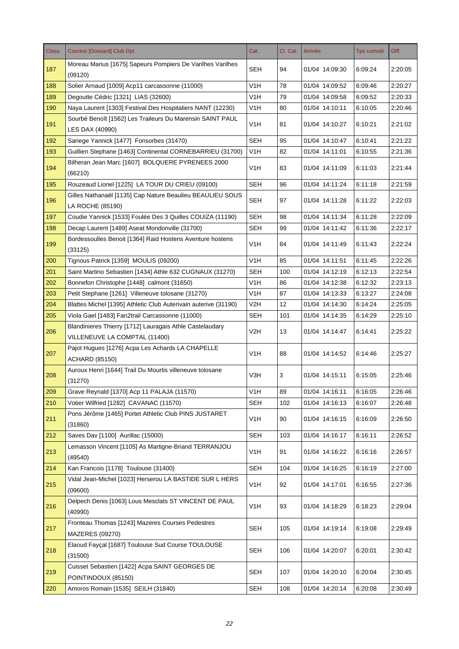| Class. | <b>Coureur [Dossard] Club Dpt</b>                                                         | Cat.             | Cl. Cat. | Arrivée        | Tps cumulé | Diff.   |
|--------|-------------------------------------------------------------------------------------------|------------------|----------|----------------|------------|---------|
| 187    | Moreau Marius [1675] Sapeurs Pompiers De Varilhes Varilhes<br>(09120)                     | <b>SEH</b>       | 94       | 01/04 14:09:30 | 6:09:24    | 2:20:05 |
| 188    | Solier Arnaud [1009] Acp11 carcassonne (11000)                                            | V1H              | 78       | 01/04 14:09:52 | 6:09:46    | 2:20:27 |
| 189    | Degoutte Cédric [1321] LIAS (32600)                                                       | V <sub>1</sub> H | 79       | 01/04 14:09:58 | 6:09:52    | 2:20:33 |
| 190    | Naya Laurent [1303] Festival Des Hospitaliers NANT (12230)                                | V1H              | 80       | 01/04 14:10:11 | 6:10:05    | 2:20:46 |
| 191    | Sourbé Benoît [1562] Les Traileurs Du Marensin SAINT PAUL<br>LES DAX (40990)              | V <sub>1</sub> H | 81       | 01/04 14:10:27 | 6:10:21    | 2:21:02 |
| 192    | Sariege Yannick [1477] Fonsorbes (31470)                                                  | <b>SEH</b>       | 95       | 01/04 14:10:47 | 6:10:41    | 2:21:22 |
| 193    | Guillien Stephane [1463] Continental CORNEBARRIEU (31700)                                 | V <sub>1</sub> H | 82       | 01/04 14:11:01 | 6:10:55    | 2:21:36 |
| 194    | Bilheran Jean Marc [1607] BOLQUERE PYRENEES 2000<br>(66210)                               | V1H              | 83       | 01/04 14:11:09 | 6:11:03    | 2:21:44 |
| 195    | Rouzeaud Lionel [1225] LA TOUR DU CRIEU (09100)                                           | <b>SEH</b>       | 96       | 01/04 14:11:24 | 6:11:18    | 2:21:59 |
| 196    | Gilles Nathanaël [1135] Cap Nature Beaulieu BEAULIEU SOUS<br>LA ROCHE (85190)             | SEH              | 97       | 01/04 14:11:28 | 6:11:22    | 2:22:03 |
| 197    | Coudie Yannick [1533] Foulée Des 3 Quilles COUIZA (11190)                                 | <b>SEH</b>       | 98       | 01/04 14:11:34 | 6:11:28    | 2:22:09 |
| 198    | Decap Laurent [1489] Aseat Mondonville (31700)                                            | SEH              | 99       | 01/04 14:11:42 | 6:11:36    | 2:22:17 |
| 199    | Bordessoulles Benoit [1364] Raid Hostens Aventure hostens<br>(33125)                      | V1H              | 84       | 01/04 14:11:49 | 6:11:43    | 2:22:24 |
| 200    | Tignous Patrick [1359] MOULIS (09200)                                                     | V <sub>1</sub> H | 85       | 01/04 14:11:51 | 6:11:45    | 2:22:26 |
| 201    | Saint Martino Sebastien [1434] Athle 632 CUGNAUX (31270)                                  | <b>SEH</b>       | 100      | 01/04 14:12:19 | 6:12:13    | 2:22:54 |
| 202    | Bonnefon Christophe [1448] calmont (31650)                                                | V1H              | 86       | 01/04 14:12:38 | 6:12:32    | 2:23:13 |
| 203    | Petit Stephane [1261] Villeneuve tolosane (31270)                                         | V <sub>1</sub> H | 87       | 01/04 14:13:33 | 6:13:27    | 2:24:08 |
| 204    | Blattes Michel [1395] Athletic Club Auterivain auterive (31190)                           | V2H              | 12       | 01/04 14:14:30 | 6:14:24    | 2:25:05 |
| 205    | Viola Gael [1483] Fan2trail Carcassonne (11000)                                           | <b>SEH</b>       | 101      | 01/04 14:14:35 | 6:14:29    | 2:25:10 |
| 206    | Blandinieres Thierry [1712] Lauragais Athle Castelaudary<br>VILLENEUVE LA COMPTAL (11400) | V2H              | 13       | 01/04 14:14:47 | 6:14:41    | 2:25:22 |
| 207    | Pajot Hugues [1276] Acpa Les Achards LA CHAPELLE<br><b>ACHARD (85150)</b>                 | V <sub>1</sub> H | 88       | 01/04 14:14:52 | 6:14:46    | 2:25:27 |
| 208    | Auroux Henri [1644] Trail Du Mourtis villeneuve tolosane<br>(31270)                       | V3H              | 3        | 01/04 14:15:11 | 6:15:05    | 2:25:46 |
| 209    | Grave Reynald [1370] Acp 11 PALAJA (11570)                                                | V <sub>1</sub> H | 89       | 01/04 14:16:11 | 6:16:05    | 2:26:46 |
| 210    | Votier Wilfried [1282] CAVANAC (11570)                                                    | <b>SEH</b>       | 102      | 01/04 14:16:13 | 6:16:07    | 2:26:48 |
| 211    | Pons Jérôme [1465] Portet Athletic Club PINS JUSTARET<br>(31860)                          | V1H              | 90       | 01/04 14:16:15 | 6:16:09    | 2:26:50 |
| 212    | Saves Dav [1100] Aurillac (15000)                                                         | <b>SEH</b>       | 103      | 01/04 14:16:17 | 6:16:11    | 2:26:52 |
| 213    | Lemasson Vincent [1105] As Martigne-Briand TERRANJOU<br>(49540)                           | V <sub>1</sub> H | 91       | 01/04 14:16:22 | 6:16:16    | 2:26:57 |
| 214    | Kan Francois [1178] Toulouse (31400)                                                      | <b>SEH</b>       | 104      | 01/04 14:16:25 | 6:16:19    | 2:27:00 |
| 215    | Vidal Jean-Michel [1023] Herserou LA BASTIDE SUR L HERS<br>(09600)                        | V <sub>1</sub> H | 92       | 01/04 14:17:01 | 6:16:55    | 2:27:36 |
| 216    | Delpech Denis [1063] Lous Mesclats ST VINCENT DE PAUL<br>(40990)                          | V <sub>1</sub> H | 93       | 01/04 14:18:29 | 6:18:23    | 2:29:04 |
| 217    | Fronteau Thomas [1243] Mazeres Courses Pedestres<br>MAZERES (09270)                       | <b>SEH</b>       | 105      | 01/04 14:19:14 | 6:19:08    | 2:29:49 |
| 218    | Elaoud Fayçal [1687] Toulouse Sud Course TOULOUSE<br>(31500)                              | <b>SEH</b>       | 106      | 01/04 14:20:07 | 6:20:01    | 2:30:42 |
| 219    | Cuisset Sebastien [1422] Acpa SAINT GEORGES DE<br>POINTINDOUX (85150)                     | <b>SEH</b>       | 107      | 01/04 14:20:10 | 6:20:04    | 2:30:45 |
| 220    | Amoros Romain [1535] SEILH (31840)                                                        | <b>SEH</b>       | 108      | 01/04 14:20:14 | 6:20:08    | 2:30:49 |
|        |                                                                                           |                  |          |                |            |         |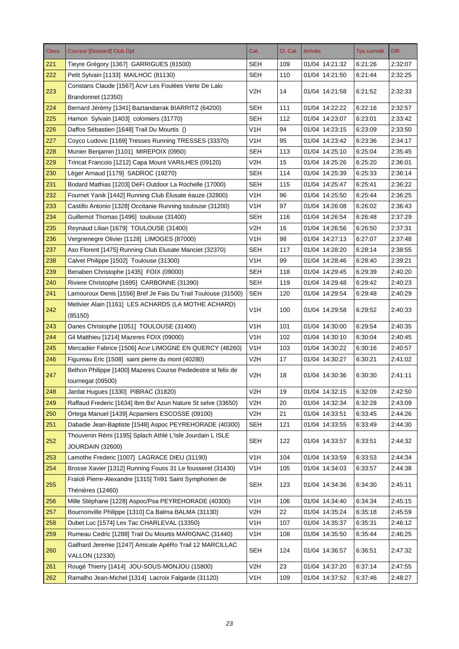| Class. | <b>Coureur [Dossard] Club Dpt</b>                                              | Cat.             | Cl. Cat. | Arrivée        | <b>Tps cumulé</b> | Diff.   |
|--------|--------------------------------------------------------------------------------|------------------|----------|----------------|-------------------|---------|
| 221    | Tieyre Grégory [1367] GARRIGUES (81500)                                        | SEH              | 109      | 01/04 14:21:32 | 6:21:26           | 2:32:07 |
| 222    | Petit Sylvain [1133] MAILHOC (81130)                                           | SEH              | 110      | 01/04 14:21:50 | 6:21:44           | 2:32:25 |
| 223    | Constans Claude [1567] Acvr Les Foulées Verte De Lalo<br>Brandonnet (12350)    | V2H              | 14       | 01/04 14:21:58 | 6:21:52           | 2:32:33 |
| 224    | Bernard Jérémy [1341] Baztandarrak BIARRITZ (64200)                            | <b>SEH</b>       | 111      | 01/04 14:22:22 | 6:22:16           | 2:32:57 |
| 225    | Hamon Sylvain [1403] colomiers (31770)                                         | <b>SEH</b>       | 112      | 01/04 14:23:07 | 6:23:01           | 2:33:42 |
| 226    | Daffos Sébastien [1648] Trail Du Mourtis ()                                    | V <sub>1</sub> H | 94       | 01/04 14:23:15 | 6:23:09           | 2:33:50 |
| 227    | Coyco Ludovic [1169] Tresses Running TRESSES (33370)                           | V1H              | 95       | 01/04 14:23:42 | 6:23:36           | 2:34:17 |
| 228    | Munier Benjamin [1101] MIREPOIX (0950)                                         | <b>SEH</b>       | 113      | 01/04 14:25:10 | 6:25:04           | 2:35:45 |
| 229    | Trincat Francois [1212] Capa Mount VARILHES (09120)                            | V2H              | 15       | 01/04 14:25:26 | 6:25:20           | 2:36:01 |
| 230    | Léger Arnaud [1179] SADROC (19270)                                             | <b>SEH</b>       | 114      | 01/04 14:25:39 | 6:25:33           | 2:36:14 |
| 231    | Bodard Mathias [1203] DéFi Outdoor La Rochelle (17000)                         | <b>SEH</b>       | 115      | 01/04 14:25:47 | 6:25:41           | 2:36:22 |
| 232    | Fournet Yanik [1442] Running Club Elusate éauze (32800)                        | V <sub>1</sub> H | 96       | 01/04 14:25:50 | 6:25:44           | 2:36:25 |
| 233    | Castillo Antonio [1328] Occitanie Running toulouse (31200)                     | V <sub>1</sub> H | 97       | 01/04 14:26:08 | 6:26:02           | 2:36:43 |
| 234    | Guillemot Thomas [1496] toulouse (31400)                                       | <b>SEH</b>       | 116      | 01/04 14:26:54 | 6:26:48           | 2:37:29 |
| 235    | Reynaud Lilian [1679] TOULOUSE (31400)                                         | V2H              | 16       | 01/04 14:26:56 | 6:26:50           | 2:37:31 |
| 236    | Vergnenegre Olivier [1128] LIMOGES (87000)                                     | V1H              | 98       | 01/04 14:27:13 | 6:27:07           | 2:37:48 |
| 237    | Aso Florent [1475] Running Club Elusate Manciet (32370)                        | <b>SEH</b>       | 117      | 01/04 14:28:20 | 6:28:14           | 2:38:55 |
| 238    | Calvet Philippe [1502] Toulouse (31300)                                        | V1H              | 99       | 01/04 14:28:46 | 6:28:40           | 2:39:21 |
| 239    | Benaben Christophe [1435] FOIX (09000)                                         | <b>SEH</b>       | 118      | 01/04 14:29:45 | 6:29:39           | 2:40:20 |
| 240    | Riviere Christophe [1695] CARBONNE (31390)                                     | <b>SEH</b>       | 119      | 01/04 14:29:48 | 6:29:42           | 2:40:23 |
| 241    | Lamouroux Denis [1556] Bref Je Fais Du Trail Toulouse (31500)                  | <b>SEH</b>       | 120      | 01/04 14:29:54 | 6:29:48           | 2:40:29 |
| 242    | Metivier Alain [1161] LES ACHARDS (LA MOTHE ACHARD)<br>(85150)                 | V <sub>1</sub> H | 100      | 01/04 14:29:58 | 6:29:52           | 2:40:33 |
| 243    | Danes Christophe [1051] TOULOUSE (31400)                                       | V <sub>1</sub> H | 101      | 01/04 14:30:00 | 6.29.54           | 2:40:35 |
| 244    | Gil Matthieu [1214] Mazeres FOIX (09000)                                       | V <sub>1</sub> H | 102      | 01/04 14:30:10 | 6:30:04           | 2:40:45 |
| 245    | Mercadier Fabrice [1506] Acvr LIMOGNE EN QUERCY (46260)                        | V1H              | 103      | 01/04 14:30:22 | 6:30:16           | 2:40:57 |
| 246    | Figureau Eric [1508] saint pierre du mont (40280)                              | V2H              | 17       | 01/04 14:30:27 | 6:30:21           | 2:41:02 |
|        | Belhon Philippe [1400] Mazeres Course Pededestre st felix de                   |                  |          |                |                   |         |
| 247    | tournegat (09500)                                                              | V2H              | 18       | 01/04 14:30:36 | 6:30:30           | 2:41:11 |
| 248    | Jardat Hugues [1330] PIBRAC (31820)                                            | V <sub>2</sub> H | 19       | 01/04 14:32:15 | 6:32:09           | 2:42:50 |
| 249    | Raffaud Frederic [1634] Ibm Bx/ Azun Nature St selve (33650)                   | V <sub>2</sub> H | 20       | 01/04 14:32:34 | 6:32:28           | 2:43:09 |
| 250    | Ortega Manuel [1439] Acpamiers ESCOSSE (09100)                                 | V <sub>2</sub> H | 21       | 01/04 14:33:51 | 6:33:45           | 2:44:26 |
| 251    | Dabadie Jean-Baptiste [1548] Aspoc PEYREHORADE (40300)                         | <b>SEH</b>       | 121      | 01/04 14:33:55 | 6:33:49           | 2:44:30 |
| 252    | Thouvenin Rémi [1195] Splach Athlé L'Isle Jourdain L ISLE<br>JOURDAIN (32600)  | <b>SEH</b>       | 122      | 01/04 14:33:57 | 6:33:51           | 2:44:32 |
| 253    | Lamothe Frederic [1007] LAGRACE DIEU (31190)                                   | V <sub>1</sub> H | 104      | 01/04 14:33:59 | 6:33:53           | 2:44:34 |
| 254    | Brosse Xavier [1312] Running Fouss 31 Le fousseret (31430)                     | V <sub>1</sub> H | 105      | 01/04 14:34:03 | 6:33:57           | 2:44:38 |
| 255    | Fraïoli Pierre-Alexandre [1315] Tri91 Saint Symphorien de<br>Thénières (12460) | <b>SEH</b>       | 123      | 01/04 14:34:36 | 6:34:30           | 2:45:11 |
| 256    | Mille Stéphane [1228] Aspoc/Psa PEYREHORADE (40300)                            | V <sub>1</sub> H | 106      | 01/04 14:34:40 | 6:34:34           | 2:45:15 |
| 257    | Bournonville Philippe [1310] Ca Balma BALMA (31130)                            | V <sub>2</sub> H | 22       | 01/04 14:35:24 | 6:35:18           | 2:45:59 |
| 258    | Dubet Luc [1574] Les Tac CHARLEVAL (13350)                                     | V1H              | 107      | 01/04 14:35:37 | 6:35:31           | 2:46:12 |
| 259    | Rumeau Cedric [1288] Trail Du Mourtis MARIGNAC (31440)                         | V <sub>1</sub> H | 108      | 01/04 14:35:50 | 6:35:44           | 2:46:25 |
|        | Gailhard Jeremie [1247] Amicale ApéRo Trail 12 MARCILLAC                       |                  |          |                |                   |         |
| 260    | <b>VALLON (12330)</b>                                                          | <b>SEH</b>       | 124      | 01/04 14:36:57 | 6:36:51           | 2:47:32 |
| 261    | Rougé Thierry [1414] JOU-SOUS-MONJOU (15800)                                   | V <sub>2</sub> H | 23       | 01/04 14:37:20 | 6:37:14           | 2:47:55 |
| 262    | Ramalho Jean-Michel [1314] Lacroix Falgarde (31120)                            | V1H              | 109      | 01/04 14:37:52 | 6.37.46           | 2:48:27 |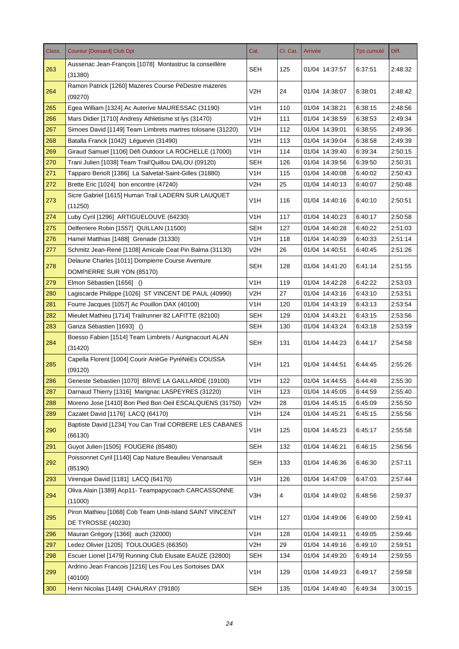| Class. | <b>Coureur [Dossard] Club Dpt</b>                                              | Cat.             | Cl. Cat. | Arrivée        | <b>Tps cumulé</b> | Diff.   |
|--------|--------------------------------------------------------------------------------|------------------|----------|----------------|-------------------|---------|
| 263    | Aussenac Jean-François [1078] Montastruc la conseillère<br>(31380)             | <b>SEH</b>       | 125      | 01/04 14:37:57 | 6:37:51           | 2:48:32 |
| 264    | Ramon Patrick [1260] Mazeres Course PéDestre mazeres<br>(09270)                | V2H              | 24       | 01/04 14:38:07 | 6:38:01           | 2:48:42 |
| 265    | Egea William [1324] Ac Auterive MAURESSAC (31190)                              | V <sub>1</sub> H | 110      | 01/04 14:38:21 | 6:38:15           | 2:48:56 |
| 266    | Mars Didier [1710] Andresy Athletisme st lys (31470)                           | V1H              | 111      | 01/04 14:38:59 | 6:38:53           | 2:49:34 |
| 267    | Simoes David [1149] Team Limbrets martres tolosane (31220)                     | V <sub>1</sub> H | 112      | 01/04 14:39:01 | 6:38:55           | 2:49:36 |
| 268    | Batalla Franck [1042] Léguevin (31490)                                         | V1H              | 113      | 01/04 14:39:04 | 6:38:58           | 2:49:39 |
| 269    | Giraud Samuel [1106] Défi Outdoor LA ROCHELLE (17000)                          | V <sub>1</sub> H | 114      | 01/04 14:39:40 | 6:39:34           | 2:50:15 |
| 270    | Trani Julien [1038] Team Trail'Quillou DALOU (09120)                           | SEH              | 126      | 01/04 14:39:56 | 6:39:50           | 2:50:31 |
| 271    | Tapparo Benoît [1386] La Salvetat-Saint-Gilles (31880)                         | V <sub>1</sub> H | 115      | 01/04 14:40:08 | 6:40:02           | 2:50:43 |
| 272    | Brette Eric [1024] bon encontre (47240)                                        | V2H              | 25       | 01/04 14:40:13 | 6:40:07           | 2:50:48 |
| 273    | Sicre Gabriel [1615] Human Trail LADERN SUR LAUQUET<br>(11250)                 | V1H              | 116      | 01/04 14:40:16 | 6:40:10           | 2:50:51 |
| 274    | Luby Cyril [1296] ARTIGUELOUVE (64230)                                         | V <sub>1</sub> H | 117      | 01/04 14:40:23 | 6:40:17           | 2:50:58 |
| 275    | Delferriere Robin [1557] QUILLAN (11500)                                       | <b>SEH</b>       | 127      | 01/04 14:40:28 | 6:40:22           | 2:51:03 |
| 276    | Hamel Matthias [1488] Grenade (31330)                                          | V1H              | 118      | 01/04 14:40:39 | 6:40:33           | 2:51:14 |
| 277    | Schmitz Jean-René [1108] Amicale Ceat Pin Balma (31130)                        | V2H              | 26       | 01/04 14:40:51 | 6:40:45           | 2:51:26 |
| 278    | Delaune Charles [1011] Dompierre Course Aventure<br>DOMPIERRE SUR YON (85170)  | SEH              | 128      | 01/04 14:41:20 | 6:41:14           | 2:51:55 |
| 279    | Elmon Sébastien [1656] ()                                                      | V1H              | 119      | 01/04 14:42:28 | 6:42:22           | 2:53:03 |
| 280    | Lagiscarde Philippe [1026] ST VINCENT DE PAUL (40990)                          | V <sub>2</sub> H | 27       | 01/04 14:43:16 | 6:43:10           | 2:53:51 |
| 281    | Fourre Jacques [1057] Ac Pouillon DAX (40100)                                  | V1H              | 120      | 01/04 14:43:19 | 6:43:13           | 2:53:54 |
| 282    | Mieulet Mathieu [1714] Trailrunner 82 LAFITTE (82100)                          | <b>SEH</b>       | 129      | 01/04 14:43:21 | 6:43:15           | 2:53:56 |
| 283    | Ganza Sébastien [1693] ()                                                      | <b>SEH</b>       | 130      | 01/04 14:43:24 | 6:43:18           | 2:53:59 |
| 284    | Boesso Fabien [1514] Team Limbrets / Aurignacourt ALAN<br>(31420)              | SEH              | 131      | 01/04 14:44:23 | 6:44:17           | 2:54:58 |
| 285    | Capella Florent [1004] Courir ArièGe PyréNéEs COUSSA<br>(09120)                | V1H              | 121      | 01/04 14:44:51 | 6:44:45           | 2:55:26 |
| 286    | Geneste Sebastien [1070] BRIVE LA GAILLARDE (19100)                            | V <sub>1</sub> H | 122      | 01/04 14:44:55 | 6:44:49           | 2:55:30 |
| 287    | Darnaud Thierry [1316] Marignac LASPEYRES (31220)                              | V <sub>1</sub> H | 123      | 01/04 14:45:05 | 6:44:59           | 2:55:40 |
| 288    | Moreno Jose [1410] Bon Pied Bon Oeil ESCALQUENS (31750)                        | V2H              | 28       | 01/04 14:45:15 | 6:45:09           | 2:55:50 |
| 289    | Cazalet David [1176] LACQ (64170)                                              | V1H              | 124      | 01/04 14:45:21 | 6:45:15           | 2:55:56 |
| 290    | Baptiste David [1234] You Can Trail CORBERE LES CABANES<br>(66130)             | V <sub>1</sub> H | 125      | 01/04 14:45:23 | 6:45:17           | 2:55:58 |
| 291    | Guyot Julien [1505] FOUGERé (85480)                                            | <b>SEH</b>       | 132      | 01/04 14:46:21 | 6:46:15           | 2:56:56 |
| 292    | Poissonnet Cyril [1140] Cap Nature Beaulieu Venansault<br>(85190)              | <b>SEH</b>       | 133      | 01/04 14:46:36 | 6:46:30           | 2:57:11 |
| 293    | Virenque David [1181] LACQ (64170)                                             | V <sub>1</sub> H | 126      | 01/04 14:47:09 | 6:47:03           | 2:57:44 |
| 294    | Oliva Alain [1389] Acp11- Teampapycoach CARCASSONNE<br>(11000)                 | V3H              | 4        | 01/04 14:49:02 | 6:48:56           | 2:59:37 |
| 295    | Piron Mathieu [1068] Cob Team Uniti-Island SAINT VINCENT<br>DE TYROSSE (40230) | V <sub>1</sub> H | 127      | 01/04 14:49:06 | 6.49.00           | 2:59:41 |
| 296    | Mauran Grégory [1366] auch (32000)                                             | V <sub>1</sub> H | 128      | 01/04 14:49:11 | 6:49:05           | 2:59:46 |
| 297    | Ledez Olivier [1205] TOULOUGES (66350)                                         | V <sub>2</sub> H | 29       | 01/04 14:49:16 | 6:49:10           | 2:59:51 |
| 298    | Escuer Lionel [1479] Running Club Elusate EAUZE (32800)                        | <b>SEH</b>       | 134      | 01/04 14:49:20 | 6:49:14           | 2:59:55 |
| 299    | Ardrino Jean Francois [1216] Les Fou Les Sortoises DAX<br>(40100)              | V <sub>1</sub> H | 129      | 01/04 14:49:23 | 6:49:17           | 2:59:58 |
| 300    | Henri Nicolas [1449] CHAURAY (79180)                                           | <b>SEH</b>       | 135      | 01/04 14:49:40 | 6:49:34           | 3:00:15 |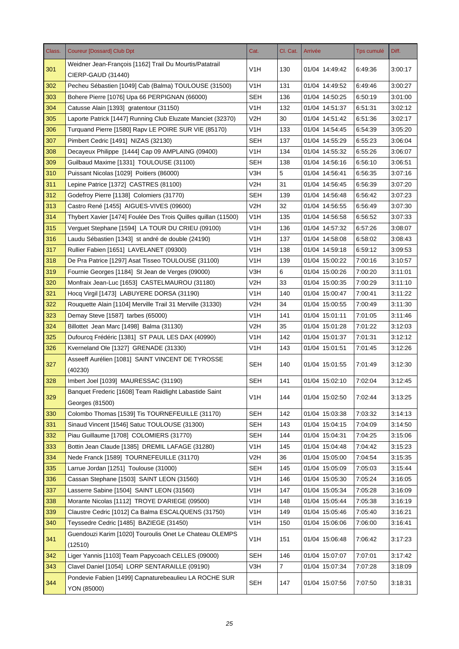| Class. | <b>Coureur [Dossard] Club Dpt</b>                              | Cat.             | Cl. Cat.       | Arrivée        | <b>Tps cumulé</b> | Diff.   |
|--------|----------------------------------------------------------------|------------------|----------------|----------------|-------------------|---------|
| 301    | Weidner Jean-François [1162] Trail Du Mourtis/Patatrail        | V1H              | 130            | 01/04 14:49:42 | 6:49:36           | 3:00:17 |
|        | CIERP-GAUD (31440)                                             |                  |                |                |                   |         |
| 302    | Pecheu Sébastien [1049] Cab (Balma) TOULOUSE (31500)           | V1H              | 131            | 01/04 14:49:52 | 6:49:46           | 3:00:27 |
| 303    | Bohere Pierre [1076] Upa 66 PERPIGNAN (66000)                  | <b>SEH</b>       | 136            | 01/04 14:50:25 | 6:50:19           | 3:01:00 |
| 304    | Catusse Alain [1393] gratentour (31150)                        | V1H              | 132            | 01/04 14:51:37 | 6:51:31           | 3:02:12 |
| 305    | Laporte Patrick [1447] Running Club Eluzate Manciet (32370)    | V2H              | 30             | 01/04 14:51:42 | 6:51:36           | 3:02:17 |
| 306    | Turquand Pierre [1580] Rapv LE POIRE SUR VIE (85170)           | V1H              | 133            | 01/04 14:54:45 | 6:54:39           | 3:05:20 |
| 307    | Pimbert Cedric [1491] NIZAS (32130)                            | SEH              | 137            | 01/04 14:55:29 | 6:55:23           | 3:06:04 |
| 308    | Decayeux Philippe [1444] Cap 09 AMPLAING (09400)               | V1H              | 134            | 01/04 14:55:32 | 6:55:26           | 3:06:07 |
| 309    | Guilbaud Maxime [1331] TOULOUSE (31100)                        | <b>SEH</b>       | 138            | 01/04 14:56:16 | 6:56:10           | 3:06:51 |
| 310    | Puissant Nicolas [1029] Poitiers (86000)                       | V3H              | 5              | 01/04 14:56:41 | 6:56:35           | 3:07:16 |
| 311    | Lepine Patrice [1372] CASTRES (81100)                          | V2H              | 31             | 01/04 14:56:45 | 6:56:39           | 3:07:20 |
| 312    | Godefroy Pierre [1138] Colomiers (31770)                       | <b>SEH</b>       | 139            | 01/04 14:56:48 | 6:56:42           | 3:07:23 |
| 313    | Castro René [1455] AIGUES-VIVES (09600)                        | V2H              | 32             | 01/04 14:56:55 | 6:56:49           | 3:07:30 |
| 314    | Thybert Xavier [1474] Foulée Des Trois Quilles quillan (11500) | V <sub>1</sub> H | 135            | 01/04 14:56:58 | 6:56:52           | 3:07:33 |
| 315    | Verguet Stephane [1594] LA TOUR DU CRIEU (09100)               | V1H              | 136            | 01/04 14:57:32 | 6:57:26           | 3:08:07 |
| 316    | Laudu Sébastien [1343] st andré de double (24190)              | V1H              | 137            | 01/04 14:58:08 | 6:58:02           | 3:08:43 |
| 317    | Rullier Fabien [1651] LAVELANET (09300)                        | V1H              | 138            | 01/04 14:59:18 | 6:59:12           | 3:09:53 |
| 318    | De Pra Patrice [1297] Asat Tisseo TOULOUSE (31100)             | V1H              | 139            | 01/04 15:00:22 | 7:00:16           | 3:10:57 |
| 319    | Fournie Georges [1184] St Jean de Verges (09000)               | V3H              | 6              | 01/04 15:00:26 | 7:00:20           | 3:11:01 |
| 320    | Monfraix Jean-Luc [1653] CASTELMAUROU (31180)                  | V2H              | 33             | 01/04 15:00:35 | 7:00:29           | 3:11:10 |
| 321    | Hocq Virgil [1473] LABUYERE DORSA (31190)                      | V1H              | 140            | 01/04 15:00:47 | 7:00:41           | 3:11:22 |
| 322    | Rouquette Alain [1104] Merville Trail 31 Merville (31330)      | V2H              | 34             | 01/04 15:00:55 | 7:00:49           | 3:11:30 |
| 323    | Demay Steve [1587] tarbes (65000)                              | V1H              | 141            | 01/04 15:01:11 | 7:01:05           | 3:11:46 |
| 324    | Billottet Jean Marc [1498] Balma (31130)                       | V2H              | 35             | 01/04 15:01:28 | 7:01:22           | 3:12:03 |
| 325    | Dufourcq Frédéric [1381] ST PAUL LES DAX (40990)               | V <sub>1</sub> H | 142            | 01/04 15:01:37 | 7:01:31           | 3:12:12 |
| 326    | Kverneland Ole [1327] GRENADE (31330)                          | V1H              | 143            | 01/04 15:01:51 | 7:01:45           | 3:12:26 |
|        | Asseeff Aurélien [1081] SAINT VINCENT DE TYROSSE               |                  |                |                |                   |         |
| 327    | (40230)                                                        | <b>SEH</b>       | 140            | 01/04 15:01:55 | 7:01:49           | 3:12:30 |
| 328    | Imbert Joel [1039] MAURESSAC (31190)                           | <b>SEH</b>       | 141            | 01/04 15:02:10 | 7:02:04           | 3:12:45 |
|        | Banquet Frederic [1608] Team Raidlight Labastide Saint         |                  |                |                |                   |         |
| 329    | Georges (81500)                                                | V <sub>1</sub> H | 144            | 01/04 15:02:50 | 7:02:44           | 3:13:25 |
| 330    | Colombo Thomas [1539] Tis TOURNEFEUILLE (31170)                | <b>SEH</b>       | 142            | 01/04 15:03:38 | 7:03:32           | 3:14:13 |
| 331    | Sinaud Vincent [1546] Satuc TOULOUSE (31300)                   | <b>SEH</b>       | 143            | 01/04 15:04:15 | 7:04:09           | 3:14:50 |
| 332    | Piau Guillaume [1708] COLOMIERS (31770)                        | <b>SEH</b>       | 144            | 01/04 15:04:31 | 7:04:25           | 3:15:06 |
| 333    | Bottin Jean Claude [1385] DREMIL LAFAGE (31280)                | V <sub>1</sub> H | 145            | 01/04 15:04:48 | 7:04:42           | 3:15:23 |
| 334    | Nede Franck [1589] TOURNEFEUILLE (31170)                       | V <sub>2</sub> H | 36             | 01/04 15:05:00 | 7:04:54           | 3:15:35 |
| 335    | Larrue Jordan [1251] Toulouse (31000)                          | <b>SEH</b>       | 145            | 01/04 15:05:09 | 7:05:03           | 3:15:44 |
| 336    | Cassan Stephane [1503] SAINT LEON (31560)                      | V <sub>1</sub> H | 146            | 01/04 15:05:30 | 7:05:24           | 3:16:05 |
| 337    | Lasserre Sabine [1504] SAINT LEON (31560)                      | V <sub>1</sub> H | 147            | 01/04 15:05:34 | 7:05:28           | 3:16:09 |
| 338    | Morante Nicolas [1112] TROYE D'ARIEGE (09500)                  | V <sub>1</sub> H | 148            | 01/04 15:05:44 | 7:05:38           | 3:16:19 |
| 339    | Claustre Cedric [1012] Ca Balma ESCALQUENS (31750)             | V <sub>1</sub> H | 149            | 01/04 15:05:46 | 7:05:40           | 3:16:21 |
| 340    | Teyssedre Cedric [1485] BAZIEGE (31450)                        | V1H              | 150            | 01/04 15:06:06 | 7:06:00           | 3:16:41 |
|        | Guendouzi Karim [1020] Touroulis Onet Le Chateau OLEMPS        |                  |                |                |                   |         |
| 341    | (12510)                                                        | V <sub>1</sub> H | 151            | 01/04 15:06:48 | 7:06:42           | 3:17:23 |
| 342    | Liger Yannis [1103] Team Papycoach CELLES (09000)              | <b>SEH</b>       | 146            | 01/04 15:07:07 | 7:07:01           | 3:17:42 |
| 343    | Clavel Daniel [1054] LORP SENTARAILLE (09190)                  | V3H              | $\overline{7}$ | 01/04 15:07:34 | 7:07:28           | 3:18:09 |
|        | Pondevie Fabien [1499] Capnaturebeaulieu LA ROCHE SUR          |                  |                |                |                   |         |
| 344    | YON (85000)                                                    | <b>SEH</b>       | 147            | 01/04 15:07:56 | 7:07:50           | 3:18:31 |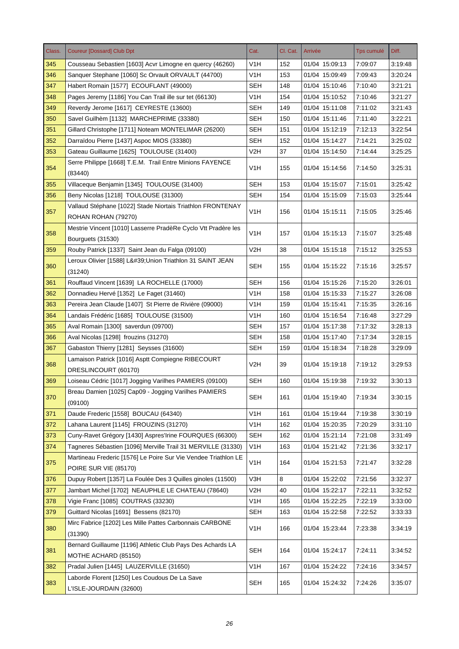| Class. | <b>Coureur [Dossard] Club Dpt</b>                                                              | Cat.             | Cl. Cat. | Arrivée        | <b>Tps cumulé</b> | Diff.   |
|--------|------------------------------------------------------------------------------------------------|------------------|----------|----------------|-------------------|---------|
| 345    | Cousseau Sebastien [1603] Acvr Limogne en quercy (46260)                                       | V1H              | 152      | 01/04 15:09:13 | 7:09:07           | 3:19:48 |
| 346    | Sanquer Stephane [1060] Sc Orvault ORVAULT (44700)                                             | V1H              | 153      | 01/04 15:09:49 | 7:09:43           | 3:20:24 |
| 347    | Habert Romain [1577] ECOUFLANT (49000)                                                         | <b>SEH</b>       | 148      | 01/04 15:10:46 | 7:10:40           | 3:21:21 |
| 348    | Pages Jeremy [1186] You Can Trail ille sur tet (66130)                                         | V <sub>1</sub> H | 154      | 01/04 15:10:52 | 7:10:46           | 3:21:27 |
| 349    | Reverdy Jerome [1617] CEYRESTE (13600)                                                         | <b>SEH</b>       | 149      | 01/04 15:11:08 | 7:11:02           | 3:21:43 |
| 350    | Savel Guilhèm [1132] MARCHEPRIME (33380)                                                       | <b>SEH</b>       | 150      | 01/04 15:11:46 | 7:11:40           | 3:22:21 |
| 351    | Gillard Christophe [1711] Noteam MONTELIMAR (26200)                                            | <b>SEH</b>       | 151      | 01/04 15:12:19 | 7:12:13           | 3:22:54 |
| 352    | Darraïdou Pierre [1437] Aspoc MIOS (33380)                                                     | SEH              | 152      | 01/04 15:14:27 | 7:14:21           | 3:25:02 |
| 353    | Gateau Guillaume [1625] TOULOUSE (31400)                                                       | V <sub>2</sub> H | 37       | 01/04 15:14:50 | 7:14:44           | 3:25:25 |
| 354    | Serre Philippe [1668] T.E.M. Trail Entre Minions FAYENCE<br>(83440)                            | V1H              | 155      | 01/04 15:14:56 | 7:14:50           | 3:25:31 |
| 355    | Villaceque Benjamin [1345] TOULOUSE (31400)                                                    | <b>SEH</b>       | 153      | 01/04 15:15:07 | 7:15:01           | 3:25:42 |
| 356    | Beny Nicolas [1218] TOULOUSE (31300)                                                           | <b>SEH</b>       | 154      | 01/04 15:15:09 | 7:15:03           | 3:25:44 |
| 357    | Vallaud Stéphane [1022] Stade Niortais Triathlon FRONTENAY<br>ROHAN ROHAN (79270)              | V1H              | 156      | 01/04 15:15:11 | 7:15:05           | 3:25:46 |
| 358    | Mestrie Vincent [1010] Lasserre PradèRe Cyclo Vtt Pradère les<br>Bourguets (31530)             | V <sub>1</sub> H | 157      | 01/04 15:15:13 | 7:15:07           | 3:25:48 |
| 359    | Rouby Patrick [1337] Saint Jean du Falga (09100)                                               | V2H              | 38       | 01/04 15:15:18 | 7:15:12           | 3:25:53 |
| 360    | Leroux Olivier [1588] L' Union Triathlon 31 SAINT JEAN<br>(31240)                              | SEH              | 155      | 01/04 15:15:22 | 7:15:16           | 3:25:57 |
| 361    | Rouffaud Vincent [1639] LA ROCHELLE (17000)                                                    | <b>SEH</b>       | 156      | 01/04 15:15:26 | 7:15:20           | 3:26:01 |
| 362    | Donnadieu Hervé [1352] Le Faget (31460)                                                        | V1H              | 158      | 01/04 15:15:33 | 7:15:27           | 3:26:08 |
| 363    | Pereira Jean Claude [1407] St Pierre de Rivière (09000)                                        | V1H              | 159      | 01/04 15:15:41 | 7:15:35           | 3:26:16 |
| 364    | Landais Frédéric [1685] TOULOUSE (31500)                                                       | V1H              | 160      | 01/04 15:16:54 | 7:16:48           | 3:27:29 |
| 365    | Aval Romain [1300] saverdun (09700)                                                            | <b>SEH</b>       | 157      | 01/04 15:17:38 | 7:17:32           | 3:28:13 |
| 366    | Aval Nicolas [1298] frouzins (31270)                                                           | <b>SEH</b>       | 158      | 01/04 15:17:40 | 7:17:34           | 3:28:15 |
| 367    | Gabaston Thierry [1281] Seysses (31600)                                                        | SEH              | 159      | 01/04 15:18:34 | 7:18:28           | 3:29:09 |
|        | Lamaison Patrick [1016] Asptt Compiegne RIBECOURT                                              |                  |          |                |                   |         |
| 368    | DRESLINCOURT (60170)                                                                           | V2H              | 39       | 01/04 15:19:18 | 7:19:12           | 3:29:53 |
| 369    | Loiseau Cédric [1017] Jogging Varilhes PAMIERS (09100)                                         | <b>SEH</b>       | 160      | 01/04 15:19:38 | 7:19:32           | 3:30:13 |
| 370    | Breau Damien [1025] Cap09 - Jogging Varilhes PAMIERS<br>(09100)                                | <b>SEH</b>       | 161      | 01/04 15:19:40 | 7:19:34           | 3:30:15 |
| 371    | Daude Frederic [1558] BOUCAU (64340)                                                           | V <sub>1</sub> H | 161      | 01/04 15:19:44 | 7:19:38           | 3:30:19 |
| 372    | Lahana Laurent [1145] FROUZINS (31270)                                                         | V <sub>1</sub> H | 162      | 01/04 15:20:35 | 7:20:29           | 3:31:10 |
| 373    | Cuny-Ravet Grégory [1430] Aspres'Irine FOURQUES (66300)                                        | <b>SEH</b>       | 162      | 01/04 15:21:14 | 7:21:08           | 3:31:49 |
| 374    | Tagneres Sébastien [1096] Merville Trail 31 MERVILLE (31330)                                   | V <sub>1</sub> H | 163      | 01/04 15:21:42 | 7:21:36           | 3:32:17 |
| 375    | Martineau Frederic [1576] Le Poire Sur Vie Vendee Triathlon LE<br><b>POIRE SUR VIE (85170)</b> | V <sub>1</sub> H | 164      | 01/04 15:21:53 | 7:21:47           | 3:32:28 |
| 376    | Dupuy Robert [1357] La Foulée Des 3 Quilles ginoles (11500)                                    | V3H              | 8        | 01/04 15:22:02 | 7:21:56           | 3:32:37 |
| 377    | Jambart Michel [1702] NEAUPHLE LE CHATEAU (78640)                                              | V <sub>2</sub> H | 40       | 01/04 15:22:17 | 7:22:11           | 3:32:52 |
| 378    | Vigie Franc [1085] COUTRAS (33230)                                                             | V <sub>1</sub> H | 165      | 01/04 15:22:25 | 7:22:19           | 3:33:00 |
| 379    | Guittard Nicolas [1691] Bessens (82170)                                                        | <b>SEH</b>       | 163      | 01/04 15:22:58 | 7:22:52           | 3:33:33 |
|        | Mirc Fabrice [1202] Les Mille Pattes Carbonnais CARBONE                                        |                  |          |                |                   |         |
| 380    | (31390)                                                                                        | V <sub>1</sub> H | 166      | 01/04 15:23:44 | 7:23:38           | 3:34:19 |
|        | Bernard Guillaume [1196] Athletic Club Pays Des Achards LA                                     |                  |          |                |                   |         |
| 381    | MOTHE ACHARD (85150)                                                                           | <b>SEH</b>       | 164      | 01/04 15:24:17 | 7:24:11           | 3:34:52 |
| 382    | Pradal Julien [1445] LAUZERVILLE (31650)                                                       | V <sub>1</sub> H | 167      | 01/04 15:24:22 | 7:24:16           | 3:34:57 |
| 383    | Laborde Florent [1250] Les Coudous De La Save<br>L'ISLE-JOURDAIN (32600)                       | <b>SEH</b>       | 165      | 01/04 15:24:32 | 7:24:26           | 3:35:07 |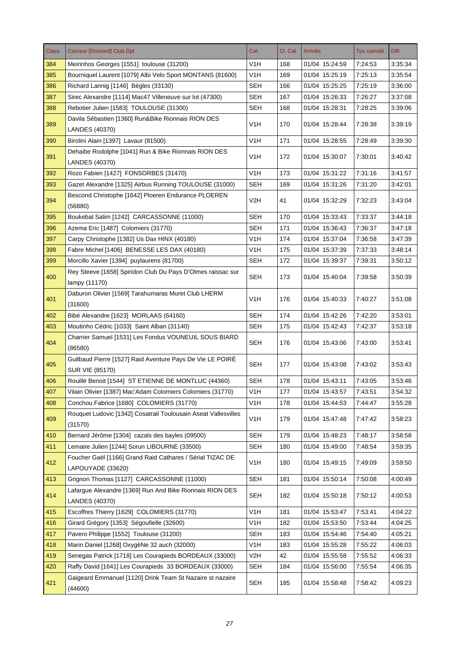| Class. | <b>Coureur [Dossard] Club Dpt</b>                                            | Cat.             | Cl. Cat. | Arrivée        | <b>Tps cumulé</b> | Diff.   |
|--------|------------------------------------------------------------------------------|------------------|----------|----------------|-------------------|---------|
| 384    | Meirinhos Georges [1551] toulouse (31200)                                    | V1H              | 168      | 01/04 15:24:59 | 7:24:53           | 3:35:34 |
| 385    | Bourniquel Laurent [1079] Albi Velo Sport MONTANS (81600)                    | V1H              | 169      | 01/04 15:25:19 | 7:25:13           | 3:35:54 |
| 386    | Richard Lannig [1146] Bègles (33130)                                         | <b>SEH</b>       | 166      | 01/04 15:25:25 | 7:25:19           | 3:36:00 |
| 387    | Sirec Alexandre [1114] Mac47 Villeneuve sur lot (47300)                      | <b>SEH</b>       | 167      | 01/04 15:26:33 | 7:26:27           | 3:37:08 |
| 388    | Rebotier Julien [1583] TOULOUSE (31300)                                      | <b>SEH</b>       | 168      | 01/04 15:28:31 | 7:28:25           | 3:39:06 |
| 389    | Davila Sébastien [1360] Run&Bike Rionnais RION DES<br><b>LANDES (40370)</b>  | V1H              | 170      | 01/04 15:28:44 | 7:28:38           | 3:39:19 |
| 390    | Birolini Alain [1397] Lavaur (81500)                                         | V1H              | 171      | 01/04 15:28:55 | 7:28:49           | 3:39:30 |
| 391    | Dehaibe Rodolphe [1041] Run & Bike Rionnais RION DES                         | V1H              | 172      | 01/04 15:30:07 | 7:30:01           | 3.40.42 |
|        | LANDES (40370)                                                               |                  |          |                |                   |         |
| 392    | Rozo Fabien [1427] FONSORBES (31470)                                         | V1H              | 173      | 01/04 15:31:22 | 7:31:16           | 3:41:57 |
| 393    | Gazet Alexandre [1325] Airbus Running TOULOUSE (31000)                       | SEH              | 169      | 01/04 15:31:26 | 7:31:20           | 3:42:01 |
| 394    | Bescond Christophe [1642] Ploeren Endurance PLOEREN<br>(56880)               | V2H              | 41       | 01/04 15:32:29 | 7:32:23           | 3:43:04 |
| 395    | Boukebal Salim [1242] CARCASSONNE (11000)                                    | <b>SEH</b>       | 170      | 01/04 15:33:43 | 7:33:37           | 3:44:18 |
| 396    | Azema Eric [1487] Colomiers (31770)                                          | SEH              | 171      | 01/04 15:36:43 | 7:36:37           | 3:47:18 |
| 397    | Carpy Christophe [1382] Us Dax HINX (40180)                                  | V1H              | 174      | 01/04 15:37:04 | 7:36:58           | 3:47:39 |
| 398    | Fabre Michel [1406] BENESSE LES DAX (40180)                                  | V1H              | 175      | 01/04 15:37:39 | 7:37:33           | 3:48:14 |
| 399    | Morcillo Xavier [1394] puylaurens (81700)                                    | SEH              | 172      | 01/04 15:39:37 | 7:39:31           | 3:50:12 |
| 400    | Rey Steeve [1658] Spiridon Club Du Pays D'Olmes raissac sur<br>lampy (11170) | <b>SEH</b>       | 173      | 01/04 15:40:04 | 7:39:58           | 3:50:39 |
| 401    | Daburon Olivier [1569] Tarahumaras Muret Club LHERM<br>(31600)               | V1H              | 176      | 01/04 15:40:33 | 7:40:27           | 3:51:08 |
| 402    | Bibé Alexandre [1623] MORLAAS (64160)                                        | <b>SEH</b>       | 174      | 01/04 15:42:26 | 7:42:20           | 3:53:01 |
| 403    | Moutinho Cédric [1033] Saint Alban (31140)                                   | <b>SEH</b>       | 175      | 01/04 15:42:43 | 7:42:37           | 3:53:18 |
| 404    | Charrier Samuel [1531] Les Fondus VOUNEUIL SOUS BIARD<br>(86580)             | <b>SEH</b>       | 176      | 01/04 15:43:06 | 7:43:00           | 3:53:41 |
|        | Guilbaud Pierre [1527] Raid Aventure Pays De Vie LE POIRE                    |                  |          |                |                   |         |
| 405    | <b>SUR VIE (85170)</b>                                                       | <b>SEH</b>       | 177      | 01/04 15:43:08 | 7:43:02           | 3:53:43 |
| 406    | Rouillé Benoit [1544] ST ETIENNE DE MONTLUC (44360)                          | <b>SEH</b>       | 178      | 01/04 15:43:11 | 7:43:05           | 3:53:46 |
| 407    | Vilain Olivier [1387] Mac'Adam Colomiers Colomiers (31770)                   | V <sub>1</sub> H | 177      | 01/04 15:43:57 | 7:43:51           | 3:54:32 |
| 408    | Conchou Fabrice [1680] COLOMIERS (31770)                                     | V1H              | 178      | 01/04 15:44:53 | 7:44:47           | 3:55:28 |
| 409    | Rouquet Ludovic [1342] Cosatrail Toulousain Aseat Vallesvilles<br>(31570)    | V <sub>1</sub> H | 179      | 01/04 15:47:48 | 7:47:42           | 3:58:23 |
| 410    | Bernard Jérôme [1304] cazals des bayles (09500)                              | <b>SEH</b>       | 179      | 01/04 15:48:23 | 7:48:17           | 3:58:58 |
| 411    | Lemaire Julien [1244] Sorun LIBOURNE (33500)                                 | <b>SEH</b>       | 180      | 01/04 15:49:00 | 7:48:54           | 3:59:35 |
| 412    | Foucher Gaël [1166] Grand Raid Cathares / Sérial TIZAC DE                    | V <sub>1</sub> H | 180      | 01/04 15:49:15 | 7:49:09           | 3:59:50 |
|        | LAPOUYADE (33620)                                                            |                  |          |                |                   |         |
| 413    | Grignon Thomas [1127] CARCASSONNE (11000)                                    | <b>SEH</b>       | 181      | 01/04 15:50:14 | 7:50:08           | 4:00:49 |
| 414    | Lafargue Alexandre [1369] Run And Bike Rionnais RION DES<br>LANDES (40370)   | <b>SEH</b>       | 182      | 01/04 15:50:18 | 7:50:12           | 4:00:53 |
| 415    | Escoffres Thierry [1629] COLOMIERS (31770)                                   | V1H              | 181      | 01/04 15:53:47 | 7:53:41           | 4:04:22 |
| 416    | Girard Grégory [1353] Ségoufielle (32600)                                    | V1H              | 182      | 01/04 15:53:50 | 7:53:44           | 4:04:25 |
| 417    | Pavero Philippe [1552] Toulouse (31200)                                      | <b>SEH</b>       | 183      | 01/04 15:54:46 | 7:54:40           | 4:05:21 |
| 418    | Marin Daniel [1268] OxygèNe 32 auch (32000)                                  | V <sub>1</sub> H | 183      | 01/04 15:55:28 | 7:55:22           | 4:06:03 |
| 419    | Senegas Patrick [1718] Les Courapieds BORDEAUX (33000)                       | V2H              | 42       | 01/04 15:55:58 | 7:55:52           | 4:06:33 |
| 420    | Raffy David [1641] Les Courapieds 33 BORDEAUX (33000)                        | <b>SEH</b>       | 184      | 01/04 15:56:00 | 7:55:54           | 4:06:35 |
| 421    | Gaigeard Emmanuel [1120] Drink Team St Nazaire st nazaire<br>(44600)         | <b>SEH</b>       | 185      | 01/04 15:58:48 | 7:58:42           | 4:09:23 |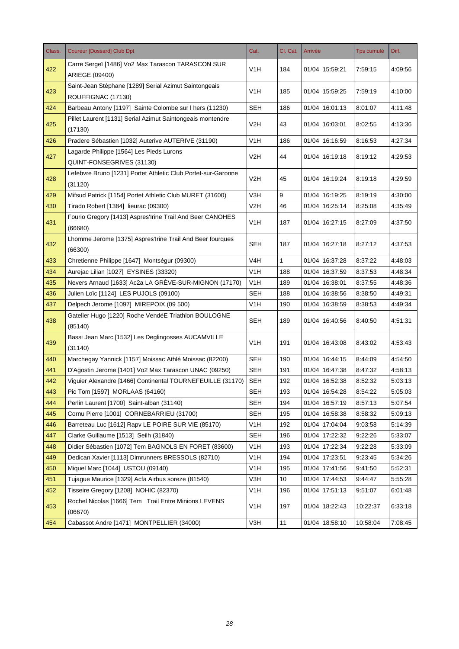| Class. | <b>Coureur [Dossard] Club Dpt</b>                                           | Cat.             | Cl. Cat.     | Arrivée        | <b>Tps cumulé</b> | Diff.   |
|--------|-----------------------------------------------------------------------------|------------------|--------------|----------------|-------------------|---------|
| 422    | Carre Sergeï [1486] Vo2 Max Tarascon TARASCON SUR<br>ARIEGE (09400)         | V <sub>1</sub> H | 184          | 01/04 15:59:21 | 7:59:15           | 4:09:56 |
| 423    | Saint-Jean Stéphane [1289] Serial Azimut Saintongeais<br>ROUFFIGNAC (17130) | V1H              | 185          | 01/04 15:59:25 | 7:59:19           | 4:10:00 |
| 424    | Barbeau Antony [1197] Sainte Colombe sur I hers (11230)                     | <b>SEH</b>       | 186          | 01/04 16:01:13 | 8:01:07           | 4:11:48 |
| 425    | Pillet Laurent [1131] Serial Azimut Saintongeais montendre<br>(17130)       | V2H              | 43           | 01/04 16:03:01 | 8:02:55           | 4:13:36 |
| 426    | Pradere Sébastien [1032] Auterive AUTERIVE (31190)                          | V <sub>1</sub> H | 186          | 01/04 16:16:59 | 8:16:53           | 4:27:34 |
| 427    | Lagarde Philippe [1564] Les Pieds Lurons<br>QUINT-FONSEGRIVES (31130)       | V2H              | 44           | 01/04 16:19:18 | 8:19:12           | 4:29:53 |
| 428    | Lefebvre Bruno [1231] Portet Athletic Club Portet-sur-Garonne<br>(31120)    | V2H              | 45           | 01/04 16:19:24 | 8:19:18           | 4:29:59 |
| 429    | Mifsud Patrick [1154] Portet Athletic Club MURET (31600)                    | V3H              | 9            | 01/04 16:19:25 | 8:19:19           | 4:30:00 |
| 430    | Tirado Robert [1384] lieurac (09300)                                        | V <sub>2</sub> H | 46           | 01/04 16:25:14 | 8:25:08           | 4:35:49 |
| 431    | Fourio Gregory [1413] Aspres'Irine Trail And Beer CANOHES<br>(66680)        | V <sub>1</sub> H | 187          | 01/04 16:27:15 | 8:27:09           | 4:37:50 |
| 432    | Lhomme Jerome [1375] Aspres'Irine Trail And Beer fourques<br>(66300)        | <b>SEH</b>       | 187          | 01/04 16:27:18 | 8:27:12           | 4:37:53 |
| 433    | Chretienne Philippe [1647] Montségur (09300)                                | V <sub>4</sub> H | $\mathbf{1}$ | 01/04 16:37:28 | 8:37:22           | 4:48:03 |
| 434    | Aurejac Lilian [1027] EYSINES (33320)                                       | V1H              | 188          | 01/04 16:37:59 | 8:37:53           | 4:48:34 |
| 435    | Nevers Arnaud [1633] Ac2a LA GREVE-SUR-MIGNON (17170)                       | V <sub>1</sub> H | 189          | 01/04 16:38:01 | 8:37:55           | 4:48:36 |
| 436    | Julien Loïc [1124] LES PUJOLS (09100)                                       | <b>SEH</b>       | 188          | 01/04 16:38:56 | 8:38:50           | 4:49:31 |
| 437    | Delpech Jerome [1097] MIREPOIX (09 500)                                     | V <sub>1</sub> H | 190          | 01/04 16:38:59 | 8:38:53           | 4:49:34 |
| 438    | Gatelier Hugo [1220] Roche VendéE Triathlon BOULOGNE<br>(85140)             | <b>SEH</b>       | 189          | 01/04 16:40:56 | 8:40:50           | 4:51:31 |
| 439    | Bassi Jean Marc [1532] Les Deglingosses AUCAMVILLE<br>(31140)               | V <sub>1</sub> H | 191          | 01/04 16:43:08 | 8:43:02           | 4:53:43 |
| 440    | Marchegay Yannick [1157] Moissac Athlé Moissac (82200)                      | <b>SEH</b>       | 190          | 01/04 16:44:15 | 8:44:09           | 4:54:50 |
| 441    | D'Agostin Jerome [1401] Vo2 Max Tarascon UNAC (09250)                       | <b>SEH</b>       | 191          | 01/04 16:47:38 | 8:47:32           | 4:58:13 |
| 442    | Viguier Alexandre [1466] Continental TOURNEFEUILLE (31170)                  | <b>SEH</b>       | 192          | 01/04 16:52:38 | 8:52:32           | 5:03:13 |
| 443    | Pic Tom [1597] MORLAAS (64160)                                              | <b>SEH</b>       | 193          | 01/04 16:54:28 | 8:54:22           | 5:05:03 |
| 444    | Perlin Laurent [1700] Saint-alban (31140)                                   | <b>SEH</b>       | 194          | 01/04 16:57:19 | 8:57:13           | 5:07:54 |
| 445    | Cornu Pierre [1001] CORNEBARRIEU (31700)                                    | <b>SEH</b>       | 195          | 01/04 16:58:38 | 8:58:32           | 5:09:13 |
| 446    | Barreteau Luc [1612] Rapv LE POIRE SUR VIE (85170)                          | V1H              | 192          | 01/04 17:04:04 | 9:03:58           | 5:14:39 |
| 447    | Clarke Guillaume [1513] Seilh (31840)                                       | <b>SEH</b>       | 196          | 01/04 17:22:32 | 9:22:26           | 5:33:07 |
| 448    | Didier Sébastien [1072] Tem BAGNOLS EN FORET (83600)                        | V <sub>1</sub> H | 193          | 01/04 17:22:34 | 9:22:28           | 5.33.09 |
| 449    | Dedican Xavier [1113] Dimrunners BRESSOLS (82710)                           | V <sub>1</sub> H | 194          | 01/04 17:23:51 | 9:23:45           | 5:34:26 |
| 450    | Miquel Marc [1044] USTOU (09140)                                            | V <sub>1</sub> H | 195          | 01/04 17:41:56 | 9:41:50           | 5:52:31 |
| 451    | Tujague Maurice [1329] Acfa Airbus soreze (81540)                           | V3H              | 10           | 01/04 17:44:53 | 9:44:47           | 5:55:28 |
| 452    | Tisseire Gregory [1208] NOHIC (82370)                                       | V <sub>1</sub> H | 196          | 01/04 17:51:13 | 9:51:07           | 6:01:48 |
| 453    | Rochel Nicolas [1666] Tem Trail Entre Minions LEVENS<br>(06670)             | V <sub>1</sub> H | 197          | 01/04 18:22:43 | 10:22:37          | 6:33:18 |
| 454    | Cabassot Andre [1471] MONTPELLIER (34000)                                   | V3H              | $11$         | 01/04 18:58:10 | 10:58:04          | 7:08:45 |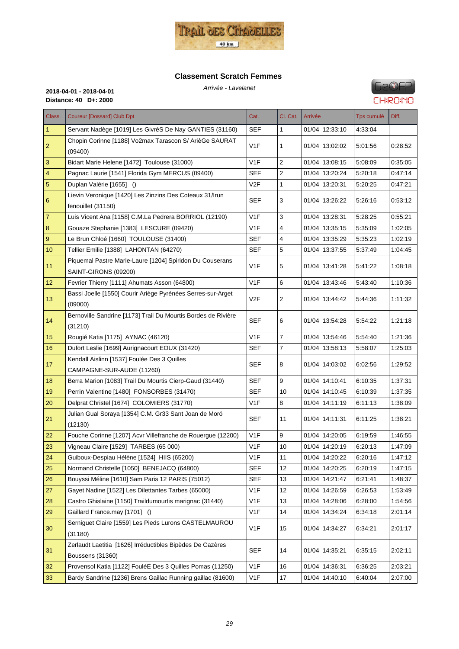

# **Classement Scratch Femmes**



| Class.         | <b>Coureur [Dossard] Club Dpt</b>                                                | Cat.             | Cl. Cat.       | Arrivée        | <b>Tps cumulé</b> | Diff.   |
|----------------|----------------------------------------------------------------------------------|------------------|----------------|----------------|-------------------|---------|
| $\mathbf{1}$   | Servant Nadège [1019] Les GivréS De Nay GANTIES (31160)                          | <b>SEF</b>       | 1              | 01/04 12:33:10 | 4:33:04           |         |
| $\overline{c}$ | Chopin Corinne [1188] Vo2max Tarascon S/ ArièGe SAURAT<br>(09400)                | V <sub>1F</sub>  | 1              | 01/04 13:02:02 | 5:01:56           | 0:28:52 |
| 3              | Bidart Marie Helene [1472] Toulouse (31000)                                      | V <sub>1</sub> F | $\overline{2}$ | 01/04 13:08:15 | 5:08:09           | 0:35:05 |
| $\overline{4}$ | Pagnac Laurie [1541] Florida Gym MERCUS (09400)                                  | <b>SEF</b>       | 2              | 01/04 13:20:24 | 5:20:18           | 0.47:14 |
| $\overline{5}$ | Duplan Valérie [1655] ()                                                         | V <sub>2F</sub>  | $\mathbf{1}$   | 01/04 13:20:31 | 5:20:25           | 0.47:21 |
| 6              | Lievin Veronique [1420] Les Zinzins Des Coteaux 31/Irun<br>fenouillet (31150)    | <b>SEF</b>       | 3              | 01/04 13:26:22 | 5:26:16           | 0.53:12 |
| 7              | Luis Vicent Ana [1158] C.M.La Pedrera BORRIOL (12190)                            | V <sub>1F</sub>  | 3              | 01/04 13:28:31 | 5:28:25           | 0.55:21 |
| 8              | Gouaze Stephanie [1383] LESCURE (09420)                                          | V <sub>1F</sub>  | 4              | 01/04 13:35:15 | 5:35:09           | 1:02:05 |
| 9              | Le Brun Chloé [1660] TOULOUSE (31400)                                            | <b>SEF</b>       | $\overline{4}$ | 01/04 13:35:29 | 5:35:23           | 1:02:19 |
| 10             | Tellier Emilie [1388] LAHONTAN (64270)                                           | <b>SEF</b>       | 5              | 01/04 13:37:55 | 5:37:49           | 1:04:45 |
| 11             | Piquemal Pastre Marie-Laure [1204] Spiridon Du Couserans<br>SAINT-GIRONS (09200) | V <sub>1F</sub>  | 5              | 01/04 13:41:28 | 5:41:22           | 1:08:18 |
| 12             | Fevrier Thierry [1111] Ahumats Asson (64800)                                     | V <sub>1F</sub>  | 6              | 01/04 13:43:46 | 5.43.40           | 1:10:36 |
| 13             | Bassi Joelle [1550] Courir Ariège Pyrénées Serres-sur-Arget<br>(09000)           | V <sub>2</sub> F | 2              | 01/04 13:44:42 | 5:44:36           | 1:11:32 |
| 14             | Bernoville Sandrine [1173] Trail Du Mourtis Bordes de Rivière<br>(31210)         | <b>SEF</b>       | 6              | 01/04 13:54:28 | 5:54:22           | 1:21:18 |
| 15             | Rougié Katia [1175] AYNAC (46120)                                                | V <sub>1F</sub>  | $\overline{7}$ | 01/04 13:54:46 | 5:54:40           | 1.21.36 |
| 16             | Dufort Leslie [1699] Aurignacourt EOUX (31420)                                   | <b>SEF</b>       | $\overline{7}$ | 01/04 13:58:13 | 5:58:07           | 1:25:03 |
| 17             | Kendall Aislinn [1537] Foulée Des 3 Quilles<br>CAMPAGNE-SUR-AUDE (11260)         | <b>SEF</b>       | 8              | 01/04 14:03:02 | 6:02:56           | 1:29:52 |
| 18             | Berra Marion [1083] Trail Du Mourtis Cierp-Gaud (31440)                          | <b>SEF</b>       | 9              | 01/04 14:10:41 | 6:10:35           | 1:37:31 |
| 19             | Perrin Valentine [1480] FONSORBES (31470)                                        | <b>SEF</b>       | 10             | 01/04 14:10:45 | 6:10:39           | 1.37.35 |
| 20             | Delprat Christel [1674] COLOMIERS (31770)                                        | V <sub>1F</sub>  | 8              | 01/04 14:11:19 | 6:11:13           | 1:38:09 |
| 21             | Julian Gual Soraya [1354] C.M. Gr33 Sant Joan de Moró<br>(12130)                 | <b>SEF</b>       | 11             | 01/04 14:11:31 | 6:11:25           | 1:38:21 |
| 22             | Fouche Corinne [1207] Acvr Villefranche de Rouergue (12200)                      | V <sub>1</sub> F | 9              | 01/04 14:20:05 | 6:19:59           | 1:46:55 |
| 23             | Vigneau Claire [1529] TARBES (65 000)                                            | V <sub>1</sub> F | 10             | 01/04 14:20:19 | 6:20:13           | 1:47:09 |
| 24             | Guiboux-Despiau Hélène [1524] HIIS (65200)                                       | V1F              | 11             | 01/04 14:20:22 | 6:20:16           | 1.47.12 |
| 25             | Normand Christelle [1050] BENEJACQ (64800)                                       | <b>SEF</b>       | 12             | 01/04 14:20:25 | 6:20:19           | 1:47:15 |
| 26             | Bouyssi Méline [1610] Sam Paris 12 PARIS (75012)                                 | <b>SEF</b>       | 13             | 01/04 14:21:47 | 6:21:41           | 1.48.37 |
| 27             | Gayet Nadine [1522] Les Dilettantes Tarbes (65000)                               | V1F              | 12             | 01/04 14:26:59 | 6:26:53           | 1:53:49 |
| 28             | Castro Ghislaine [1150] Traildumourtis marignac (31440)                          | V1F              | 13             | 01/04 14:28:06 | 6:28:00           | 1:54:56 |
| 29             | Gaillard France.may [1701] ()                                                    | V1F              | 14             | 01/04 14:34:24 | 6.34.18           | 2:01:14 |
| 30             | Serniguet Claire [1559] Les Pieds Lurons CASTELMAUROU<br>(31180)                 | V <sub>1</sub> F | 15             | 01/04 14:34:27 | 6:34:21           | 2:01:17 |
| 31             | Zerlaudt Laetitia [1626] Irréductibles Bipèdes De Cazères<br>Boussens (31360)    | <b>SEF</b>       | 14             | 01/04 14:35:21 | 6:35:15           | 2:02:11 |
| 32             | Provensol Katia [1122] FouléE Des 3 Quilles Pomas (11250)                        | V1F              | 16             | 01/04 14:36:31 | 6:36:25           | 2:03:21 |
| 33             | Bardy Sandrine [1236] Brens Gaillac Running gaillac (81600)                      | V <sub>1</sub> F | 17             | 01/04 14:40:10 | 6:40:04           | 2:07:00 |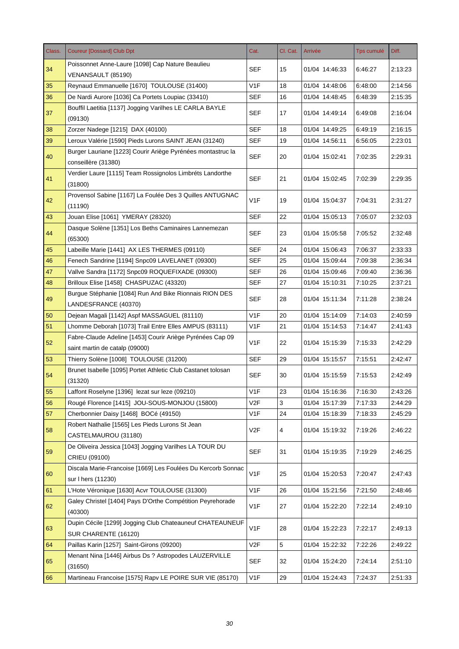| Class. | <b>Coureur [Dossard] Club Dpt</b>                                                  | Cat.             | Cl. Cat. | Arrivée        | Tps cumulé | Diff.   |
|--------|------------------------------------------------------------------------------------|------------------|----------|----------------|------------|---------|
| 34     | Poissonnet Anne-Laure [1098] Cap Nature Beaulieu                                   | <b>SEF</b>       | 15       | 01/04 14:46:33 | 6:46:27    | 2:13:23 |
|        | VENANSAULT (85190)                                                                 |                  |          |                |            |         |
| 35     | Reynaud Emmanuelle [1670] TOULOUSE (31400)                                         | V <sub>1</sub> F | 18       | 01/04 14:48:06 | 6:48:00    | 2:14:56 |
| 36     | De Nardi Aurore [1036] Ca Portets Loupiac (33410)                                  | <b>SEF</b>       | 16       | 01/04 14:48:45 | 6:48:39    | 2:15:35 |
| 37     | Bouffil Laetitia [1137] Jogging Varilhes LE CARLA BAYLE<br>(09130)                 | <b>SEF</b>       | 17       | 01/04 14:49:14 | 6:49:08    | 2:16:04 |
| 38     | Zorzer Nadege [1215] DAX (40100)                                                   | <b>SEF</b>       | 18       | 01/04 14:49:25 | 6:49:19    | 2:16:15 |
| 39     | Leroux Valérie [1590] Pieds Lurons SAINT JEAN (31240)                              | <b>SEF</b>       | 19       | 01/04 14:56:11 | 6:56:05    | 2:23:01 |
| 40     | Burger Lauriane [1223] Courir Ariège Pyrénées montastruc la<br>conseillère (31380) | <b>SEF</b>       | 20       | 01/04 15:02:41 | 7:02:35    | 2:29:31 |
|        | Verdier Laure [1115] Team Rossignolos Limbréts Landorthe                           |                  |          |                |            |         |
| 41     | (31800)                                                                            | <b>SEF</b>       | 21       | 01/04 15:02:45 | 7:02:39    | 2:29:35 |
|        | Provensol Sabine [1167] La Foulée Des 3 Quilles ANTUGNAC                           |                  |          |                |            |         |
| 42     | (11190)                                                                            | V <sub>1</sub> F | 19       | 01/04 15:04:37 | 7:04:31    | 2:31:27 |
| 43     | Jouan Elise [1061] YMERAY (28320)                                                  | <b>SEF</b>       | 22       | 01/04 15:05:13 | 7:05:07    | 2:32:03 |
|        | Dasque Solène [1351] Los Beths Caminaires Lannemezan                               |                  |          |                |            |         |
| 44     | (65300)                                                                            | <b>SEF</b>       | 23       | 01/04 15:05:58 | 7:05:52    | 2:32:48 |
| 45     | Labeille Marie [1441] AX LES THERMES (09110)                                       | <b>SEF</b>       | 24       | 01/04 15:06:43 | 7:06:37    | 2:33:33 |
| 46     | Fenech Sandrine [1194] Snpc09 LAVELANET (09300)                                    | <b>SEF</b>       | 25       | 01/04 15:09:44 | 7:09:38    | 2:36:34 |
| 47     | Vallve Sandra [1172] Snpc09 ROQUEFIXADE (09300)                                    | <b>SEF</b>       | 26       | 01/04 15:09:46 | 7:09:40    | 2:36:36 |
| 48     | Brilloux Elise [1458] CHASPUZAC (43320)                                            | <b>SEF</b>       | 27       | 01/04 15:10:31 | 7:10:25    | 2:37:21 |
|        | Burgue Stéphanie [1084] Run And Bike Rionnais RION DES                             |                  |          |                |            |         |
| 49     | LANDESFRANCE (40370)                                                               | <b>SEF</b>       | 28       | 01/04 15:11:34 | 7:11:28    | 2:38:24 |
| 50     | Dejean Magali [1142] Aspf MASSAGUEL (81110)                                        | V <sub>1</sub> F | 20       | 01/04 15:14:09 | 7:14:03    | 2:40:59 |
| 51     | Lhomme Deborah [1073] Trail Entre Elles AMPUS (83111)                              | V <sub>1</sub> F | 21       | 01/04 15:14:53 | 7:14:47    | 2:41:43 |
| 52     | Fabre-Claude Adeline [1453] Courir Ariège Pyrénées Cap 09                          | V <sub>1</sub> F | 22       |                |            |         |
|        | saint martin de catalp (09000)                                                     |                  |          | 01/04 15:15:39 | 7:15:33    | 2:42:29 |
| 53     | Thierry Solène [1008] TOULOUSE (31200)                                             | <b>SEF</b>       | 29       | 01/04 15:15:57 | 7:15:51    | 2:42:47 |
| 54     | Brunet Isabelle [1095] Portet Athletic Club Castanet tolosan<br>(31320)            | <b>SEF</b>       | 30       | 01/04 15:15:59 | 7:15:53    | 2:42:49 |
| 55     | Laffont Roselyne [1396] lezat sur leze (09210)                                     | V <sub>1</sub> F | 23       | 01/04 15:16:36 | 7:16:30    | 2:43:26 |
| 56     | Rougé Florence [1415] JOU-SOUS-MONJOU (15800)                                      | V <sub>2F</sub>  | 3        | 01/04 15:17:39 | 7:17:33    | 2:44:29 |
| 57     | Cherbonnier Daisy [1468] BOCé (49150)                                              | V <sub>1</sub> F | 24       | 01/04 15:18:39 | 7:18:33    | 2:45:29 |
| 58     | Robert Nathalie [1565] Les Pieds Lurons St Jean                                    | V2F              | 4        | 01/04 15:19:32 | 7:19:26    | 2:46:22 |
|        | CASTELMAUROU (31180)                                                               |                  |          |                |            |         |
| 59     | De Oliveira Jessica [1043] Jogging Varilhes LA TOUR DU                             | <b>SEF</b>       | 31       | 01/04 15:19:35 | 7:19:29    | 2:46:25 |
|        | CRIEU (09100)                                                                      |                  |          |                |            |         |
| 60     | Discala Marie-Francoise [1669] Les Foulées Du Kercorb Sonnac                       | V <sub>1</sub> F | 25       | 01/04 15:20:53 | 7:20:47    | 2:47:43 |
|        | sur I hers (11230)                                                                 |                  |          |                |            |         |
| 61     | L'Hote Véronique [1630] Acvr TOULOUSE (31300)                                      | V1F              | 26       | 01/04 15:21:56 | 7:21:50    | 2:48:46 |
| 62     | Galey Christel [1404] Pays D'Orthe Compétition Peyrehorade<br>(40300)              | V <sub>1</sub> F | 27       | 01/04 15:22:20 | 7:22:14    | 2:49:10 |
| 63     | Dupin Cécile [1299] Jogging Club Chateauneuf CHATEAUNEUF                           | V <sub>1</sub> F | 28       | 01/04 15:22:23 | 7:22:17    | 2:49:13 |
|        | SUR CHARENTE (16120)                                                               |                  |          |                |            |         |
| 64     | Paillas Karin [1257] Saint-Girons (09200)                                          | V <sub>2</sub> F | 5        | 01/04 15:22:32 | 7:22:26    | 2:49:22 |
| 65     | Menant Nina [1446] Airbus Ds ? Astropodes LAUZERVILLE<br>(31650)                   | <b>SEF</b>       | 32       | 01/04 15:24:20 | 7:24:14    | 2:51:10 |
| 66     | Martineau Francoise [1575] Rapv LE POIRE SUR VIE (85170)                           | V <sub>1</sub> F | 29       | 01/04 15:24:43 | 7:24:37    | 2:51:33 |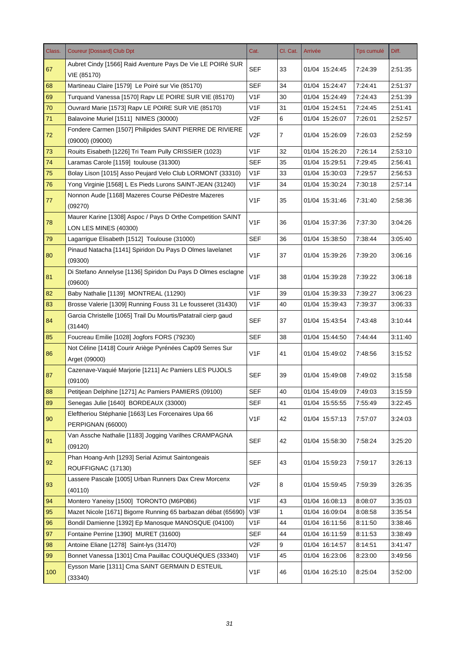| Class. | <b>Coureur [Dossard] Club Dpt</b>                                               | Cat.             | Cl. Cat. | Arrivée        | Tps cumulé | Diff.   |
|--------|---------------------------------------------------------------------------------|------------------|----------|----------------|------------|---------|
| 67     | Aubret Cindy [1566] Raid Aventure Pays De Vie LE POIRé SUR<br>VIE (85170)       | <b>SEF</b>       | 33       | 01/04 15:24:45 | 7:24:39    | 2:51:35 |
| 68     | Martineau Claire [1579] Le Poiré sur Vie (85170)                                | <b>SEF</b>       | 34       | 01/04 15:24:47 | 7:24:41    | 2:51:37 |
| 69     | Turquand Vanessa [1570] Rapy LE POIRE SUR VIE (85170)                           | V <sub>1</sub> F | 30       | 01/04 15:24:49 | 7:24:43    | 2:51:39 |
| 70     | Ouvrard Marie [1573] Rapv LE POIRE SUR VIE (85170)                              | V <sub>1</sub> F | 31       | 01/04 15:24:51 | 7:24:45    | 2:51:41 |
| 71     | Balavoine Muriel [1511] NIMES (30000)                                           | V2F              | 6        | 01/04 15:26:07 | 7:26:01    | 2:52:57 |
| 72     | Fondere Carmen [1507] Philipides SAINT PIERRE DE RIVIERE<br>$(09000)$ $(09000)$ | V <sub>2</sub> F | 7        | 01/04 15:26:09 | 7:26:03    | 2:52:59 |
| 73     | Rouits Eisabeth [1226] Tri Team Pully CRISSIER (1023)                           | V <sub>1</sub> F | 32       | 01/04 15:26:20 | 7:26:14    | 2:53:10 |
| 74     | Laramas Carole [1159] toulouse (31300)                                          | <b>SEF</b>       | 35       | 01/04 15:29:51 | 7:29:45    | 2:56:41 |
| 75     | Bolay Lison [1015] Asso Peujard Velo Club LORMONT (33310)                       | V <sub>1</sub> F | 33       | 01/04 15:30:03 | 7:29:57    | 2:56:53 |
| 76     | Yong Virginie [1568] L Es Pieds Lurons SAINT-JEAN (31240)                       | V <sub>1</sub> F | 34       | 01/04 15:30:24 | 7:30:18    | 2:57:14 |
|        | Nonnon Aude [1168] Mazeres Course PéDestre Mazeres                              |                  |          |                |            |         |
| 77     | (09270)                                                                         | V <sub>1F</sub>  | 35       | 01/04 15:31:46 | 7:31:40    | 2:58:36 |
|        | Maurer Karine [1308] Aspoc / Pays D Orthe Competition SAINT                     |                  |          |                |            |         |
| 78     | LON LES MINES (40300)                                                           | V <sub>1F</sub>  | 36       | 01/04 15:37:36 | 7:37:30    | 3:04:26 |
| 79     | Lagarrigue Elisabeth [1512] Toulouse (31000)                                    | <b>SEF</b>       | 36       | 01/04 15:38:50 | 7:38:44    | 3:05:40 |
|        | Pinaud Natacha [1141] Spiridon Du Pays D Olmes lavelanet                        |                  |          |                |            |         |
| 80     | (09300)                                                                         | V <sub>1</sub> F | 37       | 01/04 15:39:26 | 7:39:20    | 3:06:16 |
|        | Di Stefano Annelyse [1136] Spiridon Du Pays D Olmes esclagne                    |                  |          |                |            |         |
| 81     |                                                                                 | V <sub>1</sub> F | 38       | 01/04 15:39:28 | 7:39:22    | 3:06:18 |
|        | (09600)                                                                         | V <sub>1</sub> F | 39       |                |            |         |
| 82     | Baby Nathalie [1139] MONTREAL (11290)                                           | V <sub>1</sub> F |          | 01/04 15:39:33 | 7:39:27    | 3:06:23 |
| 83     | Brosse Valerie [1309] Running Fouss 31 Le fousseret (31430)                     |                  | 40       | 01/04 15:39:43 | 7:39:37    | 3:06:33 |
| 84     | Garcia Christelle [1065] Trail Du Mourtis/Patatrail cierp gaud<br>(31440)       | <b>SEF</b>       | 37       | 01/04 15:43:54 | 7:43:48    | 3:10:44 |
| 85     | Foucreau Emilie [1028] Jogfors FORS (79230)                                     | <b>SEF</b>       | 38       | 01/04 15:44:50 | 7:44:44    | 3:11:40 |
| 86     | Not Céline [1418] Courir Ariège Pyrénées Cap09 Serres Sur<br>Arget (09000)      | V <sub>1</sub> F | 41       | 01/04 15:49:02 | 7:48:56    | 3:15:52 |
| 87     | Cazenave-Vaquié Marjorie [1211] Ac Pamiers LES PUJOLS<br>(09100)                | <b>SEF</b>       | 39       | 01/04 15:49:08 | 7:49:02    | 3:15:58 |
| 88     | Petitjean Delphine [1271] Ac Pamiers PAMIERS (09100)                            | <b>SEF</b>       | 40       | 01/04 15:49:09 | 7:49:03    | 3:15:59 |
| 89     | Senegas Julie [1640] BORDEAUX (33000)                                           | <b>SEF</b>       | 41       | 01/04 15:55:55 | 7:55:49    | 3:22:45 |
| 90     | Eleftheriou Stéphanie [1663] Les Forcenaires Upa 66<br>PERPIGNAN (66000)        | V <sub>1</sub> F | 42       | 01/04 15:57:13 | 7:57:07    | 3:24:03 |
| 91     | Van Assche Nathalie [1183] Jogging Varilhes CRAMPAGNA<br>(09120)                | SEF              | 42       | 01/04 15:58:30 | 7:58:24    | 3:25:20 |
| 92     | Phan Hoang-Anh [1293] Serial Azimut Saintongeais<br>ROUFFIGNAC (17130)          | <b>SEF</b>       | 43       | 01/04 15:59:23 | 7:59:17    | 3:26:13 |
|        | Lassere Pascale [1005] Urban Runners Dax Crew Morcenx                           |                  |          |                |            |         |
| 93     | (40110)                                                                         | V <sub>2</sub> F | 8        | 01/04 15:59:45 | 7:59:39    | 3:26:35 |
| 94     | Montero Yaneisy [1500] TORONTO (M6P0B6)                                         | V <sub>1</sub> F | 43       | 01/04 16:08:13 | 8:08:07    | 3:35:03 |
| 95     | Mazet Nicole [1671] Bigorre Running 65 barbazan débat (65690)                   | V3F              | 1        | 01/04 16:09:04 | 8:08:58    | 3:35:54 |
| 96     | Bondil Damienne [1392] Ep Manosque MANOSQUE (04100)                             | V <sub>1</sub> F | 44       | 01/04 16:11:56 | 8:11:50    | 3:38:46 |
| 97     | Fontaine Perrine [1390] MURET (31600)                                           | <b>SEF</b>       | 44       | 01/04 16:11:59 | 8:11:53    | 3:38:49 |
| 98     | Antoine Eliane [1278] Saint-lys (31470)                                         | V2F              | 9        | 01/04 16:14:57 | 8:14:51    | 3:41:47 |
| 99     | Bonnet Vanessa [1301] Cma Pauillac COUQUéQUES (33340)                           | V1F              | 45       | 01/04 16:23:06 | 8:23:00    | 3:49:56 |
| 100    | Eysson Marie [1311] Cma SAINT GERMAIN D ESTEUIL<br>(33340)                      | V <sub>1</sub> F | 46       | 01/04 16:25:10 | 8:25:04    | 3:52:00 |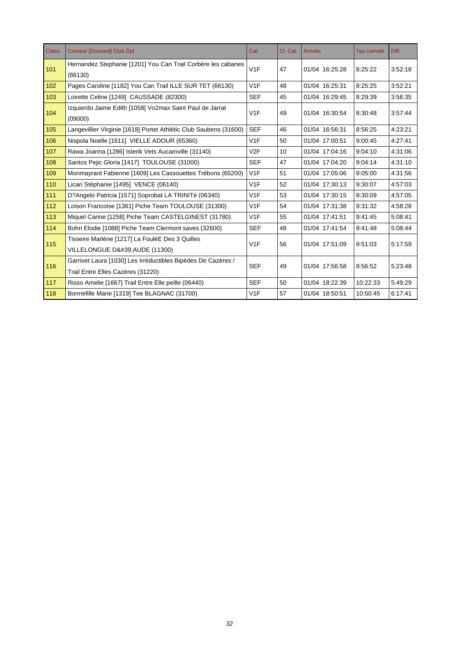| Class. | <b>Coureur [Dossard] Club Dpt</b>                                       | Cat.       | Cl. Cat. | Arrivée        | <b>Tps cumulé</b> | Diff.   |
|--------|-------------------------------------------------------------------------|------------|----------|----------------|-------------------|---------|
| 101    | Hernandez Stephanie [1201] You Can Trail Corbére les cabanes<br>(66130) | V1F        | 47       | 01/04 16:25:28 | 8:25:22           | 3:52:18 |
| 102    | Pages Caroline [1182] You Can Trail ILLE SUR TET (66130)                | V1F        | 48       | 01/04 16:25:31 | 8:25:25           | 3:52:21 |
| 103    | Loirette Celine [1249] CAUSSADE (82300)                                 | <b>SEF</b> | 45       | 01/04 16:29:45 | 8:29:39           | 3:56:35 |
| 104    | Izquierdo Jaime Edith [1058] Vo2max Saint Paul de Jarrat<br>(09000)     | V1F        | 49       | 01/04 16:30:54 | 8:30:48           | 3:57:44 |
| 105    | Langevillier Virginie [1618] Portet Athlétic Club Saubens (31600)       | <b>SEF</b> | 46       | 01/04 16:56:31 | 8:56:25           | 4:23:21 |
| 106    | Nispola Noelle [1611] VIELLE ADOUR (65360)                              | V1F        | 50       | 01/04 17:00:51 | 9:00:45           | 4:27:41 |
| 107    | Rawa Joanna [1286] Isterik Vets Aucamville (31140)                      | V2F        | 10       | 01/04 17:04:16 | 9:04:10           | 4:31:06 |
| 108    | Santos Pejic Gloria [1417] TOULOUSE (31000)                             | <b>SEF</b> | 47       | 01/04 17:04:20 | 9:04:14           | 4:31:10 |
| 109    | Monmayrant Fabienne [1609] Les Cassouettes Trébons (65200)              | V1F        | 51       | 01/04 17:05:06 | 9:05:00           | 4:31:56 |
| 110    | Licari Stéphanie [1495] VENCE (06140)                                   | V1F        | 52       | 01/04 17:30:13 | 9:30:07           | 4:57:03 |
| 111    | D?Angelo Patricia [1571] Soprobat LA TRINITé (06340)                    | V1F        | 53       | 01/04 17:30:15 | 9:30:09           | 4:57:05 |
| 112    | Loison Francoise [1361] Piche Team TOULOUSE (31300)                     | V1F        | 54       | 01/04 17:31:38 | 9:31:32           | 4:58:28 |
| 113    | Miquel Carine [1258] Piche Team CASTELGINEST (31780)                    | V1F        | 55       | 01/04 17:41:51 | 9:41:45           | 5:08:41 |
| 114    | Bohn Elodie [1088] Piche Team Clermont saves (32600)                    | <b>SEF</b> | 48       | 01/04 17:41:54 | 9:41:48           | 5:08:44 |
| 115    | Tisseire Marlène [1217] La FouléE Des 3 Quilles                         | V1F        | 56       | 01/04 17:51:09 | 9:51:03           | 5:17:59 |
|        | VILLELONGUE D' AUDE (11300)                                             |            |          |                |                   |         |
| 116    | Garrivet Laura [1030] Les Irréductibles Bipèdes De Cazères /            | <b>SEF</b> | 49       | 01/04 17:56:58 |                   | 5:23:48 |
|        | Trail Entre Elles Cazères (31220)                                       |            |          |                | 9:56:52           |         |
| 117    | Risso Amelie [1667] Trail Entre Elle peille (06440)                     | <b>SEF</b> | 50       | 01/04 18:22:39 | 10:22:33          | 5:49:29 |
| 118    | Bonnefille Marie [1319] Tee BLAGNAC (31700)                             | V1F        | 57       | 01/04 18:50:51 | 10:50:45          | 6:17:41 |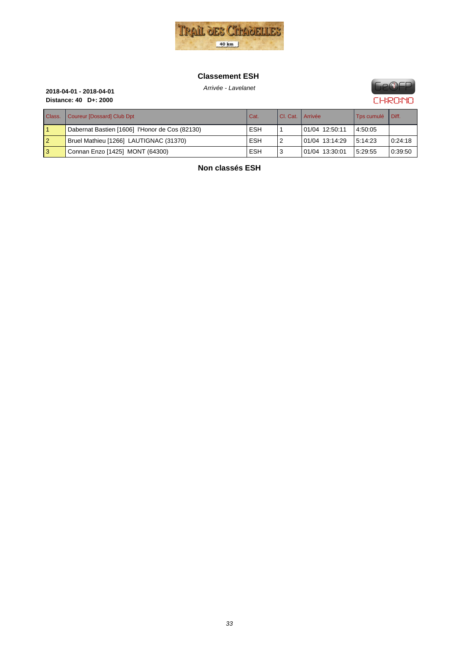

#### **Classement ESH**



**Distance: 40 D+: 2000**

# Arrivée - Lavelanet **2018-04-01 - 2018-04-01**

| Class.         | Coureur [Dossard] Club Dpt                     | Cat.       | I CI. Cat.   Arrivée |                | Tps cumulé | I Diff. |
|----------------|------------------------------------------------|------------|----------------------|----------------|------------|---------|
|                | Dabernat Bastien [1606] l'Honor de Cos (82130) | <b>ESH</b> |                      | 01/04 12:50:11 | 4:50:05    |         |
| $\overline{2}$ | Bruel Mathieu [1266] LAUTIGNAC (31370)         | <b>ESH</b> |                      | 01/04 13:14:29 | 5:14:23    | 0.24:18 |
| l 3            | Connan Enzo [1425] MONT (64300)                | <b>ESH</b> |                      | 01/04 13:30:01 | 5:29:55    | 0:39:50 |

**Non classés ESH**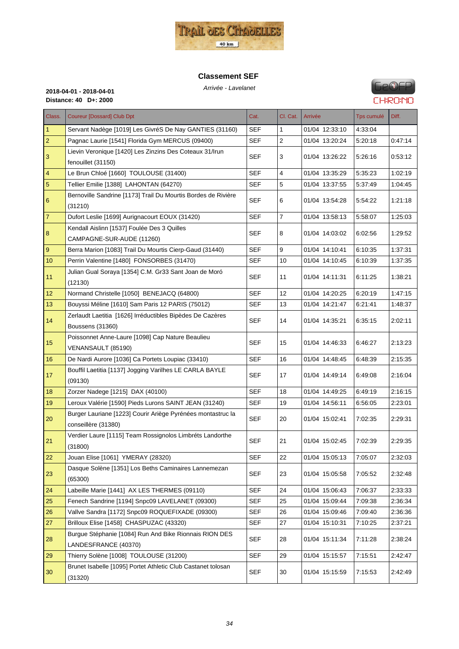

#### **Classement SEF**



# **GeOFP CHRONO**

Arrivée - Lavelanet **2018-04-01 - 2018-04-01**

| Class.                  | <b>Coureur [Dossard] Club Dpt</b>                             | Cat.       | Cl. Cat.       | Arrivée        | Tps cumulé | Diff.   |
|-------------------------|---------------------------------------------------------------|------------|----------------|----------------|------------|---------|
| $\vert$ 1               | Servant Nadège [1019] Les GivréS De Nay GANTIES (31160)       | <b>SEF</b> | 1              | 01/04 12:33:10 | 4.33.04    |         |
| $\overline{2}$          | Pagnac Laurie [1541] Florida Gym MERCUS (09400)               | <b>SEF</b> | $\overline{2}$ | 01/04 13:20:24 | 5:20:18    | 0:47:14 |
| $\mathsf 3$             | Lievin Veronique [1420] Les Zinzins Des Coteaux 31/Irun       | SEF        | 3              | 01/04 13:26:22 | 5:26:16    | 0:53:12 |
|                         | fenouillet (31150)                                            |            |                |                |            |         |
| $\overline{\mathbf{4}}$ | Le Brun Chloé [1660] TOULOUSE (31400)                         | <b>SEF</b> | 4              | 01/04 13:35:29 | 5:35:23    | 1:02:19 |
| $5\phantom{.0}$         | Tellier Emilie [1388] LAHONTAN (64270)                        | <b>SEF</b> | 5              | 01/04 13:37:55 | 5.37.49    | 1.04.45 |
| 6                       | Bernoville Sandrine [1173] Trail Du Mourtis Bordes de Rivière | <b>SEF</b> | 6              | 01/04 13:54:28 | 5:54:22    | 1:21:18 |
|                         | (31210)                                                       |            |                |                |            |         |
| $ 7\rangle$             | Dufort Leslie [1699] Aurignacourt EOUX (31420)                | <b>SEF</b> | $\overline{7}$ | 01/04 13:58:13 | 5:58:07    | 1:25:03 |
| 8                       | Kendall Aislinn [1537] Foulée Des 3 Quilles                   | <b>SEF</b> | 8              | 01/04 14:03:02 | 6:02:56    | 1:29:52 |
|                         | CAMPAGNE-SUR-AUDE (11260)                                     |            |                |                |            |         |
| $9\,$                   | Berra Marion [1083] Trail Du Mourtis Cierp-Gaud (31440)       | <b>SEF</b> | 9              | 01/04 14:10:41 | 6:10:35    | 1:37:31 |
| 10                      | Perrin Valentine [1480] FONSORBES (31470)                     | SEF        | 10             | 01/04 14:10:45 | 6:10:39    | 1:37:35 |
| 11                      | Julian Gual Soraya [1354] C.M. Gr33 Sant Joan de Moró         | <b>SEF</b> | 11             | 01/04 14:11:31 | 6:11:25    | 1:38:21 |
|                         | (12130)                                                       |            |                |                |            |         |
| 12                      | Normand Christelle [1050] BENEJACQ (64800)                    | <b>SEF</b> | 12             | 01/04 14:20:25 | 6:20:19    | 1.47.15 |
| 13                      | Bouyssi Méline [1610] Sam Paris 12 PARIS (75012)              | <b>SEF</b> | 13             | 01/04 14:21:47 | 6:21:41    | 1:48:37 |
| 14                      | Zerlaudt Laetitia [1626] Irréductibles Bipèdes De Cazères     | <b>SEF</b> | 14             | 01/04 14:35:21 | 6:35:15    | 2:02:11 |
|                         | Boussens (31360)                                              |            |                |                |            |         |
| 15                      | Poissonnet Anne-Laure [1098] Cap Nature Beaulieu              | <b>SEF</b> | 15             | 01/04 14:46:33 | 6:46:27    | 2:13:23 |
|                         | VENANSAULT (85190)                                            |            |                |                |            |         |
| 16                      | De Nardi Aurore [1036] Ca Portets Loupiac (33410)             | <b>SEF</b> | 16             | 01/04 14:48:45 | 6:48:39    | 2:15:35 |
| 17                      | Bouffil Laetitia [1137] Jogging Varilhes LE CARLA BAYLE       | <b>SEF</b> | 17             | 01/04 14:49:14 | 6:49:08    | 2:16:04 |
|                         | (09130)                                                       |            |                |                |            |         |
| 18                      | Zorzer Nadege [1215] DAX (40100)                              | <b>SEF</b> | 18             | 01/04 14:49:25 | 6:49:19    | 2:16:15 |
| 19                      | Leroux Valérie [1590] Pieds Lurons SAINT JEAN (31240)         | <b>SEF</b> | 19             | 01/04 14:56:11 | 6:56:05    | 2:23:01 |
| 20                      | Burger Lauriane [1223] Courir Ariège Pyrénées montastruc la   | <b>SEF</b> | 20             | 01/04 15:02:41 | 7:02:35    | 2:29:31 |
|                         | conseillère (31380)                                           |            |                |                |            |         |
| 21                      | Verdier Laure [1115] Team Rossignolos Limbréts Landorthe      | <b>SEF</b> | 21             | 01/04 15:02:45 | 7:02:39    | 2:29:35 |
|                         | (31800)                                                       |            |                |                |            |         |
| 22                      | Jouan Elise [1061] YMERAY (28320)                             | <b>SEF</b> | 22             | 01/04 15:05:13 | 7:05:07    | 2:32:03 |
| 23                      | Dasque Solène [1351] Los Beths Caminaires Lannemezan          | <b>SEF</b> | 23             | 01/04 15:05:58 | 7:05:52    | 2:32:48 |
|                         | (65300)                                                       |            |                |                |            |         |
| 24                      | Labeille Marie [1441] AX LES THERMES (09110)                  | SEF        | 24             | 01/04 15:06:43 | 7:06:37    | 2.33.33 |
| 25                      | Fenech Sandrine [1194] Snpc09 LAVELANET (09300)               | <b>SEF</b> | 25             | 01/04 15:09:44 | 7:09:38    | 2:36:34 |
| 26                      | Vallve Sandra [1172] Snpc09 ROQUEFIXADE (09300)               | <b>SEF</b> | 26             | 01/04 15:09:46 | 7:09:40    | 2:36:36 |
| 27                      | Brilloux Elise [1458] CHASPUZAC (43320)                       | <b>SEF</b> | 27             | 01/04 15:10:31 | 7:10:25    | 2:37:21 |
| 28                      | Burgue Stéphanie [1084] Run And Bike Rionnais RION DES        | <b>SEF</b> | 28             | 01/04 15:11:34 | 7:11:28    | 2:38:24 |
|                         | LANDESFRANCE (40370)                                          |            |                |                |            |         |
| 29                      | Thierry Solène [1008] TOULOUSE (31200)                        | <b>SEF</b> | 29             | 01/04 15:15:57 | 7:15:51    | 2:42:47 |
| 30                      | Brunet Isabelle [1095] Portet Athletic Club Castanet tolosan  | <b>SEF</b> | 30             | 01/04 15:15:59 | 7:15:53    | 2:42:49 |
|                         | (31320)                                                       |            |                |                |            |         |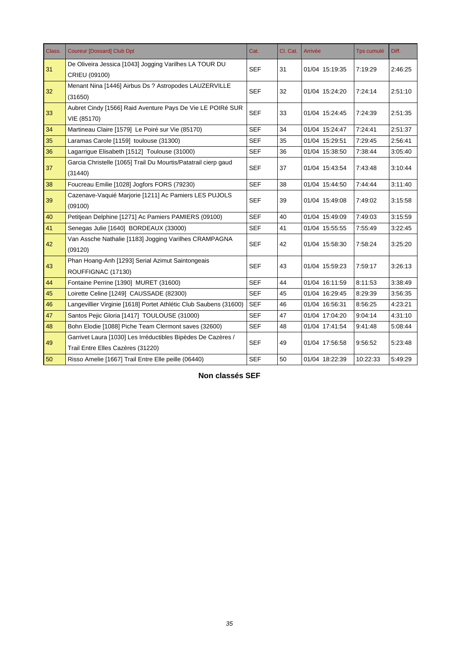| Class. | <b>Coureur [Dossard] Club Dpt</b>                                                                 | Cat.       | Cl. Cat. | Arrivée        | Tps cumulé | Diff.   |
|--------|---------------------------------------------------------------------------------------------------|------------|----------|----------------|------------|---------|
| 31     | De Oliveira Jessica [1043] Jogging Varilhes LA TOUR DU<br>CRIEU (09100)                           | <b>SEF</b> | 31       | 01/04 15:19:35 | 7:19:29    | 2:46:25 |
| 32     | Menant Nina [1446] Airbus Ds ? Astropodes LAUZERVILLE<br>(31650)                                  | <b>SEF</b> | 32       | 01/04 15:24:20 | 7:24:14    | 2:51:10 |
| 33     | Aubret Cindy [1566] Raid Aventure Pays De Vie LE POIRé SUR<br>VIE (85170)                         | <b>SEF</b> | 33       | 01/04 15:24:45 | 7:24:39    | 2:51:35 |
| 34     | Martineau Claire [1579] Le Poiré sur Vie (85170)                                                  | <b>SEF</b> | 34       | 01/04 15:24:47 | 7.24.41    | 2:51:37 |
| 35     | Laramas Carole [1159] toulouse (31300)                                                            | <b>SEF</b> | 35       | 01/04 15:29:51 | 7:29:45    | 2:56:41 |
| 36     | Lagarrigue Elisabeth [1512] Toulouse (31000)                                                      | <b>SEF</b> | 36       | 01/04 15:38:50 | 7:38:44    | 3:05:40 |
| 37     | Garcia Christelle [1065] Trail Du Mourtis/Patatrail cierp gaud<br>(31440)                         | <b>SEF</b> | 37       | 01/04 15:43:54 | 7:43:48    | 3:10:44 |
| 38     | Foucreau Emilie [1028] Jogfors FORS (79230)                                                       | <b>SEF</b> | 38       | 01/04 15:44:50 | 7.44.44    | 3:11:40 |
| 39     | Cazenave-Vaquié Marjorie [1211] Ac Pamiers LES PUJOLS<br>(09100)                                  | <b>SEF</b> | 39       | 01/04 15:49:08 | 7:49:02    | 3:15:58 |
| 40     | Petitjean Delphine [1271] Ac Pamiers PAMIERS (09100)                                              | <b>SEF</b> | 40       | 01/04 15:49:09 | 7:49:03    | 3:15:59 |
| 41     | Senegas Julie [1640] BORDEAUX (33000)                                                             | <b>SEF</b> | 41       | 01/04 15:55:55 | 7:55:49    | 3.22.45 |
| 42     | Van Assche Nathalie [1183] Jogging Varilhes CRAMPAGNA<br>(09120)                                  | <b>SEF</b> | 42       | 01/04 15:58:30 | 7:58:24    | 3:25:20 |
| 43     | Phan Hoang-Anh [1293] Serial Azimut Saintongeais<br>ROUFFIGNAC (17130)                            | <b>SEF</b> | 43       | 01/04 15:59:23 | 7:59:17    | 3:26:13 |
| 44     | Fontaine Perrine [1390] MURET (31600)                                                             | <b>SEF</b> | 44       | 01/04 16:11:59 | 8:11:53    | 3:38:49 |
| 45     | Loirette Celine [1249] CAUSSADE (82300)                                                           | <b>SEF</b> | 45       | 01/04 16:29:45 | 8:29:39    | 3:56:35 |
| 46     | Langevillier Virginie [1618] Portet Athlétic Club Saubens (31600)                                 | <b>SEF</b> | 46       | 01/04 16:56:31 | 8:56:25    | 4:23:21 |
| 47     | Santos Pejic Gloria [1417] TOULOUSE (31000)                                                       | <b>SEF</b> | 47       | 01/04 17:04:20 | 9:04:14    | 4:31:10 |
| 48     | Bohn Elodie [1088] Piche Team Clermont saves (32600)                                              | <b>SEF</b> | 48       | 01/04 17:41:54 | 9:41:48    | 5:08:44 |
| 49     | Garrivet Laura [1030] Les Irréductibles Bipèdes De Cazères /<br>Trail Entre Elles Cazères (31220) | <b>SEF</b> | 49       | 01/04 17:56:58 | 9:56:52    | 5:23:48 |
| 50     | Risso Amelie [1667] Trail Entre Elle peille (06440)                                               | <b>SEF</b> | 50       | 01/04 18:22:39 | 10:22:33   | 5:49:29 |

**Non classés SEF**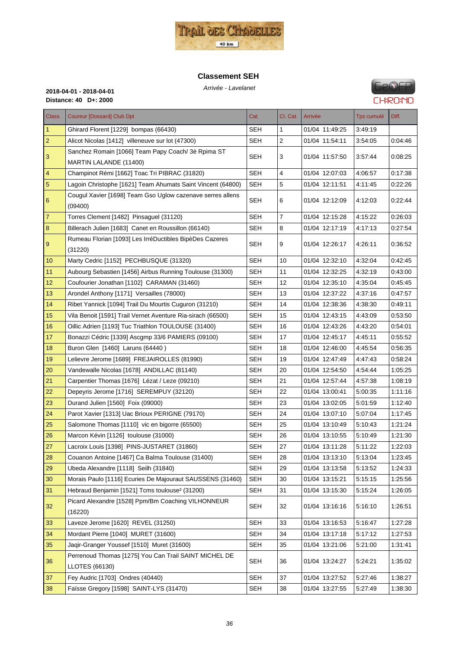

#### **Classement SEH**



| Class.         | <b>Coureur [Dossard] Club Dpt</b>                                       | Cat.       | Cl. Cat. | Arrivée        | Tps cumulé | Diff.   |
|----------------|-------------------------------------------------------------------------|------------|----------|----------------|------------|---------|
| $\mathbf{1}$   | Ghirard Florent [1229] bompas (66430)                                   | SEH        | 1        | 01/04 11:49:25 | 3:49:19    |         |
| $\overline{a}$ | Alicot Nicolas [1412] villeneuve sur lot (47300)                        | <b>SEH</b> | 2        | 01/04 11:54:11 | 3:54:05    | 0.04.46 |
|                | Sanchez Romain [1066] Team Papy Coach/3è Rpima ST                       |            |          |                |            |         |
| 3              | MARTIN LALANDE (11400)                                                  | SEH        | 3        | 01/04 11:57:50 | 3.57.44    | 0:08:25 |
| 4              | Champinot Rémi [1662] Toac Tri PIBRAC (31820)                           | <b>SEH</b> | 4        | 01/04 12:07:03 | 4:06:57    | 0.17.38 |
| 5              | Lagoin Christophe [1621] Team Ahumats Saint Vincent (64800)             | <b>SEH</b> | 5        | 01/04 12:11:51 | 4:11:45    | 0.22.26 |
| 6              | Cougul Xavier [1698] Team Gso Uglow cazenave serres allens              | <b>SEH</b> | 6        | 01/04 12:12:09 | 4:12:03    | 0.22:44 |
|                | (09400)                                                                 |            |          |                |            |         |
| $\overline{7}$ | Torres Clement [1482] Pinsaquel (31120)                                 | <b>SEH</b> | 7        | 01/04 12:15:28 | 4:15:22    | 0.26.03 |
| $\bf 8$        | Billerach Julien [1683] Canet en Roussillon (66140)                     | <b>SEH</b> | 8        | 01/04 12:17:19 | 4.17.13    | 0.27:54 |
| 9              | Rumeau Florian [1093] Les IrréDuctibles BipèDes Cazeres<br>(31220)      | SEH        | 9        | 01/04 12:26:17 | 4.26.11    | 0:36:52 |
| 10             | Marty Cedric [1152] PECHBUSQUE (31320)                                  | <b>SEH</b> | 10       | 01/04 12:32:10 | 4:32:04    | 0.42:45 |
| 11             | Aubourg Sebastien [1456] Airbus Running Toulouse (31300)                | <b>SEH</b> | 11       | 01/04 12:32:25 | 4:32:19    | 0:43:00 |
| 12             | Coufourier Jonathan [1102] CARAMAN (31460)                              | <b>SEH</b> | 12       | 01/04 12:35:10 | 4.35.04    | 0:45:45 |
| 13             | Arondel Anthony [1171] Versailles (78000)                               | <b>SEH</b> | 13       | 01/04 12:37:22 | 4:37:16    | 0.47:57 |
| 14             | Ribet Yannick [1094] Trail Du Mourtis Cuguron (31210)                   | <b>SEH</b> | 14       | 01/04 12:38:36 | 4:38:30    | 0:49:11 |
| 15             | Vila Benoit [1591] Trail Vernet Aventure Ria-sirach (66500)             | <b>SEH</b> | 15       | 01/04 12:43:15 | 4:43:09    | 0.53.50 |
| 16             | Oillic Adrien [1193] Tuc Triathlon TOULOUSE (31400)                     | <b>SEH</b> | 16       | 01/04 12:43:26 | 4.43.20    | 0:54:01 |
| 17             | Bonazzi Cédric [1339] Ascgmp 33/6 PAMIERS (09100)                       | <b>SEH</b> | 17       | 01/04 12:45:17 | 4:45:11    | 0:55:52 |
| 18             | Buron Glen [1460] Laruns (64440)                                        | SEH        | 18       | 01/04 12:46:00 | 4:45:54    | 0.56.35 |
| 19             | Lelievre Jerome [1689] FREJAIROLLES (81990)                             | <b>SEH</b> | 19       | 01/04 12:47:49 | 4:47:43    | 0:58:24 |
| 20             | Vandewalle Nicolas [1678] ANDILLAC (81140)                              | <b>SEH</b> | 20       | 01/04 12:54:50 | 4 54 44    | 1:05:25 |
| 21             | Carpentier Thomas [1676] Lézat / Leze (09210)                           | <b>SEH</b> | 21       | 01/04 12:57:44 | 4:57:38    | 1:08:19 |
| 22             | Depeyris Jerome [1716] SEREMPUY (32120)                                 | <b>SEH</b> | 22       | 01/04 13:00:41 | 5:00:35    | 1:11:16 |
| 23             | Durand Julien [1560] Foix (09000)                                       | <b>SEH</b> | 23       | 01/04 13:02:05 | 5:01:59    | 1:12:40 |
| 24             | Parot Xavier [1313] Uac Brioux PERIGNE (79170)                          | SEH        | 24       | 01/04 13:07:10 | 5:07:04    | 1:17:45 |
| 25             | Salomone Thomas [1110] vic en bigorre (65500)                           | <b>SEH</b> | 25       | 01/04 13:10:49 | 5:10:43    | 1:21:24 |
| 26             | Marcon Kévin [1126] toulouse (31000)                                    | <b>SEH</b> | 26       | 01/04 13:10:55 | 5:10:49    | 1:21:30 |
| 27             | Lacroix Louis [1398] PINS-JUSTARET (31860)                              | <b>SEH</b> | 27       | 01/04 13:11:28 | 5:11:22    | 1:22:03 |
| 28             | Couanon Antoine [1467] Ca Balma Toulouse (31400)                        | <b>SEH</b> | 28       | 01/04 13:13:10 | 5:13:04    | 1:23:45 |
| 29             | Ubeda Alexandre [1118] Seilh (31840)                                    | <b>SEH</b> | 29       | 01/04 13:13:58 | 5:13:52    | 1:24:33 |
| 30             | Morais Paulo [1116] Ecuries De Majouraut SAUSSENS (31460)               | <b>SEH</b> | 30       | 01/04 13:15:21 | 5:15:15    | 1:25:56 |
| 31             | Hebraud Benjamin [1521] Tcms toulouse <sup>2</sup> (31200)              | <b>SEH</b> | 31       | 01/04 13:15:30 | 5:15:24    | 1:26:05 |
| 32             | Picard Alexandre [1528] Ppm/Bm Coaching VILHONNEUR<br>(16220)           | <b>SEH</b> | 32       | 01/04 13:16:16 | 5:16:10    | 1:26:51 |
| 33             | Laveze Jerome [1620] REVEL (31250)                                      | <b>SEH</b> | 33       | 01/04 13:16:53 | 5:16:47    | 1:27:28 |
| 34             | Mordant Pierre [1040] MURET (31600)                                     | <b>SEH</b> | 34       | 01/04 13:17:18 | 5.17:12    | 1:27:53 |
| 35             | Jaqir-Granger Youssef [1510] Muret (31600)                              | <b>SEH</b> | 35       | 01/04 13:21:06 | 5:21:00    | 1:31:41 |
| 36             | Perrenoud Thomas [1275] You Can Trail SAINT MICHEL DE<br>LLOTES (66130) | <b>SEH</b> | 36       | 01/04 13:24:27 | 5:24:21    | 1:35:02 |
| 37             | Fey Audric [1703] Ondres (40440)                                        | <b>SEH</b> | 37       | 01/04 13:27:52 | 5:27:46    | 1:38:27 |
| 38             | Faïsse Gregory [1598] SAINT-LYS (31470)                                 | <b>SEH</b> | 38       | 01/04 13:27:55 | 5.27:49    | 1:38:30 |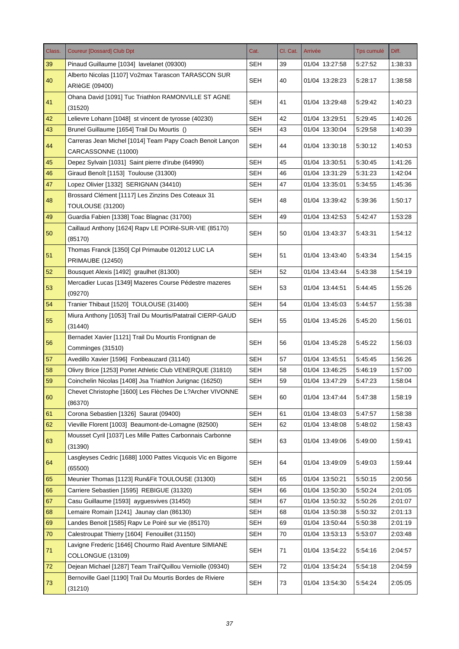| Class. | <b>Coureur [Dossard] Club Dpt</b>                                                | Cat.       | Cl. Cat. | Arrivée        | Tps cumulé | Diff.   |
|--------|----------------------------------------------------------------------------------|------------|----------|----------------|------------|---------|
| 39     | Pinaud Guillaume [1034] lavelanet (09300)                                        | SEH        | 39       | 01/04 13:27:58 | 5:27:52    | 1:38:33 |
| 40     | Alberto Nicolas [1107] Vo2max Tarascon TARASCON SUR<br>ARIèGE (09400)            | <b>SEH</b> | 40       | 01/04 13:28:23 | 5:28:17    | 1:38:58 |
| 41     | Ohana David [1091] Tuc Triathlon RAMONVILLE ST AGNE<br>(31520)                   | <b>SEH</b> | 41       | 01/04 13:29:48 | 5:29:42    | 1:40:23 |
| 42     | Lelievre Lohann [1048] st vincent de tyrosse (40230)                             | <b>SEH</b> | 42       | 01/04 13:29:51 | 5:29:45    | 1:40:26 |
| 43     | Brunel Guillaume [1654] Trail Du Mourtis ()                                      | <b>SEH</b> | 43       | 01/04 13:30:04 | 5:29:58    | 1:40:39 |
| 44     | Carreras Jean Michel [1014] Team Papy Coach Benoit Lançon<br>CARCASSONNE (11000) | <b>SEH</b> | 44       | 01/04 13:30:18 | 5:30:12    | 1:40:53 |
| 45     | Depez Sylvain [1031] Saint pierre d'irube (64990)                                | <b>SEH</b> | 45       | 01/04 13:30:51 | 5:30:45    | 1:41:26 |
| 46     | Giraud Benoît [1153] Toulouse (31300)                                            | <b>SEH</b> | 46       | 01/04 13:31:29 | 5:31:23    | 1:42:04 |
| 47     | Lopez Olivier [1332] SERIGNAN (34410)                                            | <b>SEH</b> | 47       | 01/04 13:35:01 | 5:34:55    | 1:45:36 |
| 48     | Brossard Clément [1117] Les Zinzins Des Coteaux 31<br>TOULOUSE (31200)           | <b>SEH</b> | 48       | 01/04 13:39:42 | 5:39:36    | 1:50:17 |
| 49     | Guardia Fabien [1338] Toac Blagnac (31700)                                       | <b>SEH</b> | 49       | 01/04 13:42:53 | 5:42:47    | 1:53:28 |
| 50     | Caillaud Anthony [1624] Rapy LE POIRé-SUR-VIE (85170)<br>(85170)                 | SEH        | 50       | 01/04 13:43:37 | 5:43:31    | 1:54:12 |
| 51     | Thomas Franck [1350] Cpl Primaube 012012 LUC LA<br><b>PRIMAUBE (12450)</b>       | <b>SEH</b> | 51       | 01/04 13:43:40 | 5:43:34    | 1:54:15 |
| 52     | Bousquet Alexis [1492] graulhet (81300)                                          | <b>SEH</b> | 52       | 01/04 13:43:44 | 5:43:38    | 1:54:19 |
| 53     | Mercadier Lucas [1349] Mazeres Course Pédestre mazeres<br>(09270)                | SEH        | 53       | 01/04 13:44:51 | 5:44:45    | 1:55:26 |
| 54     | Tranier Thibaut [1520] TOULOUSE (31400)                                          | <b>SEH</b> | 54       | 01/04 13:45:03 | 5:44:57    | 1:55:38 |
| 55     | Miura Anthony [1053] Trail Du Mourtis/Patatrail CIERP-GAUD<br>(31440)            | <b>SEH</b> | 55       | 01/04 13:45:26 | 5:45:20    | 1:56:01 |
| 56     | Bernadet Xavier [1121] Trail Du Mourtis Frontignan de<br>Comminges (31510)       | <b>SEH</b> | 56       | 01/04 13:45:28 | 5:45.22    | 1:56:03 |
| 57     | Avedillo Xavier [1596] Fonbeauzard (31140)                                       | <b>SEH</b> | 57       | 01/04 13:45:51 | 5:45:45    | 1:56:26 |
| 58     | Olivry Brice [1253] Portet Athletic Club VENERQUE (31810)                        | <b>SEH</b> | 58       | 01/04 13:46:25 | 5:46:19    | 1:57:00 |
| 59     | Coinchelin Nicolas [1408] Jsa Triathlon Jurignac (16250)                         | <b>SEH</b> | 59       | 01/04 13:47:29 | 5:47:23    | 1:58:04 |
| 60     | Chevet Christophe [1600] Les Flèches De L?Archer VIVONNE<br>(86370)              | <b>SEH</b> | 60       | 01/04 13:47:44 | 5:47:38    | 1:58:19 |
| 61     | Corona Sebastien [1326] Saurat (09400)                                           | <b>SEH</b> | 61       | 01/04 13:48:03 | 5:47:57    | 1:58:38 |
| 62     | Vieville Florent [1003] Beaumont-de-Lomagne (82500)                              | <b>SEH</b> | 62       | 01/04 13:48:08 | 5:48:02    | 1:58:43 |
| 63     | Mousset Cyril [1037] Les Mille Pattes Carbonnais Carbonne<br>(31390)             | <b>SEH</b> | 63       | 01/04 13:49:06 | 5:49:00    | 1:59:41 |
| 64     | Lasgleyses Cedric [1688] 1000 Pattes Vicquois Vic en Bigorre<br>(65500)          | <b>SEH</b> | 64       | 01/04 13:49:09 | 5:49:03    | 1:59:44 |
| 65     | Meunier Thomas [1123] Run&Fit TOULOUSE (31300)                                   | <b>SEH</b> | 65       | 01/04 13:50:21 | 5:50:15    | 2:00:56 |
| 66     | Carriere Sebastien [1595] REBIGUE (31320)                                        | <b>SEH</b> | 66       | 01/04 13:50:30 | 5:50:24    | 2:01:05 |
| 67     | Casu Guillaume [1593] ayguesvives (31450)                                        | <b>SEH</b> | 67       | 01/04 13:50:32 | 5:50:26    | 2:01:07 |
| 68     | Lemaire Romain [1241] Jaunay clan (86130)                                        | <b>SEH</b> | 68       | 01/04 13:50:38 | 5:50:32    | 2:01:13 |
| 69     | Landes Benoit [1585] Rapv Le Poiré sur vie (85170)                               | <b>SEH</b> | 69       | 01/04 13:50:44 | 5:50:38    | 2:01:19 |
| 70     | Calestroupat Thierry [1604] Fenouillet (31150)                                   | <b>SEH</b> | 70       | 01/04 13:53:13 | 5:53:07    | 2:03:48 |
| 71     | Lavigne Frederic [1646] Chourmo Raid Aventure SIMIANE<br>COLLONGUE (13109)       | <b>SEH</b> | 71       | 01/04 13:54:22 | 5:54:16    | 2:04:57 |
| 72     | Dejean Michael [1287] Team Trail'Quillou Verniolle (09340)                       | <b>SEH</b> | 72       | 01/04 13:54:24 | 5:54:18    | 2:04:59 |
| 73     | Bernoville Gael [1190] Trail Du Mourtis Bordes de Riviere<br>(31210)             | <b>SEH</b> | 73       | 01/04 13:54:30 | 5:54:24    | 2:05:05 |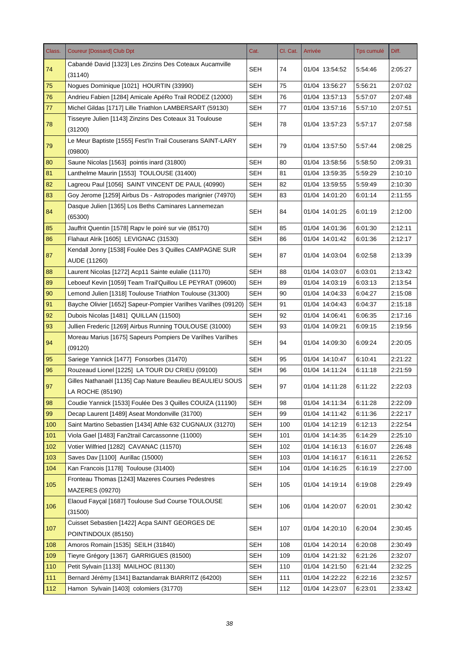| Class. | <b>Coureur [Dossard] Club Dpt</b>                                             | Cat.       | Cl. Cat. | Arrivée        | <b>Tps cumulé</b> | Diff.   |
|--------|-------------------------------------------------------------------------------|------------|----------|----------------|-------------------|---------|
| 74     | Cabandé David [1323] Les Zinzins Des Coteaux Aucamville<br>(31140)            | SEH        | 74       | 01/04 13:54:52 | 5:54:46           | 2:05:27 |
| 75     | Nogues Dominique [1021] HOURTIN (33990)                                       | <b>SEH</b> | 75       | 01/04 13:56:27 | 5:56:21           | 2:07:02 |
| 76     | Andrieu Fabien [1284] Amicale ApéRo Trail RODEZ (12000)                       | SEH        | 76       | 01/04 13:57:13 | 5:57:07           | 2:07:48 |
| 77     | Michel Gildas [1717] Lille Triathlon LAMBERSART (59130)                       | <b>SEH</b> | 77       | 01/04 13:57:16 | 5:57:10           | 2:07:51 |
| 78     | Tisseyre Julien [1143] Zinzins Des Coteaux 31 Toulouse<br>(31200)             | <b>SEH</b> | 78       | 01/04 13:57:23 | 5:57:17           | 2:07:58 |
| 79     | Le Meur Baptiste [1555] Fest'In Trail Couserans SAINT-LARY<br>(09800)         | SEH        | 79       | 01/04 13:57:50 | 5:57:44           | 2:08:25 |
| 80     | Saune Nicolas [1563] pointis inard (31800)                                    | <b>SEH</b> | 80       | 01/04 13:58:56 | 5:58:50           | 2:09:31 |
| 81     | Lanthelme Maurin [1553] TOULOUSE (31400)                                      | <b>SEH</b> | 81       | 01/04 13:59:35 | 5:59:29           | 2:10:10 |
| 82     | Lagreou Paul [1056] SAINT VINCENT DE PAUL (40990)                             | <b>SEH</b> | 82       | 01/04 13:59:55 | 5:59:49           | 2:10:30 |
| 83     | Goy Jerome [1259] Airbus Ds - Astropodes marignier (74970)                    | <b>SEH</b> | 83       | 01/04 14:01:20 | 6:01:14           | 2:11:55 |
| 84     | Dasque Julien [1365] Los Beths Caminares Lannemezan<br>(65300)                | SEH        | 84       | 01/04 14:01:25 | 6:01:19           | 2:12:00 |
| 85     | Jauffrit Quentin [1578] Rapv le poiré sur vie (85170)                         | <b>SEH</b> | 85       | 01/04 14:01:36 | 6:01:30           | 2:12:11 |
| 86     | Flahaut Alrik [1605] LEVIGNAC (31530)                                         | SEH        | 86       | 01/04 14:01:42 | 6:01:36           | 2:12:17 |
| 87     | Kendall Jonny [1538] Foulée Des 3 Quilles CAMPAGNE SUR<br>AUDE (11260)        | SEH        | 87       | 01/04 14:03:04 | 6:02:58           | 2:13:39 |
| 88     | Laurent Nicolas [1272] Acp11 Sainte eulalie (11170)                           | SEH        | 88       | 01/04 14:03:07 | 6:03:01           | 2:13:42 |
| 89     | Leboeuf Kevin [1059] Team Trail'Quillou LE PEYRAT (09600)                     | <b>SEH</b> | 89       | 01/04 14:03:19 | 6:03:13           | 2:13:54 |
| 90     | Lemond Julien [1318] Toulouse Triathlon Toulouse (31300)                      | <b>SEH</b> | 90       | 01/04 14:04:33 | 6:04:27           | 2:15:08 |
| 91     | Bayche Olivier [1652] Sapeur-Pompier Varilhes Varilhes (09120)                | <b>SEH</b> | 91       | 01/04 14:04:43 | 6:04:37           | 2:15:18 |
| 92     | Dubois Nicolas [1481] QUILLAN (11500)                                         | SEH        | 92       | 01/04 14:06:41 | 6:06:35           | 2:17:16 |
| 93     | Jullien Frederic [1269] Airbus Running TOULOUSE (31000)                       | <b>SEH</b> | 93       | 01/04 14:09:21 | 6:09:15           | 2:19:56 |
| 94     | Moreau Marius [1675] Sapeurs Pompiers De Varilhes Varilhes<br>(09120)         | <b>SEH</b> | 94       | 01/04 14:09:30 | 6:09:24           | 2:20:05 |
| 95     | Sariege Yannick [1477] Fonsorbes (31470)                                      | <b>SEH</b> | 95       | 01/04 14:10:47 | 6:10:41           | 2:21:22 |
| 96     | Rouzeaud Lionel [1225] LA TOUR DU CRIEU (09100)                               | <b>SEH</b> | 96       | 01/04 14:11:24 | 6:11:18           | 2:21:59 |
| 97     | Gilles Nathanaël [1135] Cap Nature Beaulieu BEAULIEU SOUS<br>LA ROCHE (85190) | <b>SEH</b> | 97       | 01/04 14:11:28 | 6:11:22           | 2:22:03 |
| 98     | Coudie Yannick [1533] Foulée Des 3 Quilles COUIZA (11190)                     | <b>SEH</b> | 98       | 01/04 14:11:34 | 6:11:28           | 2:22:09 |
| 99     | Decap Laurent [1489] Aseat Mondonville (31700)                                | <b>SEH</b> | 99       | 01/04 14:11:42 | 6:11:36           | 2:22:17 |
| 100    | Saint Martino Sebastien [1434] Athle 632 CUGNAUX (31270)                      | <b>SEH</b> | 100      | 01/04 14:12:19 | 6:12:13           | 2:22:54 |
| 101    | Viola Gael [1483] Fan2trail Carcassonne (11000)                               | <b>SEH</b> | 101      | 01/04 14:14:35 | 6:14:29           | 2:25:10 |
| 102    | Votier Wilfried [1282] CAVANAC (11570)                                        | <b>SEH</b> | 102      | 01/04 14:16:13 | 6:16:07           | 2:26:48 |
| 103    | Saves Dav [1100] Aurillac (15000)                                             | <b>SEH</b> | 103      | 01/04 14:16:17 | 6:16:11           | 2:26:52 |
| 104    | Kan Francois [1178] Toulouse (31400)                                          | <b>SEH</b> | 104      | 01/04 14:16:25 | 6:16:19           | 2:27:00 |
| 105    | Fronteau Thomas [1243] Mazeres Courses Pedestres<br>MAZERES (09270)           | <b>SEH</b> | 105      | 01/04 14:19:14 | 6:19:08           | 2:29:49 |
| 106    | Elaoud Fayçal [1687] Toulouse Sud Course TOULOUSE<br>(31500)                  | <b>SEH</b> | 106      | 01/04 14:20:07 | 6:20:01           | 2:30:42 |
| 107    | Cuisset Sebastien [1422] Acpa SAINT GEORGES DE<br>POINTINDOUX (85150)         | <b>SEH</b> | 107      | 01/04 14:20:10 | 6:20:04           | 2:30:45 |
| 108    | Amoros Romain [1535] SEILH (31840)                                            | <b>SEH</b> | 108      | 01/04 14:20:14 | 6:20:08           | 2:30:49 |
| 109    | Tieyre Grégory [1367] GARRIGUES (81500)                                       | <b>SEH</b> | 109      | 01/04 14:21:32 | 6:21:26           | 2:32:07 |
| 110    | Petit Sylvain [1133] MAILHOC (81130)                                          | <b>SEH</b> | 110      | 01/04 14:21:50 | 6:21:44           | 2:32:25 |
| 111    | Bernard Jérémy [1341] Baztandarrak BIARRITZ (64200)                           | <b>SEH</b> | 111      | 01/04 14:22:22 | 6:22:16           | 2:32:57 |
| 112    | Hamon Sylvain [1403] colomiers (31770)                                        | <b>SEH</b> | 112      | 01/04 14:23:07 | 6:23:01           | 2:33:42 |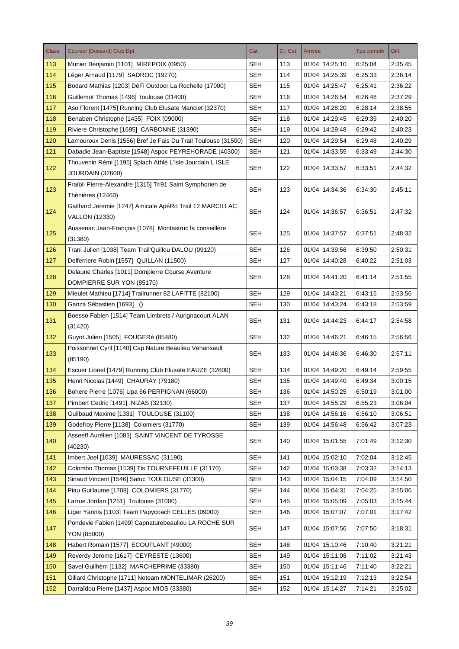| Class. | <b>Coureur [Dossard] Club Dpt</b>                                                 | Cat.       | Cl. Cat. | Arrivée        | <b>Tps cumulé</b> | Diff.   |
|--------|-----------------------------------------------------------------------------------|------------|----------|----------------|-------------------|---------|
| 113    | Munier Benjamin [1101] MIREPOIX (0950)                                            | SEH        | 113      | 01/04 14:25:10 | 6:25:04           | 2:35:45 |
| 114    | Léger Arnaud [1179] SADROC (19270)                                                | <b>SEH</b> | 114      | 01/04 14:25:39 | 6:25:33           | 2:36:14 |
| 115    | Bodard Mathias [1203] DéFi Outdoor La Rochelle (17000)                            | <b>SEH</b> | 115      | 01/04 14:25:47 | 6:25:41           | 2:36:22 |
| 116    | Guillemot Thomas [1496] toulouse (31400)                                          | <b>SEH</b> | 116      | 01/04 14:26:54 | 6:26:48           | 2:37:29 |
| 117    | Aso Florent [1475] Running Club Elusate Manciet (32370)                           | <b>SEH</b> | 117      | 01/04 14:28:20 | 6:28:14           | 2:38:55 |
| 118    | Benaben Christophe [1435] FOIX (09000)                                            | <b>SEH</b> | 118      | 01/04 14:29:45 | 6:29:39           | 2:40:20 |
| 119    | Riviere Christophe [1695] CARBONNE (31390)                                        | <b>SEH</b> | 119      | 01/04 14:29:48 | 6:29:42           | 2:40:23 |
| 120    | Lamouroux Denis [1556] Bref Je Fais Du Trail Toulouse (31500)                     | <b>SEH</b> | 120      | 01/04 14:29:54 | 6:29:48           | 2:40:29 |
| 121    | Dabadie Jean-Baptiste [1548] Aspoc PEYREHORADE (40300)                            | <b>SEH</b> | 121      | 01/04 14:33:55 | 6:33:49           | 2:44:30 |
| 122    | Thouvenin Rémi [1195] Splach Athlé L'Isle Jourdain L ISLE                         | SEH        | 122      | 01/04 14:33:57 | 6:33:51           | 2:44:32 |
|        | JOURDAIN (32600)                                                                  |            |          |                |                   |         |
| 123    | Fraïoli Pierre-Alexandre [1315] Tri91 Saint Symphorien de                         | <b>SEH</b> | 123      | 01/04 14:34:36 | 6:34:30           | 2:45:11 |
|        | Thénières (12460)                                                                 |            |          |                |                   |         |
| 124    | Gailhard Jeremie [1247] Amicale ApéRo Trail 12 MARCILLAC<br><b>VALLON (12330)</b> | SEH        | 124      | 01/04 14:36:57 | 6:36:51           | 2:47:32 |
| 125    | Aussenac Jean-François [1078] Montastruc la conseillère                           | <b>SEH</b> | 125      | 01/04 14:37:57 | 6:37:51           | 2:48:32 |
|        | (31380)                                                                           |            |          |                |                   |         |
| 126    | Trani Julien [1038] Team Trail'Quillou DALOU (09120)                              | <b>SEH</b> | 126      | 01/04 14:39:56 | 6:39:50           | 2:50:31 |
| 127    | Delferriere Robin [1557] QUILLAN (11500)                                          | <b>SEH</b> | 127      | 01/04 14:40:28 | 6:40:22           | 2:51:03 |
| 128    | Delaune Charles [1011] Dompierre Course Aventure<br>DOMPIERRE SUR YON (85170)     | <b>SEH</b> | 128      | 01/04 14:41:20 | 6:41:14           | 2:51:55 |
| 129    | Mieulet Mathieu [1714] Trailrunner 82 LAFITTE (82100)                             | <b>SEH</b> | 129      | 01/04 14:43:21 | 6:43:15           | 2:53:56 |
| 130    | Ganza Sébastien [1693] ()                                                         | <b>SEH</b> | 130      | 01/04 14:43:24 | 6:43:18           | 2:53:59 |
|        | Boesso Fabien [1514] Team Limbrets / Aurignacourt ALAN                            |            |          |                |                   |         |
| 131    | (31420)                                                                           | <b>SEH</b> | 131      | 01/04 14:44:23 | 6:44:17           | 2:54:58 |
| 132    | Guyot Julien [1505] FOUGERé (85480)                                               | <b>SEH</b> | 132      | 01/04 14:46:21 | 6:46:15           | 2:56:56 |
| 133    | Poissonnet Cyril [1140] Cap Nature Beaulieu Venansault<br>(85190)                 | <b>SEH</b> | 133      | 01/04 14:46:36 | 6:46:30           | 2:57:11 |
| 134    | Escuer Lionel [1479] Running Club Elusate EAUZE (32800)                           | <b>SEH</b> | 134      | 01/04 14:49:20 | 6:49:14           | 2:59:55 |
| 135    | Henri Nicolas [1449] CHAURAY (79180)                                              | <b>SEH</b> | 135      | 01/04 14:49:40 | 6:49:34           | 3:00:15 |
| 136    | Bohere Pierre [1076] Upa 66 PERPIGNAN (66000)                                     | <b>SEH</b> | 136      | 01/04 14:50:25 | 6:50:19           | 3:01:00 |
| 137    | Pimbert Cedric [1491] NIZAS (32130)                                               | <b>SEH</b> | 137      | 01/04 14:55:29 | 6:55:23           | 3:06:04 |
| 138    | Guilbaud Maxime [1331] TOULOUSE (31100)                                           | <b>SEH</b> | 138      | 01/04 14:56:16 | 6:56:10           | 3:06:51 |
| 139    | Godefroy Pierre [1138] Colomiers (31770)                                          | <b>SEH</b> | 139      | 01/04 14:56:48 | 6:56:42           | 3:07:23 |
|        | Asseeff Aurélien [1081] SAINT VINCENT DE TYROSSE                                  |            |          |                |                   |         |
| 140    | (40230)                                                                           | <b>SEH</b> | 140      | 01/04 15:01:55 | 7:01:49           | 3:12:30 |
| 141    | Imbert Joel [1039] MAURESSAC (31190)                                              | <b>SEH</b> | 141      | 01/04 15:02:10 | 7:02:04           | 3:12:45 |
| 142    | Colombo Thomas [1539] Tis TOURNEFEUILLE (31170)                                   | <b>SEH</b> | 142      | 01/04 15:03:38 | 7:03:32           | 3:14:13 |
| 143    | Sinaud Vincent [1546] Satuc TOULOUSE (31300)                                      | <b>SEH</b> | 143      | 01/04 15:04:15 | 7:04:09           | 3:14:50 |
| 144    | Piau Guillaume [1708] COLOMIERS (31770)                                           | <b>SEH</b> | 144      | 01/04 15:04:31 | 7:04:25           | 3:15:06 |
| 145    | Larrue Jordan [1251] Toulouse (31000)                                             | <b>SEH</b> | 145      | 01/04 15:05:09 | 7:05:03           | 3:15:44 |
| 146    | Liger Yannis [1103] Team Papycoach CELLES (09000)                                 | SEH        | 146      | 01/04 15:07:07 | 7:07:01           | 3:17:42 |
| 147    | Pondevie Fabien [1499] Capnaturebeaulieu LA ROCHE SUR                             | <b>SEH</b> | 147      | 01/04 15:07:56 | 7:07:50           | 3:18:31 |
|        | YON (85000)                                                                       |            |          |                |                   |         |
| 148    | Habert Romain [1577] ECOUFLANT (49000)                                            | <b>SEH</b> | 148      | 01/04 15:10:46 | 7:10:40           | 3:21:21 |
| 149    | Reverdy Jerome [1617] CEYRESTE (13600)                                            | <b>SEH</b> | 149      | 01/04 15:11:08 | 7:11:02           | 3:21:43 |
| 150    | Savel Guilhèm [1132] MARCHEPRIME (33380)                                          | <b>SEH</b> | 150      | 01/04 15:11:46 | 7:11:40           | 3:22:21 |
| 151    | Gillard Christophe [1711] Noteam MONTELIMAR (26200)                               | <b>SEH</b> | 151      | 01/04 15:12:19 | 7:12:13           | 3:22:54 |
| 152    | Darraïdou Pierre [1437] Aspoc MIOS (33380)                                        | <b>SEH</b> | 152      | 01/04 15:14:27 | 7:14:21           | 3:25:02 |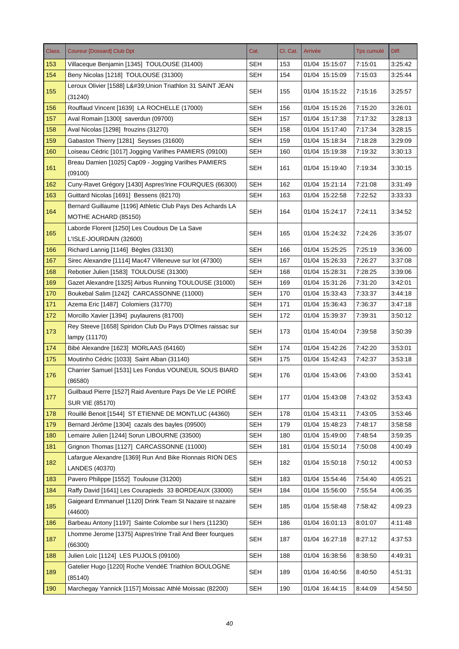| Class. | <b>Coureur [Dossard] Club Dpt</b>                                                   | Cat.       | Cl. Cat. | Arrivée        | Tps cumulé | Diff.   |
|--------|-------------------------------------------------------------------------------------|------------|----------|----------------|------------|---------|
| 153    | Villaceque Benjamin [1345] TOULOUSE (31400)                                         | SEH        | 153      | 01/04 15:15:07 | 7:15:01    | 3:25:42 |
| 154    | Beny Nicolas [1218] TOULOUSE (31300)                                                | <b>SEH</b> | 154      | 01/04 15:15:09 | 7:15:03    | 3:25:44 |
| 155    | Leroux Olivier [1588] L' Union Triathlon 31 SAINT JEAN<br>(31240)                   | <b>SEH</b> | 155      | 01/04 15:15:22 | 7:15:16    | 3:25:57 |
| 156    | Rouffaud Vincent [1639] LA ROCHELLE (17000)                                         | <b>SEH</b> | 156      | 01/04 15:15:26 | 7:15:20    | 3:26:01 |
| 157    | Aval Romain [1300] saverdun (09700)                                                 | <b>SEH</b> | 157      | 01/04 15:17:38 | 7:17:32    | 3:28:13 |
| 158    | Aval Nicolas [1298] frouzins (31270)                                                | <b>SEH</b> | 158      | 01/04 15:17:40 | 7:17:34    | 3:28:15 |
| 159    | Gabaston Thierry [1281] Seysses (31600)                                             | <b>SEH</b> | 159      | 01/04 15:18:34 | 7:18:28    | 3:29:09 |
| 160    | Loiseau Cédric [1017] Jogging Varilhes PAMIERS (09100)                              | <b>SEH</b> | 160      | 01/04 15:19:38 | 7:19:32    | 3:30:13 |
| 161    | Breau Damien [1025] Cap09 - Jogging Varilhes PAMIERS<br>(09100)                     | <b>SEH</b> | 161      | 01/04 15:19:40 | 7:19:34    | 3:30:15 |
| 162    | Cuny-Ravet Grégory [1430] Aspres'Irine FOURQUES (66300)                             | <b>SEH</b> | 162      | 01/04 15:21:14 | 7:21:08    | 3:31:49 |
| 163    | Guittard Nicolas [1691] Bessens (82170)                                             | <b>SEH</b> | 163      | 01/04 15:22:58 | 7:22:52    | 3:33:33 |
| 164    | Bernard Guillaume [1196] Athletic Club Pays Des Achards LA<br>MOTHE ACHARD (85150)  | <b>SEH</b> | 164      | 01/04 15:24:17 | 7:24:11    | 3:34:52 |
| 165    | Laborde Florent [1250] Les Coudous De La Save<br>L'ISLE-JOURDAIN (32600)            | <b>SEH</b> | 165      | 01/04 15:24:32 | 7:24:26    | 3:35:07 |
| 166    | Richard Lannig [1146] Bègles (33130)                                                | <b>SEH</b> | 166      | 01/04 15:25:25 | 7:25:19    | 3:36:00 |
| 167    | Sirec Alexandre [1114] Mac47 Villeneuve sur lot (47300)                             | <b>SEH</b> | 167      | 01/04 15:26:33 | 7:26:27    | 3:37:08 |
| 168    | Rebotier Julien [1583] TOULOUSE (31300)                                             | <b>SEH</b> | 168      | 01/04 15:28:31 | 7:28:25    | 3:39:06 |
| 169    | Gazet Alexandre [1325] Airbus Running TOULOUSE (31000)                              | <b>SEH</b> | 169      | 01/04 15:31:26 | 7:31:20    | 3:42:01 |
| 170    | Boukebal Salim [1242] CARCASSONNE (11000)                                           | <b>SEH</b> | 170      | 01/04 15:33:43 | 7:33:37    | 3:44:18 |
| 171    | Azema Eric [1487] Colomiers (31770)                                                 | <b>SEH</b> | 171      | 01/04 15:36:43 | 7:36:37    | 3:47:18 |
| 172    | Morcillo Xavier [1394] puylaurens (81700)                                           | <b>SEH</b> | 172      | 01/04 15:39:37 | 7:39:31    | 3:50:12 |
| 173    | Rey Steeve [1658] Spiridon Club Du Pays D'Olmes raissac sur<br>lampy (11170)        | <b>SEH</b> | 173      | 01/04 15:40:04 | 7:39:58    | 3:50:39 |
| 174    | Bibé Alexandre [1623] MORLAAS (64160)                                               | <b>SEH</b> | 174      | 01/04 15:42:26 | 7:42:20    | 3:53:01 |
| 175    | Moutinho Cédric [1033] Saint Alban (31140)                                          | <b>SEH</b> | 175      | 01/04 15:42:43 | 7:42:37    | 3:53:18 |
| 176    | Charrier Samuel [1531] Les Fondus VOUNEUIL SOUS BIARD<br>(86580)                    | <b>SEH</b> | 176      | 01/04 15:43:06 | 7:43:00    | 3:53:41 |
| 177    | Guilbaud Pierre [1527] Raid Aventure Pays De Vie LE POIRÉ<br><b>SUR VIE (85170)</b> | <b>SEH</b> | 177      | 01/04 15:43:08 | 7:43:02    | 3:53:43 |
| 178    | Rouillé Benoit [1544] ST ETIENNE DE MONTLUC (44360)                                 | <b>SEH</b> | 178      | 01/04 15:43:11 | 7:43:05    | 3.53.46 |
| 179    | Bernard Jérôme [1304] cazals des bayles (09500)                                     | <b>SEH</b> | 179      | 01/04 15:48:23 | 7:48:17    | 3:58:58 |
| 180    | Lemaire Julien [1244] Sorun LIBOURNE (33500)                                        | <b>SEH</b> | 180      | 01/04 15:49:00 | 7:48:54    | 3:59:35 |
| 181    | Grignon Thomas [1127] CARCASSONNE (11000)                                           | <b>SEH</b> | 181      | 01/04 15:50:14 | 7:50:08    | 4:00:49 |
| 182    | Lafargue Alexandre [1369] Run And Bike Rionnais RION DES<br>LANDES (40370)          | <b>SEH</b> | 182      | 01/04 15:50:18 | 7:50:12    | 4:00:53 |
| 183    | Pavero Philippe [1552] Toulouse (31200)                                             | <b>SEH</b> | 183      | 01/04 15:54:46 | 7:54:40    | 4:05:21 |
| 184    | Raffy David [1641] Les Courapieds 33 BORDEAUX (33000)                               | <b>SEH</b> | 184      | 01/04 15:56:00 | 7:55:54    | 4:06:35 |
| 185    | Gaigeard Emmanuel [1120] Drink Team St Nazaire st nazaire<br>(44600)                | <b>SEH</b> | 185      | 01/04 15:58:48 | 7:58:42    | 4:09:23 |
| 186    | Barbeau Antony [1197] Sainte Colombe sur I hers (11230)                             | <b>SEH</b> | 186      | 01/04 16:01:13 | 8:01:07    | 4:11:48 |
| 187    | Lhomme Jerome [1375] Aspres'Irine Trail And Beer fourques<br>(66300)                | <b>SEH</b> | 187      | 01/04 16:27:18 | 8:27:12    | 4:37:53 |
| 188    | Julien Loïc [1124] LES PUJOLS (09100)                                               | <b>SEH</b> | 188      | 01/04 16:38:56 | 8:38:50    | 4:49:31 |
| 189    | Gatelier Hugo [1220] Roche VendéE Triathlon BOULOGNE<br>(85140)                     | <b>SEH</b> | 189      | 01/04 16:40:56 | 8:40:50    | 4:51:31 |
| 190    | Marchegay Yannick [1157] Moissac Athlé Moissac (82200)                              | <b>SEH</b> | 190      | 01/04 16:44:15 | 8:44:09    | 4:54:50 |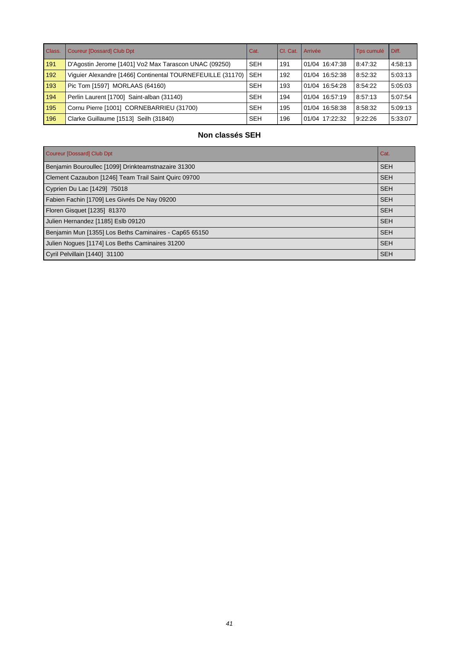| Class. | Coureur [Dossard] Club Dpt                                 | Cat.       | CI. Cat. | LArrivée       | Tps cumulé | Diff.   |
|--------|------------------------------------------------------------|------------|----------|----------------|------------|---------|
| 191    | D'Agostin Jerome [1401] Vo2 Max Tarascon UNAC (09250)      | <b>SEH</b> | 191      | 01/04 16:47:38 | 8:47:32    | 4:58:13 |
| 192    | Viguier Alexandre [1466] Continental TOURNEFEUILLE (31170) | <b>SEH</b> | 192      | 01/04 16:52:38 | 8:52:32    | 5:03:13 |
| 193    | Pic Tom [1597] MORLAAS (64160)                             | <b>SEH</b> | 193      | 01/04 16:54:28 | 8:54:22    | 5:05:03 |
| 194    | Perlin Laurent [1700] Saint-alban (31140)                  | <b>SEH</b> | 194      | 01/04 16:57:19 | 8:57:13    | 5:07:54 |
| 195    | Cornu Pierre [1001] CORNEBARRIEU (31700)                   | <b>SEH</b> | 195      | 01/04 16:58:38 | 8:58:32    | 5:09:13 |
| 196    | Clarke Guillaume [1513] Seilh (31840)                      | <b>SEH</b> | 196      | 01/04 17:22:32 | 9:22:26    | 5:33:07 |

# **Non classés SEH**

| Coureur [Dossard] Club Dpt                             | Cat.       |
|--------------------------------------------------------|------------|
| Benjamin Bouroullec [1099] Drinkteamstnazaire 31300    | <b>SEH</b> |
| Clement Cazaubon [1246] Team Trail Saint Quirc 09700   | <b>SEH</b> |
| Cyprien Du Lac [1429] 75018                            | <b>SEH</b> |
| Fabien Fachin [1709] Les Givrés De Nay 09200           | <b>SEH</b> |
| Floren Gisquet [1235] 81370                            | <b>SEH</b> |
| Julien Hernandez [1185] Eslb 09120                     | <b>SEH</b> |
| Benjamin Mun [1355] Los Beths Caminaires - Cap65 65150 | <b>SEH</b> |
| Julien Nogues [1174] Los Beths Caminaires 31200        | <b>SEH</b> |
| Cyril Pelvillain [1440] 31100                          | <b>SEH</b> |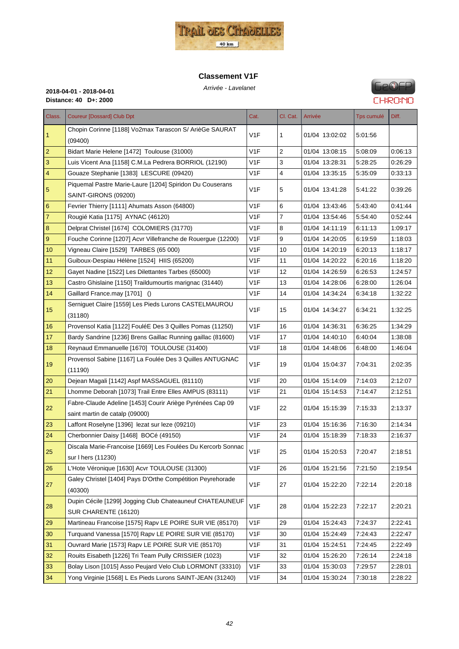

#### **Classement V1F**



| Arrivée - Lavelan |  |
|-------------------|--|
|                   |  |

| Class.         | <b>Coureur [Dossard] Club Dpt</b>                            | Cat.             | Cl. Cat. | Arrivée        | <b>Tps cumulé</b> | Diff.   |
|----------------|--------------------------------------------------------------|------------------|----------|----------------|-------------------|---------|
| $\vert$ 1      | Chopin Corinne [1188] Vo2max Tarascon S/ ArièGe SAURAT       | V <sub>1</sub> F | 1        | 01/04 13:02:02 | 5:01:56           |         |
|                | (09400)                                                      |                  |          |                |                   |         |
| $\vert$ 2      | Bidart Marie Helene [1472] Toulouse (31000)                  | V1F              | 2        | 01/04 13:08:15 | 5.08.09           | 0:06:13 |
| $\mathbf{3}$   | Luis Vicent Ana [1158] C.M.La Pedrera BORRIOL (12190)        | V1F              | 3        | 01/04 13:28:31 | 5:28:25           | 0.26.29 |
| $\overline{4}$ | Gouaze Stephanie [1383] LESCURE (09420)                      | V1F              | 4        | 01/04 13:35:15 | 5:35:09           | 0:33:13 |
| $\sqrt{5}$     | Piquemal Pastre Marie-Laure [1204] Spiridon Du Couserans     | V <sub>1F</sub>  | 5        | 01/04 13:41:28 | 5:41:22           | 0.39.26 |
|                | SAINT-GIRONS (09200)                                         |                  |          |                |                   |         |
| $\,$ 6 $\,$    | Fevrier Thierry [1111] Ahumats Asson (64800)                 | V1F              | 6        | 01/04 13:43:46 | 5:43:40           | 0:41:44 |
| $\overline{7}$ | Rougié Katia [1175] AYNAC (46120)                            | V1F              | 7        | 01/04 13:54:46 | 5:54:40           | 0.52.44 |
| $\bf 8$        | Delprat Christel [1674] COLOMIERS (31770)                    | V1F              | 8        | 01/04 14:11:19 | 6.11.13           | 1:09:17 |
| $9\,$          | Fouche Corinne [1207] Acvr Villefranche de Rouergue (12200)  | V1F              | 9        | 01/04 14:20:05 | 6:19:59           | 1:18:03 |
| 10             | Vigneau Claire [1529] TARBES (65 000)                        | V <sub>1</sub> F | 10       | 01/04 14:20:19 | 6:20:13           | 1:18:17 |
| 11             | Guiboux-Despiau Hélène [1524] HIIS (65200)                   | V1F              | 11       | 01/04 14:20:22 | 6:20:16           | 1:18:20 |
| 12             | Gayet Nadine [1522] Les Dilettantes Tarbes (65000)           | V1F              | 12       | 01/04 14:26:59 | 6.26.53           | 1:24:57 |
| 13             | Castro Ghislaine [1150] Traildumourtis marignac (31440)      | V <sub>1</sub> F | 13       | 01/04 14:28:06 | 6:28:00           | 1:26:04 |
| 14             | Gaillard France.may [1701] ()                                | V <sub>1</sub> F | 14       | 01/04 14:34:24 | 6:34:18           | 1:32:22 |
| 15             | Serniguet Claire [1559] Les Pieds Lurons CASTELMAUROU        | V <sub>1F</sub>  | 15       | 01/04 14:34:27 | 6:34:21           | 1:32:25 |
|                | (31180)                                                      |                  |          |                |                   |         |
| 16             | Provensol Katia [1122] FouléE Des 3 Quilles Pomas (11250)    | V <sub>1</sub> F | 16       | 01/04 14:36:31 | 6:36:25           | 1:34:29 |
| 17             | Bardy Sandrine [1236] Brens Gaillac Running gaillac (81600)  | V <sub>1</sub> F | 17       | 01/04 14:40:10 | 6:40:04           | 1:38:08 |
| 18             | Reynaud Emmanuelle [1670] TOULOUSE (31400)                   | V <sub>1</sub> F | 18       | 01/04 14:48:06 | 6:48:00           | 1:46:04 |
| 19             | Provensol Sabine [1167] La Foulée Des 3 Quilles ANTUGNAC     | V1F              | 19       | 01/04 15:04:37 | 7:04:31           | 2:02:35 |
|                | (11190)                                                      |                  |          |                |                   |         |
| 20             | Dejean Magali [1142] Aspf MASSAGUEL (81110)                  | V <sub>1</sub> F | 20       | 01/04 15:14:09 | 7:14:03           | 2:12:07 |
| 21             | Lhomme Deborah [1073] Trail Entre Elles AMPUS (83111)        | V1F              | 21       | 01/04 15:14:53 | 7:14:47           | 2:12:51 |
| 22             | Fabre-Claude Adeline [1453] Courir Ariège Pyrénées Cap 09    | V <sub>1</sub> F | 22       | 01/04 15:15:39 | 7:15:33           | 2:13:37 |
|                | saint martin de catalp (09000)                               |                  |          |                |                   |         |
| 23             | Laffont Roselyne [1396] lezat sur leze (09210)               | V <sub>1</sub> F | 23       | 01/04 15:16:36 | 7:16:30           | 2:14:34 |
| 24             | Cherbonnier Daisy [1468] BOCé (49150)                        | V1F              | 24       | 01/04 15:18:39 | 7:18:33           | 2.16.37 |
| 25             | Discala Marie-Francoise [1669] Les Foulées Du Kercorb Sonnac | V <sub>1</sub> F | 25       | 01/04 15:20:53 | 7:20:47           | 2:18:51 |
|                | sur I hers (11230)                                           |                  |          |                |                   |         |
| 26             | L'Hote Véronique [1630] Acvr TOULOUSE (31300)                | V <sub>1F</sub>  | 26       | 01/04 15:21:56 | 7:21:50           | 2:19:54 |
| 27             | Galey Christel [1404] Pays D'Orthe Compétition Peyrehorade   | V <sub>1</sub> F | 27       | 01/04 15:22:20 | 7:22:14           | 2:20:18 |
|                | (40300)                                                      |                  |          |                |                   |         |
|                | Dupin Cécile [1299] Jogging Club Chateauneuf CHATEAUNEUF     |                  |          |                |                   |         |
| 28             | SUR CHARENTE (16120)                                         | V1F              | 28       | 01/04 15:22:23 | 7:22:17           | 2:20:21 |
| 29             | Martineau Francoise [1575] Rapv LE POIRE SUR VIE (85170)     | V1F              | 29       | 01/04 15:24:43 | 7:24:37           | 2:22:41 |
| 30             | Turquand Vanessa [1570] Rapv LE POIRE SUR VIE (85170)        | V1F              | 30       | 01/04 15:24:49 | 7:24:43           | 2:22:47 |
| 31             | Ouvrard Marie [1573] Rapv LE POIRE SUR VIE (85170)           | V1F              | 31       | 01/04 15:24:51 | 7:24:45           | 2:22:49 |
| 32             | Rouits Eisabeth [1226] Tri Team Pully CRISSIER (1023)        | V1F              | 32       | 01/04 15:26:20 | 7.26.14           | 2:24:18 |
| 33             | Bolay Lison [1015] Asso Peujard Velo Club LORMONT (33310)    | V <sub>1</sub> F | 33       | 01/04 15:30:03 | 7:29:57           | 2:28:01 |
| 34             | Yong Virginie [1568] L Es Pieds Lurons SAINT-JEAN (31240)    | V1F              | 34       | 01/04 15:30:24 | 7:30:18           | 2:28:22 |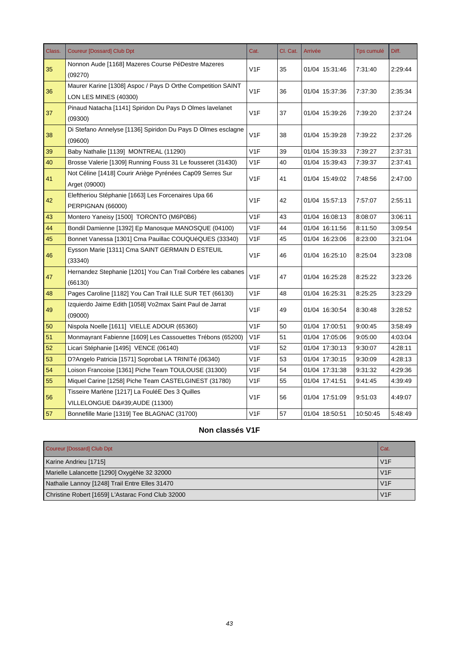| Class. | <b>Coureur [Dossard] Club Dpt</b>                                                    | Cat.             | Cl. Cat. | Arrivée        | <b>Tps cumulé</b> | Diff.   |
|--------|--------------------------------------------------------------------------------------|------------------|----------|----------------|-------------------|---------|
| 35     | Nonnon Aude [1168] Mazeres Course PéDestre Mazeres<br>(09270)                        | V1F              | 35       | 01/04 15:31:46 | 7:31:40           | 2:29:44 |
| 36     | Maurer Karine [1308] Aspoc / Pays D Orthe Competition SAINT<br>LON LES MINES (40300) | V <sub>1</sub> F | 36       | 01/04 15:37:36 | 7:37:30           | 2:35:34 |
| 37     | Pinaud Natacha [1141] Spiridon Du Pays D Olmes lavelanet<br>(09300)                  | V1F              | 37       | 01/04 15:39:26 | 7:39:20           | 2:37:24 |
| 38     | Di Stefano Annelyse [1136] Spiridon Du Pays D Olmes esclagne<br>(09600)              | V <sub>1</sub> F | 38       | 01/04 15:39:28 | 7:39:22           | 2:37:26 |
| 39     | Baby Nathalie [1139] MONTREAL (11290)                                                | V1F              | 39       | 01/04 15:39:33 | 7:39:27           | 2:37:31 |
| 40     | Brosse Valerie [1309] Running Fouss 31 Le fousseret (31430)                          | V <sub>1</sub> F | 40       | 01/04 15:39:43 | 7:39:37           | 2:37:41 |
| 41     | Not Céline [1418] Courir Ariège Pyrénées Cap09 Serres Sur<br>Arget (09000)           | V1F              | 41       | 01/04 15:49:02 | 7:48:56           | 2:47:00 |
| 42     | Eleftheriou Stéphanie [1663] Les Forcenaires Upa 66<br>PERPIGNAN (66000)             | V <sub>1</sub> F | 42       | 01/04 15:57:13 | 7:57:07           | 2:55:11 |
| 43     | Montero Yaneisy [1500] TORONTO (M6P0B6)                                              | V <sub>1</sub> F | 43       | 01/04 16:08:13 | 8:08:07           | 3:06:11 |
| 44     | Bondil Damienne [1392] Ep Manosque MANOSQUE (04100)                                  | V1F              | 44       | 01/04 16:11:56 | 8:11:50           | 3:09:54 |
| 45     | Bonnet Vanessa [1301] Cma Pauillac COUQUéQUES (33340)                                | V <sub>1</sub> F | 45       | 01/04 16:23:06 | 8:23:00           | 3:21:04 |
| 46     | Eysson Marie [1311] Cma SAINT GERMAIN D ESTEUIL<br>(33340)                           | V1F              | 46       | 01/04 16:25:10 | 8:25:04           | 3:23:08 |
| 47     | Hernandez Stephanie [1201] You Can Trail Corbére les cabanes<br>(66130)              | V <sub>1</sub> F | 47       | 01/04 16:25:28 | 8:25:22           | 3:23:26 |
| 48     | Pages Caroline [1182] You Can Trail ILLE SUR TET (66130)                             | V <sub>1</sub> F | 48       | 01/04 16:25:31 | 8:25:25           | 3:23:29 |
| 49     | Izquierdo Jaime Edith [1058] Vo2max Saint Paul de Jarrat<br>(09000)                  | V1F              | 49       | 01/04 16:30:54 | 8:30:48           | 3:28:52 |
| 50     | Nispola Noelle [1611] VIELLE ADOUR (65360)                                           | V1F              | 50       | 01/04 17:00:51 | 9:00:45           | 3:58:49 |
| 51     | Monmayrant Fabienne [1609] Les Cassouettes Trébons (65200)                           | V <sub>1</sub> F | 51       | 01/04 17:05:06 | 9:05:00           | 4:03:04 |
| 52     | Licari Stéphanie [1495] VENCE (06140)                                                | V <sub>1</sub> F | 52       | 01/04 17:30:13 | 9:30:07           | 4:28:11 |
| 53     | D?Angelo Patricia [1571] Soprobat LA TRINITé (06340)                                 | V <sub>1</sub> F | 53       | 01/04 17:30:15 | 9:30:09           | 4:28:13 |
| 54     | Loison Francoise [1361] Piche Team TOULOUSE (31300)                                  | V1F              | 54       | 01/04 17:31:38 | 9:31:32           | 4:29:36 |
| 55     | Miquel Carine [1258] Piche Team CASTELGINEST (31780)                                 | V <sub>1</sub> F | 55       | 01/04 17:41:51 | 9:41:45           | 4:39:49 |
| 56     | Tisseire Marlène [1217] La FouléE Des 3 Quilles<br>VILLELONGUE D'AUDE (11300)        | V <sub>1</sub> F | 56       | 01/04 17:51:09 | 9:51:03           | 4:49:07 |
| 57     | Bonnefille Marie [1319] Tee BLAGNAC (31700)                                          | V <sub>1</sub> F | 57       | 01/04 18:50:51 | 10:50:45          | 5:48:49 |

# **Non classés V1F**

| Coureur [Dossard] Club Dpt                        | Cat. |
|---------------------------------------------------|------|
| Karine Andrieu [1715]                             | V1F  |
| Marielle Lalancette [1290] OxygèNe 32 32000       | V1F  |
| Nathalie Lannoy [1248] Trail Entre Elles 31470    | V1F  |
| Christine Robert [1659] L'Astarac Fond Club 32000 | V1F  |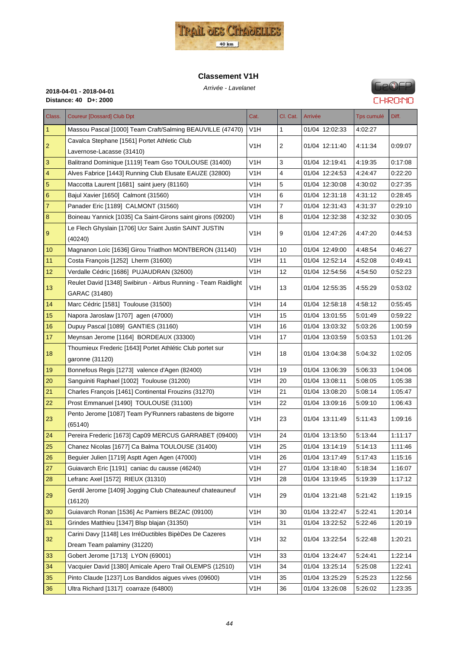

#### **Classement V1H**



# **FIP®FP CHRONO**

| Class.          | <b>Coureur [Dossard] Club Dpt</b>                              | Cat.             | Cl. Cat.       | Arrivée        | Tps cumulé | Diff.   |
|-----------------|----------------------------------------------------------------|------------------|----------------|----------------|------------|---------|
| 1               | Massou Pascal [1000] Team Craft/Salming BEAUVILLE (47470)      | V1H              | 1              | 01/04 12:02:33 | 4:02:27    |         |
|                 | Cavalca Stephane [1561] Portet Athletic Club                   |                  |                |                |            |         |
| $\overline{2}$  | Lavernose-Lacasse (31410)                                      | V1H              | $\overline{c}$ | 01/04 12:11:40 | 4:11:34    | 0:09:07 |
| 3               | Balitrand Dominique [1119] Team Gso TOULOUSE (31400)           | V <sub>1</sub> H | 3              | 01/04 12:19:41 | 4:19:35    | 0:17:08 |
| 4               | Alves Fabrice [1443] Running Club Elusate EAUZE (32800)        | V1H              | 4              | 01/04 12:24:53 | 4:24:47    | 0.22:20 |
| 5               | Maccotta Laurent [1681] saint juery (81160)                    | V1H              | 5              | 01/04 12:30:08 | 4:30:02    | 0:27:35 |
| $6\phantom{1}6$ | Bajul Xavier [1650] Calmont (31560)                            | V <sub>1</sub> H | 6              | 01/04 12:31:18 | 4:31:12    | 0:28:45 |
| $\overline{7}$  | Panader Eric [1189] CALMONT (31560)                            | V1H              | 7              | 01/04 12:31:43 | 4:31:37    | 0:29:10 |
| 8               | Boineau Yannick [1035] Ca Saint-Girons saint girons (09200)    | V1H              | 8              | 01/04 12:32:38 | 4:32:32    | 0.30:05 |
|                 | Le Flech Ghyslain [1706] Ucr Saint Justin SAINT JUSTIN         |                  |                |                |            |         |
| 9               | (40240)                                                        | V <sub>1</sub> H | 9              | 01/04 12:47:26 | 4:47:20    | 0.44.53 |
| 10 <sup>1</sup> | Magnanon Loïc [1636] Girou Triatlhon MONTBERON (31140)         | V1H              | 10             | 01/04 12:49:00 | 4:48:54    | 0:46:27 |
| 11              | Costa Francois [1252] Lherm (31600)                            | V <sub>1</sub> H | 11             | 01/04 12:52:14 | 4:52:08    | 0.49:41 |
| 12              | Verdalle Cédric [1686] PUJAUDRAN (32600)                       | V1H              | 12             | 01/04 12:54:56 | 4:54:50    | 0:52:23 |
|                 | Reulet David [1348] Swibirun - Airbus Running - Team Raidlight |                  |                |                |            |         |
| 13              | GARAC (31480)                                                  | V1H              | 13             | 01/04 12:55:35 | 4:55:29    | 0:53:02 |
| 14              | Marc Cédric [1581] Toulouse (31500)                            | V1H              | 14             | 01/04 12:58:18 | 4:58:12    | 0.55.45 |
| 15              | Napora Jaroslaw [1707] agen (47000)                            | V1H              | 15             | 01/04 13:01:55 | 5:01:49    | 0:59:22 |
| 16              | Dupuy Pascal [1089] GANTIES (31160)                            | V <sub>1</sub> H | 16             | 01/04 13:03:32 | 5:03:26    | 1:00:59 |
| 17              | Meynsan Jerome [1164] BORDEAUX (33300)                         | V1H              | 17             | 01/04 13:03:59 | 5:03:53    | 1:01:26 |
|                 | Thoumieux Frederic [1643] Portet Athlétic Club portet sur      |                  |                |                |            |         |
| 18              | garonne (31120)                                                | V1H              | 18             | 01/04 13:04:38 | 5:04:32    | 1:02:05 |
| 19              | Bonnefous Regis [1273] valence d'Agen (82400)                  | V1H              | 19             | 01/04 13:06:39 | 5:06:33    | 1:04:06 |
| 20              | Sanguiniti Raphael [1002] Toulouse (31200)                     | V1H              | 20             | 01/04 13:08:11 | 5:08:05    | 1:05:38 |
| 21              | Charles François [1461] Continental Frouzins (31270)           | V <sub>1</sub> H | 21             | 01/04 13:08:20 | 5:08:14    | 1:05:47 |
| 22              | Prost Emmanuel [1490] TOULOUSE (31100)                         | V <sub>1</sub> H | 22             | 01/04 13:09:16 | 5:09:10    | 1:06:43 |
|                 | Pento Jerome [1087] Team Py'Runners rabastens de bigorre       | V <sub>1</sub> H |                |                |            |         |
| 23              | (65140)                                                        |                  | 23             | 01/04 13:11:49 | 5:11:43    | 1.09.16 |
| 24              | Pereira Frederic [1673] Cap09 MERCUS GARRABET (09400)          | V <sub>1</sub> H | 24             | 01/04 13:13:50 | 5:13:44    | 1:11:17 |
| 25              | Chanez Nicolas [1677] Ca Balma TOULOUSE (31400)                | V1H              | 25             | 01/04 13:14:19 | 5:14:13    | 1.11.46 |
| 26              | Beguier Julien [1719] Asptt Agen Agen (47000)                  | V1H              | 26             | 01/04 13:17:49 | 5:17:43    | 1:15:16 |
| 27              | Guiavarch Eric [1191] caniac du causse (46240)                 | V <sub>1</sub> H | 27             | 01/04 13:18:40 | 5:18:34    | 1:16:07 |
| 28              | Lefranc Axel [1572] RIEUX (31310)                              | V1H              | 28             | 01/04 13:19:45 | 5:19:39    | 1:17:12 |
| 29              | Gerdil Jerome [1409] Jogging Club Chateauneuf chateauneuf      | V <sub>1</sub> H | 29             | 01/04 13:21:48 | 5:21:42    | 1:19:15 |
|                 | (16120)                                                        |                  |                |                |            |         |
| 30              | Guiavarch Ronan [1536] Ac Pamiers BEZAC (09100)                | V1H              | 30             | 01/04 13:22:47 | 5:22:41    | 1:20:14 |
| 31              | Grindes Matthieu [1347] Blsp blajan (31350)                    | V <sub>1</sub> H | 31             | 01/04 13:22:52 | 5:22:46    | 1:20:19 |
| 32              | Carini Davy [1148] Les IrréDuctibles BipèDes De Cazeres        | V <sub>1</sub> H | 32             | 01/04 13:22:54 | 5:22:48    | 1:20:21 |
|                 | Dream Team palaminy (31220)                                    |                  |                |                |            |         |
| 33              | Gobert Jerome [1713] LYON (69001)                              | V1H              | 33             | 01/04 13:24:47 | 5:24:41    | 1.22.14 |
| 34              | Vacquier David [1380] Amicale Apero Trail OLEMPS (12510)       | V1H              | 34             | 01/04 13:25:14 | 5:25:08    | 1:22:41 |
| 35              | Pinto Claude [1237] Los Bandidos aigues vives (09600)          | V <sub>1</sub> H | 35             | 01/04 13:25:29 | 5:25:23    | 1:22:56 |
| 36              | Ultra Richard [1317] coarraze (64800)                          | V <sub>1</sub> H | 36             | 01/04 13:26:08 | 5:26:02    | 1:23:35 |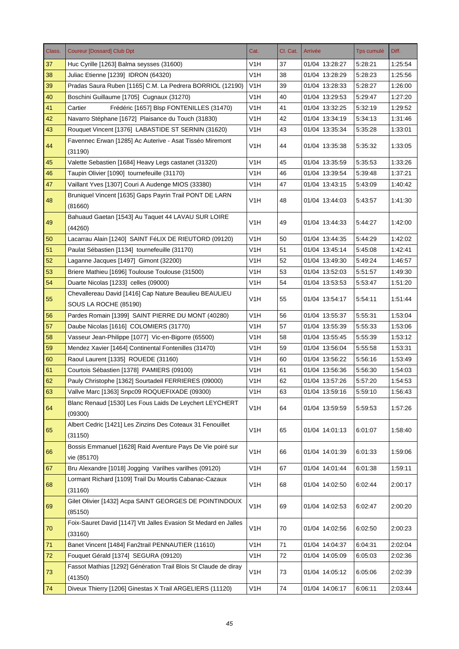| Class. | <b>Coureur [Dossard] Club Dpt</b>                                               | Cat.             | Cl. Cat.   | Arrivée        | Tps cumulé | Diff.   |
|--------|---------------------------------------------------------------------------------|------------------|------------|----------------|------------|---------|
| 37     | Huc Cyrille [1263] Balma seysses (31600)                                        | V1H              | 37         | 01/04 13:28:27 | 5:28:21    | 1:25:54 |
| 38     | Juliac Etienne [1239] IDRON (64320)                                             | V <sub>1</sub> H | 38         | 01/04 13:28:29 | 5.28.23    | 1:25:56 |
| 39     | Pradas Saura Ruben [1165] C.M. La Pedrera BORRIOL (12190)                       | V <sub>1</sub> H | 39         | 01/04 13:28:33 | 5:28:27    | 1:26:00 |
| 40     | Boschini Guillaume [1705] Cugnaux (31270)                                       | V <sub>1</sub> H | 40         | 01/04 13:29:53 | 5.29:47    | 1:27:20 |
| 41     | Cartier<br>Frédéric [1657] Blsp FONTENILLES (31470)                             | V1H              | 41         | 01/04 13:32:25 | 5:32:19    | 1:29:52 |
| 42     | Navarro Stéphane [1672] Plaisance du Touch (31830)                              | V <sub>1</sub> H | 42         | 01/04 13:34:19 | 5:34:13    | 1:31:46 |
| 43     | Rouquet Vincent [1376] LABASTIDE ST SERNIN (31620)                              | V <sub>1</sub> H | 43         | 01/04 13:35:34 | 5:35:28    | 1:33:01 |
| 44     | Favennec Erwan [1285] Ac Auterive - Asat Tisséo Miremont<br>(31190)             | V1H              | 44         | 01/04 13:35:38 | 5:35:32    | 1:33:05 |
| 45     | Valette Sebastien [1684] Heavy Legs castanet (31320)                            | V1H              | 45         | 01/04 13:35:59 | 5:35:53    | 1:33:26 |
| 46     | Taupin Olivier [1090] tournefeuille (31170)                                     | V1H              | 46         | 01/04 13:39:54 | 5:39:48    | 1:37:21 |
| 47     | Vaillant Yves [1307] Couri A Audenge MIOS (33380)                               | V1H              | 47         | 01/04 13:43:15 | 5:43:09    | 1:40:42 |
| 48     | Bruniquel Vincent [1635] Gaps Payrin Trail PONT DE LARN<br>(81660)              | V <sub>1</sub> H | 48         | 01/04 13:44:03 | 5:43:57    | 1:41:30 |
| 49     | Bahuaud Gaetan [1543] Au Taquet 44 LAVAU SUR LOIRE<br>(44260)                   | V1H              | 49         | 01/04 13:44:33 | 5:44:27    | 1:42:00 |
| 50     | Lacarrau Alain [1240] SAINT FéLIX DE RIEUTORD (09120)                           | V1H              | 50         | 01/04 13:44:35 | 5:44:29    | 1:42:02 |
| 51     | Paulat Sébastien [1134] tournefeuille (31170)                                   | V <sub>1</sub> H | 51         | 01/04 13:45:14 | 5.45.08    | 1:42:41 |
| 52     | Laganne Jacques [1497] Gimont (32200)                                           | V1H              | 52         | 01/04 13:49:30 | 5:49:24    | 1:46:57 |
| 53     | Briere Mathieu [1696] Toulouse Toulouse (31500)                                 | V <sub>1</sub> H | 53         | 01/04 13:52:03 | 5:51:57    | 1:49:30 |
| 54     | Duarte Nicolas [1233] celles (09000)                                            | V1H              | 54         | 01/04 13:53:53 | 5:53:47    | 1:51:20 |
| 55     | Chevallereau David [1416] Cap Nature Beaulieu BEAULIEU<br>SOUS LA ROCHE (85190) | V1H              | 55         | 01/04 13:54:17 | 5:54:11    | 1:51:44 |
| 56     | Pardes Romain [1399] SAINT PIERRE DU MONT (40280)                               | V <sub>1</sub> H | 56         | 01/04 13:55:37 | 5:55:31    | 1:53:04 |
| 57     | Daube Nicolas [1616] COLOMIERS (31770)                                          | V1H              | 57         | 01/04 13:55:39 | 5:55:33    | 1:53:06 |
| 58     | Vasseur Jean-Philippe [1077] Vic-en-Bigorre (65500)                             | V <sub>1</sub> H | 58         | 01/04 13:55:45 | 5:55:39    | 1:53:12 |
| 59     | Mendez Xavier [1464] Continental Fontenilles (31470)                            | V1H              | 59         | 01/04 13:56:04 | 5:55:58    | 1:53:31 |
| 60     | Raoul Laurent [1335] ROUEDE (31160)                                             | V1H              | 60         | 01/04 13:56:22 | 5:56:16    | 1:53:49 |
| 61     | Courtois Sébastien [1378] PAMIERS (09100)                                       | V <sub>1</sub> H | 61         | 01/04 13:56:36 | 5:56:30    | 1:54:03 |
| 62     | Pauly Christophe [1362] Sourtadeil FERRIERES (09000)                            | V <sub>1</sub> H | 62         | 01/04 13:57:26 | 5:57:20    | 1:54:53 |
| 63     | Vallve Marc [1363] Snpc09 ROQUEFIXADE (09300)                                   | V <sub>1</sub> H | 63         | 01/04 13:59:16 | 5:59:10    | 1:56:43 |
|        | Blanc Renaud [1530] Les Fous Laids De Leychert LEYCHERT                         |                  |            |                |            |         |
| 64     | (09300)                                                                         | V <sub>1</sub> H | 64         | 01/04 13:59:59 | 5.59.53    | 1:57:26 |
| 65     | Albert Cedric [1421] Les Zinzins Des Coteaux 31 Fenouillet<br>(31150)           | V <sub>1</sub> H | 65         | 01/04 14:01:13 | 6:01:07    | 1:58:40 |
| 66     | Bossis Emmanuel [1628] Raid Aventure Pays De Vie poiré sur<br>vie (85170)       | V <sub>1</sub> H | 66         | 01/04 14:01:39 | 6:01:33    | 1:59:06 |
| 67     | Bru Alexandre [1018] Jogging Varilhes varilhes (09120)                          | V <sub>1</sub> H | 67         | 01/04 14:01:44 | 6:01:38    | 1:59:11 |
| 68     | Lormant Richard [1109] Trail Du Mourtis Cabanac-Cazaux<br>(31160)               | V <sub>1</sub> H | 68         | 01/04 14:02:50 | 6:02:44    | 2:00:17 |
| 69     | Gilet Olivier [1432] Acpa SAINT GEORGES DE POINTINDOUX<br>(85150)               | V <sub>1</sub> H | 69         | 01/04 14:02:53 | 6:02:47    | 2:00:20 |
| 70     | Foix-Sauret David [1147] Vtt Jalles Evasion St Medard en Jalles<br>(33160)      | V <sub>1</sub> H | 70         | 01/04 14:02:56 | 6:02:50    | 2:00:23 |
| 71     | Banet Vincent [1484] Fan2trail PENNAUTIER (11610)                               | V <sub>1</sub> H | 71         | 01/04 14:04:37 | 6:04:31    | 2:02:04 |
| 72     | Fouquet Gérald [1374] SEGURA (09120)                                            | V <sub>1</sub> H | 72         | 01/04 14:05:09 | 6:05:03    | 2:02:36 |
| $73\,$ | Fassot Mathias [1292] Génération Trail Blois St Claude de diray<br>(41350)      | V <sub>1</sub> H | 73         | 01/04 14:05:12 | 6:05:06    | 2:02:39 |
| 74     | Diveux Thierry [1206] Ginestas X Trail ARGELIERS (11120)                        | V <sub>1</sub> H | ${\bf 74}$ | 01/04 14:06:17 | 6:06:11    | 2:03:44 |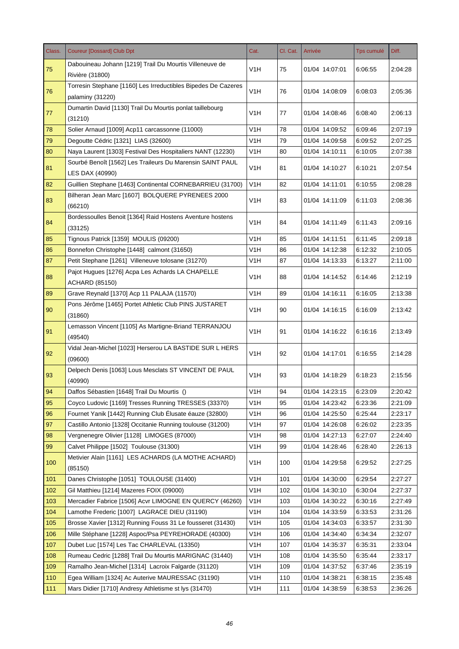| Class. | <b>Coureur [Dossard] Club Dpt</b>                                  | Cat.             | Cl. Cat. | Arrivée        | Tps cumulé | Diff.   |
|--------|--------------------------------------------------------------------|------------------|----------|----------------|------------|---------|
| 75     | Dabouineau Johann [1219] Trail Du Mourtis Villeneuve de            | V <sub>1</sub> H | 75       | 01/04 14:07:01 | 6:06:55    | 2:04:28 |
|        | Rivière (31800)                                                    |                  |          |                |            |         |
| 76     | Torresin Stephane [1160] Les Irreductibles Bipedes De Cazeres      | V <sub>1</sub> H | 76       | 01/04 14:08:09 | 6:08:03    | 2:05:36 |
|        | palaminy (31220)                                                   |                  |          |                |            |         |
| 77     | Dumartin David [1130] Trail Du Mourtis ponlat taillebourg          | V <sub>1</sub> H | 77       | 01/04 14:08:46 | 6:08:40    | 2:06:13 |
|        | (31210)                                                            |                  |          |                |            |         |
| 78     | Solier Arnaud [1009] Acp11 carcassonne (11000)                     | V1H              | 78       | 01/04 14:09:52 | 6:09:46    | 2:07:19 |
| 79     | Degoutte Cédric [1321] LIAS (32600)                                | V <sub>1</sub> H | 79       | 01/04 14:09:58 | 6:09:52    | 2:07:25 |
| 80     | Naya Laurent [1303] Festival Des Hospitaliers NANT (12230)         | V <sub>1</sub> H | 80       | 01/04 14:10:11 | 6:10:05    | 2:07:38 |
| 81     | Sourbé Benoît [1562] Les Traileurs Du Marensin SAINT PAUL          | V <sub>1</sub> H | 81       | 01/04 14:10:27 | 6:10:21    | 2:07:54 |
|        | LES DAX (40990)                                                    |                  |          |                |            |         |
| 82     | Guillien Stephane [1463] Continental CORNEBARRIEU (31700)          | V1H              | 82       | 01/04 14:11:01 | 6:10:55    | 2:08:28 |
| 83     | Bilheran Jean Marc [1607] BOLQUERE PYRENEES 2000<br>(66210)        | V <sub>1</sub> H | 83       | 01/04 14:11:09 | 6:11:03    | 2:08:36 |
|        | Bordessoulles Benoit [1364] Raid Hostens Aventure hostens          |                  |          |                |            |         |
| 84     | (33125)                                                            | V <sub>1</sub> H | 84       | 01/04 14:11:49 | 6:11:43    | 2:09:16 |
| 85     | Tignous Patrick [1359] MOULIS (09200)                              | V <sub>1</sub> H | 85       | 01/04 14:11:51 | 6:11:45    | 2:09:18 |
| 86     | Bonnefon Christophe [1448] calmont (31650)                         | V <sub>1</sub> H | 86       | 01/04 14:12:38 | 6:12:32    | 2:10:05 |
| 87     | Petit Stephane [1261] Villeneuve tolosane (31270)                  | V <sub>1</sub> H | 87       | 01/04 14:13:33 | 6:13:27    | 2:11:00 |
|        | Pajot Hugues [1276] Acpa Les Achards LA CHAPELLE                   |                  |          |                |            |         |
| 88     | <b>ACHARD (85150)</b>                                              | V1H              | 88       | 01/04 14:14:52 | 6:14:46    | 2:12:19 |
| 89     | Grave Reynald [1370] Acp 11 PALAJA (11570)                         | V1H              | 89       | 01/04 14:16:11 | 6:16:05    | 2:13:38 |
| 90     | Pons Jérôme [1465] Portet Athletic Club PINS JUSTARET              | V <sub>1</sub> H | 90       | 01/04 14:16:15 | 6:16:09    | 2:13:42 |
|        | (31860)                                                            |                  |          |                |            |         |
| 91     | Lemasson Vincent [1105] As Martigne-Briand TERRANJOU               | V1H              | 91       | 01/04 14:16:22 | 6:16:16    | 2:13:49 |
|        | (49540)<br>Vidal Jean-Michel [1023] Herserou LA BASTIDE SUR L HERS |                  |          |                |            |         |
| 92     | (09600)                                                            | V <sub>1</sub> H | 92       | 01/04 14:17:01 | 6:16:55    | 2:14:28 |
|        | Delpech Denis [1063] Lous Mesclats ST VINCENT DE PAUL              |                  |          |                |            |         |
| 93     | (40990)                                                            | V <sub>1</sub> H | 93       | 01/04 14:18:29 | 6:18:23    | 2:15:56 |
| 94     | Daffos Sébastien [1648] Trail Du Mourtis ()                        | V <sub>1</sub> H | 94       | 01/04 14:23:15 | 6:23:09    | 2:20:42 |
| 95     | Coyco Ludovic [1169] Tresses Running TRESSES (33370)               | V <sub>1</sub> H | 95       | 01/04 14:23:42 | 6:23:36    | 2:21:09 |
| 96     | Fournet Yanik [1442] Running Club Élusate éauze (32800)            | V <sub>1</sub> H | 96       | 01/04 14:25:50 | 6:25:44    | 2:23:17 |
| 97     | Castillo Antonio [1328] Occitanie Running toulouse (31200)         | V <sub>1</sub> H | 97       | 01/04 14:26:08 | 6:26:02    | 2:23:35 |
| 98     | Vergnenegre Olivier [1128] LIMOGES (87000)                         | V <sub>1</sub> H | 98       | 01/04 14:27:13 | 6:27:07    | 2:24:40 |
| 99     | Calvet Philippe [1502] Toulouse (31300)                            | V <sub>1</sub> H | 99       | 01/04 14:28:46 | 6:28:40    | 2:26:13 |
|        | Metivier Alain [1161] LES ACHARDS (LA MOTHE ACHARD)                |                  |          |                |            |         |
| 100    | (85150)                                                            | V <sub>1</sub> H | 100      | 01/04 14:29:58 | 6:29:52    | 2:27:25 |
| 101    | Danes Christophe [1051] TOULOUSE (31400)                           | V <sub>1</sub> H | 101      | 01/04 14:30:00 | 6:29:54    | 2:27:27 |
| 102    | Gil Matthieu [1214] Mazeres FOIX (09000)                           | V <sub>1</sub> H | 102      | 01/04 14:30:10 | 6:30:04    | 2:27:37 |
| 103    | Mercadier Fabrice [1506] Acvr LIMOGNE EN QUERCY (46260)            | V <sub>1</sub> H | 103      | 01/04 14:30:22 | 6:30:16    | 2:27:49 |
| 104    | Lamothe Frederic [1007] LAGRACE DIEU (31190)                       | V <sub>1</sub> H | 104      | 01/04 14:33:59 | 6:33:53    | 2:31:26 |
| 105    | Brosse Xavier [1312] Running Fouss 31 Le fousseret (31430)         | V <sub>1</sub> H | 105      | 01/04 14:34:03 | 6:33:57    | 2:31:30 |
| 106    | Mille Stéphane [1228] Aspoc/Psa PEYREHORADE (40300)                | V <sub>1</sub> H | 106      | 01/04 14:34:40 | 6:34:34    | 2:32:07 |
| 107    | Dubet Luc [1574] Les Tac CHARLEVAL (13350)                         | V <sub>1</sub> H | 107      | 01/04 14:35:37 | 6:35:31    | 2:33:04 |
| 108    | Rumeau Cedric [1288] Trail Du Mourtis MARIGNAC (31440)             | V <sub>1</sub> H | 108      | 01/04 14:35:50 | 6:35:44    | 2:33:17 |
| 109    | Ramalho Jean-Michel [1314] Lacroix Falgarde (31120)                | V <sub>1</sub> H | 109      | 01/04 14:37:52 | 6:37:46    | 2:35:19 |
| 110    | Egea William [1324] Ac Auterive MAURESSAC (31190)                  | V <sub>1</sub> H | 110      | 01/04 14:38:21 | 6:38:15    | 2:35:48 |
| 111    | Mars Didier [1710] Andresy Athletisme st lys (31470)               | V <sub>1</sub> H | 111      | 01/04 14:38:59 | 6:38:53    | 2:36:26 |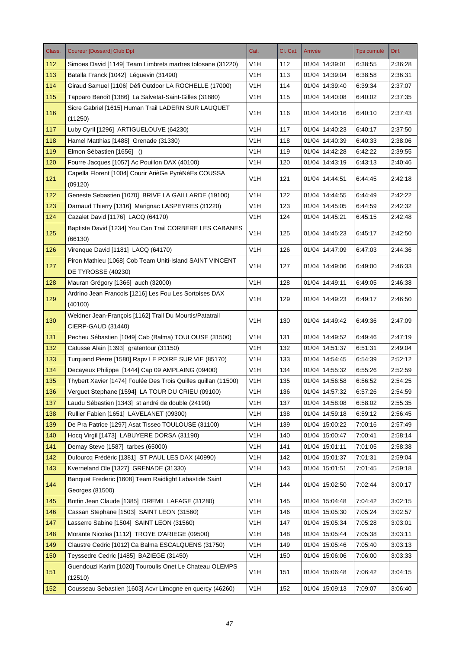| Class. | <b>Coureur [Dossard] Club Dpt</b>                                  | Cat.             | Cl. Cat. | Arrivée        | <b>Tps cumulé</b> | Diff.   |
|--------|--------------------------------------------------------------------|------------------|----------|----------------|-------------------|---------|
| 112    | Simoes David [1149] Team Limbrets martres tolosane (31220)         | V1H              | 112      | 01/04 14:39:01 | 6:38:55           | 2:36:28 |
| 113    | Batalla Franck [1042] Léguevin (31490)                             | V1H              | 113      | 01/04 14:39:04 | 6:38:58           | 2:36:31 |
| 114    | Giraud Samuel [1106] Défi Outdoor LA ROCHELLE (17000)              | V <sub>1</sub> H | 114      | 01/04 14:39:40 | 6:39:34           | 2:37:07 |
| 115    | Tapparo Benoît [1386] La Salvetat-Saint-Gilles (31880)             | V1H              | 115      | 01/04 14:40:08 | 6:40:02           | 2:37:35 |
| 116    | Sicre Gabriel [1615] Human Trail LADERN SUR LAUQUET<br>(11250)     | V1H              | 116      | 01/04 14:40:16 | 6:40:10           | 2:37:43 |
| 117    | Luby Cyril [1296] ARTIGUELOUVE (64230)                             | V <sub>1</sub> H | 117      | 01/04 14:40:23 | 6:40:17           | 2:37:50 |
| 118    | Hamel Matthias [1488] Grenade (31330)                              | V <sub>1</sub> H | 118      | 01/04 14:40:39 | 6:40:33           | 2:38:06 |
| 119    | Elmon Sébastien [1656] ()                                          | V <sub>1</sub> H | 119      | 01/04 14:42:28 | 6:42:22           | 2:39:55 |
| 120    | Fourre Jacques [1057] Ac Pouillon DAX (40100)                      | V <sub>1</sub> H | 120      | 01/04 14:43:19 | 6:43:13           | 2:40:46 |
|        | Capella Florent [1004] Courir ArièGe PyréNéEs COUSSA               |                  |          |                |                   |         |
| 121    | (09120)                                                            | V1H              | 121      | 01/04 14:44:51 | 6:44:45           | 2:42:18 |
| 122    | Geneste Sebastien [1070] BRIVE LA GAILLARDE (19100)                | V1H              | 122      | 01/04 14:44:55 | 6:44:49           | 2:42:22 |
| 123    | Darnaud Thierry [1316] Marignac LASPEYRES (31220)                  | V <sub>1</sub> H | 123      | 01/04 14:45:05 | 6:44:59           | 2:42:32 |
| 124    | Cazalet David [1176] LACQ (64170)                                  | V <sub>1</sub> H | 124      | 01/04 14:45:21 | 6:45:15           | 2:42:48 |
|        | Baptiste David [1234] You Can Trail CORBERE LES CABANES            |                  |          |                |                   |         |
| 125    | (66130)                                                            | V1H              | 125      | 01/04 14:45:23 | 6:45:17           | 2:42:50 |
| 126    | Virenque David [1181] LACQ (64170)                                 | V <sub>1</sub> H | 126      | 01/04 14:47:09 | 6:47:03           | 2:44:36 |
|        | Piron Mathieu [1068] Cob Team Uniti-Island SAINT VINCENT           |                  |          |                |                   |         |
| 127    | DE TYROSSE (40230)                                                 | V <sub>1</sub> H | 127      | 01/04 14:49:06 | 6:49:00           | 2:46:33 |
| 128    | Mauran Grégory [1366] auch (32000)                                 | V <sub>1</sub> H | 128      | 01/04 14:49:11 | 6:49:05           | 2:46:38 |
|        | Ardrino Jean Francois [1216] Les Fou Les Sortoises DAX             |                  |          |                |                   |         |
| 129    | (40100)                                                            | V <sub>1</sub> H | 129      | 01/04 14:49:23 | 6:49:17           | 2:46:50 |
|        | Weidner Jean-François [1162] Trail Du Mourtis/Patatrail            |                  |          |                |                   |         |
| 130    | CIERP-GAUD (31440)                                                 | V <sub>1</sub> H | 130      | 01/04 14:49:42 | 6:49:36           | 2:47:09 |
| 131    | Pecheu Sébastien [1049] Cab (Balma) TOULOUSE (31500)               | V <sub>1</sub> H | 131      | 01/04 14:49:52 | 6:49:46           | 2:47:19 |
| 132    | Catusse Alain [1393] gratentour (31150)                            | V <sub>1</sub> H | 132      | 01/04 14:51:37 | 6:51:31           | 2:49:04 |
| 133    | Turquand Pierre [1580] Rapv LE POIRE SUR VIE (85170)               | V <sub>1</sub> H | 133      | 01/04 14:54:45 | 6:54:39           | 2:52:12 |
| 134    | Decayeux Philippe [1444] Cap 09 AMPLAING (09400)                   | V1H              | 134      | 01/04 14:55:32 | 6:55:26           | 2:52:59 |
| 135    | Thybert Xavier [1474] Foulée Des Trois Quilles quillan (11500)     | V <sub>1</sub> H | 135      | 01/04 14:56:58 | 6:56:52           | 2:54:25 |
| 136    | Verguet Stephane [1594] LA TOUR DU CRIEU (09100)                   | V <sub>1</sub> H | 136      | 01/04 14:57:32 | 6:57:26           | 2:54:59 |
| 137    | Laudu Sébastien [1343] st andré de double (24190)                  | V <sub>1</sub> H | 137      | 01/04 14:58:08 | 6:58:02           | 2:55:35 |
| 138    | Rullier Fabien [1651] LAVELANET (09300)                            | V <sub>1</sub> H | 138      | 01/04 14:59:18 | 6:59:12           | 2:56:45 |
| 139    | De Pra Patrice [1297] Asat Tisseo TOULOUSE (31100)                 | V <sub>1</sub> H | 139      | 01/04 15:00:22 | 7:00:16           | 2:57:49 |
| 140    | Hocq Virgil [1473] LABUYERE DORSA (31190)                          | V <sub>1</sub> H | 140      | 01/04 15:00:47 | 7:00:41           | 2:58:14 |
| 141    | Demay Steve [1587] tarbes (65000)                                  | V <sub>1</sub> H | 141      | 01/04 15:01:11 | 7:01:05           | 2:58:38 |
| 142    | Dufourcq Frédéric [1381] ST PAUL LES DAX (40990)                   | V <sub>1</sub> H | 142      | 01/04 15:01:37 | 7:01:31           | 2:59:04 |
| 143    | Kverneland Ole [1327] GRENADE (31330)                              | V <sub>1</sub> H | 143      | 01/04 15:01:51 | 7:01:45           | 2:59:18 |
|        | Banquet Frederic [1608] Team Raidlight Labastide Saint             |                  |          |                |                   |         |
| 144    | Georges (81500)                                                    | V <sub>1</sub> H | 144      | 01/04 15:02:50 | 7:02:44           | 3:00:17 |
| 145    | Bottin Jean Claude [1385] DREMIL LAFAGE (31280)                    | V <sub>1</sub> H | 145      | 01/04 15:04:48 | 7:04:42           | 3:02:15 |
| 146    | Cassan Stephane [1503] SAINT LEON (31560)                          | V <sub>1</sub> H | 146      | 01/04 15:05:30 | 7:05:24           | 3:02:57 |
| 147    | Lasserre Sabine [1504] SAINT LEON (31560)                          | V <sub>1</sub> H | 147      | 01/04 15:05:34 | 7:05:28           | 3:03:01 |
| 148    | Morante Nicolas [1112] TROYE D'ARIEGE (09500)                      | V <sub>1</sub> H | 148      | 01/04 15:05:44 | 7:05:38           | 3:03:11 |
| 149    | Claustre Cedric [1012] Ca Balma ESCALQUENS (31750)                 | V <sub>1</sub> H | 149      | 01/04 15:05:46 | 7:05:40           | 3:03:13 |
| 150    | Teyssedre Cedric [1485] BAZIEGE (31450)                            | V <sub>1</sub> H | 150      | 01/04 15:06:06 | 7:06:00           | 3:03:33 |
| 151    | Guendouzi Karim [1020] Touroulis Onet Le Chateau OLEMPS<br>(12510) | V <sub>1</sub> H | 151      | 01/04 15:06:48 | 7:06:42           | 3:04:15 |
| 152    | Cousseau Sebastien [1603] Acvr Limogne en quercy (46260)           | V <sub>1</sub> H | 152      | 01/04 15:09:13 | 7:09:07           | 3:06:40 |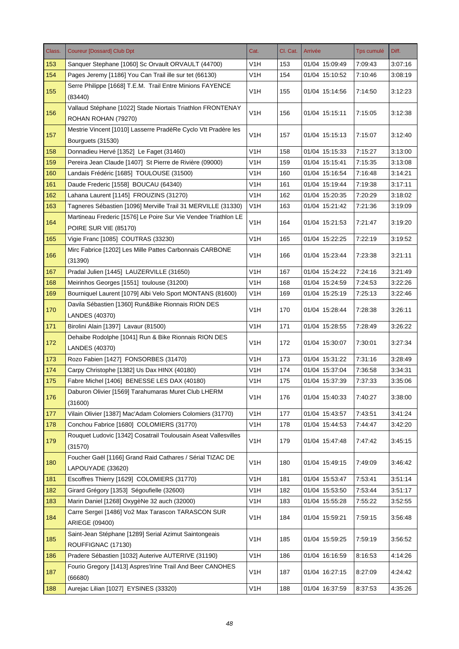| Class. | <b>Coureur [Dossard] Club Dpt</b>                                                  | Cat.             | Cl. Cat. | Arrivée        | <b>Tps cumulé</b> | Diff.   |
|--------|------------------------------------------------------------------------------------|------------------|----------|----------------|-------------------|---------|
| 153    | Sanquer Stephane [1060] Sc Orvault ORVAULT (44700)                                 | V1H              | 153      | 01/04 15:09:49 | 7:09:43           | 3:07:16 |
| 154    | Pages Jeremy [1186] You Can Trail ille sur tet (66130)                             | V1H              | 154      | 01/04 15:10:52 | 7:10:46           | 3:08:19 |
| 155    | Serre Philippe [1668] T.E.M. Trail Entre Minions FAYENCE<br>(83440)                | V1H              | 155      | 01/04 15:14:56 | 7:14:50           | 3:12:23 |
| 156    | Vallaud Stéphane [1022] Stade Niortais Triathlon FRONTENAY<br>ROHAN ROHAN (79270)  | V <sub>1</sub> H | 156      | 01/04 15:15:11 | 7:15:05           | 3:12:38 |
| 157    | Mestrie Vincent [1010] Lasserre PradèRe Cyclo Vtt Pradère les<br>Bourguets (31530) | V <sub>1</sub> H | 157      | 01/04 15:15:13 | 7:15:07           | 3:12:40 |
| 158    | Donnadieu Hervé [1352] Le Faget (31460)                                            | V1H              | 158      | 01/04 15:15:33 | 7:15:27           | 3:13:00 |
| 159    | Pereira Jean Claude [1407] St Pierre de Rivière (09000)                            | V <sub>1</sub> H | 159      | 01/04 15:15:41 | 7:15:35           | 3:13:08 |
| 160    | Landais Frédéric [1685] TOULOUSE (31500)                                           | V <sub>1</sub> H | 160      | 01/04 15:16:54 | 7:16:48           | 3:14:21 |
| 161    | Daude Frederic [1558] BOUCAU (64340)                                               | V <sub>1</sub> H | 161      | 01/04 15:19:44 | 7:19:38           | 3:17:11 |
| 162    | Lahana Laurent [1145] FROUZINS (31270)                                             | V <sub>1</sub> H | 162      | 01/04 15:20:35 | 7:20:29           | 3:18:02 |
| 163    | Tagneres Sébastien [1096] Merville Trail 31 MERVILLE (31330)                       | V <sub>1</sub> H | 163      | 01/04 15:21:42 | 7:21:36           | 3:19:09 |
|        | Martineau Frederic [1576] Le Poire Sur Vie Vendee Triathlon LE                     |                  |          |                |                   |         |
| 164    | POIRE SUR VIE (85170)                                                              | V <sub>1</sub> H | 164      | 01/04 15:21:53 | 7:21:47           | 3:19:20 |
| 165    | Vigie Franc [1085] COUTRAS (33230)                                                 | V <sub>1</sub> H | 165      | 01/04 15:22:25 | 7:22:19           | 3:19:52 |
| 166    | Mirc Fabrice [1202] Les Mille Pattes Carbonnais CARBONE<br>(31390)                 | V <sub>1</sub> H | 166      | 01/04 15:23:44 | 7:23:38           | 3:21:11 |
| 167    | Pradal Julien [1445] LAUZERVILLE (31650)                                           | V <sub>1</sub> H | 167      | 01/04 15:24:22 | 7:24:16           | 3:21:49 |
| 168    | Meirinhos Georges [1551] toulouse (31200)                                          | V <sub>1</sub> H | 168      | 01/04 15:24:59 | 7:24:53           | 3:22:26 |
| 169    | Bourniquel Laurent [1079] Albi Velo Sport MONTANS (81600)                          | V <sub>1</sub> H | 169      | 01/04 15:25:19 | 7:25:13           | 3:22:46 |
| 170    | Davila Sébastien [1360] Run&Bike Rionnais RION DES<br>LANDES (40370)               | V <sub>1</sub> H | 170      | 01/04 15:28:44 | 7:28:38           | 3:26:11 |
| 171    | Birolini Alain [1397] Lavaur (81500)                                               | V <sub>1</sub> H | 171      | 01/04 15:28:55 | 7:28:49           | 3:26:22 |
| 172    | Dehaibe Rodolphe [1041] Run & Bike Rionnais RION DES<br>LANDES (40370)             | V <sub>1</sub> H | 172      | 01/04 15:30:07 | 7:30:01           | 3:27:34 |
| 173    | Rozo Fabien [1427] FONSORBES (31470)                                               | V <sub>1</sub> H | 173      | 01/04 15:31:22 | 7:31:16           | 3:28:49 |
| 174    | Carpy Christophe [1382] Us Dax HINX (40180)                                        | V1H              | 174      | 01/04 15:37:04 | 7:36:58           | 3:34:31 |
| 175    | Fabre Michel [1406] BENESSE LES DAX (40180)                                        | V <sub>1</sub> H | 175      | 01/04 15:37:39 | 7:37:33           | 3:35:06 |
| 176    | Daburon Olivier [1569] Tarahumaras Muret Club LHERM<br>(31600)                     | V <sub>1</sub> H | 176      | 01/04 15:40:33 | 7:40:27           | 3:38:00 |
| 177    | Vilain Olivier [1387] Mac'Adam Colomiers Colomiers (31770)                         | V <sub>1</sub> H | 177      | 01/04 15:43:57 | 7:43:51           | 3:41:24 |
| 178    | Conchou Fabrice [1680] COLOMIERS (31770)                                           | V <sub>1</sub> H | 178      | 01/04 15:44:53 | 7:44:47           | 3:42:20 |
| 179    | Rouquet Ludovic [1342] Cosatrail Toulousain Aseat Vallesvilles<br>(31570)          | V <sub>1</sub> H | 179      | 01/04 15:47:48 | 7:47:42           | 3:45:15 |
| 180    | Foucher Gaël [1166] Grand Raid Cathares / Sérial TIZAC DE<br>LAPOUYADE (33620)     | V <sub>1</sub> H | 180      | 01/04 15:49:15 | 7:49:09           | 3:46:42 |
| 181    | Escoffres Thierry [1629] COLOMIERS (31770)                                         | V <sub>1</sub> H | 181      | 01/04 15:53:47 | 7:53:41           | 3.51.14 |
| 182    | Girard Grégory [1353] Ségoufielle (32600)                                          | V <sub>1</sub> H | 182      | 01/04 15:53:50 | 7:53:44           | 3:51:17 |
| 183    | Marin Daniel [1268] OxygèNe 32 auch (32000)                                        | V <sub>1</sub> H | 183      | 01/04 15:55:28 | 7:55:22           | 3:52:55 |
| 184    | Carre Sergeï [1486] Vo2 Max Tarascon TARASCON SUR                                  | V <sub>1</sub> H | 184      | 01/04 15:59:21 | 7:59:15           | 3:56:48 |
|        | ARIEGE (09400)                                                                     |                  |          |                |                   |         |
| 185    | Saint-Jean Stéphane [1289] Serial Azimut Saintongeais<br>ROUFFIGNAC (17130)        | V <sub>1</sub> H | 185      | 01/04 15:59:25 | 7:59:19           | 3:56:52 |
| 186    | Pradere Sébastien [1032] Auterive AUTERIVE (31190)                                 | V <sub>1</sub> H | 186      | 01/04 16:16:59 | 8:16:53           | 4:14:26 |
| 187    | Fourio Gregory [1413] Aspres'Irine Trail And Beer CANOHES<br>(66680)               | V <sub>1</sub> H | 187      | 01/04 16:27:15 | 8:27:09           | 4:24:42 |
| 188    | Aurejac Lilian [1027] EYSINES (33320)                                              | V <sub>1</sub> H | 188      | 01/04 16:37:59 | 8:37:53           | 4:35:26 |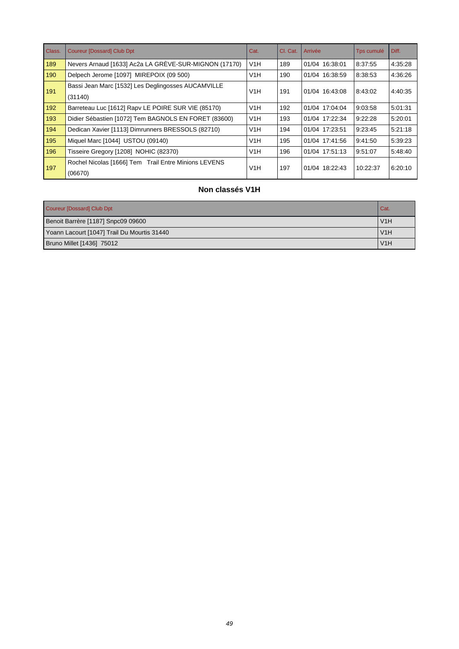| Class. | <b>Coureur [Dossard] Club Dpt</b>                               | Cat.             | CI. Cat. | Arrivée        | Tps cumulé | Diff.   |
|--------|-----------------------------------------------------------------|------------------|----------|----------------|------------|---------|
| 189    | Nevers Arnaud [1633] Ac2a LA GRÈVE-SUR-MIGNON (17170)           | V1H              | 189      | 01/04 16:38:01 | 8:37:55    | 4:35:28 |
| 190    | Delpech Jerome [1097] MIREPOIX (09 500)                         | V1H              | 190      | 01/04 16:38:59 | 8:38:53    | 4:36:26 |
| 191    | Bassi Jean Marc [1532] Les Deglingosses AUCAMVILLE<br>(31140)   | V <sub>1</sub> H | 191      | 01/04 16:43:08 | 8:43:02    | 4:40:35 |
| 192    | Barreteau Luc [1612] Rapv LE POIRE SUR VIE (85170)              | V1H              | 192      | 01/04 17:04:04 | 9:03:58    | 5:01:31 |
| 193    | Didier Sébastien [1072] Tem BAGNOLS EN FORET (83600)            | V1H              | 193      | 01/04 17:22:34 | 9:22:28    | 5:20:01 |
| 194    | Dedican Xavier [1113] Dimrunners BRESSOLS (82710)               | V1H              | 194      | 01/04 17:23:51 | 9:23:45    | 5:21:18 |
| 195    | Miquel Marc [1044] USTOU (09140)                                | V1H              | 195      | 01/04 17:41:56 | 9:41:50    | 5:39:23 |
| 196    | Tisseire Gregory [1208] NOHIC (82370)                           | V1H              | 196      | 01/04 17:51:13 | 9:51:07    | 5:48:40 |
| 197    | Rochel Nicolas [1666] Tem Trail Entre Minions LEVENS<br>(06670) | V <sub>1</sub> H | 197      | 01/04 18:22:43 | 10:22:37   | 6:20:10 |

# **Non classés V1H**

| Coureur [Dossard] Club Dpt                  | Cat. |
|---------------------------------------------|------|
| Benoit Barrère [1187] Snpc09 09600          | V1H  |
| Yoann Lacourt [1047] Trail Du Mourtis 31440 | V1H  |
| Bruno Millet [1436] 75012                   | V1H  |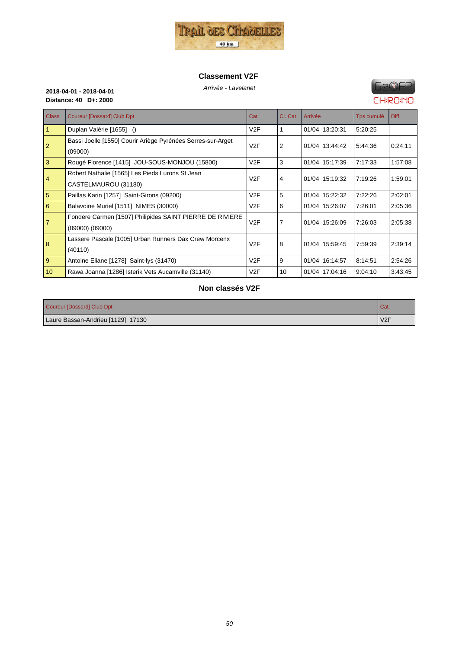

#### **Classement V2F**

# Arrivée - Lavelanet **2018-04-01 - 2018-04-01 Distance: 40 D+: 2000**

# **FIP®FP CHRONO**

| Class.         | <b>Coureur [Dossard] Club Dpt</b>                                               | Cat. | Cl. Cat.       | Arrivée        | Tps cumulé | Diff.   |
|----------------|---------------------------------------------------------------------------------|------|----------------|----------------|------------|---------|
| $\mathbf{1}$   | Duplan Valérie [1655] ()                                                        | V2F  |                | 01/04 13:20:31 | 5:20:25    |         |
| $\overline{2}$ | Bassi Joelle [1550] Courir Ariège Pyrénées Serres-sur-Arget<br>(09000)          | V2F  | $\overline{2}$ | 01/04 13:44:42 | 5:44:36    | 0:24:11 |
| $\overline{3}$ | Rougé Florence [1415] JOU-SOUS-MONJOU (15800)                                   | V2F  | 3              | 01/04 15:17:39 | 7:17:33    | 1.57:08 |
| 4              | Robert Nathalie [1565] Les Pieds Lurons St Jean<br>CASTELMAUROU (31180)         | V2F  | 4              | 01/04 15:19:32 | 7:19:26    | 1:59:01 |
| 5              | Paillas Karin [1257] Saint-Girons (09200)                                       | V2F  | 5              | 01/04 15:22:32 | 7:22:26    | 2:02:01 |
| 6              | Balavoine Muriel [1511] NIMES (30000)                                           | V2F  | 6              | 01/04 15:26:07 | 7:26:01    | 2:05:36 |
| $\overline{7}$ | Fondere Carmen [1507] Philipides SAINT PIERRE DE RIVIERE<br>$(09000)$ $(09000)$ | V2F  | 7              | 01/04 15:26:09 | 7:26:03    | 2:05:38 |
| 8              | Lassere Pascale [1005] Urban Runners Dax Crew Morcenx<br>(40110)                | V2F  | 8              | 01/04 15:59:45 | 7:59:39    | 2:39:14 |
| 9              | Antoine Eliane [1278] Saint-lys (31470)                                         | V2F  | 9              | 01/04 16:14:57 | 8:14:51    | 2:54:26 |
| 10             | Rawa Joanna [1286] Isterik Vets Aucamville (31140)                              | V2F  | 10             | 01/04 17:04:16 | 9:04:10    | 3:43:45 |

### **Non classés V2F**

| Coureur [Dossard] Club Dpt        | Cat. |
|-----------------------------------|------|
| Laure Bassan-Andrieu [1129] 17130 | V2F  |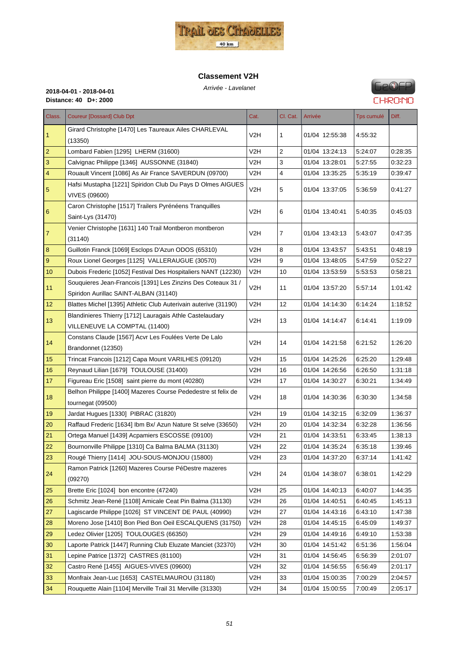

#### **Classement V2H**



| Class.         | <b>Coureur [Dossard] Club Dpt</b>                                                                     | Cat.             | Cl. Cat. | Arrivée        | Tps cumulé | Diff.   |
|----------------|-------------------------------------------------------------------------------------------------------|------------------|----------|----------------|------------|---------|
| $\mathbf{1}$   | Girard Christophe [1470] Les Taureaux Ailes CHARLEVAL<br>(13350)                                      | V2H              | 1        | 01/04 12:55:38 | 4:55:32    |         |
| $\overline{2}$ | Lombard Fabien [1295] LHERM (31600)                                                                   | V2H              | 2        | 01/04 13:24:13 | 5:24:07    | 0:28:35 |
| 3              | Calvignac Philippe [1346] AUSSONNE (31840)                                                            | V2H              | 3        | 01/04 13:28:01 | 5:27:55    | 0:32:23 |
| $\overline{4}$ | Rouault Vincent [1086] As Air France SAVERDUN (09700)                                                 | V2H              | 4        | 01/04 13:35:25 | 5:35:19    | 0:39:47 |
| 5              | Hafsi Mustapha [1221] Spiridon Club Du Pays D Olmes AIGUES<br><b>VIVES (09600)</b>                    | V2H              | 5        | 01/04 13:37:05 | 5:36:59    | 0:41:27 |
| 6              | Caron Christophe [1517] Trailers Pyrénéens Tranquilles<br>Saint-Lys (31470)                           | V2H              | 6        | 01/04 13:40:41 | 5:40:35    | 0:45:03 |
| $\overline{7}$ | Venier Christophe [1631] 140 Trail Montberon montberon<br>(31140)                                     | V2H              | 7        | 01/04 13:43:13 | 5:43:07    | 0:47:35 |
| 8              | Guillotin Franck [1069] Esclops D'Azun ODOS (65310)                                                   | V2H              | 8        | 01/04 13:43:57 | 5:43:51    | 0.48:19 |
| 9              | Roux Lionel Georges [1125] VALLERAUGUE (30570)                                                        | V2H              | 9        | 01/04 13:48:05 | 5:47:59    | 0.52:27 |
| 10             | Dubois Frederic [1052] Festival Des Hospitaliers NANT (12230)                                         | V2H              | 10       | 01/04 13:53:59 | 5.53.53    | 0:58:21 |
| 11             | Souquieres Jean-Francois [1391] Les Zinzins Des Coteaux 31 /<br>Spiridon Aurillac SAINT-ALBAN (31140) | V2H              | 11       | 01/04 13:57:20 | 5:57:14    | 1:01:42 |
| 12             | Blattes Michel [1395] Athletic Club Auterivain auterive (31190)                                       | V <sub>2</sub> H | 12       | 01/04 14:14:30 | 6:14:24    | 1:18:52 |
| 13             | Blandinieres Thierry [1712] Lauragais Athle Castelaudary<br>VILLENEUVE LA COMPTAL (11400)             | V2H              | 13       | 01/04 14:14:47 | 6:14:41    | 1:19:09 |
| 14             | Constans Claude [1567] Acvr Les Foulées Verte De Lalo<br>Brandonnet (12350)                           | V2H              | 14       | 01/04 14:21:58 | 6:21:52    | 1:26:20 |
| 15             | Trincat Francois [1212] Capa Mount VARILHES (09120)                                                   | V2H              | 15       | 01/04 14:25:26 | 6:25:20    | 1.29:48 |
| 16             | Reynaud Lilian [1679] TOULOUSE (31400)                                                                | V2H              | 16       | 01/04 14:26:56 | 6:26:50    | 1:31:18 |
| 17             | Figureau Eric [1508] saint pierre du mont (40280)                                                     | V <sub>2</sub> H | 17       | 01/04 14:30:27 | 6:30:21    | 1:34:49 |
| 18             | Belhon Philippe [1400] Mazeres Course Pededestre st felix de                                          | V2H              | 18       | 01/04 14:30:36 | 6:30:30    | 1:34:58 |
|                | tournegat (09500)                                                                                     |                  |          |                |            |         |
| 19             | Jardat Hugues [1330] PIBRAC (31820)                                                                   | V2H              | 19       | 01/04 14:32:15 | 6:32:09    | 1:36:37 |
| 20             | Raffaud Frederic [1634] Ibm Bx/ Azun Nature St selve (33650)                                          | V2H              | 20       | 01/04 14:32:34 | 6:32:28    | 1:36:56 |
| 21             | Ortega Manuel [1439] Acpamiers ESCOSSE (09100)                                                        | V2H              | 21       | 01/04 14:33:51 | 6:33:45    | 1:38:13 |
| 22             | Bournonville Philippe [1310] Ca Balma BALMA (31130)                                                   | V2H              | 22       | 01/04 14:35:24 | 6:35:18    | 1:39:46 |
| 23             | Rougé Thierry [1414] JOU-SOUS-MONJOU (15800)                                                          | V <sub>2</sub> H | 23       | 01/04 14:37:20 | 6:37:14    | 1:41:42 |
| 24             | Ramon Patrick [1260] Mazeres Course PéDestre mazeres<br>(09270)                                       | V <sub>2</sub> H | 24       | 01/04 14:38:07 | 6:38:01    | 1:42:29 |
| 25             | Brette Eric [1024] bon encontre (47240)                                                               | V <sub>2</sub> H | 25       | 01/04 14:40:13 | 6:40:07    | 1.44.35 |
| 26             | Schmitz Jean-René [1108] Amicale Ceat Pin Balma (31130)                                               | V2H              | 26       | 01/04 14:40:51 | 6:40:45    | 1:45:13 |
| 27             | Lagiscarde Philippe [1026] ST VINCENT DE PAUL (40990)                                                 | V <sub>2</sub> H | 27       | 01/04 14:43:16 | 6.43.10    | 1:47:38 |
| 28             | Moreno Jose [1410] Bon Pied Bon Oeil ESCALQUENS (31750)                                               | V2H              | 28       | 01/04 14:45:15 | 6:45:09    | 1:49:37 |
| 29             | Ledez Olivier [1205] TOULOUGES (66350)                                                                | V <sub>2</sub> H | 29       | 01/04 14:49:16 | 6:49:10    | 1:53:38 |
| 30             | Laporte Patrick [1447] Running Club Eluzate Manciet (32370)                                           | V2H              | 30       | 01/04 14:51:42 | 6:51:36    | 1:56:04 |
| 31             | Lepine Patrice [1372] CASTRES (81100)                                                                 | V <sub>2</sub> H | 31       | 01/04 14:56:45 | 6:56:39    | 2:01:07 |
| 32             | Castro René [1455] AIGUES-VIVES (09600)                                                               | V2H              | 32       | 01/04 14:56:55 | 6:56:49    | 2:01:17 |
| 33             | Monfraix Jean-Luc [1653] CASTELMAUROU (31180)                                                         | V <sub>2</sub> H | 33       | 01/04 15:00:35 | 7:00:29    | 2:04:57 |
| 34             | Rouquette Alain [1104] Merville Trail 31 Merville (31330)                                             | V <sub>2</sub> H | 34       | 01/04 15:00:55 | 7:00:49    | 2:05:17 |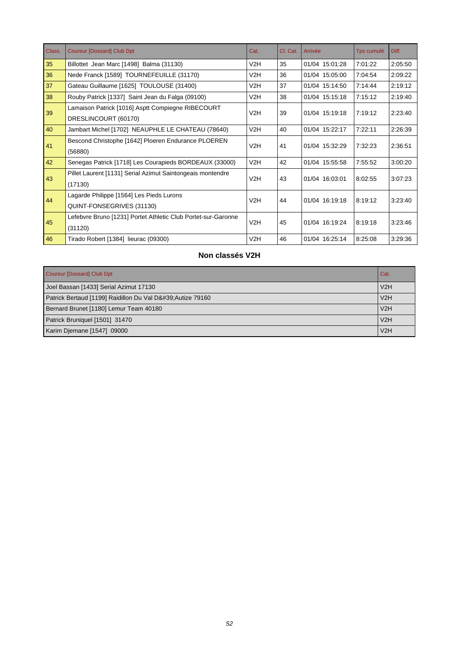| Class. | <b>Coureur [Dossard] Club Dpt</b>                             | Cat. | Cl. Cat. | Arrivée        | Tps cumulé | Diff.   |
|--------|---------------------------------------------------------------|------|----------|----------------|------------|---------|
| 35     | Billottet Jean Marc [1498] Balma (31130)                      | V2H  | 35       | 01/04 15:01:28 | 7:01:22    | 2:05:50 |
| 36     | Nede Franck [1589] TOURNEFEUILLE (31170)                      | V2H  | 36       | 01/04 15:05:00 | 7:04:54    | 2:09:22 |
| 37     | Gateau Guillaume [1625] TOULOUSE (31400)                      | V2H  | 37       | 01/04 15:14:50 | 7:14:44    | 2:19:12 |
| 38     | Rouby Patrick [1337] Saint Jean du Falga (09100)              | V2H  | 38       | 01/04 15:15:18 | 7:15:12    | 2:19:40 |
| 39     | Lamaison Patrick [1016] Asptt Compiegne RIBECOURT             | V2H  | 39       | 01/04 15:19:18 | 7:19:12    | 2:23:40 |
|        | DRESLINCOURT (60170)                                          |      |          |                |            |         |
| 40     | Jambart Michel [1702] NEAUPHLE LE CHATEAU (78640)             | V2H  | 40       | 01/04 15:22:17 | 7:22:11    | 2:26:39 |
|        | Bescond Christophe [1642] Ploeren Endurance PLOEREN           | V2H  | 41       | 01/04 15:32:29 | 7:32:23    | 2:36:51 |
| 41     | (56880)                                                       |      |          |                |            |         |
| 42     | Senegas Patrick [1718] Les Courapieds BORDEAUX (33000)        | V2H  | 42       | 01/04 15:55:58 | 7:55:52    | 3:00:20 |
| 43     | Pillet Laurent [1131] Serial Azimut Saintongeais montendre    | V2H  | 43       | 01/04 16:03:01 |            |         |
|        | (17130)                                                       |      |          |                | 8:02:55    | 3:07:23 |
| 44     | Lagarde Philippe [1564] Les Pieds Lurons                      | V2H  | 44       | 01/04 16:19:18 | 8:19:12    | 3:23:40 |
|        | QUINT-FONSEGRIVES (31130)                                     |      |          |                |            |         |
| 45     | Lefebvre Bruno [1231] Portet Athletic Club Portet-sur-Garonne | V2H  |          | 01/04 16:19:24 |            |         |
|        | (31120)                                                       |      | 45       |                | 8:19:18    | 3:23:46 |
| 46     | Tirado Robert [1384] lieurac (09300)                          | V2H  | 46       | 01/04 16:25:14 | 8:25:08    | 3:29:36 |

# **Non classés V2H**

| Coureur [Dossard] Club Dpt                              | Cat. |
|---------------------------------------------------------|------|
| Joel Bassan [1433] Serial Azimut 17130                  | V2H  |
| Patrick Bertaud [1199] Raidillon Du Val D' Autize 79160 | V2H  |
| Bernard Brunet [1180] Lemur Team 40180                  | V2H  |
| Patrick Bruniquel [1501] 31470                          | V2H  |
| Karim Djemane [1547] 09000                              | V2H  |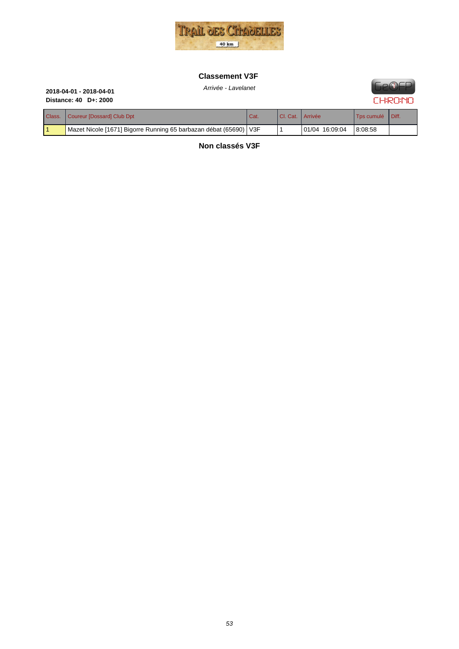

### **Classement V3F**



# Arrivée - Lavelanet **2018-04-01 - 2018-04-01 Distance: 40 D+: 2000**

| Class. | Coureur [Dossard] Club Dpt                                          | Cat. | I CI. Cat.   Arrivée |                | Tos cumulé   Diff. |  |
|--------|---------------------------------------------------------------------|------|----------------------|----------------|--------------------|--|
|        | Mazet Nicole [1671] Bigorre Running 65 barbazan débat (65690)   V3F |      |                      | 01/04 16:09:04 | 8:08:58            |  |

**Non classés V3F**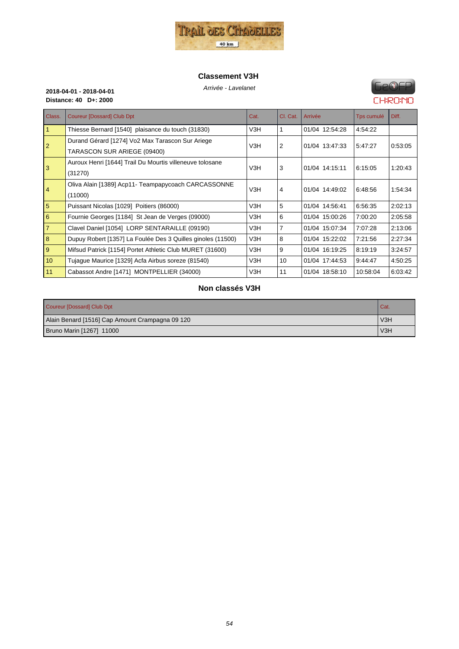

#### **Classement V3H**



**Distance: 40 D+: 2000**

# Arrivée - Lavelanet **2018-04-01 - 2018-04-01**

| Class.          | <b>Coureur [Dossard] Club Dpt</b>                           | Cat. | Cl. Cat.       | Arrivée        | Tps cumulé | Diff.   |
|-----------------|-------------------------------------------------------------|------|----------------|----------------|------------|---------|
| $\mathbf{1}$    | Thiesse Bernard [1540] plaisance du touch (31830)           | V3H  |                | 01/04 12:54:28 | 4:54:22    |         |
| 2               | Durand Gérard [1274] Vo2 Max Tarascon Sur Ariege            | V3H  | 2              | 01/04 13:47:33 | 5:47:27    | 0:53:05 |
|                 | TARASCON SUR ARIEGE (09400)                                 |      |                |                |            |         |
| 3               | Auroux Henri [1644] Trail Du Mourtis villeneuve tolosane    | V3H  | 3              | 01/04 14:15:11 | 6:15:05    | 1:20:43 |
|                 | (31270)                                                     |      |                |                |            |         |
| $\overline{4}$  | Oliva Alain [1389] Acp11- Teampapycoach CARCASSONNE         | V3H  | 4              | 01/04 14:49:02 | 6:48:56    | 1:54:34 |
|                 | (11000)                                                     |      |                |                |            |         |
| 5               | Puissant Nicolas [1029] Poitiers (86000)                    | V3H  | 5              | 01/04 14:56:41 | 6:56:35    | 2:02:13 |
| 6               | Fournie Georges [1184] St Jean de Verges (09000)            | V3H  | 6              | 01/04 15:00:26 | 7:00:20    | 2:05:58 |
| $\overline{7}$  | Clavel Daniel [1054] LORP SENTARAILLE (09190)               | V3H  | $\overline{7}$ | 01/04 15:07:34 | 7:07:28    | 2:13:06 |
| 8               | Dupuy Robert [1357] La Foulée Des 3 Quilles ginoles (11500) | V3H  | 8              | 01/04 15:22:02 | 7:21:56    | 2:27:34 |
| 9               | Mifsud Patrick [1154] Portet Athletic Club MURET (31600)    | V3H  | 9              | 01/04 16:19:25 | 8:19:19    | 3:24:57 |
| 10 <sup>°</sup> | Tujaque Maurice [1329] Acfa Airbus soreze (81540)           | V3H  | 10             | 01/04 17:44:53 | 9:44:47    | 4:50:25 |
| 11              | Cabassot Andre [1471] MONTPELLIER (34000)                   | V3H  | 11             | 01/04 18:58:10 | 10:58:04   | 6:03:42 |

#### **Non classés V3H**

| Coureur [Dossard] Club Dpt                      | Cat. |
|-------------------------------------------------|------|
| Alain Benard [1516] Cap Amount Crampagna 09 120 | V3H  |
| Bruno Marin [1267] 11000                        | V3H  |